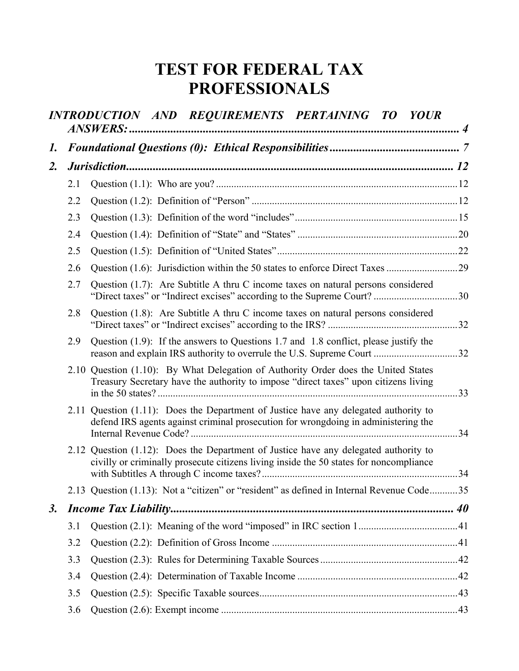# **TEST FOR FEDERAL TAX PROFESSIONALS**

|                |     | INTRODUCTION AND REQUIREMENTS PERTAINING TO YOUR                                                                                                                               |  |
|----------------|-----|--------------------------------------------------------------------------------------------------------------------------------------------------------------------------------|--|
| 1.             |     |                                                                                                                                                                                |  |
| $\mathbf{2}$ . |     |                                                                                                                                                                                |  |
|                | 2.1 |                                                                                                                                                                                |  |
|                | 2.2 |                                                                                                                                                                                |  |
|                | 2.3 |                                                                                                                                                                                |  |
|                | 2.4 |                                                                                                                                                                                |  |
|                | 2.5 |                                                                                                                                                                                |  |
|                | 2.6 |                                                                                                                                                                                |  |
|                | 2.7 | Question (1.7): Are Subtitle A thru C income taxes on natural persons considered                                                                                               |  |
|                | 2.8 | Question (1.8): Are Subtitle A thru C income taxes on natural persons considered                                                                                               |  |
|                | 2.9 | Question (1.9): If the answers to Questions 1.7 and 1.8 conflict, please justify the                                                                                           |  |
|                |     | 2.10 Question (1.10): By What Delegation of Authority Order does the United States<br>Treasury Secretary have the authority to impose "direct taxes" upon citizens living      |  |
|                |     | 2.11 Question (1.11): Does the Department of Justice have any delegated authority to<br>defend IRS agents against criminal prosecution for wrongdoing in administering the     |  |
|                |     | 2.12 Question (1.12): Does the Department of Justice have any delegated authority to<br>civilly or criminally prosecute citizens living inside the 50 states for noncompliance |  |
|                |     | 2.13 Question (1.13): Not a "citizen" or "resident" as defined in Internal Revenue Code35                                                                                      |  |
| <i>3</i> .     |     | <b>Income Tax Liability</b>                                                                                                                                                    |  |
|                | 3.1 |                                                                                                                                                                                |  |
|                | 3.2 |                                                                                                                                                                                |  |
|                | 3.3 |                                                                                                                                                                                |  |
|                | 3.4 |                                                                                                                                                                                |  |
|                | 3.5 |                                                                                                                                                                                |  |
|                | 3.6 |                                                                                                                                                                                |  |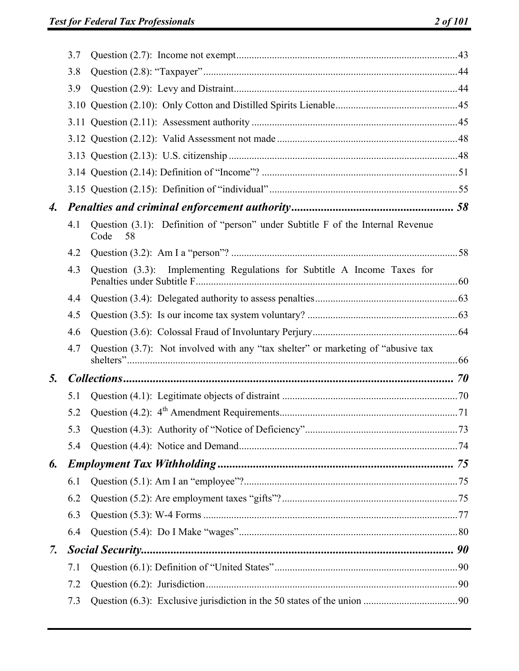|                    | 3.7 |                                                                                               |  |
|--------------------|-----|-----------------------------------------------------------------------------------------------|--|
|                    | 3.8 |                                                                                               |  |
|                    | 3.9 |                                                                                               |  |
|                    |     |                                                                                               |  |
|                    |     |                                                                                               |  |
|                    |     |                                                                                               |  |
|                    |     |                                                                                               |  |
|                    |     |                                                                                               |  |
|                    |     |                                                                                               |  |
| $\boldsymbol{4}$ . |     |                                                                                               |  |
|                    | 4.1 | Question (3.1): Definition of "person" under Subtitle F of the Internal Revenue<br>Code<br>58 |  |
|                    | 4.2 |                                                                                               |  |
|                    | 4.3 | Question (3.3): Implementing Regulations for Subtitle A Income Taxes for                      |  |
|                    | 4.4 |                                                                                               |  |
|                    | 4.5 |                                                                                               |  |
|                    | 4.6 |                                                                                               |  |
|                    | 4.7 | Question (3.7): Not involved with any "tax shelter" or marketing of "abusive tax              |  |
| 5.                 |     |                                                                                               |  |
|                    | 5.1 |                                                                                               |  |
|                    | 5.2 |                                                                                               |  |
|                    | 5.3 |                                                                                               |  |
|                    | 5.4 |                                                                                               |  |
| 6.                 |     |                                                                                               |  |
|                    | 6.1 |                                                                                               |  |
|                    | 6.2 |                                                                                               |  |
|                    | 6.3 |                                                                                               |  |
|                    | 6.4 |                                                                                               |  |
| 7.                 |     |                                                                                               |  |
|                    | 7.1 |                                                                                               |  |
|                    | 7.2 |                                                                                               |  |
|                    | 7.3 |                                                                                               |  |
|                    |     |                                                                                               |  |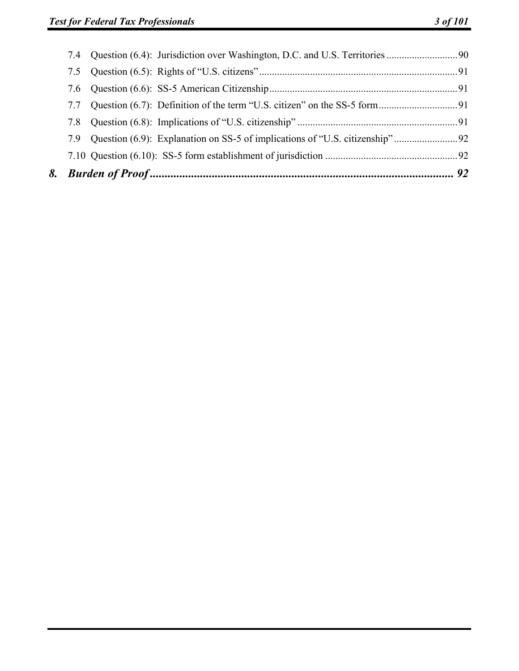| 7.7 |  |
|-----|--|
|     |  |
|     |  |
|     |  |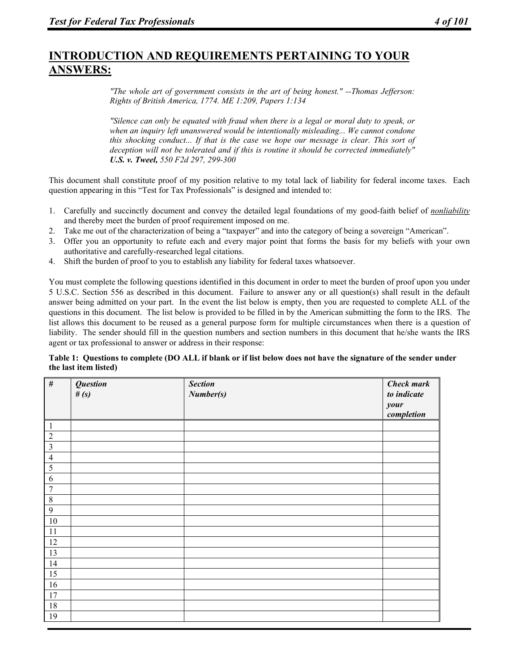# **INTRODUCTION AND REQUIREMENTS PERTAINING TO YOUR ANSWERS:**

*"The whole art of government consists in the art of being honest." --Thomas Jefferson: Rights of British America, 1774. ME 1:209, Papers 1:134* 

*"Silence can only be equated with fraud when there is a legal or moral duty to speak, or when an inquiry left unanswered would be intentionally misleading... We cannot condone this shocking conduct... If that is the case we hope our message is clear. This sort of deception will not be tolerated and if this is routine it should be corrected immediately" U.S. v. Tweel, 550 F2d 297, 299-300* 

This document shall constitute proof of my position relative to my total lack of liability for federal income taxes. Each question appearing in this "Test for Tax Professionals" is designed and intended to:

- 1. Carefully and succinctly document and convey the detailed legal foundations of my good-faith belief of *nonliability* and thereby meet the burden of proof requirement imposed on me.
- 2. Take me out of the characterization of being a "taxpayer" and into the category of being a sovereign "American".
- 3. Offer you an opportunity to refute each and every major point that forms the basis for my beliefs with your own authoritative and carefully-researched legal citations.
- 4. Shift the burden of proof to you to establish any liability for federal taxes whatsoever.

You must complete the following questions identified in this document in order to meet the burden of proof upon you under 5 U.S.C. Section 556 as described in this document. Failure to answer any or all question(s) shall result in the default answer being admitted on your part. In the event the list below is empty, then you are requested to complete ALL of the questions in this document. The list below is provided to be filled in by the American submitting the form to the IRS. The list allows this document to be reused as a general purpose form for multiple circumstances when there is a question of liability. The sender should fill in the question numbers and section numbers in this document that he/she wants the IRS agent or tax professional to answer or address in their response:

#### **Table 1: Questions to complete (DO ALL if blank or if list below does not have the signature of the sender under the last item listed)**

| $\#$                                      | <b>Question</b><br># $(s)$ | <b>Section</b><br>Number(s) | <b>Check mark</b><br>to indicate<br>your<br>completion |
|-------------------------------------------|----------------------------|-----------------------------|--------------------------------------------------------|
| $\mathbf{1}$                              |                            |                             |                                                        |
| $\overline{2}$                            |                            |                             |                                                        |
| $\overline{3}$                            |                            |                             |                                                        |
| $\overline{4}$                            |                            |                             |                                                        |
|                                           |                            |                             |                                                        |
| $\overline{\mathbf{5}}$<br>$\overline{6}$ |                            |                             |                                                        |
|                                           |                            |                             |                                                        |
| $\overline{7}$                            |                            |                             |                                                        |
| $\,8\,$                                   |                            |                             |                                                        |
| $\mathbf{9}$                              |                            |                             |                                                        |
| 10                                        |                            |                             |                                                        |
| 11                                        |                            |                             |                                                        |
| 12                                        |                            |                             |                                                        |
| 13                                        |                            |                             |                                                        |
| 14                                        |                            |                             |                                                        |
| 15                                        |                            |                             |                                                        |
| 16                                        |                            |                             |                                                        |
| 17                                        |                            |                             |                                                        |
| 18                                        |                            |                             |                                                        |
| 19                                        |                            |                             |                                                        |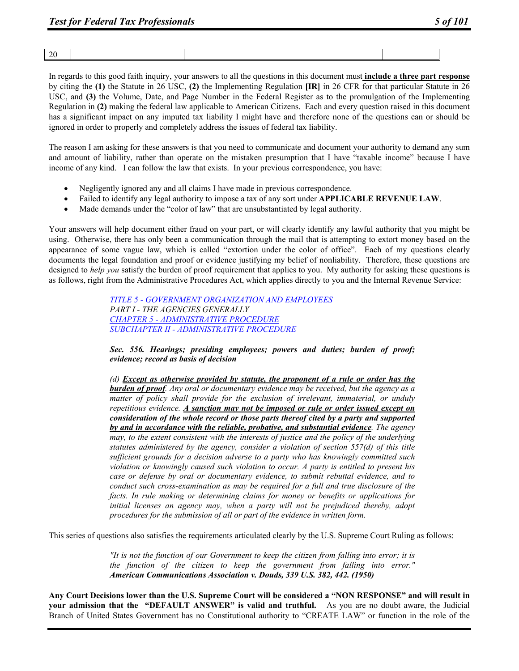|--|

In regards to this good faith inquiry, your answers to all the questions in this document must **include a three part response** by citing the **(1)** the Statute in 26 USC, **(2)** the Implementing Regulation **[IR]** in 26 CFR for that particular Statute in 26 USC, and **(3)** the Volume, Date, and Page Number in the Federal Register as to the promulgation of the Implementing Regulation in **(2)** making the federal law applicable to American Citizens. Each and every question raised in this document has a significant impact on any imputed tax liability I might have and therefore none of the questions can or should be ignored in order to properly and completely address the issues of federal tax liability.

The reason I am asking for these answers is that you need to communicate and document your authority to demand any sum and amount of liability, rather than operate on the mistaken presumption that I have "taxable income" because I have income of any kind. I can follow the law that exists. In your previous correspondence, you have:

- Negligently ignored any and all claims I have made in previous correspondence.
- Failed to identify any legal authority to impose a tax of any sort under **APPLICABLE REVENUE LAW**.
- Made demands under the "color of law" that are unsubstantiated by legal authority.

Your answers will help document either fraud on your part, or will clearly identify any lawful authority that you might be using. Otherwise, there has only been a communication through the mail that is attempting to extort money based on the appearance of some vague law, which is called "extortion under the color of office". Each of my questions clearly documents the legal foundation and proof or evidence justifying my belief of nonliability. Therefore, these questions are designed to *help you* satisfy the burden of proof requirement that applies to you. My authority for asking these questions is as follows, right from the Administrative Procedures Act, which applies directly to you and the Internal Revenue Service:

> *TITLE 5 - GOVERNMENT ORGANIZATION AND EMPLOYEES PART I - THE AGENCIES GENERALLY CHAPTER 5 - ADMINISTRATIVE PROCEDURE SUBCHAPTER II - ADMINISTRATIVE PROCEDURE*

*Sec. 556. Hearings; presiding employees; powers and duties; burden of proof; evidence; record as basis of decision*

*(d) Except as otherwise provided by statute, the proponent of a rule or order has the burden of proof. Any oral or documentary evidence may be received, but the agency as a matter of policy shall provide for the exclusion of irrelevant, immaterial, or unduly repetitious evidence. A sanction may not be imposed or rule or order issued except on consideration of the whole record or those parts thereof cited by a party and supported by and in accordance with the reliable, probative, and substantial evidence. The agency may, to the extent consistent with the interests of justice and the policy of the underlying statutes administered by the agency, consider a violation of section 557(d) of this title sufficient grounds for a decision adverse to a party who has knowingly committed such violation or knowingly caused such violation to occur. A party is entitled to present his case or defense by oral or documentary evidence, to submit rebuttal evidence, and to conduct such cross-examination as may be required for a full and true disclosure of the facts. In rule making or determining claims for money or benefits or applications for initial licenses an agency may, when a party will not be prejudiced thereby, adopt procedures for the submission of all or part of the evidence in written form.* 

This series of questions also satisfies the requirements articulated clearly by the U.S. Supreme Court Ruling as follows:

*"It is not the function of our Government to keep the citizen from falling into error; it is the function of the citizen to keep the government from falling into error." American Communications Association v. Douds, 339 U.S. 382, 442. (1950)* 

**Any Court Decisions lower than the U.S. Supreme Court will be considered a "NON RESPONSE" and will result in your admission that the "DEFAULT ANSWER" is valid and truthful.** As you are no doubt aware, the Judicial Branch of United States Government has no Constitutional authority to "CREATE LAW" or function in the role of the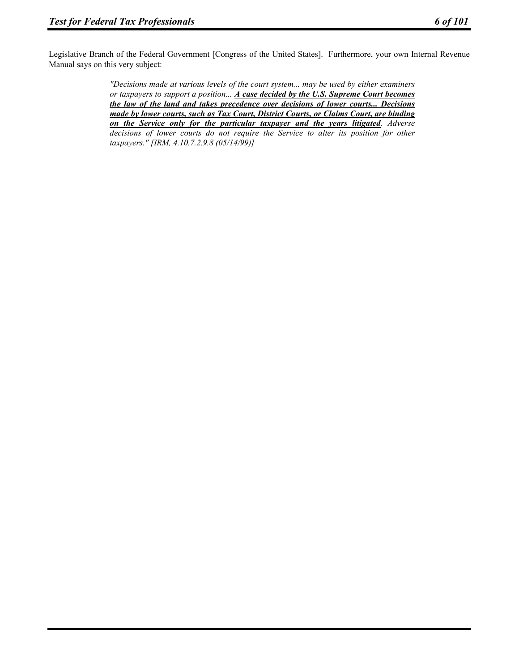Legislative Branch of the Federal Government [Congress of the United States]. Furthermore, your own Internal Revenue Manual says on this very subject:

> *"Decisions made at various levels of the court system... may be used by either examiners or taxpayers to support a position... A case decided by the U.S. Supreme Court becomes the law of the land and takes precedence over decisions of lower courts... Decisions made by lower courts, such as Tax Court, District Courts, or Claims Court, are binding on the Service only for the particular taxpayer and the years litigated. Adverse decisions of lower courts do not require the Service to alter its position for other taxpayers." [IRM, 4.10.7.2.9.8 (05/14/99)]*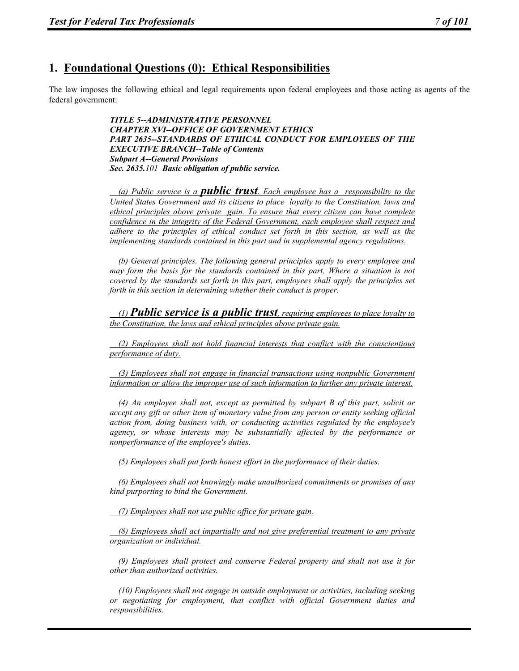# **1. Foundational Questions (0): Ethical Responsibilities**

The law imposes the following ethical and legal requirements upon federal employees and those acting as agents of the federal government:

> *TITLE 5--ADMINISTRATIVE PERSONNEL CHAPTER XVI--OFFICE OF GOVERNMENT ETHICS PART 2635--STANDARDS OF ETHICAL CONDUCT FOR EMPLOYEES OF THE EXECUTIVE BRANCH--Table of Contents Subpart A--General Provisions Sec. 2635.101 Basic obligation of public service.*

> *(a) Public service is a public trust. Each employee has a responsibility to the United States Government and its citizens to place loyalty to the Constitution, laws and ethical principles above private gain. To ensure that every citizen can have complete confidence in the integrity of the Federal Government, each employee shall respect and adhere to the principles of ethical conduct set forth in this section, as well as the implementing standards contained in this part and in supplemental agency regulations.*

> *(b) General principles. The following general principles apply to every employee and may form the basis for the standards contained in this part. Where a situation is not covered by the standards set forth in this part, employees shall apply the principles set forth in this section in determining whether their conduct is proper.*

> *(1) Public service is a public trust, requiring employees to place loyalty to the Constitution, the laws and ethical principles above private gain.*

> *(2) Employees shall not hold financial interests that conflict with the conscientious performance of duty.*

> *(3) Employees shall not engage in financial transactions using nonpublic Government information or allow the improper use of such information to further any private interest.*

> *(4) An employee shall not, except as permitted by subpart B of this part, solicit or accept any gift or other item of monetary value from any person or entity seeking official action from, doing business with, or conducting activities regulated by the employee's agency, or whose interests may be substantially affected by the performance or nonperformance of the employee's duties.*

 *(5) Employees shall put forth honest effort in the performance of their duties.* 

 *(6) Employees shall not knowingly make unauthorized commitments or promises of any kind purporting to bind the Government.* 

 *(7) Employees shall not use public office for private gain.*

 *(8) Employees shall act impartially and not give preferential treatment to any private organization or individual.*

 *(9) Employees shall protect and conserve Federal property and shall not use it for other than authorized activities.* 

 *(10) Employees shall not engage in outside employment or activities, including seeking or negotiating for employment, that conflict with official Government duties and responsibilities.*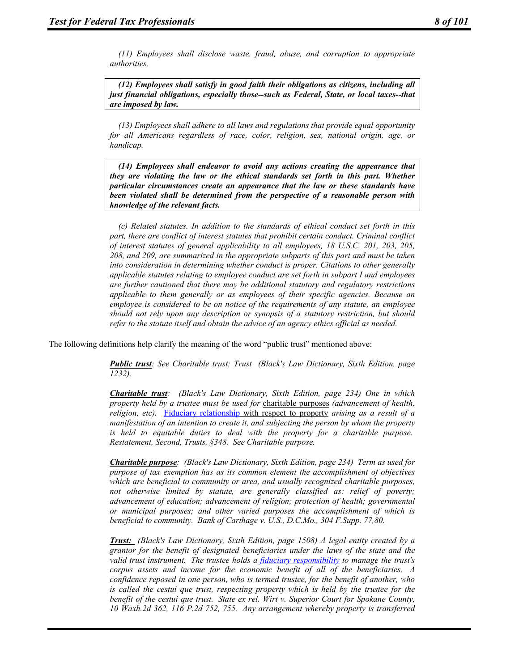*(11) Employees shall disclose waste, fraud, abuse, and corruption to appropriate authorities.* 

 *(12) Employees shall satisfy in good faith their obligations as citizens, including all just financial obligations, especially those--such as Federal, State, or local taxes--that are imposed by law.* 

 *(13) Employees shall adhere to all laws and regulations that provide equal opportunity for all Americans regardless of race, color, religion, sex, national origin, age, or handicap.* 

 *(14) Employees shall endeavor to avoid any actions creating the appearance that they are violating the law or the ethical standards set forth in this part. Whether particular circumstances create an appearance that the law or these standards have been violated shall be determined from the perspective of a reasonable person with knowledge of the relevant facts.* 

 *(c) Related statutes. In addition to the standards of ethical conduct set forth in this part, there are conflict of interest statutes that prohibit certain conduct. Criminal conflict of interest statutes of general applicability to all employees, 18 U.S.C. 201, 203, 205, 208, and 209, are summarized in the appropriate subparts of this part and must be taken into consideration in determining whether conduct is proper. Citations to other generally applicable statutes relating to employee conduct are set forth in subpart I and employees are further cautioned that there may be additional statutory and regulatory restrictions applicable to them generally or as employees of their specific agencies. Because an employee is considered to be on notice of the requirements of any statute, an employee should not rely upon any description or synopsis of a statutory restriction, but should refer to the statute itself and obtain the advice of an agency ethics official as needed.* 

The following definitions help clarify the meaning of the word "public trust" mentioned above:

*Public trust: See Charitable trust; Trust (Black's Law Dictionary, Sixth Edition, page 1232).* 

*Charitable trust: (Black's Law Dictionary, Sixth Edition, page 234) One in which property held by a trustee must be used for* charitable purposes *(advancement of health, religion, etc).* Fiduciary relationship with respect to property *arising as a result of a manifestation of an intention to create it, and subjecting the person by whom the property is held to equitable duties to deal with the property for a charitable purpose. Restatement, Second, Trusts, §348. See Charitable purpose.* 

*Charitable purpose: (Black's Law Dictionary, Sixth Edition, page 234) Term as used for purpose of tax exemption has as its common element the accomplishment of objectives which are beneficial to community or area, and usually recognized charitable purposes, not otherwise limited by statute, are generally classified as: relief of poverty; advancement of education; advancement of religion; protection of health; governmental or municipal purposes; and other varied purposes the accomplishment of which is beneficial to community. Bank of Carthage v. U.S., D.C.Mo., 304 F.Supp. 77,80.* 

*Trust: (Black's Law Dictionary, Sixth Edition, page 1508) A legal entity created by a grantor for the benefit of designated beneficiaries under the laws of the state and the valid trust instrument. The trustee holds a fiduciary responsibility to manage the trust's corpus assets and income for the economic benefit of all of the beneficiaries. A confidence reposed in one person, who is termed trustee, for the benefit of another, who is called the cestui que trust, respecting property which is held by the trustee for the benefit of the cestui que trust. State ex rel. Wirt v. Superior Court for Spokane County, 10 Waxh.2d 362, 116 P.2d 752, 755. Any arrangement whereby property is transferred*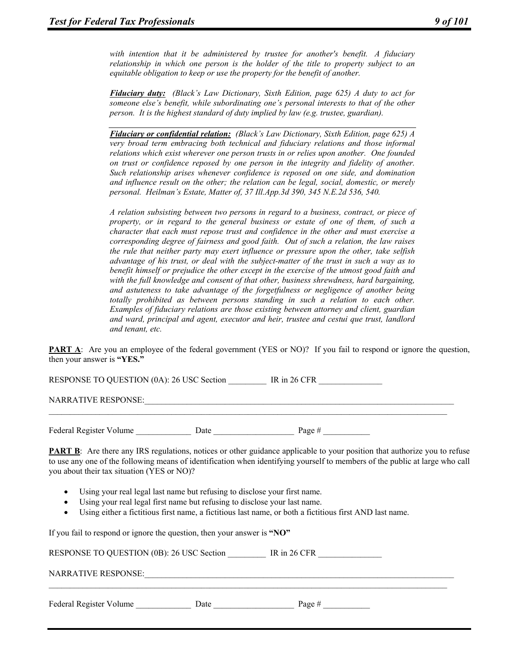*with intention that it be administered by trustee for another's benefit. A fiduciary relationship in which one person is the holder of the title to property subject to an equitable obligation to keep or use the property for the benefit of another.* 

*Fiduciary duty: (Black's Law Dictionary, Sixth Edition, page 625) A duty to act for someone else's benefit, while subordinating one's personal interests to that of the other person. It is the highest standard of duty implied by law (e.g. trustee, guardian).* 

*Fiduciary or confidential relation: (Black's Law Dictionary, Sixth Edition, page 625) A very broad term embracing both technical and fiduciary relations and those informal relations which exist wherever one person trusts in or relies upon another. One founded on trust or confidence reposed by one person in the integrity and fidelity of another. Such relationship arises whenever confidence is reposed on one side, and domination and influence result on the other; the relation can be legal, social, domestic, or merely personal. Heilman's Estate, Matter of, 37 Ill.App.3d 390, 345 N.E.2d 536, 540.* 

*A relation subsisting between two persons in regard to a business, contract, or piece of property, or in regard to the general business or estate of one of them, of such a character that each must repose trust and confidence in the other and must exercise a corresponding degree of fairness and good faith. Out of such a relation, the law raises the rule that neither party may exert influence or pressure upon the other, take selfish advantage of his trust, or deal with the subject-matter of the trust in such a way as to benefit himself or prejudice the other except in the exercise of the utmost good faith and with the full knowledge and consent of that other, business shrewdness, hard bargaining, and astuteness to take advantage of the forgetfulness or negligence of another being totally prohibited as between persons standing in such a relation to each other. Examples of fiduciary relations are those existing between attorney and client, guardian and ward, principal and agent, executor and heir, trustee and cestui que trust, landlord and tenant, etc.* 

**PART A**: Are you an employee of the federal government (YES or NO)? If you fail to respond or ignore the question, then your answer is **"YES."** 

RESPONSE TO QUESTION (0A): 26 USC Section IR in 26 CFR

NARRATIVE RESPONSE:

Federal Register Volume \_\_\_\_\_\_\_\_\_\_\_\_\_ Date \_\_\_\_\_\_\_\_\_\_\_\_\_\_\_\_\_\_\_ Page # \_\_\_\_\_\_\_\_\_\_\_

**PART B**: Are there any IRS regulations, notices or other guidance applicable to your position that authorize you to refuse to use any one of the following means of identification when identifying yourself to members of the public at large who call you about their tax situation (YES or NO)?

 $\mathcal{L}_\mathcal{L} = \{ \mathcal{L}_\mathcal{L} = \{ \mathcal{L}_\mathcal{L} = \{ \mathcal{L}_\mathcal{L} = \{ \mathcal{L}_\mathcal{L} = \{ \mathcal{L}_\mathcal{L} = \{ \mathcal{L}_\mathcal{L} = \{ \mathcal{L}_\mathcal{L} = \{ \mathcal{L}_\mathcal{L} = \{ \mathcal{L}_\mathcal{L} = \{ \mathcal{L}_\mathcal{L} = \{ \mathcal{L}_\mathcal{L} = \{ \mathcal{L}_\mathcal{L} = \{ \mathcal{L}_\mathcal{L} = \{ \mathcal{L}_\mathcal{$ 

- Using your real legal last name but refusing to disclose your first name.
- Using your real legal first name but refusing to disclose your last name.
- Using either a fictitious first name, a fictitious last name, or both a fictitious first AND last name.

 $\mathcal{L}_\mathcal{L} = \{ \mathcal{L}_\mathcal{L} = \{ \mathcal{L}_\mathcal{L} = \{ \mathcal{L}_\mathcal{L} = \{ \mathcal{L}_\mathcal{L} = \{ \mathcal{L}_\mathcal{L} = \{ \mathcal{L}_\mathcal{L} = \{ \mathcal{L}_\mathcal{L} = \{ \mathcal{L}_\mathcal{L} = \{ \mathcal{L}_\mathcal{L} = \{ \mathcal{L}_\mathcal{L} = \{ \mathcal{L}_\mathcal{L} = \{ \mathcal{L}_\mathcal{L} = \{ \mathcal{L}_\mathcal{L} = \{ \mathcal{L}_\mathcal{$ 

If you fail to respond or ignore the question, then your answer is **"NO"** 

RESPONSE TO QUESTION (0B): 26 USC Section \_\_\_\_\_\_\_ IR in 26 CFR

NARRATIVE RESPONSE:

| Federal Register Volume<br>Page $#$<br><b>Date</b> |  |
|----------------------------------------------------|--|
|----------------------------------------------------|--|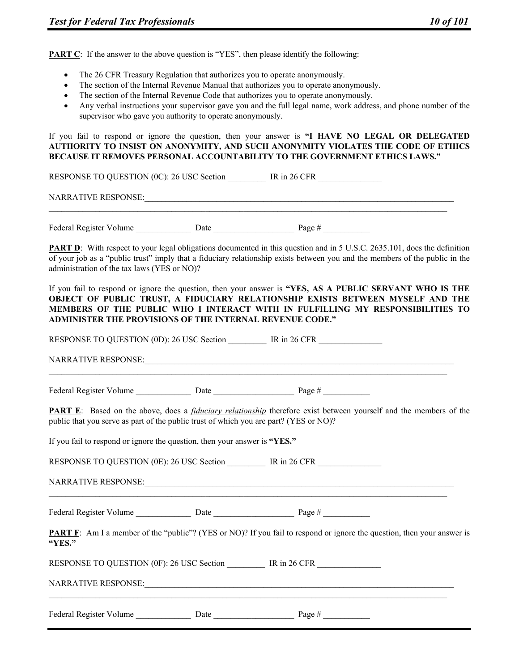**PART C**: If the answer to the above question is "YES", then please identify the following:

- The 26 CFR Treasury Regulation that authorizes you to operate anonymously.
- The section of the Internal Revenue Manual that authorizes you to operate anonymously.
- The section of the Internal Revenue Code that authorizes you to operate anonymously.
- Any verbal instructions your supervisor gave you and the full legal name, work address, and phone number of the supervisor who gave you authority to operate anonymously.

If you fail to respond or ignore the question, then your answer is **"I HAVE NO LEGAL OR DELEGATED AUTHORITY TO INSIST ON ANONYMITY, AND SUCH ANONYMITY VIOLATES THE CODE OF ETHICS BECAUSE IT REMOVES PERSONAL ACCOUNTABILITY TO THE GOVERNMENT ETHICS LAWS."** 

RESPONSE TO QUESTION (0C): 26 USC Section IR in 26 CFR

NARRATIVE RESPONSE:\_\_\_\_\_\_\_\_\_\_\_\_\_\_\_\_\_\_\_\_\_\_\_\_\_\_\_\_\_\_\_\_\_\_\_\_\_\_\_\_\_\_\_\_\_\_\_\_\_\_\_\_\_\_\_\_\_\_\_\_\_\_\_\_\_\_\_\_\_\_\_\_\_

Federal Register Volume Date Date Page #  $\frac{1}{2}$ 

**PART D**: With respect to your legal obligations documented in this question and in 5 U.S.C. 2635.101, does the definition of your job as a "public trust" imply that a fiduciary relationship exists between you and the members of the public in the administration of the tax laws (YES or NO)?

If you fail to respond or ignore the question, then your answer is **"YES, AS A PUBLIC SERVANT WHO IS THE OBJECT OF PUBLIC TRUST, A FIDUCIARY RELATIONSHIP EXISTS BETWEEN MYSELF AND THE MEMBERS OF THE PUBLIC WHO I INTERACT WITH IN FULFILLING MY RESPONSIBILITIES TO ADMINISTER THE PROVISIONS OF THE INTERNAL REVENUE CODE."** 

RESPONSE TO QUESTION (0D): 26 USC Section TR in 26 CFR NARRATIVE RESPONSE: Federal Register Volume Date Date Page # **PART E**: Based on the above, does a *fiduciary relationship* therefore exist between yourself and the members of the public that you serve as part of the public trust of which you are part? (YES or NO)? If you fail to respond or ignore the question, then your answer is **"YES."**  RESPONSE TO QUESTION (0E): 26 USC Section TR in 26 CFR NARRATIVE RESPONSE: Federal Register Volume \_\_\_\_\_\_\_\_\_\_\_\_\_\_\_\_ Date \_\_\_\_\_\_\_\_\_\_\_\_\_\_\_\_\_\_\_\_\_\_\_\_\_\_\_\_\_\_\_\_\_\_\_ Page # \_\_\_\_\_\_\_\_\_\_\_ **PART F**: Am I a member of the "public"? (YES or NO)? If you fail to respond or ignore the question, then your answer is **"YES."**  RESPONSE TO QUESTION (0F): 26 USC Section \_\_\_\_\_\_\_ IR in 26 CFR NARRATIVE RESPONSE: Federal Register Volume Date Date Page #  $\frac{1}{2}$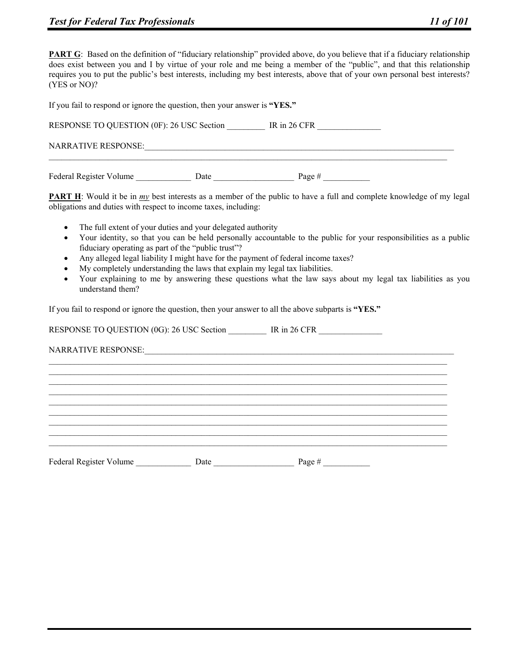| If you fail to respond or ignore the question, then your answer is "YES." |      |                |  |  |
|---------------------------------------------------------------------------|------|----------------|--|--|
| RESPONSE TO QUESTION (0F): 26 USC Section                                 |      | IR in $26$ CFR |  |  |
| NARRATIVE RESPONSE:                                                       |      |                |  |  |
| Federal Register Volume                                                   | Date | Page $#$       |  |  |

**PART H**: Would it be in <u>my</u> best interests as a member of the public to have a full and complete knowledge of my legal obligations and duties with respect to income taxes, including:

- The full extent of your duties and your delegated authority
- Your identity, so that you can be held personally accountable to the public for your responsibilities as a public fiduciary operating as part of the "public trust"?
- Any alleged legal liability I might have for the payment of federal income taxes?
- My completely understanding the laws that explain my legal tax liabilities.
- Your explaining to me by answering these questions what the law says about my legal tax liabilities as you understand them?

 $\mathcal{L}_\mathcal{L} = \{ \mathcal{L}_\mathcal{L} = \{ \mathcal{L}_\mathcal{L} = \{ \mathcal{L}_\mathcal{L} = \{ \mathcal{L}_\mathcal{L} = \{ \mathcal{L}_\mathcal{L} = \{ \mathcal{L}_\mathcal{L} = \{ \mathcal{L}_\mathcal{L} = \{ \mathcal{L}_\mathcal{L} = \{ \mathcal{L}_\mathcal{L} = \{ \mathcal{L}_\mathcal{L} = \{ \mathcal{L}_\mathcal{L} = \{ \mathcal{L}_\mathcal{L} = \{ \mathcal{L}_\mathcal{L} = \{ \mathcal{L}_\mathcal{$  $\mathcal{L}_\mathcal{L} = \{ \mathcal{L}_\mathcal{L} = \{ \mathcal{L}_\mathcal{L} = \{ \mathcal{L}_\mathcal{L} = \{ \mathcal{L}_\mathcal{L} = \{ \mathcal{L}_\mathcal{L} = \{ \mathcal{L}_\mathcal{L} = \{ \mathcal{L}_\mathcal{L} = \{ \mathcal{L}_\mathcal{L} = \{ \mathcal{L}_\mathcal{L} = \{ \mathcal{L}_\mathcal{L} = \{ \mathcal{L}_\mathcal{L} = \{ \mathcal{L}_\mathcal{L} = \{ \mathcal{L}_\mathcal{L} = \{ \mathcal{L}_\mathcal{$  $\mathcal{L}_\mathcal{L} = \{ \mathcal{L}_\mathcal{L} = \{ \mathcal{L}_\mathcal{L} = \{ \mathcal{L}_\mathcal{L} = \{ \mathcal{L}_\mathcal{L} = \{ \mathcal{L}_\mathcal{L} = \{ \mathcal{L}_\mathcal{L} = \{ \mathcal{L}_\mathcal{L} = \{ \mathcal{L}_\mathcal{L} = \{ \mathcal{L}_\mathcal{L} = \{ \mathcal{L}_\mathcal{L} = \{ \mathcal{L}_\mathcal{L} = \{ \mathcal{L}_\mathcal{L} = \{ \mathcal{L}_\mathcal{L} = \{ \mathcal{L}_\mathcal{$  $\mathcal{L}_\mathcal{L} = \{ \mathcal{L}_\mathcal{L} = \{ \mathcal{L}_\mathcal{L} = \{ \mathcal{L}_\mathcal{L} = \{ \mathcal{L}_\mathcal{L} = \{ \mathcal{L}_\mathcal{L} = \{ \mathcal{L}_\mathcal{L} = \{ \mathcal{L}_\mathcal{L} = \{ \mathcal{L}_\mathcal{L} = \{ \mathcal{L}_\mathcal{L} = \{ \mathcal{L}_\mathcal{L} = \{ \mathcal{L}_\mathcal{L} = \{ \mathcal{L}_\mathcal{L} = \{ \mathcal{L}_\mathcal{L} = \{ \mathcal{L}_\mathcal{$  $\mathcal{L}_\mathcal{L} = \{ \mathcal{L}_\mathcal{L} = \{ \mathcal{L}_\mathcal{L} = \{ \mathcal{L}_\mathcal{L} = \{ \mathcal{L}_\mathcal{L} = \{ \mathcal{L}_\mathcal{L} = \{ \mathcal{L}_\mathcal{L} = \{ \mathcal{L}_\mathcal{L} = \{ \mathcal{L}_\mathcal{L} = \{ \mathcal{L}_\mathcal{L} = \{ \mathcal{L}_\mathcal{L} = \{ \mathcal{L}_\mathcal{L} = \{ \mathcal{L}_\mathcal{L} = \{ \mathcal{L}_\mathcal{L} = \{ \mathcal{L}_\mathcal{$  $\mathcal{L}_\mathcal{L} = \{ \mathcal{L}_\mathcal{L} = \{ \mathcal{L}_\mathcal{L} = \{ \mathcal{L}_\mathcal{L} = \{ \mathcal{L}_\mathcal{L} = \{ \mathcal{L}_\mathcal{L} = \{ \mathcal{L}_\mathcal{L} = \{ \mathcal{L}_\mathcal{L} = \{ \mathcal{L}_\mathcal{L} = \{ \mathcal{L}_\mathcal{L} = \{ \mathcal{L}_\mathcal{L} = \{ \mathcal{L}_\mathcal{L} = \{ \mathcal{L}_\mathcal{L} = \{ \mathcal{L}_\mathcal{L} = \{ \mathcal{L}_\mathcal{$  $\mathcal{L}_\mathcal{L} = \{ \mathcal{L}_\mathcal{L} = \{ \mathcal{L}_\mathcal{L} = \{ \mathcal{L}_\mathcal{L} = \{ \mathcal{L}_\mathcal{L} = \{ \mathcal{L}_\mathcal{L} = \{ \mathcal{L}_\mathcal{L} = \{ \mathcal{L}_\mathcal{L} = \{ \mathcal{L}_\mathcal{L} = \{ \mathcal{L}_\mathcal{L} = \{ \mathcal{L}_\mathcal{L} = \{ \mathcal{L}_\mathcal{L} = \{ \mathcal{L}_\mathcal{L} = \{ \mathcal{L}_\mathcal{L} = \{ \mathcal{L}_\mathcal{$  $\mathcal{L}_\mathcal{L} = \{ \mathcal{L}_\mathcal{L} = \{ \mathcal{L}_\mathcal{L} = \{ \mathcal{L}_\mathcal{L} = \{ \mathcal{L}_\mathcal{L} = \{ \mathcal{L}_\mathcal{L} = \{ \mathcal{L}_\mathcal{L} = \{ \mathcal{L}_\mathcal{L} = \{ \mathcal{L}_\mathcal{L} = \{ \mathcal{L}_\mathcal{L} = \{ \mathcal{L}_\mathcal{L} = \{ \mathcal{L}_\mathcal{L} = \{ \mathcal{L}_\mathcal{L} = \{ \mathcal{L}_\mathcal{L} = \{ \mathcal{L}_\mathcal{$  $\mathcal{L}_\mathcal{L} = \{ \mathcal{L}_\mathcal{L} = \{ \mathcal{L}_\mathcal{L} = \{ \mathcal{L}_\mathcal{L} = \{ \mathcal{L}_\mathcal{L} = \{ \mathcal{L}_\mathcal{L} = \{ \mathcal{L}_\mathcal{L} = \{ \mathcal{L}_\mathcal{L} = \{ \mathcal{L}_\mathcal{L} = \{ \mathcal{L}_\mathcal{L} = \{ \mathcal{L}_\mathcal{L} = \{ \mathcal{L}_\mathcal{L} = \{ \mathcal{L}_\mathcal{L} = \{ \mathcal{L}_\mathcal{L} = \{ \mathcal{L}_\mathcal{$ 

If you fail to respond or ignore the question, then your answer to all the above subparts is **"YES."** 

RESPONSE TO QUESTION (0G): 26 USC Section \_\_\_\_\_\_\_ IR in 26 CFR

NARRATIVE RESPONSE:

Federal Register Volume Date Date Page #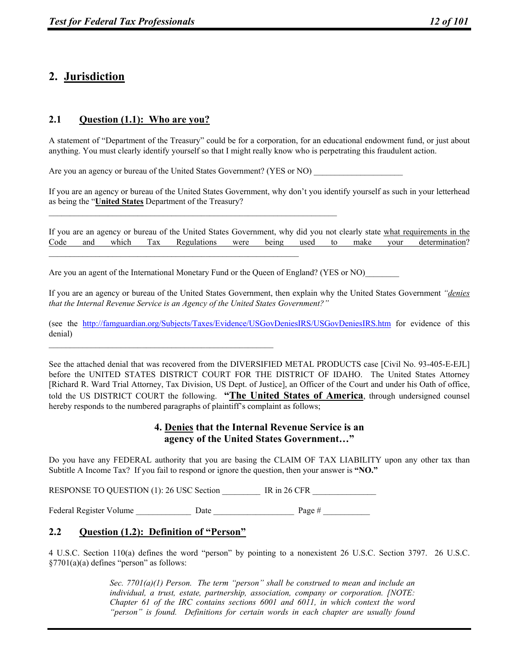# **2. Jurisdiction**

# **2.1 Question (1.1): Who are you?**

A statement of "Department of the Treasury" could be for a corporation, for an educational endowment fund, or just about anything. You must clearly identify yourself so that I might really know who is perpetrating this fraudulent action.

Are you an agency or bureau of the United States Government? (YES or NO)

If you are an agency or bureau of the United States Government, why don't you identify yourself as such in your letterhead as being the "**United States** Department of the Treasury?

If you are an agency or bureau of the United States Government, why did you not clearly state what requirements in the Code and which Tax Regulations were being used to make your determination?

Are you an agent of the International Monetary Fund or the Queen of England? (YES or NO)

If you are an agency or bureau of the United States Government, then explain why the United States Government *"denies that the Internal Revenue Service is an Agency of the United States Government?"*

(see the http://famguardian.org/Subjects/Taxes/Evidence/USGovDeniesIRS/USGovDeniesIRS.htm for evidence of this denial)

See the attached denial that was recovered from the DIVERSIFIED METAL PRODUCTS case [Civil No. 93-405-E-EJL] before the UNITED STATES DISTRICT COURT FOR THE DISTRICT OF IDAHO. The United States Attorney [Richard R. Ward Trial Attorney, Tax Division, US Dept. of Justice], an Officer of the Court and under his Oath of office, told the US DISTRICT COURT the following. **"The United States of America**, through undersigned counsel hereby responds to the numbered paragraphs of plaintiff's complaint as follows;

## **4. Denies that the Internal Revenue Service is an agency of the United States Government…"**

Do you have any FEDERAL authority that you are basing the CLAIM OF TAX LIABILITY upon any other tax than Subtitle A Income Tax? If you fail to respond or ignore the question, then your answer is **"NO."**

RESPONSE TO QUESTION (1): 26 USC Section \_\_\_\_\_\_\_\_\_\_ IR in 26 CFR \_\_\_\_\_\_\_\_\_\_\_\_\_\_\_

Federal Register Volume \_\_\_\_\_\_\_\_\_\_\_\_\_\_\_\_ Date \_\_\_\_\_\_\_\_\_\_\_\_\_\_\_\_\_\_\_\_\_\_\_\_\_\_\_\_\_\_\_\_\_\_\_ Page # \_\_\_\_\_\_\_\_\_\_\_\_\_\_\_\_\_\_\_\_

# **2.2 Question (1.2): Definition of "Person"**

4 U.S.C. Section 110(a) defines the word "person" by pointing to a nonexistent 26 U.S.C. Section 3797. 26 U.S.C. §7701(a)(a) defines "person" as follows:

> *Sec. 7701(a)(1) Person. The term "person" shall be construed to mean and include an individual, a trust, estate, partnership, association, company or corporation. [NOTE: Chapter 61 of the IRC contains sections 6001 and 6011, in which context the word "person" is found. Definitions for certain words in each chapter are usually found*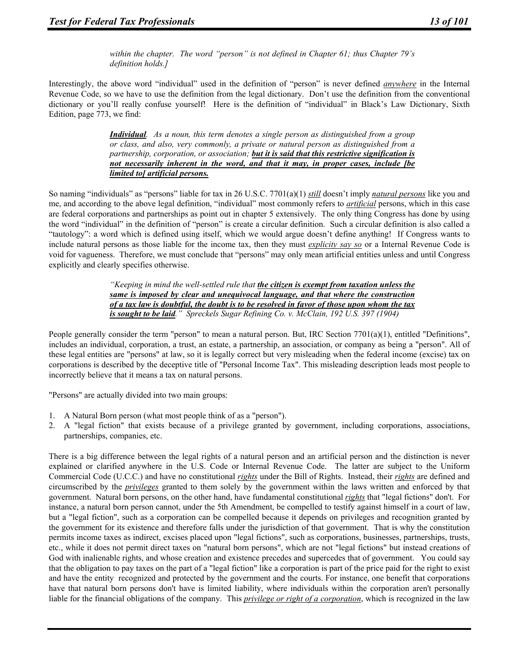*within the chapter. The word "person" is not defined in Chapter 61; thus Chapter 79's definition holds.]* 

Interestingly, the above word "individual" used in the definition of "person" is never defined *anywhere* in the Internal Revenue Code, so we have to use the definition from the legal dictionary. Don't use the definition from the conventional dictionary or you'll really confuse yourself! Here is the definition of "individual" in Black's Law Dictionary, Sixth Edition, page 773, we find:

> *Individual. As a noun, this term denotes a single person as distinguished from a group or class, and also, very commonly, a private or natural person as distinguished from a partnership, corporation, or association; but it is said that this restrictive signification is not necessarily inherent in the word, and that it may, in proper cases, include [be limited to] artificial persons.*

So naming "individuals" as "persons" liable for tax in 26 U.S.C. 7701(a)(1) *still* doesn't imply *natural persons* like you and me, and according to the above legal definition, "individual" most commonly refers to *artificial* persons, which in this case are federal corporations and partnerships as point out in chapter 5 extensively. The only thing Congress has done by using the word "individual" in the definition of "person" is create a circular definition. Such a circular definition is also called a "tautology": a word which is defined using itself, which we would argue doesn't define anything! If Congress wants to include natural persons as those liable for the income tax, then they must *explicity say so* or a Internal Revenue Code is void for vagueness. Therefore, we must conclude that "persons" may only mean artificial entities unless and until Congress explicitly and clearly specifies otherwise.

> *"Keeping in mind the well-settled rule that the citizen is exempt from taxation unless the same is imposed by clear and unequivocal language, and that where the construction of a tax law is doubtful, the doubt is to be resolved in favor of those upon whom the tax is sought to be laid." Spreckels Sugar Refining Co. v. McClain, 192 U.S. 397 (1904)*

People generally consider the term "person" to mean a natural person. But, IRC Section 7701(a)(1), entitled "Definitions", includes an individual, corporation, a trust, an estate, a partnership, an association, or company as being a "person". All of these legal entities are "persons" at law, so it is legally correct but very misleading when the federal income (excise) tax on corporations is described by the deceptive title of "Personal Income Tax". This misleading description leads most people to incorrectly believe that it means a tax on natural persons.

"Persons" are actually divided into two main groups:

- 1. A Natural Born person (what most people think of as a "person").
- 2. A "legal fiction" that exists because of a privilege granted by government, including corporations, associations, partnerships, companies, etc.

There is a big difference between the legal rights of a natural person and an artificial person and the distinction is never explained or clarified anywhere in the U.S. Code or Internal Revenue Code. The latter are subject to the Uniform Commercial Code (U.C.C.) and have no constitutional *rights* under the Bill of Rights. Instead, their *rights* are defined and circumscribed by the *privileges* granted to them solely by the government within the laws written and enforced by that government. Natural born persons, on the other hand, have fundamental constitutional *rights* that "legal fictions" don't. For instance, a natural born person cannot, under the 5th Amendment, be compelled to testify against himself in a court of law, but a "legal fiction", such as a corporation can be compelled because it depends on privileges and recognition granted by the government for its existence and therefore falls under the jurisdiction of that government. That is why the constitution permits income taxes as indirect, excises placed upon "legal fictions", such as corporations, businesses, partnerships, trusts, etc., while it does not permit direct taxes on "natural born persons", which are not "legal fictions" but instead creations of God with inalienable rights, and whose creation and existence precedes and supercedes that of government. You could say that the obligation to pay taxes on the part of a "legal fiction" like a corporation is part of the price paid for the right to exist and have the entity recognized and protected by the government and the courts. For instance, one benefit that corporations have that natural born persons don't have is limited liability, where individuals within the corporation aren't personally liable for the financial obligations of the company. This *privilege or right of a corporation*, which is recognized in the law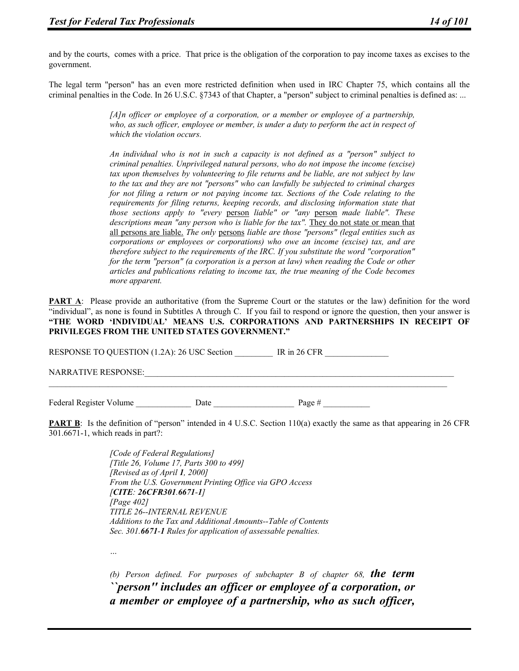and by the courts, comes with a price. That price is the obligation of the corporation to pay income taxes as excises to the government.

The legal term "person" has an even more restricted definition when used in IRC Chapter 75, which contains all the criminal penalties in the Code. In 26 U.S.C. §7343 of that Chapter, a "person" subject to criminal penalties is defined as: ...

> *[A]n officer or employee of a corporation, or a member or employee of a partnership, who, as such officer, employee or member, is under a duty to perform the act in respect of which the violation occurs.*

> *An individual who is not in such a capacity is not defined as a "person" subject to criminal penalties. Unprivileged natural persons, who do not impose the income (excise) tax upon themselves by volunteering to file returns and be liable, are not subject by law to the tax and they are not "persons" who can lawfully be subjected to criminal charges for not filing a return or not paying income tax. Sections of the Code relating to the requirements for filing returns, keeping records, and disclosing information state that those sections apply to "every* person *liable" or "any* person *made liable". These*  descriptions mean "any person who is liable for the tax". They do not state or mean that all persons are liable. *The only* persons *liable are those "persons" (legal entities such as corporations or employees or corporations) who owe an income (excise) tax, and are therefore subject to the requirements of the IRC. If you substitute the word "corporation" for the term "person" (a corporation is a person at law) when reading the Code or other articles and publications relating to income tax, the true meaning of the Code becomes more apparent.*

**PART A:** Please provide an authoritative (from the Supreme Court or the statutes or the law) definition for the word "individual", as none is found in Subtitles A through C. If you fail to respond or ignore the question, then your answer is **"THE WORD 'INDIVIDUAL' MEANS U.S. CORPORATIONS AND PARTNERSHIPS IN RECEIPT OF PRIVILEGES FROM THE UNITED STATES GOVERNMENT."**

RESPONSE TO QUESTION (1.2A): 26 USC Section \_\_\_\_\_\_\_\_ IR in 26 CFR NARRATIVE RESPONSE:  $\mathcal{L}_\mathcal{L} = \{ \mathcal{L}_\mathcal{L} = \{ \mathcal{L}_\mathcal{L} = \{ \mathcal{L}_\mathcal{L} = \{ \mathcal{L}_\mathcal{L} = \{ \mathcal{L}_\mathcal{L} = \{ \mathcal{L}_\mathcal{L} = \{ \mathcal{L}_\mathcal{L} = \{ \mathcal{L}_\mathcal{L} = \{ \mathcal{L}_\mathcal{L} = \{ \mathcal{L}_\mathcal{L} = \{ \mathcal{L}_\mathcal{L} = \{ \mathcal{L}_\mathcal{L} = \{ \mathcal{L}_\mathcal{L} = \{ \mathcal{L}_\mathcal{$ 

Federal Register Volume \_\_\_\_\_\_\_\_\_\_\_\_\_ Date \_\_\_\_\_\_\_\_\_\_\_\_\_\_\_\_\_\_\_ Page # \_\_\_\_\_\_\_\_\_\_\_

**PART B**: Is the definition of "person" intended in 4 U.S.C. Section 110(a) exactly the same as that appearing in 26 CFR 301.6671-1, which reads in part?:

> *[Code of Federal Regulations] [Title 26, Volume 17, Parts 300 to 499] [Revised as of April 1, 2000] From the U.S. Government Printing Office via GPO Access [CITE: 26CFR301.6671-1] [Page 402] TITLE 26--INTERNAL REVENUE Additions to the Tax and Additional Amounts--Table of Contents Sec. 301.6671-1 Rules for application of assessable penalties.*

*…* 

*(b) Person defined. For purposes of subchapter B of chapter 68, the term ``person'' includes an officer or employee of a corporation, or a member or employee of a partnership, who as such officer,*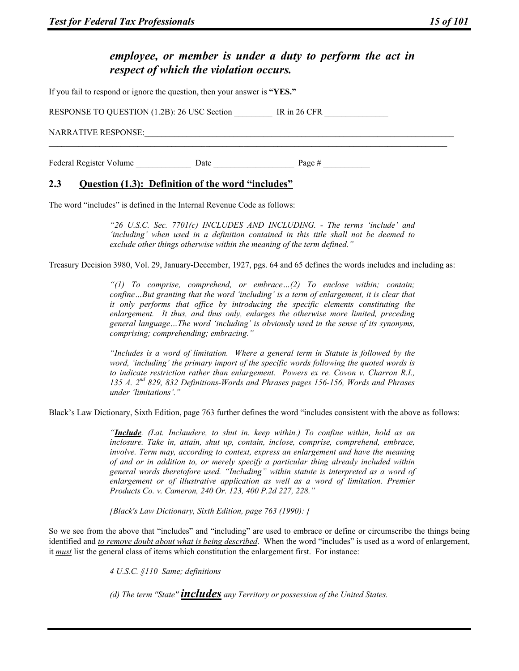# *employee, or member is under a duty to perform the act in respect of which the violation occurs.*

If you fail to respond or ignore the question, then your answer is **"YES."**

RESPONSE TO QUESTION (1.2B): 26 USC Section IR in 26 CFR NARRATIVE RESPONSE: Federal Register Volume \_\_\_\_\_\_\_\_\_\_\_\_\_ Date \_\_\_\_\_\_\_\_\_\_\_\_\_\_\_\_\_\_\_ Page # \_\_\_\_\_\_\_\_\_\_\_

# **2.3 Question (1.3): Definition of the word "includes"**

The word "includes" is defined in the Internal Revenue Code as follows:

*"26 U.S.C. Sec. 7701(c) INCLUDES AND INCLUDING. - The terms 'include' and 'including' when used in a definition contained in this title shall not be deemed to exclude other things otherwise within the meaning of the term defined."* 

Treasury Decision 3980, Vol. 29, January-December, 1927, pgs. 64 and 65 defines the words includes and including as:

*"(1) To comprise, comprehend, or embrace…(2) To enclose within; contain; confine…But granting that the word 'including' is a term of enlargement, it is clear that it only performs that office by introducing the specific elements constituting the enlargement. It thus, and thus only, enlarges the otherwise more limited, preceding general language…The word 'including' is obviously used in the sense of its synonyms, comprising; comprehending; embracing."* 

*"Includes is a word of limitation. Where a general term in Statute is followed by the word, 'including' the primary import of the specific words following the quoted words is to indicate restriction rather than enlargement. Powers ex re. Covon v. Charron R.I., 135 A. 2nd 829, 832 Definitions-Words and Phrases pages 156-156, Words and Phrases under 'limitations'."* 

Black's Law Dictionary, Sixth Edition, page 763 further defines the word "includes consistent with the above as follows:

*"Include. (Lat. Inclaudere, to shut in. keep within.) To confine within, hold as an inclosure. Take in, attain, shut up, contain, inclose, comprise, comprehend, embrace, involve. Term may, according to context, express an enlargement and have the meaning of and or in addition to, or merely specify a particular thing already included within general words theretofore used. "Including" within statute is interpreted as a word of enlargement or of illustrative application as well as a word of limitation. Premier Products Co. v. Cameron, 240 Or. 123, 400 P.2d 227, 228."* 

*[Black's Law Dictionary, Sixth Edition, page 763 (1990): ]* 

So we see from the above that "includes" and "including" are used to embrace or define or circumscribe the things being identified and *to remove doubt about what is being described*. When the word "includes" is used as a word of enlargement, it *must* list the general class of items which constitution the enlargement first. For instance:

*4 U.S.C. §110 Same; definitions* 

*(d) The term ''State'' includes any Territory or possession of the United States.*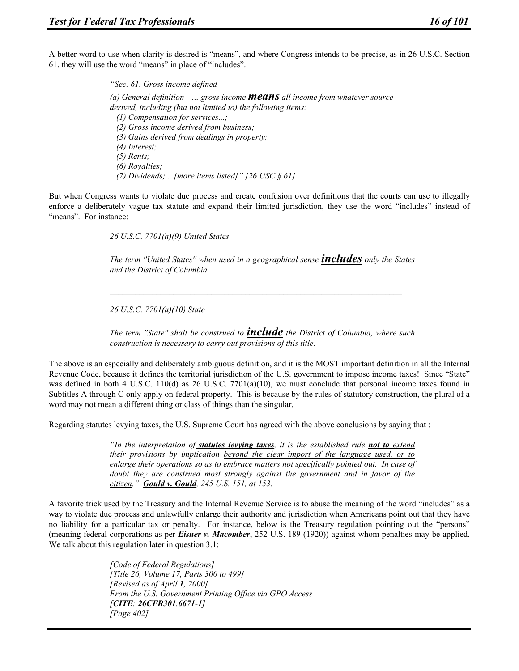A better word to use when clarity is desired is "means", and where Congress intends to be precise, as in 26 U.S.C. Section 61, they will use the word "means" in place of "includes".

> *"Sec. 61. Gross income defined (a) General definition - … gross income means all income from whatever source derived, including (but not limited to) the following items: (1) Compensation for services...; (2) Gross income derived from business; (3) Gains derived from dealings in property; (4) Interest; (5) Rents; (6) Royalties; (7) Dividends;... [more items listed]" [26 USC § 61]*

But when Congress wants to violate due process and create confusion over definitions that the courts can use to illegally enforce a deliberately vague tax statute and expand their limited jurisdiction, they use the word "includes" instead of "means". For instance:

*26 U.S.C. 7701(a)(9) United States* 

*The term ''United States'' when used in a geographical sense includes only the States and the District of Columbia.* 

*26 U.S.C. 7701(a)(10) State* 

*The term ''State'' shall be construed to include the District of Columbia, where such construction is necessary to carry out provisions of this title.* 

The above is an especially and deliberately ambiguous definition, and it is the MOST important definition in all the Internal Revenue Code, because it defines the territorial jurisdiction of the U.S. government to impose income taxes! Since "State" was defined in both 4 U.S.C. 110(d) as 26 U.S.C. 7701(a)(10), we must conclude that personal income taxes found in Subtitles A through C only apply on federal property. This is because by the rules of statutory construction, the plural of a word may not mean a different thing or class of things than the singular.

Regarding statutes levying taxes, the U.S. Supreme Court has agreed with the above conclusions by saying that :

*"In the interpretation of statutes levying taxes, it is the established rule not to extend their provisions by implication beyond the clear import of the language used, or to enlarge their operations so as to embrace matters not specifically pointed out. In case of doubt they are construed most strongly against the government and in favor of the citizen." Gould v. Gould, 245 U.S. 151, at 153.* 

A favorite trick used by the Treasury and the Internal Revenue Service is to abuse the meaning of the word "includes" as a way to violate due process and unlawfully enlarge their authority and jurisdiction when Americans point out that they have no liability for a particular tax or penalty. For instance, below is the Treasury regulation pointing out the "persons" (meaning federal corporations as per *Eisner v. Macomber*, 252 U.S. 189 (1920)) against whom penalties may be applied. We talk about this regulation later in question 3.1:

> *[Code of Federal Regulations] [Title 26, Volume 17, Parts 300 to 499] [Revised as of April 1, 2000] From the U.S. Government Printing Office via GPO Access [CITE: 26CFR301.6671-1] [Page 402]*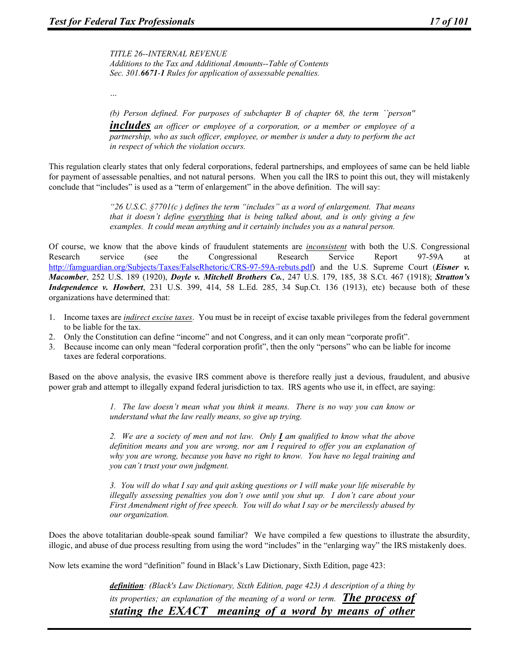*TITLE 26--INTERNAL REVENUE Additions to the Tax and Additional Amounts--Table of Contents Sec. 301.6671-1 Rules for application of assessable penalties.* 

*…* 

*(b) Person defined. For purposes of subchapter B of chapter 68, the term ``person''* 

*includes an officer or employee of a corporation, or a member or employee of a partnership, who as such officer, employee, or member is under a duty to perform the act in respect of which the violation occurs.* 

This regulation clearly states that only federal corporations, federal partnerships, and employees of same can be held liable for payment of assessable penalties, and not natural persons. When you call the IRS to point this out, they will mistakenly conclude that "includes" is used as a "term of enlargement" in the above definition. The will say:

> *"26 U.S.C. §7701(c ) defines the term "includes" as a word of enlargement. That means that it doesn't define everything that is being talked about, and is only giving a few examples. It could mean anything and it certainly includes you as a natural person.*

Of course, we know that the above kinds of fraudulent statements are *inconsistent* with both the U.S. Congressional Research service (see the Congressional Research Service Report 97-59A at http://famguardian.org/Subjects/Taxes/FalseRhetoric/CRS-97-59A-rebuts.pdf) and the U.S. Supreme Court (*Eisner v. Macomber*, 252 U.S. 189 (1920), *Doyle v. Mitchell Brothers Co.*, 247 U.S. 179, 185, 38 S.Ct. 467 (1918); *Stratton's Independence v. Howbert*, 231 U.S. 399, 414, 58 L.Ed. 285, 34 Sup.Ct. 136 (1913), etc) because both of these organizations have determined that:

- 1. Income taxes are *indirect excise taxes*. You must be in receipt of excise taxable privileges from the federal government to be liable for the tax.
- 2. Only the Constitution can define "income" and not Congress, and it can only mean "corporate profit".
- 3. Because income can only mean "federal corporation profit", then the only "persons" who can be liable for income taxes are federal corporations.

Based on the above analysis, the evasive IRS comment above is therefore really just a devious, fraudulent, and abusive power grab and attempt to illegally expand federal jurisdiction to tax. IRS agents who use it, in effect, are saying:

> *1. The law doesn't mean what you think it means. There is no way you can know or understand what the law really means, so give up trying.*

> *2. We are a society of men and not law. Only I am qualified to know what the above definition means and you are wrong, nor am I required to offer you an explanation of why you are wrong, because you have no right to know. You have no legal training and you can't trust your own judgment.*

> *3. You will do what I say and quit asking questions or I will make your life miserable by illegally assessing penalties you don't owe until you shut up. I don't care about your First Amendment right of free speech. You will do what I say or be mercilessly abused by our organization.*

Does the above totalitarian double-speak sound familiar? We have compiled a few questions to illustrate the absurdity, illogic, and abuse of due process resulting from using the word "includes" in the "enlarging way" the IRS mistakenly does.

Now lets examine the word "definition" found in Black's Law Dictionary, Sixth Edition, page 423:

*definition: (Black's Law Dictionary, Sixth Edition, page 423) A description of a thing by its properties; an explanation of the meaning of a word or term. The process of stating the EXACT meaning of a word by means of other*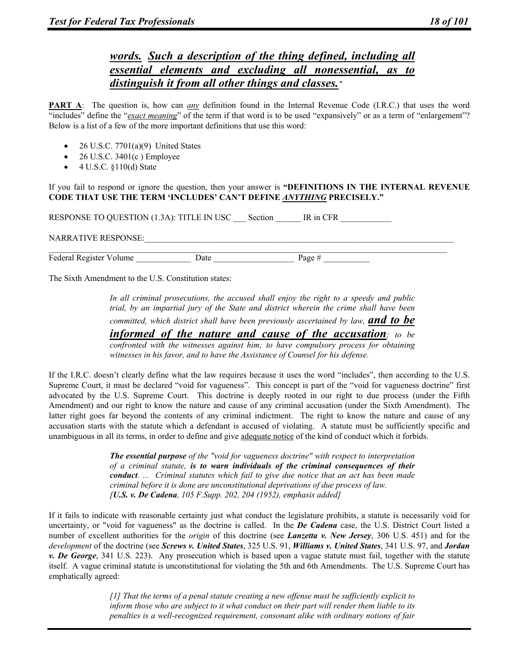# *words. Such a description of the thing defined, including all essential elements and excluding all nonessential, as to distinguish it from all other things and classes."*

**PART A**: The question is, how can *any* definition found in the Internal Revenue Code (I.R.C.) that uses the word "includes" define the "*exact meaning*" of the term if that word is to be used "expansively" or as a term of "enlargement"? Below is a list of a few of the more important definitions that use this word:

- 26 U.S.C. 7701(a)(9) United States
- $\bullet$  26 U.S.C. 3401(c) Employee
- 4 U.S.C. §110(d) State

If you fail to respond or ignore the question, then your answer is **"DEFINITIONS IN THE INTERNAL REVENUE CODE THAT USE THE TERM 'INCLUDES' CAN'T DEFINE** *ANYTHING* **PRECISELY."**

RESPONSE TO QUESTION (1.3A): TITLE IN USC Section IR in CFR

NARRATIVE RESPONSE:

 $\mathcal{L}_\mathcal{L} = \{ \mathcal{L}_\mathcal{L} = \{ \mathcal{L}_\mathcal{L} = \{ \mathcal{L}_\mathcal{L} = \{ \mathcal{L}_\mathcal{L} = \{ \mathcal{L}_\mathcal{L} = \{ \mathcal{L}_\mathcal{L} = \{ \mathcal{L}_\mathcal{L} = \{ \mathcal{L}_\mathcal{L} = \{ \mathcal{L}_\mathcal{L} = \{ \mathcal{L}_\mathcal{L} = \{ \mathcal{L}_\mathcal{L} = \{ \mathcal{L}_\mathcal{L} = \{ \mathcal{L}_\mathcal{L} = \{ \mathcal{L}_\mathcal{$ Federal Register Volume  $\qquad \qquad$  Date  $\qquad \qquad$  Page #

The Sixth Amendment to the U.S. Constitution states:

*In all criminal prosecutions, the accused shall enjoy the right to a speedy and public trial, by an impartial jury of the State and district wherein the crime shall have been* 

*committed, which district shall have been previously ascertained by law, and to be* 

*informed of the nature and cause of the accusation; to be* 

*confronted with the witnesses against him; to have compulsory process for obtaining witnesses in his favor, and to have the Assistance of Counsel for his defense.* 

If the I.R.C. doesn't clearly define what the law requires because it uses the word "includes", then according to the U.S. Supreme Court, it must be declared "void for vagueness". This concept is part of the "void for vagueness doctrine" first advocated by the U.S. Supreme Court. This doctrine is deeply rooted in our right to due process (under the Fifth Amendment) and our right to know the nature and cause of any criminal accusation (under the Sixth Amendment). The latter right goes far beyond the contents of any criminal indictment. The right to know the nature and cause of any accusation starts with the statute which a defendant is accused of violating. A statute must be sufficiently specific and unambiguous in all its terms, in order to define and give adequate notice of the kind of conduct which it forbids.

> *The essential purpose of the "void for vagueness doctrine" with respect to interpretation of a criminal statute, is to warn individuals of the criminal consequences of their conduct. ... Criminal statutes which fail to give due notice that an act has been made criminal before it is done are unconstitutional deprivations of due process of law. [U.S. v. De Cadena, 105 F.Supp. 202, 204 (1952), emphasis added]*

If it fails to indicate with reasonable certainty just what conduct the legislature prohibits, a statute is necessarily void for uncertainty, or "void for vagueness" as the doctrine is called. In the *De Cadena* case, the U.S. District Court listed a number of excellent authorities for the *origin* of this doctrine (see *Lanzetta v. New Jersey*, 306 U.S. 451) and for the *development* of the doctrine (see *Screws v. United States*, 325 U.S. 91, *Williams v. United States*, 341 U.S. 97, and *Jordan v. De George*, 341 U.S. 223). Any prosecution which is based upon a vague statute must fail, together with the statute itself. A vague criminal statute is unconstitutional for violating the 5th and 6th Amendments. The U.S. Supreme Court has emphatically agreed:

> *[1] That the terms of a penal statute creating a new offense must be sufficiently explicit to inform those who are subject to it what conduct on their part will render them liable to its penalties is a well-recognized requirement, consonant alike with ordinary notions of fair*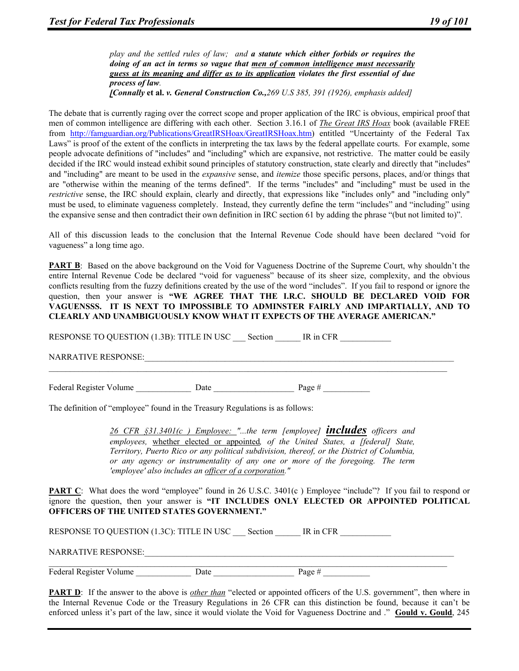*play and the settled rules of law; and a statute which either forbids or requires the doing of an act in terms so vague that men of common intelligence must necessarily guess at its meaning and differ as to its application violates the first essential of due process of law.* 

*[Connally* **et al.** *v. General Construction Co.,269 U.S 385, 391 (1926), emphasis added]* 

The debate that is currently raging over the correct scope and proper application of the IRC is obvious, empirical proof that men of common intelligence are differing with each other. Section 3.16.1 of *The Great IRS Hoax* book (available FREE from http://famguardian.org/Publications/GreatIRSHoax/GreatIRSHoax.htm) entitled "Uncertainty of the Federal Tax Laws" is proof of the extent of the conflicts in interpreting the tax laws by the federal appellate courts. For example, some people advocate definitions of "includes" and "including" which are expansive, not restrictive. The matter could be easily decided if the IRC would instead exhibit sound principles of statutory construction, state clearly and directly that "includes" and "including" are meant to be used in the *expansive* sense, and *itemize* those specific persons, places, and/or things that are "otherwise within the meaning of the terms defined". If the terms "includes" and "including" must be used in the *restrictive* sense, the IRC should explain, clearly and directly, that expressions like "includes only" and "including only" must be used, to eliminate vagueness completely. Instead, they currently define the term "includes" and "including" using the expansive sense and then contradict their own definition in IRC section 61 by adding the phrase "(but not limited to)".

All of this discussion leads to the conclusion that the Internal Revenue Code should have been declared "void for vagueness" a long time ago.

**PART B**: Based on the above background on the Void for Vagueness Doctrine of the Supreme Court, why shouldn't the entire Internal Revenue Code be declared "void for vagueness" because of its sheer size, complexity, and the obvious conflicts resulting from the fuzzy definitions created by the use of the word "includes". If you fail to respond or ignore the question, then your answer is **"WE AGREE THAT THE I.R.C. SHOULD BE DECLARED VOID FOR VAGUENSSS. IT IS NEXT TO IMPOSSIBLE TO ADMINSTER FAIRLY AND IMPARTIALLY, AND TO CLEARLY AND UNAMBIGUOUSLY KNOW WHAT IT EXPECTS OF THE AVERAGE AMERICAN."**

 $\mathcal{L}_\mathcal{L} = \{ \mathcal{L}_\mathcal{L} = \{ \mathcal{L}_\mathcal{L} = \{ \mathcal{L}_\mathcal{L} = \{ \mathcal{L}_\mathcal{L} = \{ \mathcal{L}_\mathcal{L} = \{ \mathcal{L}_\mathcal{L} = \{ \mathcal{L}_\mathcal{L} = \{ \mathcal{L}_\mathcal{L} = \{ \mathcal{L}_\mathcal{L} = \{ \mathcal{L}_\mathcal{L} = \{ \mathcal{L}_\mathcal{L} = \{ \mathcal{L}_\mathcal{L} = \{ \mathcal{L}_\mathcal{L} = \{ \mathcal{L}_\mathcal{$ 

RESPONSE TO QUESTION (1.3B): TITLE IN USC Section IR in CFR

NARRATIVE RESPONSE:

Federal Register Volume Date Date Date Page #

The definition of "employee" found in the Treasury Regulations is as follows:

*26 CFR §31.3401(c ) Employee: "...the term [employee] includes officers and employees,* whether elected or appointed*, of the United States, a [federal] State, Territory, Puerto Rico or any political subdivision, thereof, or the District of Columbia, or any agency or instrumentality of any one or more of the foregoing. The term 'employee' also includes an officer of a corporation."* 

**PART C:** What does the word "employee" found in 26 U.S.C. 3401(c) Employee "include"? If you fail to respond or ignore the question, then your answer is **"IT INCLUDES ONLY ELECTED OR APPOINTED POLITICAL OFFICERS OF THE UNITED STATES GOVERNMENT."**

RESPONSE TO QUESTION (1.3C): TITLE IN USC Section IR in CFR

NARRATIVE RESPONSE:

 $\mathcal{L}_\mathcal{L} = \{ \mathcal{L}_\mathcal{L} = \{ \mathcal{L}_\mathcal{L} = \{ \mathcal{L}_\mathcal{L} = \{ \mathcal{L}_\mathcal{L} = \{ \mathcal{L}_\mathcal{L} = \{ \mathcal{L}_\mathcal{L} = \{ \mathcal{L}_\mathcal{L} = \{ \mathcal{L}_\mathcal{L} = \{ \mathcal{L}_\mathcal{L} = \{ \mathcal{L}_\mathcal{L} = \{ \mathcal{L}_\mathcal{L} = \{ \mathcal{L}_\mathcal{L} = \{ \mathcal{L}_\mathcal{L} = \{ \mathcal{L}_\mathcal{$ Federal Register Volume \_\_\_\_\_\_\_\_\_\_\_\_\_\_\_\_ Date \_\_\_\_\_\_\_\_\_\_\_\_\_\_\_\_\_\_\_\_\_\_\_\_\_\_\_\_\_\_\_\_\_\_\_ Page #

**PART D**: If the answer to the above is *other than* "elected or appointed officers of the U.S. government", then where in the Internal Revenue Code or the Treasury Regulations in 26 CFR can this distinction be found, because it can't be enforced unless it's part of the law, since it would violate the Void for Vagueness Doctrine and ." **Gould v. Gould**, 245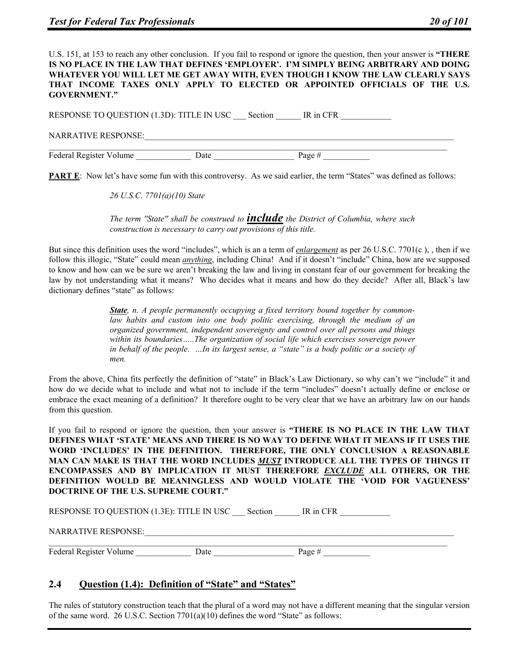U.S. 151, at 153 to reach any other conclusion. If you fail to respond or ignore the question, then your answer is **"THERE IS NO PLACE IN THE LAW THAT DEFINES 'EMPLOYER'. I'M SIMPLY BEING ARBITRARY AND DOING WHATEVER YOU WILL LET ME GET AWAY WITH, EVEN THOUGH I KNOW THE LAW CLEARLY SAYS THAT INCOME TAXES ONLY APPLY TO ELECTED OR APPOINTED OFFICIALS OF THE U.S. GOVERNMENT."**

RESPONSE TO QUESTION (1.3D): TITLE IN USC \_\_\_ Section \_\_\_\_\_ IR in CFR NARRATIVE RESPONSE:  $\frac{Page\#}{Page\#}$ Federal Register Volume Date **Date** 

**PART E**: Now let's have some fun with this controversy. As we said earlier, the term "States" was defined as follows:

*26 U.S.C. 7701(a)(10) State* 

*The term ''State'' shall be construed to include the District of Columbia, where such construction is necessary to carry out provisions of this title.* 

But since this definition uses the word "includes", which is an a term of *enlargement* as per 26 U.S.C. 7701(c ), , then if we follow this illogic, "State" could mean *anything*, including China! And if it doesn't "include" China, how are we supposed to know and how can we be sure we aren't breaking the law and living in constant fear of our government for breaking the law by not understanding what it means? Who decides what it means and how do they decide? After all, Black's law dictionary defines "state" as follows:

> *State, n. A people permanently occupying a fixed territory bound together by commonlaw habits and custom into one body politic exercising, through the medium of an organized government, independent sovereignty and control over all persons and things*  within its boundaries.....The organization of social life which exercises sovereign power *in behalf of the people. …In its largest sense, a "state" is a body politic or a society of men.*

From the above, China fits perfectly the definition of "state" in Black's Law Dictionary, so why can't we "include" it and how do we decide what to include and what not to include if the term "includes" doesn't actually define or enclose or embrace the exact meaning of a definition? It therefore ought to be very clear that we have an arbitrary law on our hands from this question.

If you fail to respond or ignore the question, then your answer is **"THERE IS NO PLACE IN THE LAW THAT DEFINES WHAT 'STATE' MEANS AND THERE IS NO WAY TO DEFINE WHAT IT MEANS IF IT USES THE WORD 'INCLUDES' IN THE DEFINITION. THEREFORE, THE ONLY CONCLUSION A REASONABLE MAN CAN MAKE IS THAT THE WORD INCLUDES** *MUST* **INTRODUCE ALL THE TYPES OF THINGS IT ENCOMPASSES AND BY IMPLICATION IT MUST THEREFORE** *EXCLUDE* **ALL OTHERS, OR THE DEFINITION WOULD BE MEANINGLESS AND WOULD VIOLATE THE 'VOID FOR VAGUENESS' DOCTRINE OF THE U.S. SUPREME COURT."**

RESPONSE TO QUESTION (1.3E): TITLE IN USC Section \_\_\_\_\_ IR in CFR

NARRATIVE RESPONSE:

 $\mathcal{L}_\mathcal{L} = \{ \mathcal{L}_\mathcal{L} = \{ \mathcal{L}_\mathcal{L} = \{ \mathcal{L}_\mathcal{L} = \{ \mathcal{L}_\mathcal{L} = \{ \mathcal{L}_\mathcal{L} = \{ \mathcal{L}_\mathcal{L} = \{ \mathcal{L}_\mathcal{L} = \{ \mathcal{L}_\mathcal{L} = \{ \mathcal{L}_\mathcal{L} = \{ \mathcal{L}_\mathcal{L} = \{ \mathcal{L}_\mathcal{L} = \{ \mathcal{L}_\mathcal{L} = \{ \mathcal{L}_\mathcal{L} = \{ \mathcal{L}_\mathcal{$ Federal Register Volume \_\_\_\_\_\_\_\_\_\_\_\_\_\_\_\_ Date \_\_\_\_\_\_\_\_\_\_\_\_\_\_\_\_\_\_\_\_\_\_\_\_\_\_\_\_\_\_\_\_\_\_\_ Page #

#### **2.4 Question (1.4): Definition of "State" and "States"**

The rules of statutory construction teach that the plural of a word may not have a different meaning that the singular version of the same word. 26 U.S.C. Section 7701(a)(10) defines the word "State" as follows: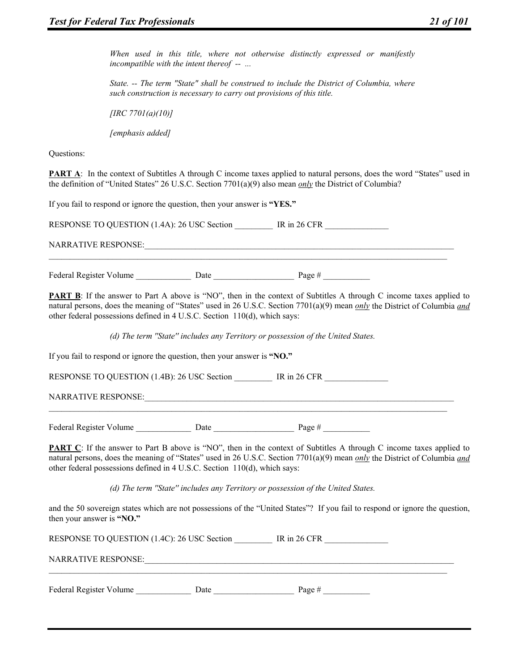*When used in this title, where not otherwise distinctly expressed or manifestly incompatible with the intent thereof -- ...* 

*State. -- The term "State" shall be construed to include the District of Columbia, where such construction is necessary to carry out provisions of this title.* 

*[IRC 7701(a)(10)]* 

*[emphasis added]* 

Questions:

**PART A:** In the context of Subtitles A through C income taxes applied to natural persons, does the word "States" used in the definition of "United States" 26 U.S.C. Section 7701(a)(9) also mean *only* the District of Columbia?

If you fail to respond or ignore the question, then your answer is **"YES."**

| RESPONSE TO QUESTION (1.4A): 26 USC Section |      | IR in $26$ CFR |  |
|---------------------------------------------|------|----------------|--|
| <b>NARRATIVE RESPONSE:</b>                  |      |                |  |
| Federal Register Volume                     | Date | Page $#$       |  |

**PART B**: If the answer to Part A above is "NO", then in the context of Subtitles A through C income taxes applied to natural persons, does the meaning of "States" used in 26 U.S.C. Section 7701(a)(9) mean *only* the District of Columbia *and* other federal possessions defined in 4 U.S.C. Section 110(d), which says:

*(d) The term ''State'' includes any Territory or possession of the United States.*

 $\mathcal{L}_\mathcal{L} = \{ \mathcal{L}_\mathcal{L} = \{ \mathcal{L}_\mathcal{L} = \{ \mathcal{L}_\mathcal{L} = \{ \mathcal{L}_\mathcal{L} = \{ \mathcal{L}_\mathcal{L} = \{ \mathcal{L}_\mathcal{L} = \{ \mathcal{L}_\mathcal{L} = \{ \mathcal{L}_\mathcal{L} = \{ \mathcal{L}_\mathcal{L} = \{ \mathcal{L}_\mathcal{L} = \{ \mathcal{L}_\mathcal{L} = \{ \mathcal{L}_\mathcal{L} = \{ \mathcal{L}_\mathcal{L} = \{ \mathcal{L}_\mathcal{$ 

If you fail to respond or ignore the question, then your answer is **"NO."** 

RESPONSE TO QUESTION (1.4B): 26 USC Section \_\_\_\_\_\_\_ IR in 26 CFR

NARRATIVE RESPONSE:

Federal Register Volume Date Date Page #  $\frac{1}{2}$ 

**PART C**: If the answer to Part B above is "NO", then in the context of Subtitles A through C income taxes applied to natural persons, does the meaning of "States" used in 26 U.S.C. Section 7701(a)(9) mean *only* the District of Columbia *and* other federal possessions defined in 4 U.S.C. Section 110(d), which says:

*(d) The term ''State'' includes any Territory or possession of the United States.*

and the 50 sovereign states which are not possessions of the "United States"? If you fail to respond or ignore the question, then your answer is **"NO."**

| RESPONSE TO QUESTION (1.4C): 26 USC Section | IR in $26$ CFR |  |
|---------------------------------------------|----------------|--|
| NARRATIVE RESPONSE:                         |                |  |
|                                             |                |  |

Federal Register Volume Date Date Page #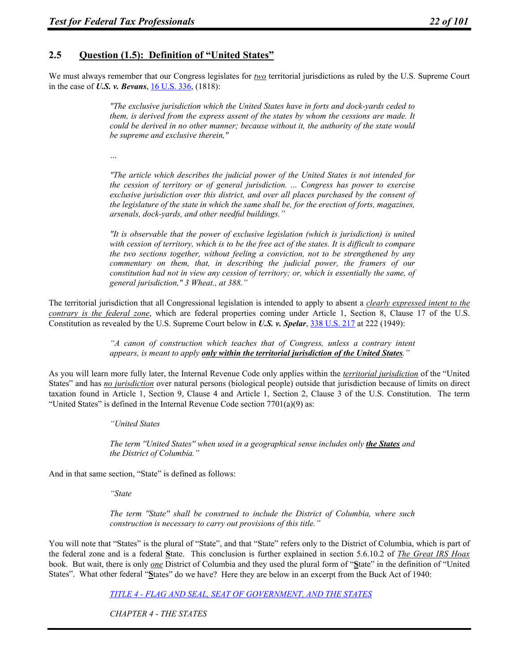# **2.5 Question (1.5): Definition of "United States"**

We must always remember that our Congress legislates for *two* territorial jurisdictions as ruled by the U.S. Supreme Court in the case of *U.S. v. Bevans*, 16 U.S. 336, (1818):

> *"The exclusive jurisdiction which the United States have in forts and dock-yards ceded to them, is derived from the express assent of the states by whom the cessions are made. It could be derived in no other manner; because without it, the authority of the state would be supreme and exclusive therein,"*

*…* 

*"The article which describes the judicial power of the United States is not intended for the cession of territory or of general jurisdiction. ... Congress has power to exercise exclusive jurisdiction over this district, and over all places purchased by the consent of the legislature of the state in which the same shall be, for the erection of forts, magazines, arsenals, dock-yards, and other needful buildings."* 

*"It is observable that the power of exclusive legislation (which is jurisdiction) is united with cession of territory, which is to be the free act of the states. It is difficult to compare the two sections together, without feeling a conviction, not to be strengthened by any commentary on them, that, in describing the judicial power, the framers of our constitution had not in view any cession of territory; or, which is essentially the same, of general jurisdiction," 3 Wheat., at 388."* 

The territorial jurisdiction that all Congressional legislation is intended to apply to absent a *clearly expressed intent to the contrary is the federal zone*, which are federal properties coming under Article 1, Section 8, Clause 17 of the U.S. Constitution as revealed by the U.S. Supreme Court below in *U.S. v. Spelar*, 338 U.S. 217 at 222 (1949):

> *"A canon of construction which teaches that of Congress, unless a contrary intent appears, is meant to apply only within the territorial jurisdiction of the United States."*

As you will learn more fully later, the Internal Revenue Code only applies within the *territorial jurisdiction* of the "United States" and has *no jurisdiction* over natural persons (biological people) outside that jurisdiction because of limits on direct taxation found in Article 1, Section 9, Clause 4 and Article 1, Section 2, Clause 3 of the U.S. Constitution. The term "United States" is defined in the Internal Revenue Code section  $7701(a)(9)$  as:

*"United States* 

*The term ''United States'' when used in a geographical sense includes only the States and the District of Columbia."* 

And in that same section, "State" is defined as follows:

*"State* 

*The term ''State'' shall be construed to include the District of Columbia, where such construction is necessary to carry out provisions of this title."* 

You will note that "States" is the plural of "State", and that "State" refers only to the District of Columbia, which is part of the federal zone and is a federal **S**tate. This conclusion is further explained in section 5.6.10.2 of *The Great IRS Hoax* book. But wait, there is only *one* District of Columbia and they used the plural form of "**S**tate" in the definition of "United States". What other federal "**S**tates" do we have? Here they are below in an excerpt from the Buck Act of 1940:

*TITLE 4 - FLAG AND SEAL, SEAT OF GOVERNMENT, AND THE STATES* 

*CHAPTER 4 - THE STATES*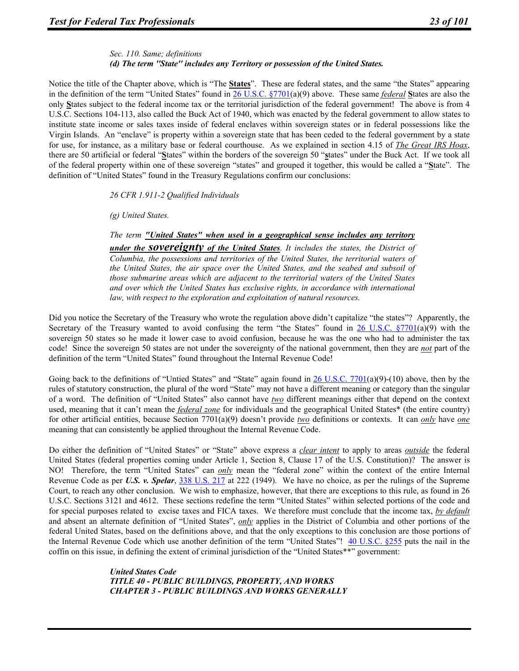#### *Sec. 110. Same; definitions (d) The term ''State'' includes any Territory or possession of the United States.*

Notice the title of the Chapter above, which is "The **States**". These are federal states, and the same "the States" appearing in the definition of the term "United States" found in 26 U.S.C. §7701(a)(9) above. These same *federal* **S**tates are also the only **S**tates subject to the federal income tax or the territorial jurisdiction of the federal government! The above is from 4 U.S.C. Sections 104-113, also called the Buck Act of 1940, which was enacted by the federal government to allow states to institute state income or sales taxes inside of federal enclaves within sovereign states or in federal possessions like the Virgin Islands. An "enclave" is property within a sovereign state that has been ceded to the federal government by a state for use, for instance, as a military base or federal courthouse. As we explained in section 4.15 of *The Great IRS Hoax*, there are 50 artificial or federal "**S**tates" within the borders of the sovereign 50 "**s**tates" under the Buck Act. If we took all of the federal property within one of these sovereign "states" and grouped it together, this would be called a "**S**tate". The definition of "United States" found in the Treasury Regulations confirm our conclusions:

*26 CFR 1.911-2 Qualified Individuals* 

*(g) United States.* 

#### *The term "United States" when used in a geographical sense includes any territory*

*under the sovereignty of the United States. It includes the states, the District of Columbia, the possessions and territories of the United States, the territorial waters of the United States, the air space over the United States, and the seabed and subsoil of those submarine areas which are adjacent to the territorial waters of the United States and over which the United States has exclusive rights, in accordance with international law, with respect to the exploration and exploitation of natural resources.* 

Did you notice the Secretary of the Treasury who wrote the regulation above didn't capitalize "the states"? Apparently, the Secretary of the Treasury wanted to avoid confusing the term "the States" found in 26 U.S.C.  $\S7701(a)(9)$  with the sovereign 50 states so he made it lower case to avoid confusion, because he was the one who had to administer the tax code! Since the sovereign 50 states are not under the sovereignty of the national government, then they are *not* part of the definition of the term "United States" found throughout the Internal Revenue Code!

Going back to the definitions of "Untied States" and "State" again found in  $26$  U.S.C. 7701(a)(9)-(10) above, then by the rules of statutory construction, the plural of the word "State" may not have a different meaning or category than the singular of a word. The definition of "United States" also cannot have *two* different meanings either that depend on the context used, meaning that it can't mean the *federal zone* for individuals and the geographical United States\* (the entire country) for other artificial entities, because Section 7701(a)(9) doesn't provide *two* definitions or contexts. It can *only* have *one* meaning that can consistently be applied throughout the Internal Revenue Code.

Do either the definition of "United States" or "State" above express a *clear intent* to apply to areas *outside* the federal United States (federal properties coming under Article 1, Section 8, Clause 17 of the U.S. Constitution)? The answer is NO! Therefore, the term "United States" can *only* mean the "federal zone" within the context of the entire Internal Revenue Code as per *U.S. v. Spelar*, 338 U.S. 217 at 222 (1949). We have no choice, as per the rulings of the Supreme Court, to reach any other conclusion. We wish to emphasize, however, that there are exceptions to this rule, as found in 26 U.S.C. Sections 3121 and 4612. These sections redefine the term "United States" within selected portions of the code and for special purposes related to excise taxes and FICA taxes. We therefore must conclude that the income tax, *by default* and absent an alternate definition of "United States", *only* applies in the District of Columbia and other portions of the federal United States, based on the definitions above, and that the only exceptions to this conclusion are those portions of the Internal Revenue Code which use another definition of the term "United States"!  $\frac{40 \text{ U.S.C. } §255}{40 \text{ U.S.C. } }$ coffin on this issue, in defining the extent of criminal jurisdiction of the "United States\*\*" government:

> *United States Code TITLE 40 - PUBLIC BUILDINGS, PROPERTY, AND WORKS CHAPTER 3 - PUBLIC BUILDINGS AND WORKS GENERALLY*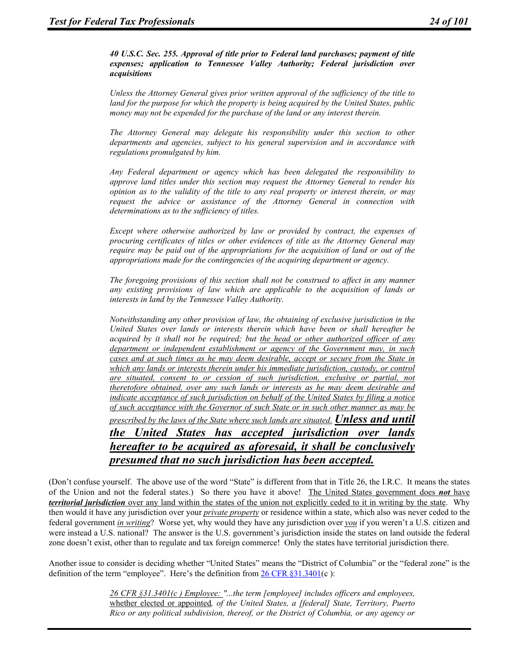*40 U.S.C. Sec. 255. Approval of title prior to Federal land purchases; payment of title expenses; application to Tennessee Valley Authority; Federal jurisdiction over acquisitions* 

*Unless the Attorney General gives prior written approval of the sufficiency of the title to land for the purpose for which the property is being acquired by the United States, public money may not be expended for the purchase of the land or any interest therein.* 

*The Attorney General may delegate his responsibility under this section to other departments and agencies, subject to his general supervision and in accordance with regulations promulgated by him.* 

*Any Federal department or agency which has been delegated the responsibility to approve land titles under this section may request the Attorney General to render his opinion as to the validity of the title to any real property or interest therein, or may request the advice or assistance of the Attorney General in connection with determinations as to the sufficiency of titles.* 

*Except where otherwise authorized by law or provided by contract, the expenses of procuring certificates of titles or other evidences of title as the Attorney General may require may be paid out of the appropriations for the acquisition of land or out of the appropriations made for the contingencies of the acquiring department or agency.* 

*The foregoing provisions of this section shall not be construed to affect in any manner any existing provisions of law which are applicable to the acquisition of lands or interests in land by the Tennessee Valley Authority.* 

*Notwithstanding any other provision of law, the obtaining of exclusive jurisdiction in the United States over lands or interests therein which have been or shall hereafter be acquired by it shall not be required; but the head or other authorized officer of any department or independent establishment or agency of the Government may, in such cases and at such times as he may deem desirable, accept or secure from the State in which any lands or interests therein under his immediate jurisdiction, custody, or control are situated, consent to or cession of such jurisdiction, exclusive or partial, not theretofore obtained, over any such lands or interests as he may deem desirable and indicate acceptance of such jurisdiction on behalf of the United States by filing a notice of such acceptance with the Governor of such State or in such other manner as may be prescribed by the laws of the State where such lands are situated. Unless and until* 

*the United States has accepted jurisdiction over lands hereafter to be acquired as aforesaid, it shall be conclusively presumed that no such jurisdiction has been accepted.* 

(Don't confuse yourself. The above use of the word "State" is different from that in Title 26, the I.R.C. It means the states of the Union and not the federal states.) So there you have it above! The United States government does *not* have *territorial jurisdiction* over any land within the states of the union not explicitly ceded to it in writing by the state. Why then would it have any jurisdiction over your *private property* or residence within a state, which also was never ceded to the federal government *in writing*? Worse yet, why would they have any jurisdiction over *you* if you weren't a U.S. citizen and were instead a U.S. national? The answer is the U.S. government's jurisdiction inside the states on land outside the federal zone doesn't exist, other than to regulate and tax foreign commerce! Only the states have territorial jurisdiction there.

Another issue to consider is deciding whether "United States" means the "District of Columbia" or the "federal zone" is the definition of the term "employee". Here's the definition from  $26 \text{ CFR } \S 31.3401(c)$ :

> *26 CFR §31.3401(c ) Employee: "...the term [employee] includes officers and employees,*  whether elected or appointed*, of the United States, a [federal] State, Territory, Puerto Rico or any political subdivision, thereof, or the District of Columbia, or any agency or*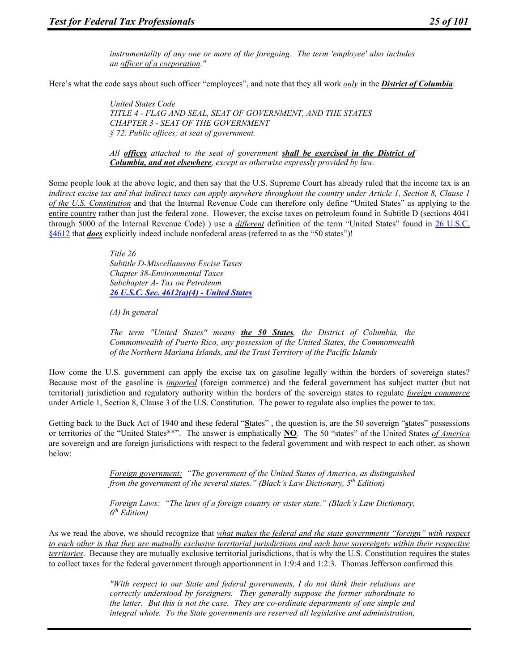*instrumentality of any one or more of the foregoing. The term 'employee' also includes an officer of a corporation."* 

Here's what the code says about such officer "employees", and note that they all work *only* in the *District of Columbia*:

*United States Code TITLE 4 - FLAG AND SEAL, SEAT OF GOVERNMENT, AND THE STATES CHAPTER 3 - SEAT OF THE GOVERNMENT § 72. Public offices; at seat of government.* 

*All offices attached to the seat of government shall be exercised in the District of Columbia, and not elsewhere, except as otherwise expressly provided by law.* 

Some people look at the above logic, and then say that the U.S. Supreme Court has already ruled that the income tax is an *indirect excise tax and that indirect taxes can apply anywhere throughout the country under Article 1, Section 8, Clause 1 of the U.S. Constitution* and that the Internal Revenue Code can therefore only define "United States" as applying to the entire country rather than just the federal zone. However, the excise taxes on petroleum found in Subtitle D (sections 4041 through 5000 of the Internal Revenue Code) ) use a *different* definition of the term "United States" found in 26 U.S.C. §4612 that *does* explicitly indeed include nonfederal areas (referred to as the "50 states")!

> *Title 26 Subtitle D-Miscellaneous Excise Taxes Chapter 38-Environmental Taxes Subchapter A- Tax on Petroleum 26 U.S.C. Sec. 4612(a)(4) - United States*

*(A) In general* 

*The term ''United States'' means the 50 States, the District of Columbia, the Commonwealth of Puerto Rico, any possession of the United States, the Commonwealth of the Northern Mariana Islands, and the Trust Territory of the Pacific Islands* 

How come the U.S. government can apply the excise tax on gasoline legally within the borders of sovereign states? Because most of the gasoline is *imported* (foreign commerce) and the federal government has subject matter (but not territorial) jurisdiction and regulatory authority within the borders of the sovereign states to regulate *foreign commerce* under Article 1, Section 8, Clause 3 of the U.S. Constitution. The power to regulate also implies the power to tax.

Getting back to the Buck Act of 1940 and these federal "**S**tates" , the question is, are the 50 sovereign "**s**tates" possessions or territories of the "United States\*\*". The answer is emphatically **NO**. The 50 "states" of the United States *of America* are sovereign and are foreign jurisdictions with respect to the federal government and with respect to each other, as shown below:

> *Foreign government: "The government of the United States of America, as distinguished from the government of the several states." (Black's Law Dictionary, 5th Edition)*

*Foreign Laws: "The laws of a foreign country or sister state." (Black's Law Dictionary, 6th Edition)* 

As we read the above, we should recognize that *what makes the federal and the state governments "foreign" with respect to each other is that they are mutually exclusive territorial jurisdictions and each have sovereignty within their respective territories*. Because they are mutually exclusive territorial jurisdictions, that is why the U.S. Constitution requires the states to collect taxes for the federal government through apportionment in 1:9:4 and 1:2:3. Thomas Jefferson confirmed this

> *"With respect to our State and federal governments, I do not think their relations are correctly understood by foreigners. They generally suppose the former subordinate to the latter. But this is not the case. They are co-ordinate departments of one simple and integral whole. To the State governments are reserved all legislative and administration,*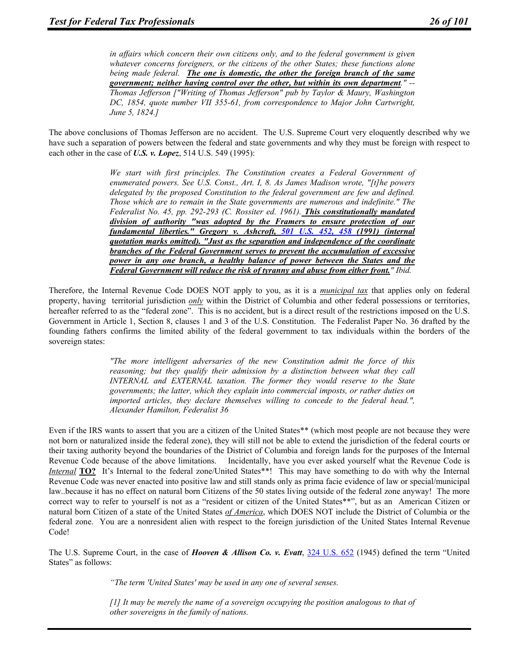*in affairs which concern their own citizens only, and to the federal government is given whatever concerns foreigners, or the citizens of the other States; these functions alone being made federal. The one is domestic, the other the foreign branch of the same government; neither having control over the other, but within its own department." -- Thomas Jefferson ["Writing of Thomas Jefferson" pub by Taylor & Maury, Washington DC, 1854, quote number VII 355-61, from correspondence to Major John Cartwright, June 5, 1824.]* 

The above conclusions of Thomas Jefferson are no accident. The U.S. Supreme Court very eloquently described why we have such a separation of powers between the federal and state governments and why they must be foreign with respect to each other in the case of *U.S. v. Lopez*, 514 U.S. 549 (1995):

> *We start with first principles. The Constitution creates a Federal Government of enumerated powers. See U.S. Const., Art. I, 8. As James Madison wrote, "[t]he powers delegated by the proposed Constitution to the federal government are few and defined. Those which are to remain in the State governments are numerous and indefinite." The Federalist No. 45, pp. 292-293 (C. Rossiter ed. 1961). This constitutionally mandated division of authority "was adopted by the Framers to ensure protection of our fundamental liberties." Gregory v. Ashcroft, 501 U.S. 452, 458 (1991) (internal quotation marks omitted). "Just as the separation and independence of the coordinate branches of the Federal Government serves to prevent the accumulation of excessive power in any one branch, a healthy balance of power between the States and the Federal Government will reduce the risk of tyranny and abuse from either front." Ibid.*

Therefore, the Internal Revenue Code DOES NOT apply to you, as it is a *municipal tax* that applies only on federal property, having territorial jurisdiction *only* within the District of Columbia and other federal possessions or territories, hereafter referred to as the "federal zone". This is no accident, but is a direct result of the restrictions imposed on the U.S. Government in Article 1, Section 8, clauses 1 and 3 of the U.S. Constitution. The Federalist Paper No. 36 drafted by the founding fathers confirms the limited ability of the federal government to tax individuals within the borders of the sovereign states:

> *"The more intelligent adversaries of the new Constitution admit the force of this reasoning; but they qualify their admission by a distinction between what they call INTERNAL and EXTERNAL taxation. The former they would reserve to the State governments; the latter, which they explain into commercial imposts, or rather duties on imported articles, they declare themselves willing to concede to the federal head.", Alexander Hamilton, Federalist 36*

Even if the IRS wants to assert that you are a citizen of the United States\*\* (which most people are not because they were not born or naturalized inside the federal zone), they will still not be able to extend the jurisdiction of the federal courts or their taxing authority beyond the boundaries of the District of Columbia and foreign lands for the purposes of the Internal Revenue Code because of the above limitations. Incidentally, have you ever asked yourself what the Revenue Code is *Internal* **TO?** It's Internal to the federal zone/United States\*\*! This may have something to do with why the Internal Revenue Code was never enacted into positive law and still stands only as prima facie evidence of law or special/municipal law..because it has no effect on natural born Citizens of the 50 states living outside of the federal zone anyway! The more correct way to refer to yourself is not as a "resident or citizen of the United States\*\*", but as an American Citizen or natural born Citizen of a state of the United States *of America*, which DOES NOT include the District of Columbia or the federal zone. You are a nonresident alien with respect to the foreign jurisdiction of the United States Internal Revenue Code!

The U.S. Supreme Court, in the case of *Hooven & Allison Co. v. Evatt*, 324 U.S. 652 (1945) defined the term "United States" as follows:

*"The term 'United States' may be used in any one of several senses.* 

*[1] It may be merely the name of a sovereign occupying the position analogous to that of other sovereigns in the family of nations.*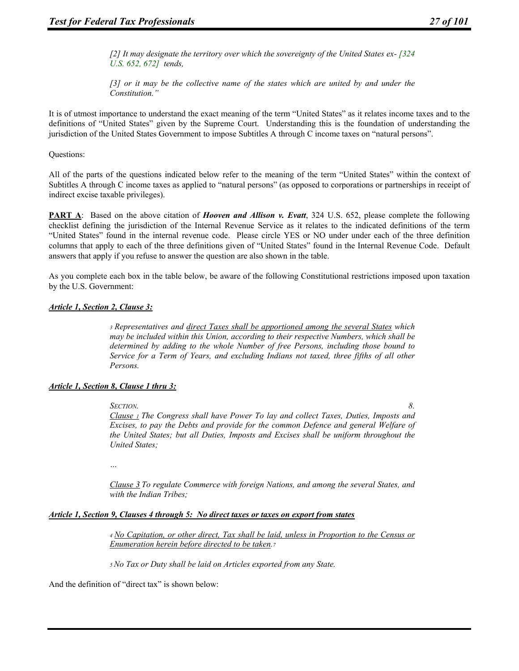*[2] It may designate the territory over which the sovereignty of the United States ex- [324 U.S. 652, 672] tends,* 

*[3] or it may be the collective name of the states which are united by and under the Constitution."* 

It is of utmost importance to understand the exact meaning of the term "United States" as it relates income taxes and to the definitions of "United States" given by the Supreme Court. Understanding this is the foundation of understanding the jurisdiction of the United States Government to impose Subtitles A through C income taxes on "natural persons".

Questions:

All of the parts of the questions indicated below refer to the meaning of the term "United States" within the context of Subtitles A through C income taxes as applied to "natural persons" (as opposed to corporations or partnerships in receipt of indirect excise taxable privileges).

**PART A**: Based on the above citation of *Hooven and Allison v. Evatt*, 324 U.S. 652, please complete the following checklist defining the jurisdiction of the Internal Revenue Service as it relates to the indicated definitions of the term "United States" found in the internal revenue code. Please circle YES or NO under under each of the three definition columns that apply to each of the three definitions given of "United States" found in the Internal Revenue Code. Default answers that apply if you refuse to answer the question are also shown in the table.

As you complete each box in the table below, be aware of the following Constitutional restrictions imposed upon taxation by the U.S. Government:

#### *Article 1, Section 2, Clause 3:*

*3 Representatives and direct Taxes shall be apportioned among the several States which may be included within this Union, according to their respective Numbers, which shall be determined by adding to the whole Number of free Persons, including those bound to Service for a Term of Years, and excluding Indians not taxed, three fifths of all other Persons.* 

#### *Article 1, Section 8, Clause 1 thru 3:*

*SECTION. 8. Clause 1 The Congress shall have Power To lay and collect Taxes, Duties, Imposts and Excises, to pay the Debts and provide for the common Defence and general Welfare of the United States; but all Duties, Imposts and Excises shall be uniform throughout the United States;* 

*…* 

*Clause 3 To regulate Commerce with foreign Nations, and among the several States, and with the Indian Tribes;* 

#### *Article 1, Section 9, Clauses 4 through 5: No direct taxes or taxes on export from states*

*4 No Capitation, or other direct, Tax shall be laid, unless in Proportion to the Census or Enumeration herein before directed to be taken.7* 

*5 No Tax or Duty shall be laid on Articles exported from any State.* 

And the definition of "direct tax" is shown below: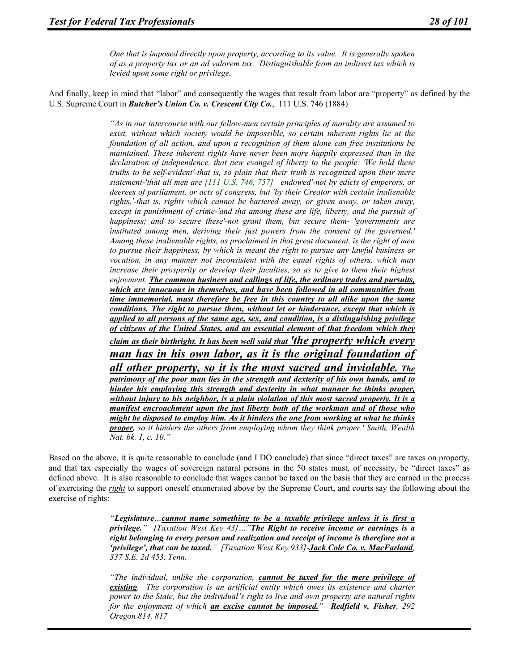*One that is imposed directly upon property, according to its value. It is generally spoken of as a property tax or an ad valorem tax. Distinguishable from an indirect tax which is levied upon some right or privilege.* 

And finally, keep in mind that "labor" and consequently the wages that result from labor are "property" as defined by the U.S. Supreme Court in *Butcher's Union Co. v. Crescent City Co.*, 111 U.S. 746 (1884)

> *"As in our intercourse with our fellow-men certain principles of morality are assumed to exist, without which society would be impossible, so certain inherent rights lie at the foundation of all action, and upon a recognition of them alone can free institutions be maintained. These inherent rights have never been more happily expressed than in the declaration of independence, that new evangel of liberty to the people: 'We hold these truths to be self-evident'-that is, so plain that their truth is recognized upon their mere statement-'that all men are [111 U.S. 746, 757] endowed'-not by edicts of emperors, or deerees of parliament, or acts of congress, but 'by their Creator with certain inalienable rights.'-that is, rights which cannot be bartered away, or given away, or taken away, except in punishment of crime-'and tha among these are life, liberty, and the pursuit of happiness; and to secure these'-not grant them, but secure them- 'governments are instituted among men, deriving their just powers from the consent of the governed.' Among these inalienable rights, as proclaimed in that great document, is the right of men to pursue their happiness, by which is meant the right to pursue any lawful business or*  vocation, in any manner not inconsistent with the equal rights of others, which may *increase their prosperity or develop their faculties, so as to give to them their highest enjoyment. The common business and callings of life, the ordinary trades and pursuits, which are innocuous in themselves, and have been followed in all communities from time immemorial, must therefore be free in this country to all alike upon the same conditions. The right to pursue them, without let or hinderance, except that which is applied to all persons of the same age, sex, and condition, is a distinguishing privilege of citizens of the United States, and an essential element of that freedom which they claim as their birthright. It has been well said that 'the property which every man has in his own labor, as it is the original foundation of all other property, so it is the most sacred and inviolable. The patrimony of the poor man lies in the strength and dexterity of his own hands, and to hinder his employing this strength and dexterity in what manner he thinks proper, without injury to his neighbor, is a plain violation of this most sacred property. It is a manifest encroachment upon the just liberty both of the workman and of those who might be disposed to employ him. As it hinders the one from working at what he thinks proper, so it hinders the others from employing whom they think proper.' Smith, Wealth Nat. bk. 1, c. 10."*

Based on the above, it is quite reasonable to conclude (and I DO conclude) that since "direct taxes" are taxes on property, and that tax especially the wages of sovereign natural persons in the 50 states must, of necessity, be "direct taxes" as defined above. It is also reasonable to conclude that wages cannot be taxed on the basis that they are earned in the process of exercising the *right* to support oneself enumerated above by the Supreme Court, and courts say the following about the exercise of rights:

> *"Legislature…cannot name something to be a taxable privilege unless it is first a privilege." [Taxation West Key 43]…"The Right to receive income or earnings is a right belonging to every person and realization and receipt of income is therefore not a 'privilege', that can be taxed." [Taxation West Key 933]-Jack Cole Co. v. MacFarland, 337 S.E. 2d 453, Tenn.*

> *"The individual, unlike the corporation, cannot be taxed for the mere privilege of existing. The corporation is an artificial entity which owes its existence and charter power to the State, but the individual's right to live and own property are natural rights for the enjoyment of which an excise cannot be imposed." Redfield v. Fisher, 292 Oregon 814, 817*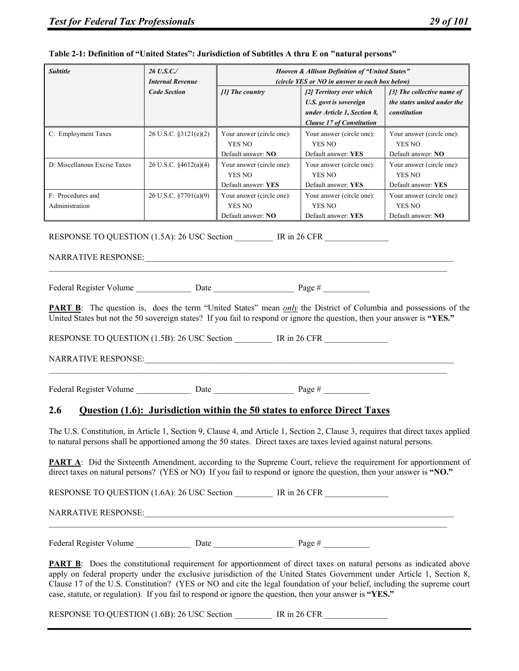| Table 2-1: Definition of "United States": Jurisdiction of Subtitles A thru E on "natural persons"                                                                                                                                                                                                                                                                                                                                                                                             |                                       |                                                            |                                                                                                                                                                         |                                                                               |  |
|-----------------------------------------------------------------------------------------------------------------------------------------------------------------------------------------------------------------------------------------------------------------------------------------------------------------------------------------------------------------------------------------------------------------------------------------------------------------------------------------------|---------------------------------------|------------------------------------------------------------|-------------------------------------------------------------------------------------------------------------------------------------------------------------------------|-------------------------------------------------------------------------------|--|
| <b>Subtitle</b>                                                                                                                                                                                                                                                                                                                                                                                                                                                                               | 26 U.S.C./<br><b>Internal Revenue</b> | Hooven & Allison Definition of "United States"             |                                                                                                                                                                         |                                                                               |  |
|                                                                                                                                                                                                                                                                                                                                                                                                                                                                                               | <b>Code Section</b>                   | [1] The country                                            | (circle YES or NO in answer to each box below)<br>[2] Territory over which<br>U.S. govt is sovereign<br>under Article 1, Section 8,<br><b>Clause 17 of Constitution</b> | $\{3\}$ The collective name of<br>the states united under the<br>constitution |  |
| C: Employment Taxes                                                                                                                                                                                                                                                                                                                                                                                                                                                                           | 26 U.S.C. §3121(e)(2)                 | Your answer (circle one):<br>YES NO<br>Default answer: NO  | Your answer (circle one):<br>YES NO<br>Default answer: YES                                                                                                              | Your answer (circle one):<br>YES NO<br>Default answer: NO                     |  |
| D: Miscellanous Excise Taxes                                                                                                                                                                                                                                                                                                                                                                                                                                                                  | 26 U.S.C. §4612(a)(4)                 | Your answer (circle one):<br>YES NO<br>Default answer: YES | Your answer (circle one):<br><b>YES NO</b><br>Default answer: YES                                                                                                       | Your answer (circle one):<br>YES NO<br>Default answer: YES                    |  |
| F: Procedures and<br>Administration                                                                                                                                                                                                                                                                                                                                                                                                                                                           | 26 U.S.C. §7701(a)(9)                 | Your answer (circle one):<br>YES NO<br>Default answer: NO  | Your answer (circle one):<br>YES NO<br>Default answer: YES                                                                                                              | Your answer (circle one):<br>YES NO<br>Default answer: NO                     |  |
|                                                                                                                                                                                                                                                                                                                                                                                                                                                                                               |                                       |                                                            |                                                                                                                                                                         |                                                                               |  |
| RESPONSE TO QUESTION $(1.5A)$ : 26 USC Section IR in 26 CFR                                                                                                                                                                                                                                                                                                                                                                                                                                   |                                       |                                                            |                                                                                                                                                                         |                                                                               |  |
|                                                                                                                                                                                                                                                                                                                                                                                                                                                                                               |                                       |                                                            |                                                                                                                                                                         |                                                                               |  |
|                                                                                                                                                                                                                                                                                                                                                                                                                                                                                               |                                       |                                                            |                                                                                                                                                                         |                                                                               |  |
|                                                                                                                                                                                                                                                                                                                                                                                                                                                                                               |                                       |                                                            |                                                                                                                                                                         |                                                                               |  |
| <b>PART B</b> : The question is, does the term "United States" mean only the District of Columbia and possessions of the                                                                                                                                                                                                                                                                                                                                                                      |                                       |                                                            |                                                                                                                                                                         |                                                                               |  |
| United States but not the 50 sovereign states? If you fail to respond or ignore the question, then your answer is "YES."                                                                                                                                                                                                                                                                                                                                                                      |                                       |                                                            |                                                                                                                                                                         |                                                                               |  |
|                                                                                                                                                                                                                                                                                                                                                                                                                                                                                               |                                       |                                                            |                                                                                                                                                                         |                                                                               |  |
| RESPONSE TO QUESTION (1.5B): 26 USC Section IR in 26 CFR                                                                                                                                                                                                                                                                                                                                                                                                                                      |                                       |                                                            |                                                                                                                                                                         |                                                                               |  |
|                                                                                                                                                                                                                                                                                                                                                                                                                                                                                               |                                       |                                                            |                                                                                                                                                                         |                                                                               |  |
|                                                                                                                                                                                                                                                                                                                                                                                                                                                                                               |                                       |                                                            |                                                                                                                                                                         |                                                                               |  |
|                                                                                                                                                                                                                                                                                                                                                                                                                                                                                               |                                       |                                                            |                                                                                                                                                                         |                                                                               |  |
|                                                                                                                                                                                                                                                                                                                                                                                                                                                                                               |                                       |                                                            |                                                                                                                                                                         |                                                                               |  |
| 2.6                                                                                                                                                                                                                                                                                                                                                                                                                                                                                           |                                       |                                                            | <b>Question (1.6): Jurisdiction within the 50 states to enforce Direct Taxes</b>                                                                                        |                                                                               |  |
| The U.S. Constitution, in Article 1, Section 9, Clause 4, and Article 1, Section 2, Clause 3, requires that direct taxes applied<br>to natural persons shall be apportioned among the 50 states. Direct taxes are taxes levied against natural persons.                                                                                                                                                                                                                                       |                                       |                                                            |                                                                                                                                                                         |                                                                               |  |
| <b>PART A:</b> Did the Sixteenth Amendment, according to the Supreme Court, relieve the requirement for apportionment of<br>direct taxes on natural persons? (YES or NO) If you fail to respond or ignore the question, then your answer is "NO."                                                                                                                                                                                                                                             |                                       |                                                            |                                                                                                                                                                         |                                                                               |  |
|                                                                                                                                                                                                                                                                                                                                                                                                                                                                                               |                                       |                                                            |                                                                                                                                                                         |                                                                               |  |
|                                                                                                                                                                                                                                                                                                                                                                                                                                                                                               |                                       |                                                            |                                                                                                                                                                         |                                                                               |  |
|                                                                                                                                                                                                                                                                                                                                                                                                                                                                                               |                                       |                                                            |                                                                                                                                                                         |                                                                               |  |
| <b>PART B</b> : Does the constitutional requirement for apportionment of direct taxes on natural persons as indicated above<br>apply on federal property under the exclusive jurisdiction of the United States Government under Article 1, Section 8,<br>Clause 17 of the U.S. Constitution? (YES or NO and cite the legal foundation of your belief, including the supreme court<br>case, statute, or regulation). If you fail to respond or ignore the question, then your answer is "YES." |                                       |                                                            |                                                                                                                                                                         |                                                                               |  |
| RESPONSE TO QUESTION (1.6B): 26 USC Section IR in 26 CFR                                                                                                                                                                                                                                                                                                                                                                                                                                      |                                       |                                                            |                                                                                                                                                                         |                                                                               |  |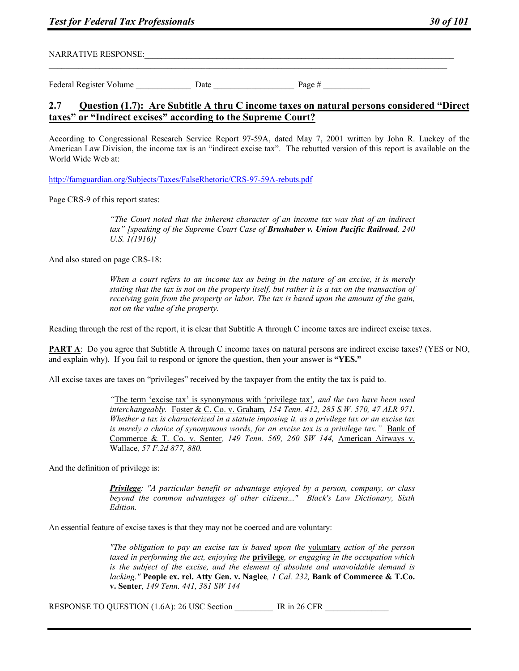NARRATIVE RESPONSE:

Federal Register Volume Date Date Page #  $\frac{1}{2}$ 

## **2.7 Question (1.7): Are Subtitle A thru C income taxes on natural persons considered "Direct taxes" or "Indirect excises" according to the Supreme Court?**

According to Congressional Research Service Report 97-59A, dated May 7, 2001 written by John R. Luckey of the American Law Division, the income tax is an "indirect excise tax". The rebutted version of this report is available on the World Wide Web at:

http://famguardian.org/Subjects/Taxes/FalseRhetoric/CRS-97-59A-rebuts.pdf

Page CRS-9 of this report states:

*"The Court noted that the inherent character of an income tax was that of an indirect tax" [speaking of the Supreme Court Case of Brushaber v. Union Pacific Railroad, 240 U.S. 1(1916)]* 

And also stated on page CRS-18:

*When a court refers to an income tax as being in the nature of an excise, it is merely stating that the tax is not on the property itself, but rather it is a tax on the transaction of receiving gain from the property or labor. The tax is based upon the amount of the gain, not on the value of the property.* 

Reading through the rest of the report, it is clear that Subtitle A through C income taxes are indirect excise taxes.

**PART A:** Do you agree that Subtitle A through C income taxes on natural persons are indirect excise taxes? (YES or NO, and explain why). If you fail to respond or ignore the question, then your answer is **"YES."** 

All excise taxes are taxes on "privileges" received by the taxpayer from the entity the tax is paid to.

*"*The term 'excise tax' is synonymous with 'privilege tax'*, and the two have been used interchangeably.* Foster & C. Co. v. Graham*, 154 Tenn. 412, 285 S.W. 570, 47 ALR 971. Whether a tax is characterized in a statute imposing it, as a privilege tax or an excise tax is merely a choice of synonymous words, for an excise tax is a privilege tax.*" Bank of Commerce & T. Co. v. Senter*, 149 Tenn. 569, 260 SW 144,* American Airways v. Wallace*, 57 F.2d 877, 880.* 

And the definition of privilege is:

*Privilege: "A particular benefit or advantage enjoyed by a person, company, or class beyond the common advantages of other citizens..." Black's Law Dictionary, Sixth Edition.* 

An essential feature of excise taxes is that they may not be coerced and are voluntary:

*"The obligation to pay an excise tax is based upon the* voluntary *action of the person taxed in performing the act, enjoying the* **privilege***, or engaging in the occupation which is the subject of the excise, and the element of absolute and unavoidable demand is lacking."* **People ex. rel. Atty Gen. v. Naglee***, 1 Cal. 232,* **Bank of Commerce & T.Co. v. Senter***, 149 Tenn. 441, 381 SW 144* 

RESPONSE TO QUESTION (1.6A): 26 USC Section FR in 26 CFR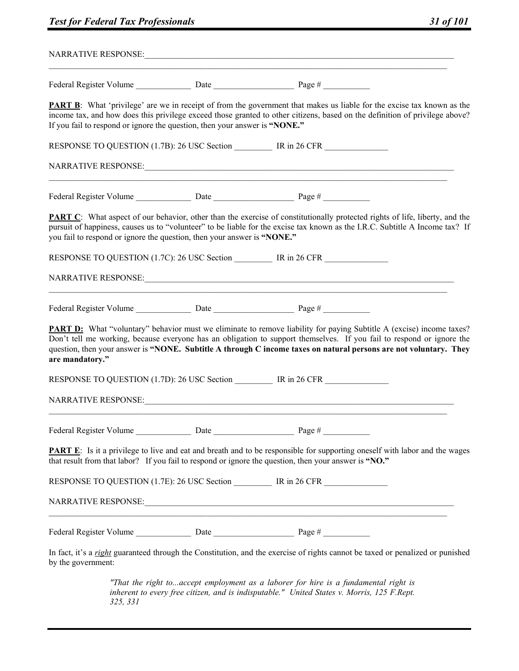| If you fail to respond or ignore the question, then your answer is "NONE." | <b>PART B</b> : What 'privilege' are we in receipt of from the government that makes us liable for the excise tax known as the<br>income tax, and how does this privilege exceed those granted to other citizens, based on the definition of privilege above?                                                                                                             |  |
|----------------------------------------------------------------------------|---------------------------------------------------------------------------------------------------------------------------------------------------------------------------------------------------------------------------------------------------------------------------------------------------------------------------------------------------------------------------|--|
|                                                                            |                                                                                                                                                                                                                                                                                                                                                                           |  |
|                                                                            |                                                                                                                                                                                                                                                                                                                                                                           |  |
|                                                                            |                                                                                                                                                                                                                                                                                                                                                                           |  |
| you fail to respond or ignore the question, then your answer is "NONE."    | <b>PART C</b> : What aspect of our behavior, other than the exercise of constitutionally protected rights of life, liberty, and the<br>pursuit of happiness, causes us to "volunteer" to be liable for the excise tax known as the I.R.C. Subtitle A Income tax? If                                                                                                       |  |
|                                                                            | RESPONSE TO QUESTION (1.7C): 26 USC Section IR in 26 CFR                                                                                                                                                                                                                                                                                                                  |  |
|                                                                            |                                                                                                                                                                                                                                                                                                                                                                           |  |
|                                                                            |                                                                                                                                                                                                                                                                                                                                                                           |  |
| are mandatory."                                                            | <b>PART D:</b> What "voluntary" behavior must we eliminate to remove liability for paying Subtitle A (excise) income taxes?<br>Don't tell me working, because everyone has an obligation to support themselves. If you fail to respond or ignore the<br>question, then your answer is "NONE. Subtitle A through C income taxes on natural persons are not voluntary. They |  |
|                                                                            |                                                                                                                                                                                                                                                                                                                                                                           |  |
| <b>NARRATIVE RESPONSE:</b>                                                 | <u> 1989 - John Stone, Amerikaansk politiker (* 1989)</u>                                                                                                                                                                                                                                                                                                                 |  |
|                                                                            |                                                                                                                                                                                                                                                                                                                                                                           |  |
|                                                                            | <b>PART E:</b> Is it a privilege to live and eat and breath and to be responsible for supporting oneself with labor and the wages<br>that result from that labor? If you fail to respond or ignore the question, then your answer is "NO."                                                                                                                                |  |
|                                                                            | RESPONSE TO QUESTION (1.7E): 26 USC Section ___________ IR in 26 CFR ___________                                                                                                                                                                                                                                                                                          |  |
|                                                                            | <u> 1980 - Johann Barbara, martin amerikan basal dan berasal dalam basal dalam basal dalam basal dalam basal dala</u>                                                                                                                                                                                                                                                     |  |
|                                                                            |                                                                                                                                                                                                                                                                                                                                                                           |  |
| by the government:                                                         | In fact, it's a right guaranteed through the Constitution, and the exercise of rights cannot be taxed or penalized or punished                                                                                                                                                                                                                                            |  |
| 325, 331                                                                   | "That the right toaccept employment as a laborer for hire is a fundamental right is<br>inherent to every free citizen, and is indisputable." United States v. Morris, 125 F.Rept.                                                                                                                                                                                         |  |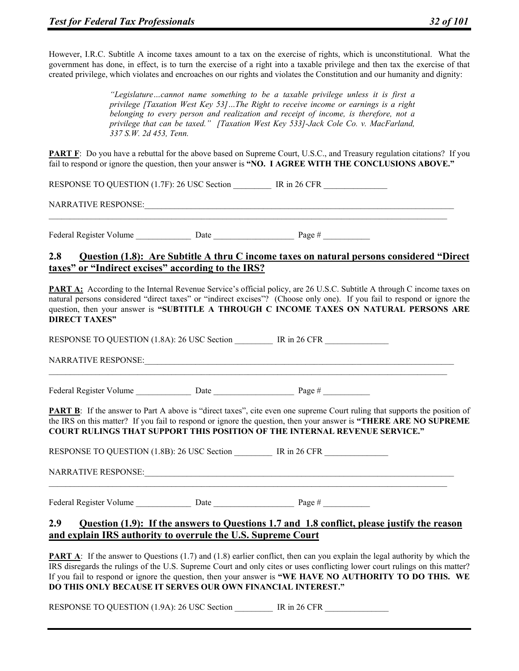However, I.R.C. Subtitle A income taxes amount to a tax on the exercise of rights, which is unconstitutional. What the government has done, in effect, is to turn the exercise of a right into a taxable privilege and then tax the exercise of that created privilege, which violates and encroaches on our rights and violates the Constitution and our humanity and dignity:

> *"Legislature…cannot name something to be a taxable privilege unless it is first a privilege [Taxation West Key 53]…The Right to receive income or earnings is a right belonging to every person and realization and receipt of income, is therefore, not a privilege that can be taxed." [Taxation West Key 533]-Jack Cole Co. v. MacFarland, 337 S.W. 2d 453, Tenn.*

**PART F**: Do you have a rebuttal for the above based on Supreme Court, U.S.C., and Treasury regulation citations? If you fail to respond or ignore the question, then your answer is **"NO. I AGREE WITH THE CONCLUSIONS ABOVE."**

RESPONSE TO QUESTION (1.7F): 26 USC Section \_\_\_\_\_\_\_ IR in 26 CFR

NARRATIVE RESPONSE:

Federal Register Volume \_\_\_\_\_\_\_\_\_\_\_\_\_ Date \_\_\_\_\_\_\_\_\_\_\_\_\_\_\_\_\_\_\_ Page # \_\_\_\_\_\_\_\_\_\_\_

# **2.8 Question (1.8): Are Subtitle A thru C income taxes on natural persons considered "Direct taxes" or "Indirect excises" according to the IRS?**

 $\mathcal{L}_\mathcal{L} = \{ \mathcal{L}_\mathcal{L} = \{ \mathcal{L}_\mathcal{L} = \{ \mathcal{L}_\mathcal{L} = \{ \mathcal{L}_\mathcal{L} = \{ \mathcal{L}_\mathcal{L} = \{ \mathcal{L}_\mathcal{L} = \{ \mathcal{L}_\mathcal{L} = \{ \mathcal{L}_\mathcal{L} = \{ \mathcal{L}_\mathcal{L} = \{ \mathcal{L}_\mathcal{L} = \{ \mathcal{L}_\mathcal{L} = \{ \mathcal{L}_\mathcal{L} = \{ \mathcal{L}_\mathcal{L} = \{ \mathcal{L}_\mathcal{$ 

**PART A:** According to the Internal Revenue Service's official policy, are 26 U.S.C. Subtitle A through C income taxes on natural persons considered "direct taxes" or "indirect excises"? (Choose only one). If you fail to respond or ignore the question, then your answer is **"SUBTITLE A THROUGH C INCOME TAXES ON NATURAL PERSONS ARE DIRECT TAXES"** 

RESPONSE TO QUESTION (1.8A): 26 USC Section \_\_\_\_\_\_\_ IR in 26 CFR NARRATIVE RESPONSE:  $\mathcal{L}_\mathcal{L} = \{ \mathcal{L}_\mathcal{L} = \{ \mathcal{L}_\mathcal{L} = \{ \mathcal{L}_\mathcal{L} = \{ \mathcal{L}_\mathcal{L} = \{ \mathcal{L}_\mathcal{L} = \{ \mathcal{L}_\mathcal{L} = \{ \mathcal{L}_\mathcal{L} = \{ \mathcal{L}_\mathcal{L} = \{ \mathcal{L}_\mathcal{L} = \{ \mathcal{L}_\mathcal{L} = \{ \mathcal{L}_\mathcal{L} = \{ \mathcal{L}_\mathcal{L} = \{ \mathcal{L}_\mathcal{L} = \{ \mathcal{L}_\mathcal{$ Federal Register Volume Date Date Page # **PART B:** If the answer to Part A above is "direct taxes", cite even one supreme Court ruling that supports the position of the IRS on this matter? If you fail to respond or ignore the question, then your answer is **"THERE ARE NO SUPREME COURT RULINGS THAT SUPPORT THIS POSITION OF THE INTERNAL REVENUE SERVICE."** RESPONSE TO QUESTION (1.8B): 26 USC Section \_\_\_\_\_\_\_ IR in 26 CFR NARRATIVE RESPONSE:  $\mathcal{L}_\mathcal{L} = \{ \mathcal{L}_\mathcal{L} = \{ \mathcal{L}_\mathcal{L} = \{ \mathcal{L}_\mathcal{L} = \{ \mathcal{L}_\mathcal{L} = \{ \mathcal{L}_\mathcal{L} = \{ \mathcal{L}_\mathcal{L} = \{ \mathcal{L}_\mathcal{L} = \{ \mathcal{L}_\mathcal{L} = \{ \mathcal{L}_\mathcal{L} = \{ \mathcal{L}_\mathcal{L} = \{ \mathcal{L}_\mathcal{L} = \{ \mathcal{L}_\mathcal{L} = \{ \mathcal{L}_\mathcal{L} = \{ \mathcal{L}_\mathcal{$ Federal Register Volume Date Date Page # **2.9 Question (1.9): If the answers to Questions 1.7 and 1.8 conflict, please justify the reason and explain IRS authority to overrule the U.S. Supreme Court**

**PART A:** If the answer to Questions (1.7) and (1.8) earlier conflict, then can you explain the legal authority by which the IRS disregards the rulings of the U.S. Supreme Court and only cites or uses conflicting lower court rulings on this matter? If you fail to respond or ignore the question, then your answer is **"WE HAVE NO AUTHORITY TO DO THIS. WE DO THIS ONLY BECAUSE IT SERVES OUR OWN FINANCIAL INTEREST."**

RESPONSE TO QUESTION (1.9A): 26 USC Section \_\_\_\_\_\_ IR in 26 CFR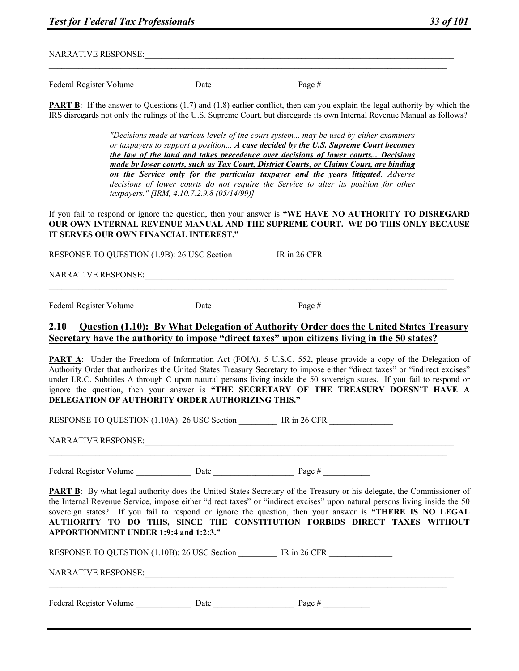|  |  | <b>Test for Federal Tax Professionals</b> |  | 33 of 101 |
|--|--|-------------------------------------------|--|-----------|
|--|--|-------------------------------------------|--|-----------|

NARRATIVE RESPONSE:

Federal Register Volume  $\qquad \qquad$  Date  $\qquad \qquad$  Page #

**PART B:** If the answer to Questions (1.7) and (1.8) earlier conflict, then can you explain the legal authority by which the IRS disregards not only the rulings of the U.S. Supreme Court, but disregards its own Internal Revenue Manual as follows?

> *"Decisions made at various levels of the court system... may be used by either examiners or taxpayers to support a position... A case decided by the U.S. Supreme Court becomes the law of the land and takes precedence over decisions of lower courts... Decisions made by lower courts, such as Tax Court, District Courts, or Claims Court, are binding on the Service only for the particular taxpayer and the years litigated. Adverse decisions of lower courts do not require the Service to alter its position for other taxpayers." [IRM, 4.10.7.2.9.8 (05/14/99)]*

If you fail to respond or ignore the question, then your answer is **"WE HAVE NO AUTHORITY TO DISREGARD OUR OWN INTERNAL REVENUE MANUAL AND THE SUPREME COURT. WE DO THIS ONLY BECAUSE IT SERVES OUR OWN FINANCIAL INTEREST."**

RESPONSE TO QUESTION (1.9B): 26 USC Section \_\_\_\_\_\_\_ IR in 26 CFR

 $\mathcal{L}_\mathcal{L} = \{ \mathcal{L}_\mathcal{L} = \{ \mathcal{L}_\mathcal{L} = \{ \mathcal{L}_\mathcal{L} = \{ \mathcal{L}_\mathcal{L} = \{ \mathcal{L}_\mathcal{L} = \{ \mathcal{L}_\mathcal{L} = \{ \mathcal{L}_\mathcal{L} = \{ \mathcal{L}_\mathcal{L} = \{ \mathcal{L}_\mathcal{L} = \{ \mathcal{L}_\mathcal{L} = \{ \mathcal{L}_\mathcal{L} = \{ \mathcal{L}_\mathcal{L} = \{ \mathcal{L}_\mathcal{L} = \{ \mathcal{L}_\mathcal{$ 

NARRATIVE RESPONSE:

Federal Register Volume Date Date Page #

## **2.10 Question (1.10): By What Delegation of Authority Order does the United States Treasury Secretary have the authority to impose "direct taxes" upon citizens living in the 50 states?**

**PART A:** Under the Freedom of Information Act (FOIA), 5 U.S.C. 552, please provide a copy of the Delegation of Authority Order that authorizes the United States Treasury Secretary to impose either "direct taxes" or "indirect excises" under I.R.C. Subtitles A through C upon natural persons living inside the 50 sovereign states. If you fail to respond or ignore the question, then your answer is **"THE SECRETARY OF THE TREASURY DOESN'T HAVE A DELEGATION OF AUTHORITY ORDER AUTHORIZING THIS."** 

RESPONSE TO QUESTION (1.10A): 26 USC Section IR in 26 CFR

NARRATIVE RESPONSE:\_\_\_\_\_\_\_\_\_\_\_\_\_\_\_\_\_\_\_\_\_\_\_\_\_\_\_\_\_\_\_\_\_\_\_\_\_\_\_\_\_\_\_\_\_\_\_\_\_\_\_\_\_\_\_\_\_\_\_\_\_\_\_\_\_\_\_\_\_\_\_\_\_

Federal Register Volume Date Date Page #

**PART B:** By what legal authority does the United States Secretary of the Treasury or his delegate, the Commissioner of the Internal Revenue Service, impose either "direct taxes" or "indirect excises" upon natural persons living inside the 50 sovereign states? If you fail to respond or ignore the question, then your answer is **"THERE IS NO LEGAL AUTHORITY TO DO THIS, SINCE THE CONSTITUTION FORBIDS DIRECT TAXES WITHOUT APPORTIONMENT UNDER 1:9:4 and 1:2:3."** 

 $\mathcal{L}_\mathcal{L} = \{ \mathcal{L}_\mathcal{L} = \{ \mathcal{L}_\mathcal{L} = \{ \mathcal{L}_\mathcal{L} = \{ \mathcal{L}_\mathcal{L} = \{ \mathcal{L}_\mathcal{L} = \{ \mathcal{L}_\mathcal{L} = \{ \mathcal{L}_\mathcal{L} = \{ \mathcal{L}_\mathcal{L} = \{ \mathcal{L}_\mathcal{L} = \{ \mathcal{L}_\mathcal{L} = \{ \mathcal{L}_\mathcal{L} = \{ \mathcal{L}_\mathcal{L} = \{ \mathcal{L}_\mathcal{L} = \{ \mathcal{L}_\mathcal{$ 

RESPONSE TO QUESTION (1.10B): 26 USC Section \_\_\_\_\_\_\_ IR in 26 CFR

 $\mathcal{L}_\mathcal{L} = \{ \mathcal{L}_\mathcal{L} = \{ \mathcal{L}_\mathcal{L} = \{ \mathcal{L}_\mathcal{L} = \{ \mathcal{L}_\mathcal{L} = \{ \mathcal{L}_\mathcal{L} = \{ \mathcal{L}_\mathcal{L} = \{ \mathcal{L}_\mathcal{L} = \{ \mathcal{L}_\mathcal{L} = \{ \mathcal{L}_\mathcal{L} = \{ \mathcal{L}_\mathcal{L} = \{ \mathcal{L}_\mathcal{L} = \{ \mathcal{L}_\mathcal{L} = \{ \mathcal{L}_\mathcal{L} = \{ \mathcal{L}_\mathcal{$ 

NARRATIVE RESPONSE:

Federal Register Volume \_\_\_\_\_\_\_\_\_\_\_\_\_ Date \_\_\_\_\_\_\_\_\_\_\_\_\_\_\_\_\_\_\_ Page # \_\_\_\_\_\_\_\_\_\_\_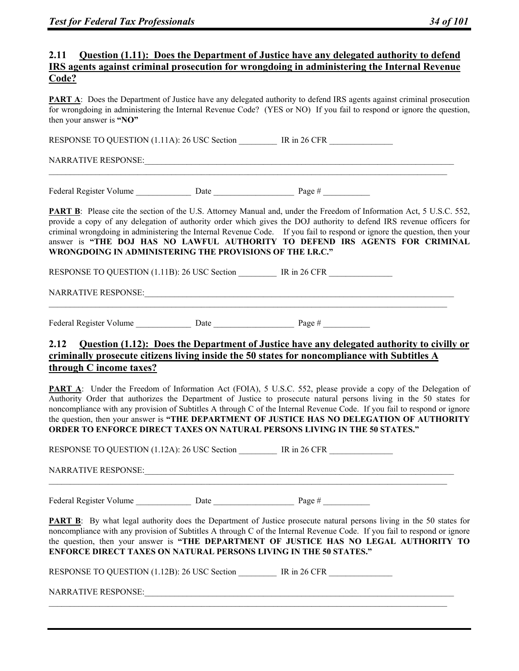### **2.11 Question (1.11): Does the Department of Justice have any delegated authority to defend IRS agents against criminal prosecution for wrongdoing in administering the Internal Revenue Code?**

**PART A:** Does the Department of Justice have any delegated authority to defend IRS agents against criminal prosecution for wrongdoing in administering the Internal Revenue Code? (YES or NO) If you fail to respond or ignore the question, then your answer is **"NO"** 

RESPONSE TO QUESTION (1.11A): 26 USC Section IR in 26 CFR

 $\mathcal{L}_\mathcal{L} = \{ \mathcal{L}_\mathcal{L} = \{ \mathcal{L}_\mathcal{L} = \{ \mathcal{L}_\mathcal{L} = \{ \mathcal{L}_\mathcal{L} = \{ \mathcal{L}_\mathcal{L} = \{ \mathcal{L}_\mathcal{L} = \{ \mathcal{L}_\mathcal{L} = \{ \mathcal{L}_\mathcal{L} = \{ \mathcal{L}_\mathcal{L} = \{ \mathcal{L}_\mathcal{L} = \{ \mathcal{L}_\mathcal{L} = \{ \mathcal{L}_\mathcal{L} = \{ \mathcal{L}_\mathcal{L} = \{ \mathcal{L}_\mathcal{$ 

NARRATIVE RESPONSE:\_\_\_\_\_\_\_\_\_\_\_\_\_\_\_\_\_\_\_\_\_\_\_\_\_\_\_\_\_\_\_\_\_\_\_\_\_\_\_\_\_\_\_\_\_\_\_\_\_\_\_\_\_\_\_\_\_\_\_\_\_\_\_\_\_\_\_\_\_\_\_\_\_

Federal Register Volume Date Date Page #  $\frac{1}{2}$ 

**PART B:** Please cite the section of the U.S. Attorney Manual and, under the Freedom of Information Act, 5 U.S.C. 552, provide a copy of any delegation of authority order which gives the DOJ authority to defend IRS revenue officers for criminal wrongdoing in administering the Internal Revenue Code. If you fail to respond or ignore the question, then your answer is **"THE DOJ HAS NO LAWFUL AUTHORITY TO DEFEND IRS AGENTS FOR CRIMINAL WRONGDOING IN ADMINISTERING THE PROVISIONS OF THE I.R.C."** 

RESPONSE TO QUESTION (1.11B): 26 USC Section IR in 26 CFR

 $\mathcal{L}_\mathcal{L} = \{ \mathcal{L}_\mathcal{L} = \{ \mathcal{L}_\mathcal{L} = \{ \mathcal{L}_\mathcal{L} = \{ \mathcal{L}_\mathcal{L} = \{ \mathcal{L}_\mathcal{L} = \{ \mathcal{L}_\mathcal{L} = \{ \mathcal{L}_\mathcal{L} = \{ \mathcal{L}_\mathcal{L} = \{ \mathcal{L}_\mathcal{L} = \{ \mathcal{L}_\mathcal{L} = \{ \mathcal{L}_\mathcal{L} = \{ \mathcal{L}_\mathcal{L} = \{ \mathcal{L}_\mathcal{L} = \{ \mathcal{L}_\mathcal{$ 

NARRATIVE RESPONSE:

Federal Register Volume Date Date Page #

# **2.12 Question (1.12): Does the Department of Justice have any delegated authority to civilly or criminally prosecute citizens living inside the 50 states for noncompliance with Subtitles A through C income taxes?**

**PART A:** Under the Freedom of Information Act (FOIA), 5 U.S.C. 552, please provide a copy of the Delegation of Authority Order that authorizes the Department of Justice to prosecute natural persons living in the 50 states for noncompliance with any provision of Subtitles A through C of the Internal Revenue Code. If you fail to respond or ignore the question, then your answer is **"THE DEPARTMENT OF JUSTICE HAS NO DELEGATION OF AUTHORITY ORDER TO ENFORCE DIRECT TAXES ON NATURAL PERSONS LIVING IN THE 50 STATES."** 

|  | RESPONSE TO QUESTION (1.12A): 26 USC Section IR in 26 CFR                                                                                                                                                                                                                                                                                                                                                                      |  |
|--|--------------------------------------------------------------------------------------------------------------------------------------------------------------------------------------------------------------------------------------------------------------------------------------------------------------------------------------------------------------------------------------------------------------------------------|--|
|  |                                                                                                                                                                                                                                                                                                                                                                                                                                |  |
|  |                                                                                                                                                                                                                                                                                                                                                                                                                                |  |
|  | <b>PART B</b> : By what legal authority does the Department of Justice prosecute natural persons living in the 50 states for<br>noncompliance with any provision of Subtitles A through C of the Internal Revenue Code. If you fail to respond or ignore<br>the question, then your answer is "THE DEPARTMENT OF JUSTICE HAS NO LEGAL AUTHORITY TO<br><b>ENFORCE DIRECT TAXES ON NATURAL PERSONS LIVING IN THE 50 STATES."</b> |  |
|  | RESPONSE TO QUESTION (1.12B): 26 USC Section IR in 26 CFR                                                                                                                                                                                                                                                                                                                                                                      |  |
|  |                                                                                                                                                                                                                                                                                                                                                                                                                                |  |
|  |                                                                                                                                                                                                                                                                                                                                                                                                                                |  |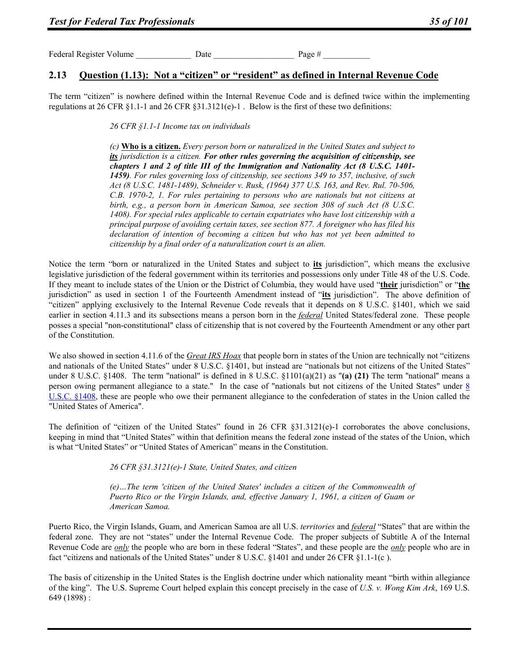Federal Register Volume Date Date Date Page #

## **2.13 Question (1.13): Not a "citizen" or "resident" as defined in Internal Revenue Code**

The term "citizen" is nowhere defined within the Internal Revenue Code and is defined twice within the implementing regulations at 26 CFR §1.1-1 and 26 CFR §31.3121(e)-1. Below is the first of these two definitions:

*26 CFR §1.1-1 Income tax on individuals* 

*(c)* **Who is a citizen.** *Every person born or naturalized in the United States and subject to its jurisdiction is a citizen. For other rules governing the acquisition of citizenship, see chapters 1 and 2 of title III of the Immigration and Nationality Act (8 U.S.C. 1401- 1459). For rules governing loss of citizenship, see sections 349 to 357, inclusive, of such Act (8 U.S.C. 1481-1489), Schneider v. Rusk, (1964) 377 U.S. 163, and Rev. Rul. 70-506, C.B. 1970-2, 1. For rules pertaining to persons who are nationals but not citizens at birth, e.g., a person born in American Samoa, see section 308 of such Act (8 U.S.C. 1408). For special rules applicable to certain expatriates who have lost citizenship with a principal purpose of avoiding certain taxes, see section 877. A foreigner who has filed his declaration of intention of becoming a citizen but who has not yet been admitted to citizenship by a final order of a naturalization court is an alien.* 

Notice the term "born or naturalized in the United States and subject to **its** jurisdiction", which means the exclusive legislative jurisdiction of the federal government within its territories and possessions only under Title 48 of the U.S. Code. If they meant to include states of the Union or the District of Columbia, they would have used "**their** jurisdiction" or "**the** jurisdiction" as used in section 1 of the Fourteenth Amendment instead of "**its** jurisdiction". The above definition of "citizen" applying exclusively to the Internal Revenue Code reveals that it depends on 8 U.S.C. §1401, which we said earlier in section 4.11.3 and its subsections means a person born in the *federal* United States/federal zone. These people posses a special "non-constitutional" class of citizenship that is not covered by the Fourteenth Amendment or any other part of the Constitution.

We also showed in section 4.11.6 of the *Great IRS Hoax* that people born in states of the Union are technically not "citizens" and nationals of the United States" under 8 U.S.C. §1401, but instead are "nationals but not citizens of the United States" under 8 U.S.C. §1408. The term "national" is defined in 8 U.S.C. §1101(a)(21) as "(a) (21) The term "national" means a person owing permanent allegiance to a state." In the case of "nationals but not citizens of the United States" under 8 U.S.C. §1408, these are people who owe their permanent allegiance to the confederation of states in the Union called the "United States of America".

The definition of "citizen of the United States" found in 26 CFR  $\S 31.3121(e)$ -1 corroborates the above conclusions, keeping in mind that "United States" within that definition means the federal zone instead of the states of the Union, which is what "United States" or "United States of American" means in the Constitution.

*26 CFR §31.3121(e)-1 State, United States, and citizen* 

*(e)…The term 'citizen of the United States' includes a citizen of the Commonwealth of Puerto Rico or the Virgin Islands, and, effective January 1, 1961, a citizen of Guam or American Samoa.* 

Puerto Rico, the Virgin Islands, Guam, and American Samoa are all U.S. *territories* and *federal* "States" that are within the federal zone. They are not "states" under the Internal Revenue Code. The proper subjects of Subtitle A of the Internal Revenue Code are *only* the people who are born in these federal "States", and these people are the *only* people who are in fact "citizens and nationals of the United States" under 8 U.S.C. §1401 and under 26 CFR §1.1-1(c ).

The basis of citizenship in the United States is the English doctrine under which nationality meant "birth within allegiance of the king". The U.S. Supreme Court helped explain this concept precisely in the case of *U.S. v. Wong Kim Ark*, 169 U.S. 649 (1898) :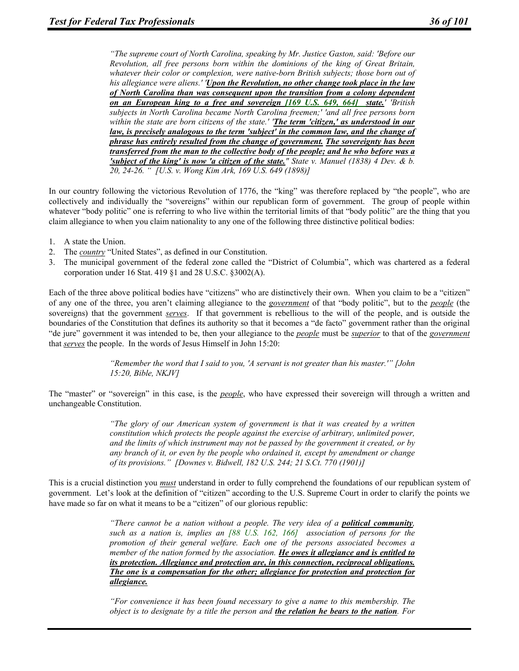*"The supreme court of North Carolina, speaking by Mr. Justice Gaston, said: 'Before our Revolution, all free persons born within the dominions of the king of Great Britain, whatever their color or complexion, were native-born British subjects; those born out of his allegiance were aliens.' 'Upon the Revolution, no other change took place in the law of North Carolina than was consequent upon the transition from a colony dependent on an European king to a free and sovereign [169 U.S. 649, 664] state.' 'British subjects in North Carolina became North Carolina freemen;' 'and all free persons born within the state are born citizens of the state.' 'The term 'citizen,' as understood in our law, is precisely analogous to the term 'subject' in the common law, and the change of phrase has entirely resulted from the change of government. The sovereignty has been transferred from the man to the collective body of the people; and he who before was a 'subject of the king' is now 'a citizen of the state." State v. Manuel (1838) 4 Dev. & b. 20, 24-26. " [U.S. v. Wong Kim Ark, 169 U.S. 649 (1898)]* 

In our country following the victorious Revolution of 1776, the "king" was therefore replaced by "the people", who are collectively and individually the "sovereigns" within our republican form of government. The group of people within whatever "body politic" one is referring to who live within the territorial limits of that "body politic" are the thing that you claim allegiance to when you claim nationality to any one of the following three distinctive political bodies:

- 1. A state the Union.
- 2. The *country* "United States", as defined in our Constitution.
- 3. The municipal government of the federal zone called the "District of Columbia", which was chartered as a federal corporation under 16 Stat. 419 §1 and 28 U.S.C. §3002(A).

Each of the three above political bodies have "citizens" who are distinctively their own. When you claim to be a "citizen" of any one of the three, you aren't claiming allegiance to the *government* of that "body politic", but to the *people* (the sovereigns) that the government *serves*. If that government is rebellious to the will of the people, and is outside the boundaries of the Constitution that defines its authority so that it becomes a "de facto" government rather than the original "de jure" government it was intended to be, then your allegiance to the *people* must be *superior* to that of the *government* that *serves* the people. In the words of Jesus Himself in John 15:20:

> *"Remember the word that I said to you, 'A servant is not greater than his master.'" [John 15:20, Bible, NKJV]*

The "master" or "sovereign" in this case, is the *people*, who have expressed their sovereign will through a written and unchangeable Constitution.

> *"The glory of our American system of government is that it was created by a written constitution which protects the people against the exercise of arbitrary, unlimited power, and the limits of which instrument may not be passed by the government it created, or by any branch of it, or even by the people who ordained it, except by amendment or change of its provisions." [Downes v. Bidwell, 182 U.S. 244; 21 S.Ct. 770 (1901)]*

This is a crucial distinction you *must* understand in order to fully comprehend the foundations of our republican system of government. Let's look at the definition of "citizen" according to the U.S. Supreme Court in order to clarify the points we have made so far on what it means to be a "citizen" of our glorious republic:

> *"There cannot be a nation without a people. The very idea of a political community, such as a nation is, implies an [88 U.S. 162, 166] association of persons for the promotion of their general welfare. Each one of the persons associated becomes a member of the nation formed by the association. He owes it allegiance and is entitled to its protection. Allegiance and protection are, in this connection, reciprocal obligations. The one is a compensation for the other; allegiance for protection and protection for allegiance.*

> *"For convenience it has been found necessary to give a name to this membership. The object is to designate by a title the person and the relation he bears to the nation. For*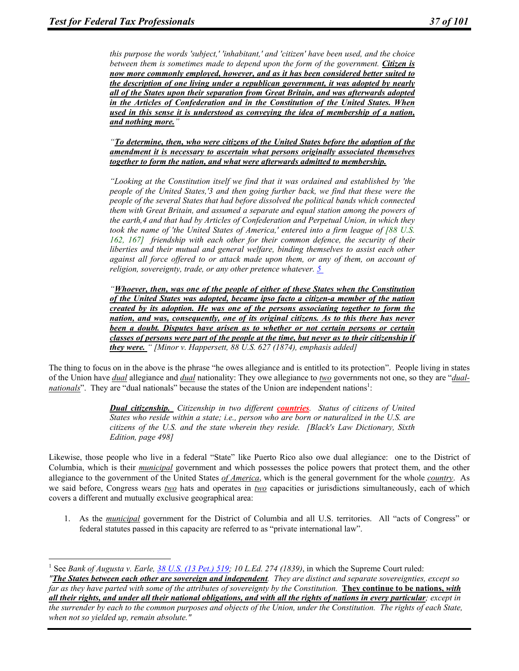$\overline{a}$ 

*this purpose the words 'subject,' 'inhabitant,' and 'citizen' have been used, and the choice between them is sometimes made to depend upon the form of the government. Citizen is now more commonly employed, however, and as it has been considered better suited to the description of one living under a republican government, it was adopted by nearly all of the States upon their separation from Great Britain, and was afterwards adopted in the Articles of Confederation and in the Constitution of the United States. When used in this sense it is understood as conveying the idea of membership of a nation, and nothing more."* 

*"To determine, then, who were citizens of the United States before the adoption of the amendment it is necessary to ascertain what persons originally associated themselves together to form the nation, and what were afterwards admitted to membership.* 

*"Looking at the Constitution itself we find that it was ordained and established by 'the people of the United States,'3 and then going further back, we find that these were the people of the several States that had before dissolved the political bands which connected them with Great Britain, and assumed a separate and equal station among the powers of the earth,4 and that had by Articles of Confederation and Perpetual Union, in which they took the name of 'the United States of America,' entered into a firm league of [88 U.S. 162, 167] friendship with each other for their common defence, the security of their liberties and their mutual and general welfare, binding themselves to assist each other against all force offered to or attack made upon them, or any of them, on account of religion, sovereignty, trade, or any other pretence whatever. 5* 

*"Whoever, then, was one of the people of either of these States when the Constitution of the United States was adopted, became ipso facto a citizen-a member of the nation created by its adoption. He was one of the persons associating together to form the nation, and was, consequently, one of its original citizens. As to this there has never been a doubt. Disputes have arisen as to whether or not certain persons or certain classes of persons were part of the people at the time, but never as to their citizenship if they were. " [Minor v. Happersett, 88 U.S. 627 (1874), emphasis added]* 

The thing to focus on in the above is the phrase "he owes allegiance and is entitled to its protection". People living in states of the Union have *dual* allegiance and *dual* nationality: They owe allegiance to *two* governments not one, so they are "*dualnationals*". They are "dual nationals" because the states of the Union are independent nations<sup>1</sup>:

> *Dual citizenship. Citizenship in two different countries. Status of citizens of United States who reside within a state; i.e., person who are born or naturalized in the U.S. are citizens of the U.S. and the state wherein they reside. [Black's Law Dictionary, Sixth Edition, page 498]*

Likewise, those people who live in a federal "State" like Puerto Rico also owe dual allegiance: one to the District of Columbia, which is their *municipal* government and which possesses the police powers that protect them, and the other allegiance to the government of the United States *of America*, which is the general government for the whole *country*. As we said before, Congress wears *two* hats and operates in *two* capacities or jurisdictions simultaneously, each of which covers a different and mutually exclusive geographical area:

1. As the *municipal* government for the District of Columbia and all U.S. territories. All "acts of Congress" or federal statutes passed in this capacity are referred to as "private international law".

<sup>&</sup>lt;sup>1</sup> See *Bank of Augusta v. Earle, 38 U.S. (13 Pet.) 519; 10 L.Ed. 274 (1839)*, in which the Supreme Court ruled: *"The States between each other are sovereign and independent. They are distinct and separate sovereignties, except so far as they have parted with some of the attributes of sovereignty by the Constitution.* **They continue to be nations,** *with all their rights, and under all their national obligations, and with all the rights of nations in every particular; except in the surrender by each to the common purposes and objects of the Union, under the Constitution. The rights of each State, when not so yielded up, remain absolute."*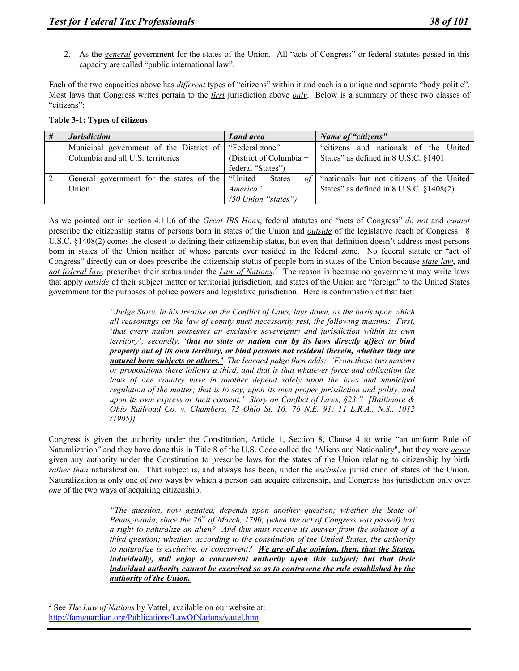2. As the *general* government for the states of the Union. All "acts of Congress" or federal statutes passed in this capacity are called "public international law".

Each of the two capacities above has *different* types of "citizens" within it and each is a unique and separate "body politic". Most laws that Congress writes pertain to the *first* jurisdiction above *only*. Below is a summary of these two classes of "citizens":

**Table 3-1: Types of citizens** 

| # | <b>Jurisdiction</b>                                      | <b>Land area</b>          | Name of "citizens"                                  |  |
|---|----------------------------------------------------------|---------------------------|-----------------------------------------------------|--|
|   | Municipal government of the District of   "Federal zone" |                           | "citizens and nationals of the United               |  |
|   | Columbia and all U.S. territories                        | (District of Columbia $+$ | States" as defined in 8 U.S.C. §1401                |  |
|   |                                                          | federal "States")         |                                                     |  |
|   | General government for the states of the                 | "United<br><b>States</b>  | of $\int$ "nationals but not citizens of the United |  |
|   | Union                                                    | America"                  | States" as defined in $8$ U.S.C. $§1408(2)$         |  |
|   |                                                          | (50 Union "states")       |                                                     |  |

As we pointed out in section 4.11.6 of the *Great IRS Hoax*, federal statutes and "acts of Congress" *do not* and *cannot* prescribe the citizenship status of persons born in states of the Union and *outside* of the legislative reach of Congress. 8 U.S.C. §1408(2) comes the closest to defining their citizenship status, but even that definition doesn't address most persons born in states of the Union neither of whose parents ever resided in the federal zone. No federal statute or "act of Congress" directly can or does prescribe the citizenship status of people born in states of the Union because *state law*, and *not federal law*, prescribes their status under the *Law of Nations*. 2 The reason is because no government may write laws that apply *outside* of their subject matter or territorial jurisdiction, and states of the Union are "foreign" to the United States government for the purposes of police powers and legislative jurisdiction. Here is confirmation of that fact:

> *"Judge Story, in his treatise on the Conflict of Laws, lays down, as the basis upon which all reasonings on the law of comity must necessarily rest, the following maxims: First, 'that every nation possesses an exclusive sovereignty and jurisdiction within its own territory'; secondly, 'that no state or nation can by its laws directly affect or bind property out of its own territory, or bind persons not resident therein, whether they are natural born subjects or others.' The learned judge then adds: 'From these two maxims or propositions there follows a third, and that is that whatever force and obligation the laws of one country have in another depend solely upon the laws and municipal regulation of the matter; that is to say, upon its own proper jurisdiction and polity, and upon its own express or tacit consent.' Story on Conflict of Laws, §23." [Baltimore & Ohio Railroad Co. v. Chambers, 73 Ohio St. 16; 76 N.E. 91; 11 L.R.A., N.S., 1012 (1905)]*

Congress is given the authority under the Constitution, Article 1, Section 8, Clause 4 to write "an uniform Rule of Naturalization" and they have done this in Title 8 of the U.S. Code called the "Aliens and Nationality", but they were *never* given any authority under the Constitution to prescribe laws for the states of the Union relating to citizenship by birth *rather than* naturalization. That subject is, and always has been, under the *exclusive* jurisdiction of states of the Union. Naturalization is only one of *two* ways by which a person can acquire citizenship, and Congress has jurisdiction only over *one* of the two ways of acquiring citizenship.

> *"The question, now agitated, depends upon another question; whether the State of Pennsylvania, since the 26th of March, 1790, (when the act of Congress was passed) has a right to naturalize an alien? And this must receive its answer from the solution of a third question; whether, according to the constitution of the Untied States, the authority to naturalize is exclusive, or concurrent? We are of the opinion, then, that the States, individually, still enjoy a concurrent authority upon this subject; but that their individual authority cannot be exercised so as to contravene the rule established by the authority of the Union.*

 $\overline{a}$ 

<sup>&</sup>lt;sup>2</sup> See *The Law of Nations* by Vattel, available on our website at: http://famguardian.org/Publications/LawOfNations/vattel.htm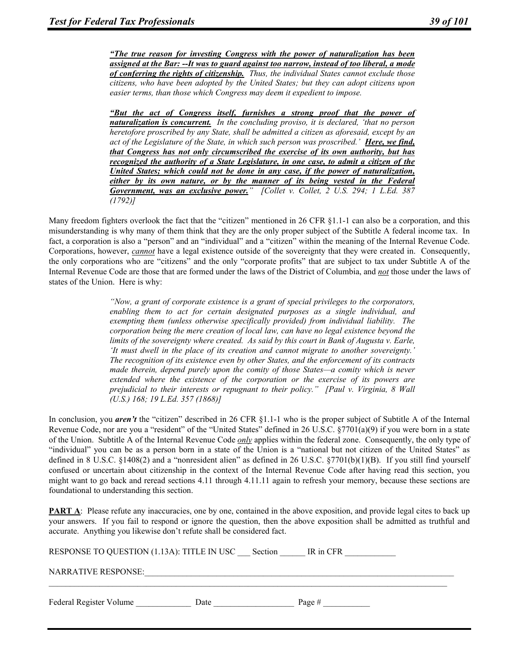*"The true reason for investing Congress with the power of naturalization has been assigned at the Bar: --It was to guard against too narrow, instead of too liberal, a mode of conferring the rights of citizenship. Thus, the individual States cannot exclude those citizens, who have been adopted by the United States; but they can adopt citizens upon easier terms, than those which Congress may deem it expedient to impose.* 

*"But the act of Congress itself, furnishes a strong proof that the power of naturalization is concurrent. In the concluding proviso, it is declared, 'that no person heretofore proscribed by any State, shall be admitted a citizen as aforesaid, except by an act of the Legislature of the State, in which such person was proscribed.' Here, we find, that Congress has not only circumscribed the exercise of its own authority, but has recognized the authority of a State Legislature, in one case, to admit a citizen of the United States; which could not be done in any case, if the power of naturalization, either by its own nature, or by the manner of its being vested in the Federal Government, was an exclusive power." [Collet v. Collet, 2 U.S. 294; 1 L.Ed. 387 (1792)]* 

Many freedom fighters overlook the fact that the "citizen" mentioned in 26 CFR §1.1-1 can also be a corporation, and this misunderstanding is why many of them think that they are the only proper subject of the Subtitle A federal income tax. In fact, a corporation is also a "person" and an "individual" and a "citizen" within the meaning of the Internal Revenue Code. Corporations, however, *cannot* have a legal existence outside of the sovereignty that they were created in. Consequently, the only corporations who are "citizens" and the only "corporate profits" that are subject to tax under Subtitle A of the Internal Revenue Code are those that are formed under the laws of the District of Columbia, and *not* those under the laws of states of the Union. Here is why:

> *"Now, a grant of corporate existence is a grant of special privileges to the corporators, enabling them to act for certain designated purposes as a single individual, and exempting them (unless otherwise specifically provided) from individual liability. The corporation being the mere creation of local law, can have no legal existence beyond the limits of the sovereignty where created. As said by this court in Bank of Augusta v. Earle, 'It must dwell in the place of its creation and cannot migrate to another sovereignty.' The recognition of its existence even by other States, and the enforcement of its contracts made therein, depend purely upon the comity of those States—a comity which is never extended where the existence of the corporation or the exercise of its powers are prejudicial to their interests or repugnant to their policy." [Paul v. Virginia, 8 Wall (U.S.) 168; 19 L.Ed. 357 (1868)]*

In conclusion, you *aren't* the "citizen" described in 26 CFR §1.1-1 who is the proper subject of Subtitle A of the Internal Revenue Code, nor are you a "resident" of the "United States" defined in 26 U.S.C.  $\S7701(a)(9)$  if you were born in a state of the Union. Subtitle A of the Internal Revenue Code *only* applies within the federal zone. Consequently, the only type of "individual" you can be as a person born in a state of the Union is a "national but not citizen of the United States" as defined in 8 U.S.C. §1408(2) and a "nonresident alien" as defined in 26 U.S.C. §7701(b)(1)(B). If you still find yourself confused or uncertain about citizenship in the context of the Internal Revenue Code after having read this section, you might want to go back and reread sections 4.11 through 4.11.11 again to refresh your memory, because these sections are foundational to understanding this section.

**PART A:** Please refute any inaccuracies, one by one, contained in the above exposition, and provide legal cites to back up your answers. If you fail to respond or ignore the question, then the above exposition shall be admitted as truthful and accurate. Anything you likewise don't refute shall be considered fact.

| RESPONSE TO QUESTION (1.13A): TITLE IN USC Section<br>IR in CFR |      |          |  |  |  |
|-----------------------------------------------------------------|------|----------|--|--|--|
| <b>NARRATIVE RESPONSE:</b>                                      |      |          |  |  |  |
| Federal Register Volume                                         | Date | Page $#$ |  |  |  |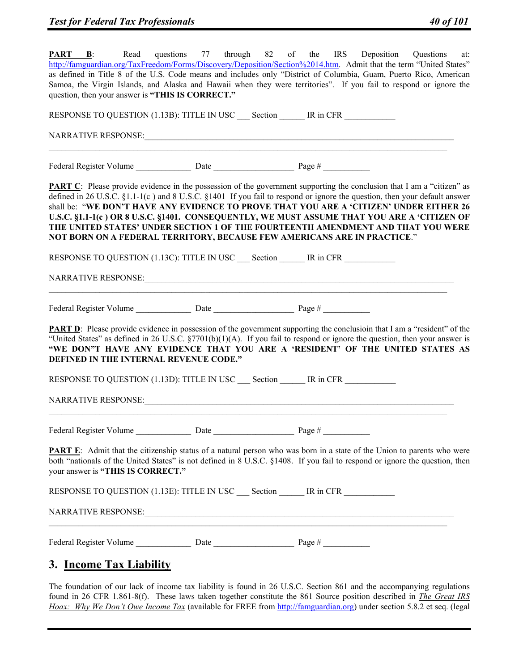| <b>PART B</b> :<br>Read<br>http://famguardian.org/TaxFreedom/Forms/Discovery/Deposition/Section%2014.htm. Admit that the term "United States"                                                                                                                                                                                                                                                                                                                                                                                                                                                                         |  | questions 77 through 82 of the IRS Deposition Questions<br>at: |
|-----------------------------------------------------------------------------------------------------------------------------------------------------------------------------------------------------------------------------------------------------------------------------------------------------------------------------------------------------------------------------------------------------------------------------------------------------------------------------------------------------------------------------------------------------------------------------------------------------------------------|--|----------------------------------------------------------------|
| as defined in Title 8 of the U.S. Code means and includes only "District of Columbia, Guam, Puerto Rico, American<br>Samoa, the Virgin Islands, and Alaska and Hawaii when they were territories". If you fail to respond or ignore the<br>question, then your answer is "THIS IS CORRECT."                                                                                                                                                                                                                                                                                                                           |  |                                                                |
| RESPONSE TO QUESTION (1.13B): TITLE IN USC Section IR in CFR                                                                                                                                                                                                                                                                                                                                                                                                                                                                                                                                                          |  |                                                                |
|                                                                                                                                                                                                                                                                                                                                                                                                                                                                                                                                                                                                                       |  |                                                                |
|                                                                                                                                                                                                                                                                                                                                                                                                                                                                                                                                                                                                                       |  |                                                                |
| <b>PART C</b> : Please provide evidence in the possession of the government supporting the conclusion that I am a "citizen" as<br>defined in 26 U.S.C. §1.1-1(c) and 8 U.S.C. §1401 If you fail to respond or ignore the question, then your default answer<br>shall be: "WE DON'T HAVE ANY EVIDENCE TO PROVE THAT YOU ARE A 'CITIZEN' UNDER EITHER 26<br>U.S.C. §1.1-1(c) OR 8 U.S.C. §1401. CONSEQUENTLY, WE MUST ASSUME THAT YOU ARE A 'CITIZEN OF<br>THE UNITED STATES' UNDER SECTION 1 OF THE FOURTEENTH AMENDMENT AND THAT YOU WERE<br>NOT BORN ON A FEDERAL TERRITORY, BECAUSE FEW AMERICANS ARE IN PRACTICE." |  |                                                                |
| RESPONSE TO QUESTION (1.13C): TITLE IN USC Section IR in CFR                                                                                                                                                                                                                                                                                                                                                                                                                                                                                                                                                          |  |                                                                |
|                                                                                                                                                                                                                                                                                                                                                                                                                                                                                                                                                                                                                       |  |                                                                |
|                                                                                                                                                                                                                                                                                                                                                                                                                                                                                                                                                                                                                       |  |                                                                |
| <b>PART D:</b> Please provide evidence in possession of the government supporting the conclusion that I am a "resident" of the<br>"United States" as defined in 26 U.S.C. $\S 7701(b)(1)(A)$ . If you fail to respond or ignore the question, then your answer is<br>"WE DON"T HAVE ANY EVIDENCE THAT YOU ARE A 'RESIDENT' OF THE UNITED STATES AS<br>DEFINED IN THE INTERNAL REVENUE CODE."                                                                                                                                                                                                                          |  |                                                                |
| RESPONSE TO QUESTION (1.13D): TITLE IN USC Section IR in CFR                                                                                                                                                                                                                                                                                                                                                                                                                                                                                                                                                          |  |                                                                |
| NARRATIVE RESPONSE:                                                                                                                                                                                                                                                                                                                                                                                                                                                                                                                                                                                                   |  |                                                                |
|                                                                                                                                                                                                                                                                                                                                                                                                                                                                                                                                                                                                                       |  |                                                                |
| <b>PART E:</b> Admit that the citizenship status of a natural person who was born in a state of the Union to parents who were<br>both "nationals of the United States" is not defined in 8 U.S.C. §1408. If you fail to respond or ignore the question, then<br>your answer is "THIS IS CORRECT."                                                                                                                                                                                                                                                                                                                     |  |                                                                |
| RESPONSE TO QUESTION (1.13E): TITLE IN USC Section IR in CFR                                                                                                                                                                                                                                                                                                                                                                                                                                                                                                                                                          |  |                                                                |
|                                                                                                                                                                                                                                                                                                                                                                                                                                                                                                                                                                                                                       |  |                                                                |
|                                                                                                                                                                                                                                                                                                                                                                                                                                                                                                                                                                                                                       |  |                                                                |
| 3. Income Tax Liability                                                                                                                                                                                                                                                                                                                                                                                                                                                                                                                                                                                               |  |                                                                |

The foundation of our lack of income tax liability is found in 26 U.S.C. Section 861 and the accompanying regulations found in 26 CFR 1.861-8(f). These laws taken together constitute the 861 Source position described in *The Great IRS Hoax: Why We Don't Owe Income Tax* (available for FREE from http://famguardian.org) under section 5.8.2 et seq. (legal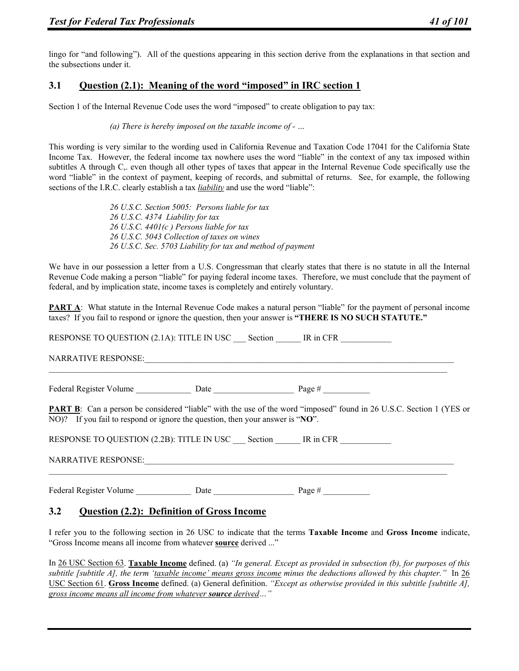lingo for "and following"). All of the questions appearing in this section derive from the explanations in that section and the subsections under it.

## **3.1 Question (2.1): Meaning of the word "imposed" in IRC section 1**

Section 1 of the Internal Revenue Code uses the word "imposed" to create obligation to pay tax:

#### *(a) There is hereby imposed on the taxable income of - …*

This wording is very similar to the wording used in California Revenue and Taxation Code 17041 for the California State Income Tax. However, the federal income tax nowhere uses the word "liable" in the context of any tax imposed within subtitles A through C,. even though all other types of taxes that appear in the Internal Revenue Code specifically use the word "liable" in the context of payment, keeping of records, and submittal of returns. See, for example, the following sections of the I.R.C. clearly establish a tax *liability* and use the word "liable":

> *26 U.S.C. Section 5005: Persons liable for tax 26 U.S.C. 4374 Liability for tax 26 U.S.C. 4401(c ) Persons liable for tax 26 U.S.C. 5043 Collection of taxes on wines 26 U.S.C. Sec. 5703 Liability for tax and method of payment*

We have in our possession a letter from a U.S. Congressman that clearly states that there is no statute in all the Internal Revenue Code making a person "liable" for paying federal income taxes. Therefore, we must conclude that the payment of federal, and by implication state, income taxes is completely and entirely voluntary.

**PART A:** What statute in the Internal Revenue Code makes a natural person "liable" for the payment of personal income taxes? If you fail to respond or ignore the question, then your answer is **"THERE IS NO SUCH STATUTE."**

|                                                                               | RESPONSE TO QUESTION (2.1A): TITLE IN USC Section IR in CFR                                                                |  |
|-------------------------------------------------------------------------------|----------------------------------------------------------------------------------------------------------------------------|--|
|                                                                               |                                                                                                                            |  |
|                                                                               |                                                                                                                            |  |
| NO)? If you fail to respond or ignore the question, then your answer is "NO". | <b>PART B:</b> Can a person be considered "liable" with the use of the word "imposed" found in 26 U.S.C. Section 1 (YES or |  |
|                                                                               | RESPONSE TO QUESTION (2.2B): TITLE IN USC __ Section ______ IR in CFR __________                                           |  |
|                                                                               |                                                                                                                            |  |
| Federal Register Volume Date Date Page #                                      |                                                                                                                            |  |

## **3.2 Question (2.2): Definition of Gross Income**

I refer you to the following section in 26 USC to indicate that the terms **Taxable Income** and **Gross Income** indicate, "Gross Income means all income from whatever **source** derived ..."

In 26 USC Section 63. **Taxable Income** defined. (a) *"In general. Except as provided in subsection (b), for purposes of this subtitle [subtitle A], the term 'taxable income' means gross income minus the deductions allowed by this chapter."* In 26 USC Section 61. **Gross Income** defined. (a) General definition. *"Except as otherwise provided in this subtitle [subtitle A], gross income means all income from whatever source derived…"*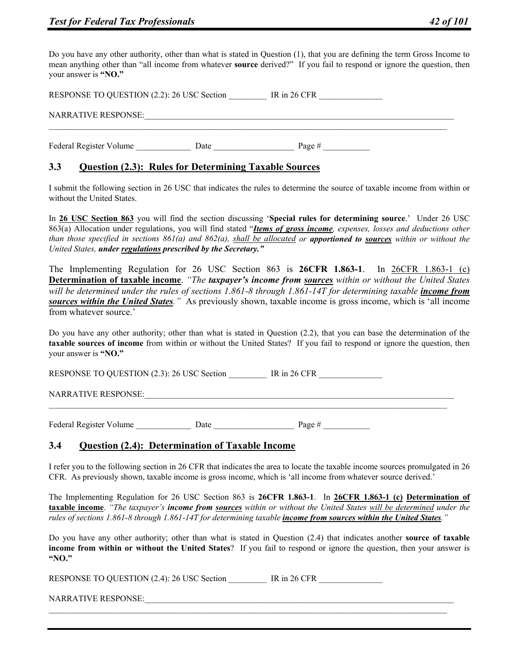Do you have any other authority, other than what is stated in Question (1), that you are defining the term Gross Income to mean anything other than "all income from whatever **source** derived?" If you fail to respond or ignore the question, then your answer is **"NO."**

RESPONSE TO QUESTION (2.2): 26 USC Section \_\_\_\_\_\_\_ IR in 26 CFR NARRATIVE RESPONSE: Federal Register Volume Date Date Page #  $\frac{1}{2}$ 

# **3.3 Question (2.3): Rules for Determining Taxable Sources**

I submit the following section in 26 USC that indicates the rules to determine the source of taxable income from within or without the United States.

In **26 USC Section 863** you will find the section discussing '**Special rules for determining source**.' Under 26 USC 863(a) Allocation under regulations, you will find stated "*Items of gross income, expenses, losses and deductions other than those specified in sections 861(a) and 862(a), shall be allocated or apportioned to sources within or without the United States, under regulations prescribed by the Secretary."*

The Implementing Regulation for 26 USC Section 863 is **26CFR 1.863-1**. In 26CFR 1.863-1 (c) **Determination of taxable income**. *"The taxpayer's income from sources within or without the United States will be determined under the rules of sections 1.861-8 through 1.861-14T for determining taxable <i>income from sources within the United States."* As previously shown, taxable income is gross income, which is 'all income from whatever source.'

Do you have any other authority; other than what is stated in Question (2.2), that you can base the determination of the **taxable sources of income** from within or without the United States? If you fail to respond or ignore the question, then your answer is **"NO."**

 $\mathcal{L}_\mathcal{L} = \{ \mathcal{L}_\mathcal{L} = \{ \mathcal{L}_\mathcal{L} = \{ \mathcal{L}_\mathcal{L} = \{ \mathcal{L}_\mathcal{L} = \{ \mathcal{L}_\mathcal{L} = \{ \mathcal{L}_\mathcal{L} = \{ \mathcal{L}_\mathcal{L} = \{ \mathcal{L}_\mathcal{L} = \{ \mathcal{L}_\mathcal{L} = \{ \mathcal{L}_\mathcal{L} = \{ \mathcal{L}_\mathcal{L} = \{ \mathcal{L}_\mathcal{L} = \{ \mathcal{L}_\mathcal{L} = \{ \mathcal{L}_\mathcal{$ 

RESPONSE TO QUESTION (2.3): 26 USC Section IR in 26 CFR

NARRATIVE RESPONSE:

Federal Register Volume Date Date Page #

## **3.4 Question (2.4): Determination of Taxable Income**

I refer you to the following section in 26 CFR that indicates the area to locate the taxable income sources promulgated in 26 CFR. As previously shown, taxable income is gross income, which is 'all income from whatever source derived.'

The Implementing Regulation for 26 USC Section 863 is **26CFR 1.863-1**. In **26CFR 1.863-1 (c) Determination of taxable income**. *"The taxpayer's income from sources within or without the United States will be determined under the rules of sections 1.861-8 through 1.861-14T for determining taxable income from sources within the United States."*

Do you have any other authority; other than what is stated in Question (2.4) that indicates another **source of taxable income from within or without the United States**? If you fail to respond or ignore the question, then your answer is **"NO."**

RESPONSE TO QUESTION (2.4): 26 USC Section \_\_\_\_\_\_\_ IR in 26 CFR

NARRATIVE RESPONSE: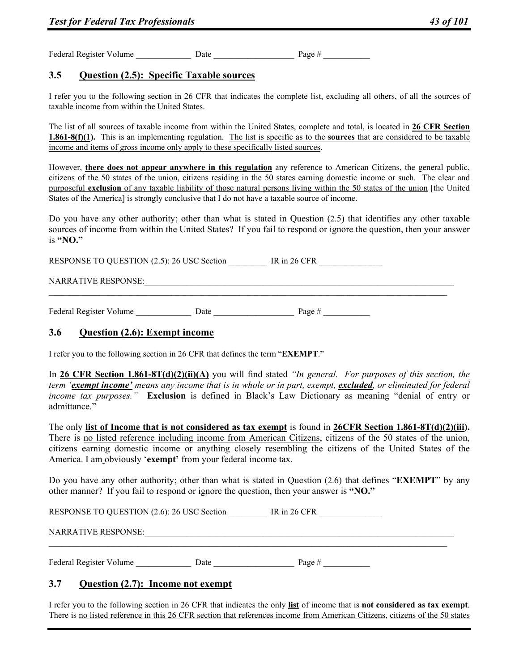Federal Register Volume  $\qquad \qquad$  Date  $\qquad \qquad$  Page #

# **3.5 Question (2.5): Specific Taxable sources**

I refer you to the following section in 26 CFR that indicates the complete list, excluding all others, of all the sources of taxable income from within the United States.

The list of all sources of taxable income from within the United States, complete and total, is located in **26 CFR Section 1.861-8(f)(1).** This is an implementing regulation. The list is specific as to the **sources** that are considered to be taxable income and items of gross income only apply to these specifically listed sources.

However, **there does not appear anywhere in this regulation** any reference to American Citizens, the general public, citizens of the 50 states of the union, citizens residing in the 50 states earning domestic income or such. The clear and purposeful **exclusion** of any taxable liability of those natural persons living within the 50 states of the union [the United States of the America] is strongly conclusive that I do not have a taxable source of income.

Do you have any other authority; other than what is stated in Question (2.5) that identifies any other taxable sources of income from within the United States? If you fail to respond or ignore the question, then your answer is **"NO."**

RESPONSE TO QUESTION (2.5): 26 USC Section \_\_\_\_\_\_\_\_\_ IR in 26 CFR \_\_\_\_\_\_\_\_\_\_\_\_\_\_

#### NARRATIVE RESPONSE:

Federal Register Volume \_\_\_\_\_\_\_\_\_\_\_\_\_ Date \_\_\_\_\_\_\_\_\_\_\_\_\_\_\_\_\_\_\_ Page # \_\_\_\_\_\_\_\_\_\_\_

#### **3.6 Question (2.6): Exempt income**

I refer you to the following section in 26 CFR that defines the term "**EXEMPT**."

In **26 CFR Section 1.861-8T(d)(2)(ii)(A)** you will find stated *"In general. For purposes of this section, the term 'exempt income' means any income that is in whole or in part, exempt, excluded, or eliminated for federal income tax purposes."* **Exclusion** is defined in Black's Law Dictionary as meaning "denial of entry or admittance."

The only **list of Income that is not considered as tax exempt** is found in **26CFR Section 1.861-8T(d)(2)(iii).** There is no listed reference including income from American Citizens, citizens of the 50 states of the union, citizens earning domestic income or anything closely resembling the citizens of the United States of the America. I am obviously '**exempt'** from your federal income tax.

Do you have any other authority; other than what is stated in Question (2.6) that defines "**EXEMPT**" by any other manner? If you fail to respond or ignore the question, then your answer is **"NO."**

RESPONSE TO QUESTION (2.6): 26 USC Section IR in 26 CFR

#### NARRATIVE RESPONSE:

Federal Register Volume Date Date Page #  $\frac{1}{2}$ 

## **3.7 Question (2.7): Income not exempt**

I refer you to the following section in 26 CFR that indicates the only **list** of income that is **not considered as tax exempt**. There is no listed reference in this 26 CFR section that references income from American Citizens, citizens of the 50 states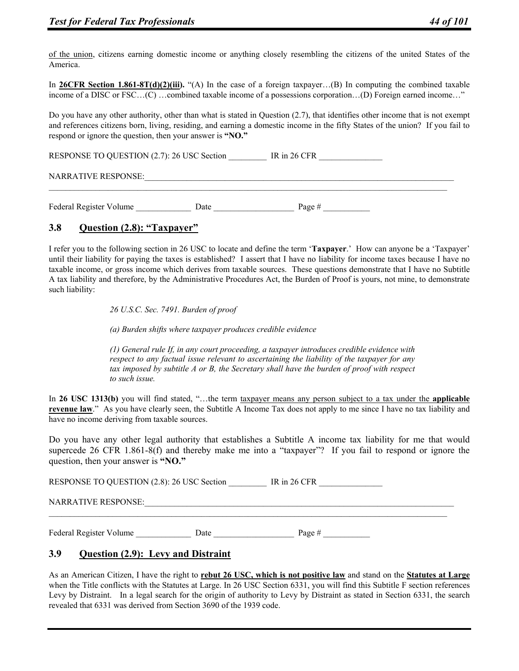of the union, citizens earning domestic income or anything closely resembling the citizens of the united States of the America.

In **26CFR Section 1.861-8T(d)(2)(iii).** "(A) In the case of a foreign taxpayer…(B) In computing the combined taxable income of a DISC or FSC…(C) …combined taxable income of a possessions corporation…(D) Foreign earned income…"

Do you have any other authority, other than what is stated in Question (2.7), that identifies other income that is not exempt and references citizens born, living, residing, and earning a domestic income in the fifty States of the union? If you fail to respond or ignore the question, then your answer is **"NO."** 

RESPONSE TO QUESTION (2.7): 26 USC Section \_\_\_\_\_\_\_\_\_\_\_ IR in 26 CFR \_\_\_\_\_\_\_\_\_\_\_\_

NARRATIVE RESPONSE:

Federal Register Volume Date Date Page #  $\frac{1}{2}$ 

# **3.8 Question (2.8): "Taxpayer"**

I refer you to the following section in 26 USC to locate and define the term '**Taxpayer**.' How can anyone be a 'Taxpayer' until their liability for paying the taxes is established? I assert that I have no liability for income taxes because I have no taxable income, or gross income which derives from taxable sources. These questions demonstrate that I have no Subtitle A tax liability and therefore, by the Administrative Procedures Act, the Burden of Proof is yours, not mine, to demonstrate such liability:

*26 U.S.C. Sec. 7491. Burden of proof* 

*(a) Burden shifts where taxpayer produces credible evidence* 

*(1) General rule If, in any court proceeding, a taxpayer introduces credible evidence with respect to any factual issue relevant to ascertaining the liability of the taxpayer for any tax imposed by subtitle A or B, the Secretary shall have the burden of proof with respect to such issue.* 

In **26 USC 1313(b)** you will find stated, "...the term taxpayer means any person subject to a tax under the **applicable revenue law**." As you have clearly seen, the Subtitle A Income Tax does not apply to me since I have no tax liability and have no income deriving from taxable sources.

Do you have any other legal authority that establishes a Subtitle A income tax liability for me that would supercede 26 CFR 1.861-8(f) and thereby make me into a "taxpayer"? If you fail to respond or ignore the question, then your answer is **"NO."** 

RESPONSE TO QUESTION (2.8): 26 USC Section \_\_\_\_\_\_\_\_\_\_\_\_ IR in 26 CFR \_\_\_\_\_\_\_\_\_\_\_

NARRATIVE RESPONSE:

Federal Register Volume Date Date Date Page #

## **3.9 Question (2.9): Levy and Distraint**

As an American Citizen, I have the right to **rebut 26 USC, which is not positive law** and stand on the **Statutes at Large** when the Title conflicts with the Statutes at Large. In 26 USC Section 6331, you will find this Subtitle F section references Levy by Distraint. In a legal search for the origin of authority to Levy by Distraint as stated in Section 6331, the search revealed that 6331 was derived from Section 3690 of the 1939 code.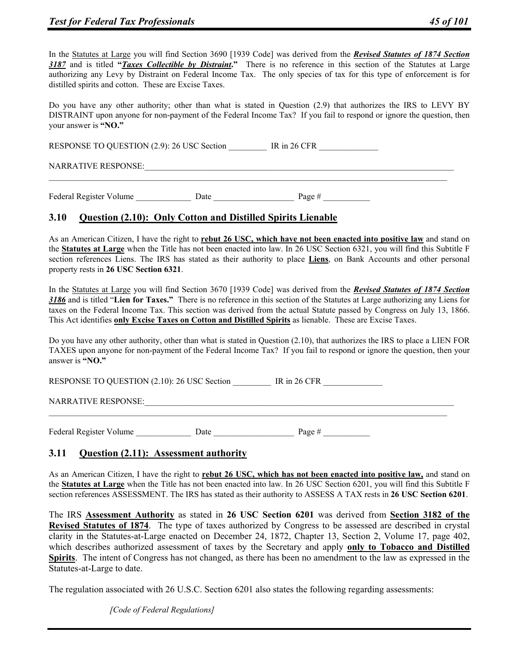In the Statutes at Large you will find Section 3690 [1939 Code] was derived from the *Revised Statutes of 1874 Section 3187* and is titled **"***Taxes Collectible by Distraint***."** There is no reference in this section of the Statutes at Large authorizing any Levy by Distraint on Federal Income Tax. The only species of tax for this type of enforcement is for distilled spirits and cotton. These are Excise Taxes.

Do you have any other authority; other than what is stated in Question (2.9) that authorizes the IRS to LEVY BY DISTRAINT upon anyone for non-payment of the Federal Income Tax? If you fail to respond or ignore the question, then your answer is **"NO."** 

RESPONSE TO QUESTION (2.9): 26 USC Section IR in 26 CFR

NARRATIVE RESPONSE:

Federal Register Volume \_\_\_\_\_\_\_\_\_\_\_\_\_\_\_\_\_\_\_\_ Date \_\_\_\_\_\_\_\_\_\_\_\_\_\_\_\_\_\_\_\_\_\_ Page #

#### **3.10 Question (2.10): Only Cotton and Distilled Spirits Lienable**

As an American Citizen, I have the right to **rebut 26 USC, which have not been enacted into positive law** and stand on the **Statutes at Large** when the Title has not been enacted into law. In 26 USC Section 6321, you will find this Subtitle F section references Liens. The IRS has stated as their authority to place **Liens**, on Bank Accounts and other personal property rests in **26 USC Section 6321**.

In the Statutes at Large you will find Section 3670 [1939 Code] was derived from the *Revised Statutes of 1874 Section 3186* and is titled "**Lien for Taxes."** There is no reference in this section of the Statutes at Large authorizing any Liens for taxes on the Federal Income Tax. This section was derived from the actual Statute passed by Congress on July 13, 1866. This Act identifies **only Excise Taxes on Cotton and Distilled Spirits** as lienable. These are Excise Taxes.

Do you have any other authority, other than what is stated in Question (2.10), that authorizes the IRS to place a LIEN FOR TAXES upon anyone for non-payment of the Federal Income Tax? If you fail to respond or ignore the question, then your answer is **"NO."**

 $\mathcal{L}_\mathcal{L} = \{ \mathcal{L}_\mathcal{L} = \{ \mathcal{L}_\mathcal{L} = \{ \mathcal{L}_\mathcal{L} = \{ \mathcal{L}_\mathcal{L} = \{ \mathcal{L}_\mathcal{L} = \{ \mathcal{L}_\mathcal{L} = \{ \mathcal{L}_\mathcal{L} = \{ \mathcal{L}_\mathcal{L} = \{ \mathcal{L}_\mathcal{L} = \{ \mathcal{L}_\mathcal{L} = \{ \mathcal{L}_\mathcal{L} = \{ \mathcal{L}_\mathcal{L} = \{ \mathcal{L}_\mathcal{L} = \{ \mathcal{L}_\mathcal{$ 

RESPONSE TO QUESTION (2.10): 26 USC Section FR in 26 CFR

NARRATIVE RESPONSE:

Federal Register Volume \_\_\_\_\_\_\_\_\_\_\_\_\_ Date \_\_\_\_\_\_\_\_\_\_\_\_\_\_\_\_\_\_\_ Page # \_\_\_\_\_\_\_\_\_\_\_

## **3.11 Question (2.11): Assessment authority**

As an American Citizen, I have the right to **rebut 26 USC, which has not been enacted into positive law,** and stand on the **Statutes at Large** when the Title has not been enacted into law. In 26 USC Section 6201, you will find this Subtitle F section references ASSESSMENT. The IRS has stated as their authority to ASSESS A TAX rests in **26 USC Section 6201**.

The IRS **Assessment Authority** as stated in **26 USC Section 6201** was derived from **Section 3182 of the Revised Statutes of 1874**. The type of taxes authorized by Congress to be assessed are described in crystal clarity in the Statutes-at-Large enacted on December 24, 1872, Chapter 13, Section 2, Volume 17, page 402, which describes authorized assessment of taxes by the Secretary and apply **only to Tobacco and Distilled Spirits**. The intent of Congress has not changed, as there has been no amendment to the law as expressed in the Statutes-at-Large to date.

The regulation associated with 26 U.S.C. Section 6201 also states the following regarding assessments:

*[Code of Federal Regulations]*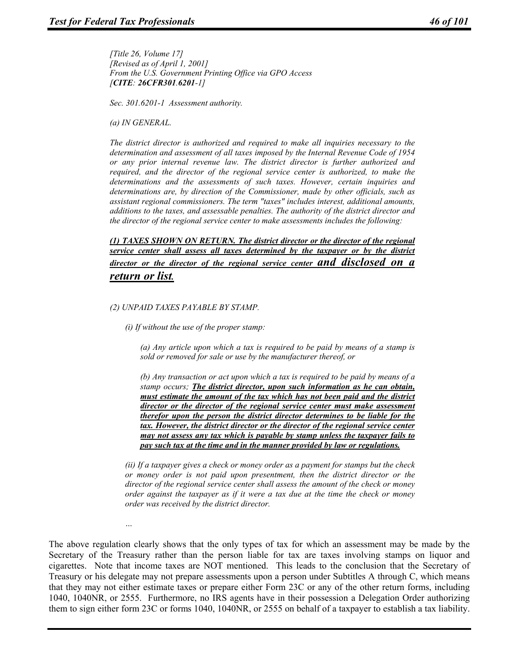*[Title 26, Volume 17] [Revised as of April 1, 2001] From the U.S. Government Printing Office via GPO Access [CITE: 26CFR301.6201-1]* 

*Sec. 301.6201-1 Assessment authority.* 

*(a) IN GENERAL.* 

*…* 

*The district director is authorized and required to make all inquiries necessary to the determination and assessment of all taxes imposed by the Internal Revenue Code of 1954 or any prior internal revenue law. The district director is further authorized and required, and the director of the regional service center is authorized, to make the determinations and the assessments of such taxes. However, certain inquiries and determinations are, by direction of the Commissioner, made by other officials, such as assistant regional commissioners. The term "taxes" includes interest, additional amounts, additions to the taxes, and assessable penalties. The authority of the district director and the director of the regional service center to make assessments includes the following:* 

*(1) TAXES SHOWN ON RETURN. The district director or the director of the regional service center shall assess all taxes determined by the taxpayer or by the district director or the director of the regional service center and disclosed on a return or list.*

#### *(2) UNPAID TAXES PAYABLE BY STAMP.*

*(i) If without the use of the proper stamp:* 

*(a) Any article upon which a tax is required to be paid by means of a stamp is sold or removed for sale or use by the manufacturer thereof, or* 

*(b) Any transaction or act upon which a tax is required to be paid by means of a stamp occurs; The district director, upon such information as he can obtain, must estimate the amount of the tax which has not been paid and the district director or the director of the regional service center must make assessment therefor upon the person the district director determines to be liable for the tax. However, the district director or the director of the regional service center may not assess any tax which is payable by stamp unless the taxpayer fails to pay such tax at the time and in the manner provided by law or regulations.*

*(ii) If a taxpayer gives a check or money order as a payment for stamps but the check or money order is not paid upon presentment, then the district director or the director of the regional service center shall assess the amount of the check or money order against the taxpayer as if it were a tax due at the time the check or money order was received by the district director.* 

The above regulation clearly shows that the only types of tax for which an assessment may be made by the Secretary of the Treasury rather than the person liable for tax are taxes involving stamps on liquor and cigarettes. Note that income taxes are NOT mentioned. This leads to the conclusion that the Secretary of Treasury or his delegate may not prepare assessments upon a person under Subtitles A through C, which means that they may not either estimate taxes or prepare either Form 23C or any of the other return forms, including 1040, 1040NR, or 2555. Furthermore, no IRS agents have in their possession a Delegation Order authorizing them to sign either form 23C or forms 1040, 1040NR, or 2555 on behalf of a taxpayer to establish a tax liability.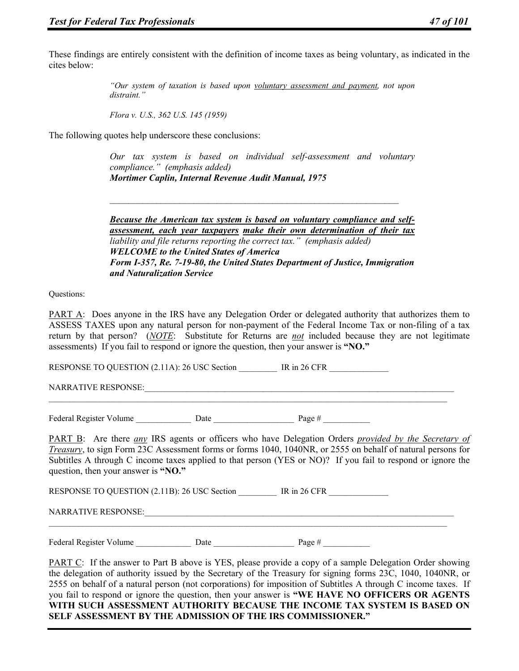These findings are entirely consistent with the definition of income taxes as being voluntary, as indicated in the cites below:

> *"Our system of taxation is based upon voluntary assessment and payment, not upon distraint."*

*Flora v. U.S., 362 U.S. 145 (1959)* 

The following quotes help underscore these conclusions:

*Our tax system is based on individual self-assessment and voluntary compliance." (emphasis added) Mortimer Caplin, Internal Revenue Audit Manual, 1975* 

*Because the American tax system is based on voluntary compliance and selfassessment, each year taxpayers make their own determination of their tax liability and file returns reporting the correct tax." (emphasis added) WELCOME to the United States of America Form I-357, Re. 7-19-80, the United States Department of Justice, Immigration and Naturalization Service* 

Questions:

PART A: Does anyone in the IRS have any Delegation Order or delegated authority that authorizes them to ASSESS TAXES upon any natural person for non-payment of the Federal Income Tax or non-filing of a tax return by that person? (*NOTE*: Substitute for Returns are *not* included because they are not legitimate assessments) If you fail to respond or ignore the question, then your answer is **"NO."**

RESPONSE TO QUESTION (2.11A): 26 USC Section IR in 26 CFR

NARRATIVE RESPONSE:

Federal Register Volume Date Date Page #  $\frac{1}{2}$ 

PART B: Are there *any* IRS agents or officers who have Delegation Orders *provided by the Secretary of Treasury*, to sign Form 23C Assessment forms or forms 1040, 1040NR, or 2555 on behalf of natural persons for Subtitles A through C income taxes applied to that person (YES or NO)? If you fail to respond or ignore the question, then your answer is **"NO."**

 $\mathcal{L}_\mathcal{L} = \{ \mathcal{L}_\mathcal{L} = \{ \mathcal{L}_\mathcal{L} = \{ \mathcal{L}_\mathcal{L} = \{ \mathcal{L}_\mathcal{L} = \{ \mathcal{L}_\mathcal{L} = \{ \mathcal{L}_\mathcal{L} = \{ \mathcal{L}_\mathcal{L} = \{ \mathcal{L}_\mathcal{L} = \{ \mathcal{L}_\mathcal{L} = \{ \mathcal{L}_\mathcal{L} = \{ \mathcal{L}_\mathcal{L} = \{ \mathcal{L}_\mathcal{L} = \{ \mathcal{L}_\mathcal{L} = \{ \mathcal{L}_\mathcal{$ 

RESPONSE TO QUESTION (2.11B): 26 USC Section IR in 26 CFR

 $\mathcal{L}_\mathcal{L} = \{ \mathcal{L}_\mathcal{L} = \{ \mathcal{L}_\mathcal{L} = \{ \mathcal{L}_\mathcal{L} = \{ \mathcal{L}_\mathcal{L} = \{ \mathcal{L}_\mathcal{L} = \{ \mathcal{L}_\mathcal{L} = \{ \mathcal{L}_\mathcal{L} = \{ \mathcal{L}_\mathcal{L} = \{ \mathcal{L}_\mathcal{L} = \{ \mathcal{L}_\mathcal{L} = \{ \mathcal{L}_\mathcal{L} = \{ \mathcal{L}_\mathcal{L} = \{ \mathcal{L}_\mathcal{L} = \{ \mathcal{L}_\mathcal{$ 

NARRATIVE RESPONSE:

Federal Register Volume Date Date Date Page #

PART C: If the answer to Part B above is YES, please provide a copy of a sample Delegation Order showing the delegation of authority issued by the Secretary of the Treasury for signing forms 23C, 1040, 1040NR, or 2555 on behalf of a natural person (not corporations) for imposition of Subtitles A through C income taxes. If you fail to respond or ignore the question, then your answer is **"WE HAVE NO OFFICERS OR AGENTS WITH SUCH ASSESSMENT AUTHORITY BECAUSE THE INCOME TAX SYSTEM IS BASED ON SELF ASSESSMENT BY THE ADMISSION OF THE IRS COMMISSIONER."**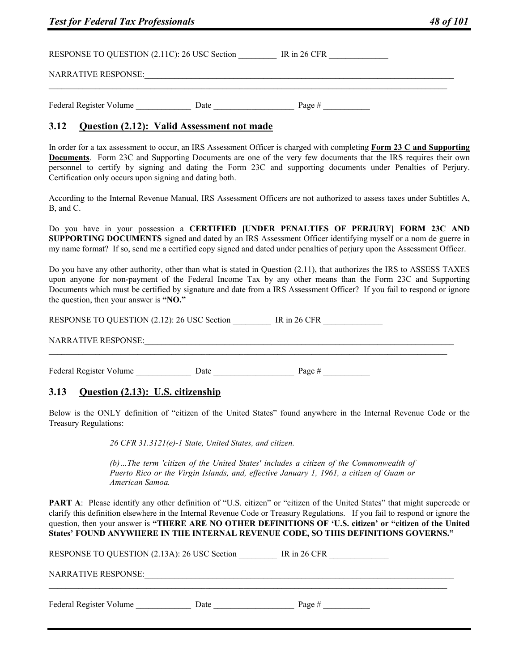| <b>Test for Federal Tax Professionals</b>    | 48 of 101 |                |  |
|----------------------------------------------|-----------|----------------|--|
| RESPONSE TO QUESTION (2.11C): 26 USC Section |           | IR in $26$ CFR |  |
| <b>NARRATIVE RESPONSE:</b>                   |           |                |  |
| Federal Register Volume                      | Date      | Page #         |  |

#### **3.12 Question (2.12): Valid Assessment not made**

In order for a tax assessment to occur, an IRS Assessment Officer is charged with completing **Form 23 C and Supporting Documents**. Form 23C and Supporting Documents are one of the very few documents that the IRS requires their own personnel to certify by signing and dating the Form 23C and supporting documents under Penalties of Perjury. Certification only occurs upon signing and dating both.

According to the Internal Revenue Manual, IRS Assessment Officers are not authorized to assess taxes under Subtitles A, B, and C.

Do you have in your possession a **CERTIFIED [UNDER PENALTIES OF PERJURY] FORM 23C AND SUPPORTING DOCUMENTS** signed and dated by an IRS Assessment Officer identifying myself or a nom de guerre in my name format? If so, send me a certified copy signed and dated under penalties of perjury upon the Assessment Officer.

Do you have any other authority, other than what is stated in Question (2.11), that authorizes the IRS to ASSESS TAXES upon anyone for non-payment of the Federal Income Tax by any other means than the Form 23C and Supporting Documents which must be certified by signature and date from a IRS Assessment Officer? If you fail to respond or ignore the question, then your answer is **"NO."**

RESPONSE TO QUESTION (2.12): 26 USC Section \_\_\_\_\_\_\_\_\_\_\_ IR in 26 CFR \_\_\_\_\_\_\_\_\_\_\_

 $\mathcal{L}_\mathcal{L} = \{ \mathcal{L}_\mathcal{L} = \{ \mathcal{L}_\mathcal{L} = \{ \mathcal{L}_\mathcal{L} = \{ \mathcal{L}_\mathcal{L} = \{ \mathcal{L}_\mathcal{L} = \{ \mathcal{L}_\mathcal{L} = \{ \mathcal{L}_\mathcal{L} = \{ \mathcal{L}_\mathcal{L} = \{ \mathcal{L}_\mathcal{L} = \{ \mathcal{L}_\mathcal{L} = \{ \mathcal{L}_\mathcal{L} = \{ \mathcal{L}_\mathcal{L} = \{ \mathcal{L}_\mathcal{L} = \{ \mathcal{L}_\mathcal{$ 

NARRATIVE RESPONSE:

Federal Register Volume \_\_\_\_\_\_\_\_\_\_\_\_\_ Date \_\_\_\_\_\_\_\_\_\_\_\_\_\_\_\_\_\_\_ Page # \_\_\_\_\_\_\_\_\_\_\_

#### **3.13 Question (2.13): U.S. citizenship**

Below is the ONLY definition of "citizen of the United States" found anywhere in the Internal Revenue Code or the Treasury Regulations:

*26 CFR 31.3121(e)-1 State, United States, and citizen.* 

*(b)…The term 'citizen of the United States' includes a citizen of the Commonwealth of Puerto Rico or the Virgin Islands, and, effective January 1, 1961, a citizen of Guam or American Samoa.* 

**PART A:** Please identify any other definition of "U.S. citizen" or "citizen of the United States" that might supercede or clarify this definition elsewhere in the Internal Revenue Code or Treasury Regulations. If you fail to respond or ignore the question, then your answer is **"THERE ARE NO OTHER DEFINITIONS OF 'U.S. citizen' or "citizen of the United States' FOUND ANYWHERE IN THE INTERNAL REVENUE CODE, SO THIS DEFINITIONS GOVERNS."**

| RESPONSE TO QUESTION (2.13A): 26 USC Section |      |          |  |
|----------------------------------------------|------|----------|--|
| <b>NARRATIVE RESPONSE:</b>                   |      |          |  |
| Federal Register Volume                      | Date | Page $#$ |  |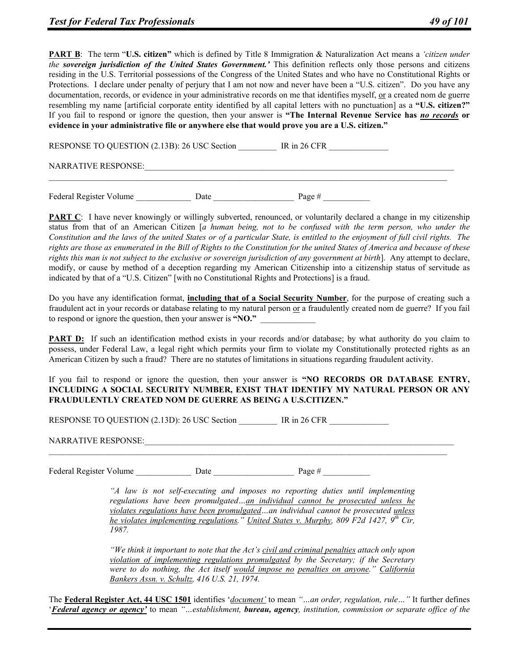**PART B**: The term "**U.S. citizen"** which is defined by Title 8 Immigration & Naturalization Act means a *'citizen under the sovereign jurisdiction of the United States Government.'* This definition reflects only those persons and citizens residing in the U.S. Territorial possessions of the Congress of the United States and who have no Constitutional Rights or Protections. I declare under penalty of perjury that I am not now and never have been a "U.S. citizen". Do you have any documentation, records, or evidence in your administrative records on me that identifies myself, or a created nom de guerre resembling my name [artificial corporate entity identified by all capital letters with no punctuation] as a **"U.S. citizen?"** If you fail to respond or ignore the question, then your answer is **"The Internal Revenue Service has** *no records* **or evidence in your administrative file or anywhere else that would prove you are a U.S. citizen."**

RESPONSE TO QUESTION (2.13B): 26 USC Section IR in 26 CFR

NARRATIVE RESPONSE:

Federal Register Volume \_\_\_\_\_\_\_\_\_\_\_\_\_ Date \_\_\_\_\_\_\_\_\_\_\_\_\_\_\_\_\_\_\_ Page # \_\_\_\_\_\_\_\_\_\_\_

**PART C**: I have never knowingly or willingly subverted, renounced, or voluntarily declared a change in my citizenship status from that of an American Citizen [*a human being, not to be confused with the term person, who under the Constitution and the laws of the united States or of a particular State, is entitled to the enjoyment of full civil rights. The rights are those as enumerated in the Bill of Rights to the Constitution for the united States of America and because of these rights this man is not subject to the exclusive or sovereign jurisdiction of any government at birth*]. Any attempt to declare, modify, or cause by method of a deception regarding my American Citizenship into a citizenship status of servitude as indicated by that of a "U.S. Citizen" [with no Constitutional Rights and Protections] is a fraud.

Do you have any identification format, **including that of a Social Security Number**, for the purpose of creating such a fraudulent act in your records or database relating to my natural person or a fraudulently created nom de guerre? If you fail to respond or ignore the question, then your answer is **"NO."** 

**PART D:** If such an identification method exists in your records and/or database; by what authority do you claim to possess, under Federal Law, a legal right which permits your firm to violate my Constitutionally protected rights as an American Citizen by such a fraud? There are no statutes of limitations in situations regarding fraudulent activity.

If you fail to respond or ignore the question, then your answer is **"NO RECORDS OR DATABASE ENTRY, INCLUDING A SOCIAL SECURITY NUMBER, EXIST THAT IDENTIFY MY NATURAL PERSON OR ANY FRAUDULENTLY CREATED NOM DE GUERRE AS BEING A U.S.CITIZEN."**

RESPONSE TO QUESTION (2.13D): 26 USC Section FR in 26 CFR

NARRATIVE RESPONSE:

Federal Register Volume Date Date Page #  $\frac{1}{2}$ 

*"A law is not self-executing and imposes no reporting duties until implementing regulations have been promulgated…an individual cannot be prosecuted unless he violates regulations have been promulgated…an individual cannot be prosecuted unless he violates implementing regulations." United States v. Murphy, 809 F2d 1427, 9th Cir, 1987.* 

*"We think it important to note that the Act's civil and criminal penalties attach only upon violation of implementing regulations promulgated by the Secretary; if the Secretary were to do nothing, the Act itself would impose no penalties on anyone." California Bankers Assn. v. Schultz, 416 U.S. 21, 1974.* 

The **Federal Register Act, 44 USC 1501** identifies '*document'* to mean *"…an order, regulation, rule…"* It further defines '*Federal agency or agency'* to mean *"…establishment, bureau, agency, institution, commission or separate office of the*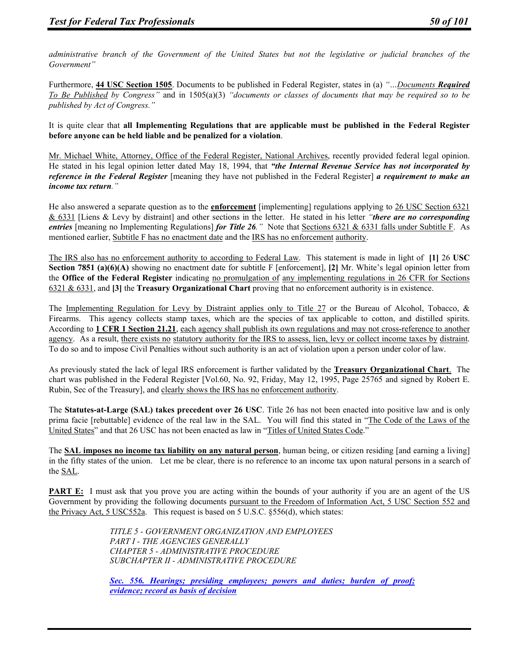*administrative branch of the Government of the United States but not the legislative or judicial branches of the Government"*

Furthermore, **44 USC Section 1505**. Documents to be published in Federal Register, states in (a) *"…Documents Required To Be Published by Congress"* and in 1505(a)(3) *"documents or classes of documents that may be required so to be published by Act of Congress."*

It is quite clear that **all Implementing Regulations that are applicable must be published in the Federal Register before anyone can be held liable and be penalized for a violation**.

Mr. Michael White, Attorney, Office of the Federal Register, National Archives, recently provided federal legal opinion. He stated in his legal opinion letter dated May 18, 1994, that *"the Internal Revenue Service has not incorporated by reference in the Federal Register* [meaning they have not published in the Federal Register] *a requirement to make an income tax return."*

He also answered a separate question as to the **enforcement** [implementing] regulations applying to 26 USC Section 6321 & 6331 [Liens & Levy by distraint] and other sections in the letter. He stated in his letter *"there are no corresponding entries* [meaning no Implementing Regulations] *for Title 26*." Note that Sections 6321 & 6331 falls under Subtitle F. As mentioned earlier, Subtitle F has no enactment date and the IRS has no enforcement authority.

The IRS also has no enforcement authority to according to Federal Law. This statement is made in light of **[1]** 26 **USC Section 7851 (a)(6)(A)** showing no enactment date for subtitle F [enforcement], [2] Mr. White's legal opinion letter from the **Office of the Federal Register** indicating no promulgation of any implementing regulations in 26 CFR for Sections 6321 & 6331, and **[3]** the **Treasury Organizational Chart** proving that no enforcement authority is in existence.

The <u>Implementing Regulation for Levy by Distraint applies only to Title 27</u> or the Bureau of Alcohol, Tobacco, & Firearms. This agency collects stamp taxes, which are the species of tax applicable to cotton, and distilled spirits. According to **1 CFR 1 Section 21.21**, each agency shall publish its own regulations and may not cross-reference to another agency. As a result, there exists no statutory authority for the IRS to assess, lien, levy or collect income taxes by distraint. To do so and to impose Civil Penalties without such authority is an act of violation upon a person under color of law.

As previously stated the lack of legal IRS enforcement is further validated by the **Treasury Organizational Chart**. The chart was published in the Federal Register [Vol.60, No. 92, Friday, May 12, 1995, Page 25765 and signed by Robert E. Rubin, Sec of the Treasury], and clearly shows the IRS has no enforcement authority.

The **Statutes-at-Large (SAL) takes precedent over 26 USC**. Title 26 has not been enacted into positive law and is only prima facie [rebuttable] evidence of the real law in the SAL. You will find this stated in "The Code of the Laws of the United States" and that 26 USC has not been enacted as law in "Titles of United States Code."

The **SAL imposes no income tax liability on any natural person**, human being, or citizen residing [and earning a living] in the fifty states of the union. Let me be clear, there is no reference to an income tax upon natural persons in a search of the SAL.

**PART E:** I must ask that you prove you are acting within the bounds of your authority if you are an agent of the US Government by providing the following documents pursuant to the Freedom of Information Act, 5 USC Section 552 and the Privacy Act, 5 USC552a. This request is based on 5 U.S.C. §556(d), which states:

> *TITLE 5 - GOVERNMENT ORGANIZATION AND EMPLOYEES PART I - THE AGENCIES GENERALLY CHAPTER 5 - ADMINISTRATIVE PROCEDURE SUBCHAPTER II - ADMINISTRATIVE PROCEDURE*

*Sec. 556. Hearings; presiding employees; powers and duties; burden of proof; evidence; record as basis of decision*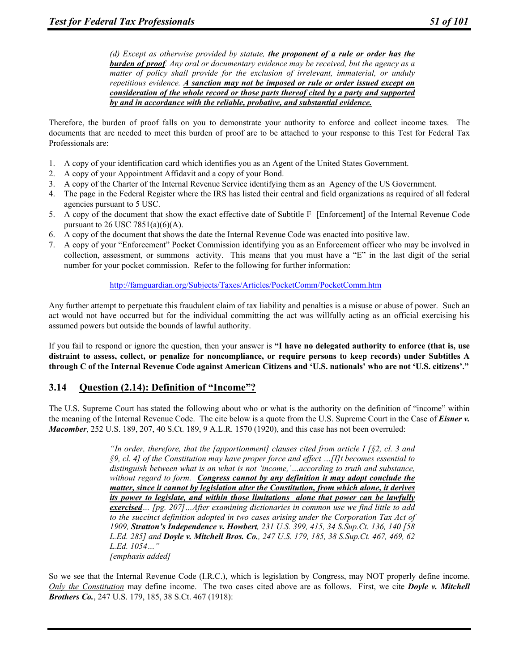*(d) Except as otherwise provided by statute, the proponent of a rule or order has the burden of proof. Any oral or documentary evidence may be received, but the agency as a matter of policy shall provide for the exclusion of irrelevant, immaterial, or unduly repetitious evidence. A sanction may not be imposed or rule or order issued except on consideration of the whole record or those parts thereof cited by a party and supported by and in accordance with the reliable, probative, and substantial evidence.*

Therefore, the burden of proof falls on you to demonstrate your authority to enforce and collect income taxes. The documents that are needed to meet this burden of proof are to be attached to your response to this Test for Federal Tax Professionals are:

- 1. A copy of your identification card which identifies you as an Agent of the United States Government.
- 2. A copy of your Appointment Affidavit and a copy of your Bond.
- 3. A copy of the Charter of the Internal Revenue Service identifying them as an Agency of the US Government.
- 4. The page in the Federal Register where the IRS has listed their central and field organizations as required of all federal agencies pursuant to 5 USC.
- 5. A copy of the document that show the exact effective date of Subtitle F [Enforcement] of the Internal Revenue Code pursuant to 26 USC 7851(a)(6)(A).
- 6. A copy of the document that shows the date the Internal Revenue Code was enacted into positive law.
- 7. A copy of your "Enforcement" Pocket Commission identifying you as an Enforcement officer who may be involved in collection, assessment, or summons activity. This means that you must have a "E" in the last digit of the serial number for your pocket commission. Refer to the following for further information:

#### http://famguardian.org/Subjects/Taxes/Articles/PocketComm/PocketComm.htm

Any further attempt to perpetuate this fraudulent claim of tax liability and penalties is a misuse or abuse of power. Such an act would not have occurred but for the individual committing the act was willfully acting as an official exercising his assumed powers but outside the bounds of lawful authority.

If you fail to respond or ignore the question, then your answer is **"I have no delegated authority to enforce (that is, use distraint to assess, collect, or penalize for noncompliance, or require persons to keep records) under Subtitles A through C of the Internal Revenue Code against American Citizens and 'U.S. nationals' who are not 'U.S. citizens'."**

## **3.14 Question (2.14): Definition of "Income"?**

The U.S. Supreme Court has stated the following about who or what is the authority on the definition of "income" within the meaning of the Internal Revenue Code. The cite below is a quote from the U.S. Supreme Court in the Case of *Eisner v. Macomber*, 252 U.S. 189, 207, 40 S.Ct. 189, 9 A.L.R. 1570 (1920), and this case has not been overruled:

> *"In order, therefore, that the [apportionment] clauses cited from article I [§2, cl. 3 and §9, cl. 4] of the Constitution may have proper force and effect …[I]t becomes essential to distinguish between what is an what is not 'income,'…according to truth and substance, without regard to form. Congress cannot by any definition it may adopt conclude the matter, since it cannot by legislation alter the Constitution, from which alone, it derives its power to legislate, and within those limitations alone that power can be lawfully exercised… [pg. 207]…After examining dictionaries in common use we find little to add to the succinct definition adopted in two cases arising under the Corporation Tax Act of 1909, Stratton's Independence v. Howbert, 231 U.S. 399, 415, 34 S.Sup.Ct. 136, 140 [58 L.Ed. 285] and Doyle v. Mitchell Bros. Co., 247 U.S. 179, 185, 38 S.Sup.Ct. 467, 469, 62 L.Ed. 1054…" [emphasis added]*

So we see that the Internal Revenue Code (I.R.C.), which is legislation by Congress, may NOT properly define income. *Only the Constitution* may define income. The two cases cited above are as follows. First, we cite *Doyle v. Mitchell Brothers Co.*, 247 U.S. 179, 185, 38 S.Ct. 467 (1918):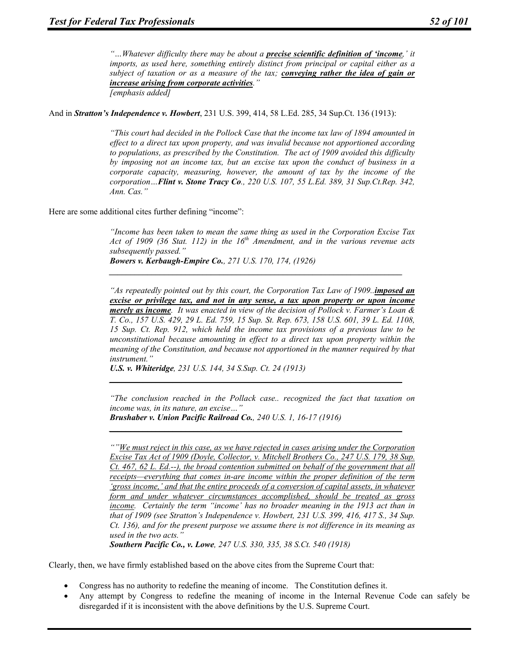*"…Whatever difficulty there may be about a precise scientific definition of 'income,' it imports, as used here, something entirely distinct from principal or capital either as a subject of taxation or as a measure of the tax; conveying rather the idea of gain or increase arising from corporate activities." [emphasis added]* 

And in *Stratton's Independence v. Howbert*, 231 U.S. 399, 414, 58 L.Ed. 285, 34 Sup.Ct. 136 (1913):

*"This court had decided in the Pollock Case that the income tax law of 1894 amounted in effect to a direct tax upon property, and was invalid because not apportioned according to populations, as prescribed by the Constitution. The act of 1909 avoided this difficulty by imposing not an income tax, but an excise tax upon the conduct of business in a corporate capacity, measuring, however, the amount of tax by the income of the corporation…Flint v. Stone Tracy Co., 220 U.S. 107, 55 L.Ed. 389, 31 Sup.Ct.Rep. 342, Ann. Cas."* 

Here are some additional cites further defining "income":

*"Income has been taken to mean the same thing as used in the Corporation Excise Tax Act of 1909 (36 Stat. 112) in the 16th Amendment, and in the various revenue acts subsequently passed." Bowers v. Kerbaugh-Empire Co., 271 U.S. 170, 174, (1926)* 

*\_\_\_\_\_\_\_\_\_\_\_\_\_\_\_\_\_\_\_\_\_\_\_\_\_\_\_\_\_\_\_\_\_\_\_\_\_\_\_\_\_\_\_\_\_\_\_\_\_\_\_\_\_\_\_\_\_\_\_\_\_\_\_\_\_\_\_\_\_*

*"As repeatedly pointed out by this court, the Corporation Tax Law of 1909..imposed an excise or privilege tax, and not in any sense, a tax upon property or upon income merely as income. It was enacted in view of the decision of Pollock v. Farmer's Loan & T. Co., 157 U.S. 429, 29 L. Ed. 759, 15 Sup. St. Rep. 673, 158 U.S. 601, 39 L. Ed. 1108, 15 Sup. Ct. Rep. 912, which held the income tax provisions of a previous law to be unconstitutional because amounting in effect to a direct tax upon property within the meaning of the Constitution, and because not apportioned in the manner required by that instrument."* 

*U.S. v. Whiteridge, 231 U.S. 144, 34 S.Sup. Ct. 24 (1913)* 

*"The conclusion reached in the Pollack case.. recognized the fact that taxation on income was, in its nature, an excise…"* 

*\_\_\_\_\_\_\_\_\_\_\_\_\_\_\_\_\_\_\_\_\_\_\_\_\_\_\_\_\_\_\_\_\_\_\_\_\_\_\_\_\_\_\_\_\_\_\_\_\_\_\_\_\_\_\_\_\_\_\_\_\_\_\_\_\_\_\_\_\_*

*\_\_\_\_\_\_\_\_\_\_\_\_\_\_\_\_\_\_\_\_\_\_\_\_\_\_\_\_\_\_\_\_\_\_\_\_\_\_\_\_\_\_\_\_\_\_\_\_\_\_\_\_\_\_\_\_\_\_\_\_\_\_\_\_\_\_\_\_\_*

*Brushaber v. Union Pacific Railroad Co., 240 U.S. 1, 16-17 (1916)* 

*""We must reject in this case, as we have rejected in cases arising under the Corporation Excise Tax Act of 1909 (Doyle, Collector, v. Mitchell Brothers Co., 247 U.S. 179, 38 Sup. Ct. 467, 62 L. Ed.--), the broad contention submitted on behalf of the government that all receipts—everything that comes in-are income within the proper definition of the term 'gross income,' and that the entire proceeds of a conversion of capital assets, in whatever form and under whatever circumstances accomplished, should be treated as gross income.* Certainly the term "income' has no broader meaning in the 1913 act than in *that of 1909 (see Stratton's Independence v. Howbert, 231 U.S. 399, 416, 417 S., 34 Sup. Ct. 136), and for the present purpose we assume there is not difference in its meaning as used in the two acts."* 

*Southern Pacific Co., v. Lowe, 247 U.S. 330, 335, 38 S.Ct. 540 (1918)* 

Clearly, then, we have firmly established based on the above cites from the Supreme Court that:

- Congress has no authority to redefine the meaning of income. The Constitution defines it.
- Any attempt by Congress to redefine the meaning of income in the Internal Revenue Code can safely be disregarded if it is inconsistent with the above definitions by the U.S. Supreme Court.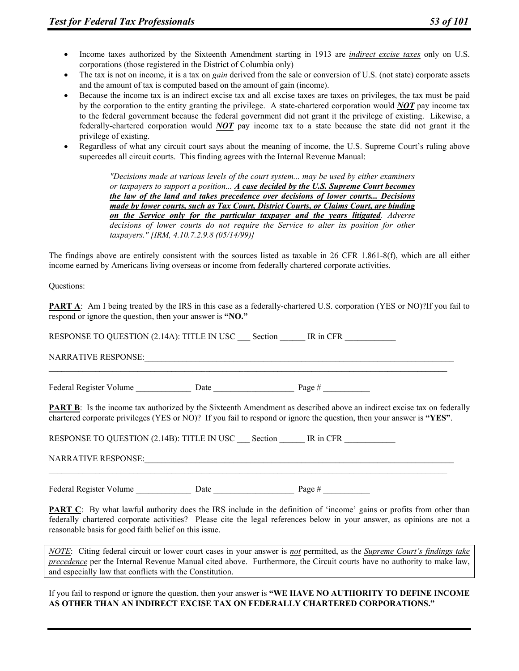- Income taxes authorized by the Sixteenth Amendment starting in 1913 are *indirect excise taxes* only on U.S. corporations (those registered in the District of Columbia only)
- The tax is not on income, it is a tax on *gain* derived from the sale or conversion of U.S. (not state) corporate assets and the amount of tax is computed based on the amount of gain (income).
- Because the income tax is an indirect excise tax and all excise taxes are taxes on privileges, the tax must be paid by the corporation to the entity granting the privilege. A state-chartered corporation would *NOT* pay income tax to the federal government because the federal government did not grant it the privilege of existing. Likewise, a federally-chartered corporation would *NOT* pay income tax to a state because the state did not grant it the privilege of existing.
- Regardless of what any circuit court says about the meaning of income, the U.S. Supreme Court's ruling above supercedes all circuit courts. This finding agrees with the Internal Revenue Manual:

*"Decisions made at various levels of the court system... may be used by either examiners or taxpayers to support a position... A case decided by the U.S. Supreme Court becomes the law of the land and takes precedence over decisions of lower courts... Decisions made by lower courts, such as Tax Court, District Courts, or Claims Court, are binding on the Service only for the particular taxpayer and the years litigated. Adverse decisions of lower courts do not require the Service to alter its position for other taxpayers." [IRM, 4.10.7.2.9.8 (05/14/99)]* 

The findings above are entirely consistent with the sources listed as taxable in 26 CFR 1.861-8(f), which are all either income earned by Americans living overseas or income from federally chartered corporate activities.

Questions:

**PART A:** Am I being treated by the IRS in this case as a federally-chartered U.S. corporation (YES or NO)?If you fail to respond or ignore the question, then your answer is **"NO."**

RESPONSE TO QUESTION (2.14A): TITLE IN USC Section IR in CFR NARRATIVE RESPONSE:  $\mathcal{L}_\mathcal{L} = \{ \mathcal{L}_\mathcal{L} = \{ \mathcal{L}_\mathcal{L} = \{ \mathcal{L}_\mathcal{L} = \{ \mathcal{L}_\mathcal{L} = \{ \mathcal{L}_\mathcal{L} = \{ \mathcal{L}_\mathcal{L} = \{ \mathcal{L}_\mathcal{L} = \{ \mathcal{L}_\mathcal{L} = \{ \mathcal{L}_\mathcal{L} = \{ \mathcal{L}_\mathcal{L} = \{ \mathcal{L}_\mathcal{L} = \{ \mathcal{L}_\mathcal{L} = \{ \mathcal{L}_\mathcal{L} = \{ \mathcal{L}_\mathcal{$ 

Federal Register Volume Date Date Page #  $\frac{1}{2}$ 

**PART B**: Is the income tax authorized by the Sixteenth Amendment as described above an indirect excise tax on federally chartered corporate privileges (YES or NO)? If you fail to respond or ignore the question, then your answer is **"YES"**.

RESPONSE TO QUESTION (2.14B): TITLE IN USC Section IR in CFR NARRATIVE RESPONSE:

 $\mathcal{L}_\mathcal{L} = \{ \mathcal{L}_\mathcal{L} = \{ \mathcal{L}_\mathcal{L} = \{ \mathcal{L}_\mathcal{L} = \{ \mathcal{L}_\mathcal{L} = \{ \mathcal{L}_\mathcal{L} = \{ \mathcal{L}_\mathcal{L} = \{ \mathcal{L}_\mathcal{L} = \{ \mathcal{L}_\mathcal{L} = \{ \mathcal{L}_\mathcal{L} = \{ \mathcal{L}_\mathcal{L} = \{ \mathcal{L}_\mathcal{L} = \{ \mathcal{L}_\mathcal{L} = \{ \mathcal{L}_\mathcal{L} = \{ \mathcal{L}_\mathcal{$ 

Federal Register Volume \_\_\_\_\_\_\_\_\_\_\_\_\_\_\_\_\_\_\_\_ Date \_\_\_\_\_\_\_\_\_\_\_\_\_\_\_\_\_\_\_\_\_\_\_\_ Page #

**PART C**: By what lawful authority does the IRS include in the definition of 'income' gains or profits from other than federally chartered corporate activities? Please cite the legal references below in your answer, as opinions are not a reasonable basis for good faith belief on this issue.

*NOTE*: Citing federal circuit or lower court cases in your answer is *not* permitted, as the *Supreme Court's findings take precedence* per the Internal Revenue Manual cited above. Furthermore, the Circuit courts have no authority to make law, and especially law that conflicts with the Constitution.

If you fail to respond or ignore the question, then your answer is **"WE HAVE NO AUTHORITY TO DEFINE INCOME AS OTHER THAN AN INDIRECT EXCISE TAX ON FEDERALLY CHARTERED CORPORATIONS."**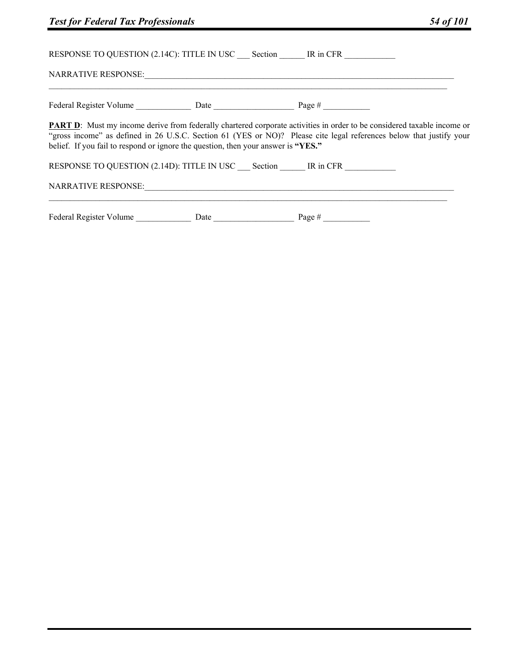| <b>Test for Federal Tax Professionals</b>                                         |                                                                                                                                                                                                                                                       | 54 of 101 |
|-----------------------------------------------------------------------------------|-------------------------------------------------------------------------------------------------------------------------------------------------------------------------------------------------------------------------------------------------------|-----------|
|                                                                                   | RESPONSE TO QUESTION (2.14C): TITLE IN USC Section FR THE IN CFR                                                                                                                                                                                      |           |
|                                                                                   |                                                                                                                                                                                                                                                       |           |
|                                                                                   |                                                                                                                                                                                                                                                       |           |
| belief. If you fail to respond or ignore the question, then your answer is "YES." | <b>PART D:</b> Must my income derive from federally chartered corporate activities in order to be considered taxable income or<br>"gross income" as defined in 26 U.S.C. Section 61 (YES or NO)? Please cite legal references below that justify your |           |
|                                                                                   | RESPONSE TO QUESTION (2.14D): TITLE IN USC Section IR in CFR                                                                                                                                                                                          |           |
|                                                                                   |                                                                                                                                                                                                                                                       |           |
|                                                                                   |                                                                                                                                                                                                                                                       |           |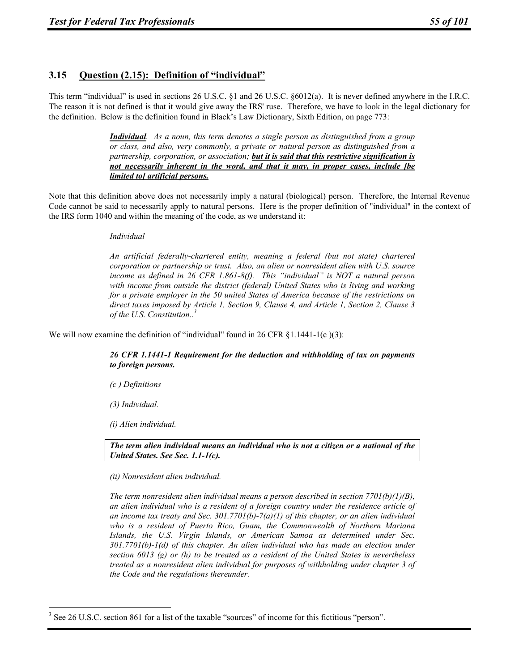# **3.15 Question (2.15): Definition of "individual"**

This term "individual" is used in sections 26 U.S.C. §1 and 26 U.S.C. §6012(a). It is never defined anywhere in the I.R.C. The reason it is not defined is that it would give away the IRS' ruse. Therefore, we have to look in the legal dictionary for the definition. Below is the definition found in Black's Law Dictionary, Sixth Edition, on page 773:

> *Individual. As a noun, this term denotes a single person as distinguished from a group or class, and also, very commonly, a private or natural person as distinguished from a partnership, corporation, or association; but it is said that this restrictive signification is not necessarily inherent in the word, and that it may, in proper cases, include [be limited to] artificial persons.*

Note that this definition above does not necessarily imply a natural (biological) person. Therefore, the Internal Revenue Code cannot be said to necessarily apply to natural persons. Here is the proper definition of "individual" in the context of the IRS form 1040 and within the meaning of the code, as we understand it:

#### *Individual*

*An artificial federally-chartered entity, meaning a federal (but not state) chartered corporation or partnership or trust. Also, an alien or nonresident alien with U.S. source income as defined in 26 CFR 1.861-8(f). This "individual" is NOT a natural person with income from outside the district (federal) United States who is living and working for a private employer in the 50 united States of America because of the restrictions on direct taxes imposed by Article 1, Section 9, Clause 4, and Article 1, Section 2, Clause 3 of the U.S. Constitution..3*

We will now examine the definition of "individual" found in 26 CFR  $\S 1.1441-1(c)(3)$ :

*26 CFR 1.1441-1 Requirement for the deduction and withholding of tax on payments to foreign persons.* 

*(c ) Definitions* 

*(3) Individual.* 

*(i) Alien individual.* 

*The term alien individual means an individual who is not a citizen or a national of the United States. See Sec. 1.1-1(c).* 

*(ii) Nonresident alien individual.* 

*The term nonresident alien individual means a person described in section 7701(b)(1)(B), an alien individual who is a resident of a foreign country under the residence article of an income tax treaty and Sec. 301.7701(b)-7(a)(1) of this chapter, or an alien individual who is a resident of Puerto Rico, Guam, the Commonwealth of Northern Mariana Islands, the U.S. Virgin Islands, or American Samoa as determined under Sec. 301.7701(b)-1(d) of this chapter. An alien individual who has made an election under section 6013 (g) or (h) to be treated as a resident of the United States is nevertheless treated as a nonresident alien individual for purposes of withholding under chapter 3 of the Code and the regulations thereunder.* 

 $\overline{a}$  $3$  See 26 U.S.C. section 861 for a list of the taxable "sources" of income for this fictitious "person".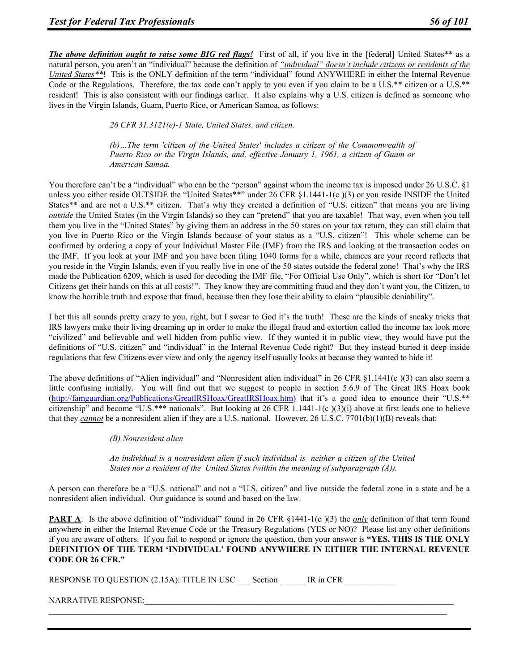*The above definition ought to raise some BIG red flags!* First of all, if you live in the [federal] United States\*\* as a natural person, you aren't an "individual" because the definition of *"individual" doesn't include citizens or residents of the United States\*\**! This is the ONLY definition of the term "individual" found ANYWHERE in either the Internal Revenue Code or the Regulations. Therefore, the tax code can't apply to you even if you claim to be a U.S.\*\* citizen or a U.S.\*\* resident! This is also consistent with our findings earlier. It also explains why a U.S. citizen is defined as someone who lives in the Virgin Islands, Guam, Puerto Rico, or American Samoa, as follows:

*26 CFR 31.3121(e)-1 State, United States, and citizen.* 

*(b)…The term 'citizen of the United States' includes a citizen of the Commonwealth of Puerto Rico or the Virgin Islands, and, effective January 1, 1961, a citizen of Guam or American Samoa.* 

You therefore can't be a "individual" who can be the "person" against whom the income tax is imposed under 26 U.S.C. §1 unless you either reside OUTSIDE the "United States\*\*" under 26 CFR §1.1441-1(c)(3) or you reside INSIDE the United States\*\* and are not a U.S.\*\* citizen. That's why they created a definition of "U.S. citizen" that means you are living *outside* the United States (in the Virgin Islands) so they can "pretend" that you are taxable! That way, even when you tell them you live in the "United States" by giving them an address in the 50 states on your tax return, they can still claim that you live in Puerto Rico or the Virgin Islands because of your status as a "U.S. citizen"! This whole scheme can be confirmed by ordering a copy of your Individual Master File (IMF) from the IRS and looking at the transaction codes on the IMF. If you look at your IMF and you have been filing 1040 forms for a while, chances are your record reflects that you reside in the Virgin Islands, even if you really live in one of the 50 states outside the federal zone! That's why the IRS made the Publication 6209, which is used for decoding the IMF file, "For Official Use Only", which is short for "Don't let Citizens get their hands on this at all costs!". They know they are committing fraud and they don't want you, the Citizen, to know the horrible truth and expose that fraud, because then they lose their ability to claim "plausible deniability".

I bet this all sounds pretty crazy to you, right, but I swear to God it's the truth! These are the kinds of sneaky tricks that IRS lawyers make their living dreaming up in order to make the illegal fraud and extortion called the income tax look more "civilized" and believable and well hidden from public view. If they wanted it in public view, they would have put the definitions of "U.S. citizen" and "individual" in the Internal Revenue Code right? But they instead buried it deep inside regulations that few Citizens ever view and only the agency itself usually looks at because they wanted to hide it!

The above definitions of "Alien individual" and "Nonresident alien individual" in 26 CFR §1.1441(c)(3) can also seem a little confusing initially. You will find out that we suggest to people in section 5.6.9 of The Great IRS Hoax book (http://famguardian.org/Publications/GreatIRSHoax/GreatIRSHoax.htm) that it's a good idea to enounce their "U.S.\*\* citizenship" and become "U.S.\*\*\* nationals". But looking at 26 CFR 1.1441-1(c)(3)(i) above at first leads one to believe that they *cannot* be a nonresident alien if they are a U.S. national. However, 26 U.S.C. 7701(b)(1)(B) reveals that:

*(B) Nonresident alien* 

*An individual is a nonresident alien if such individual is neither a citizen of the United States nor a resident of the United States (within the meaning of subparagraph (A)).* 

A person can therefore be a "U.S. national" and not a "U.S. citizen" and live outside the federal zone in a state and be a nonresident alien individual. Our guidance is sound and based on the law.

**PART A:** Is the above definition of "individual" found in 26 CFR §1441-1(c)(3) the *only* definition of that term found anywhere in either the Internal Revenue Code or the Treasury Regulations (YES or NO)? Please list any other definitions if you are aware of others. If you fail to respond or ignore the question, then your answer is **"YES, THIS IS THE ONLY DEFINITION OF THE TERM 'INDIVIDUAL' FOUND ANYWHERE IN EITHER THE INTERNAL REVENUE CODE OR 26 CFR."**

 $\mathcal{L}_\mathcal{L} = \{ \mathcal{L}_\mathcal{L} = \{ \mathcal{L}_\mathcal{L} = \{ \mathcal{L}_\mathcal{L} = \{ \mathcal{L}_\mathcal{L} = \{ \mathcal{L}_\mathcal{L} = \{ \mathcal{L}_\mathcal{L} = \{ \mathcal{L}_\mathcal{L} = \{ \mathcal{L}_\mathcal{L} = \{ \mathcal{L}_\mathcal{L} = \{ \mathcal{L}_\mathcal{L} = \{ \mathcal{L}_\mathcal{L} = \{ \mathcal{L}_\mathcal{L} = \{ \mathcal{L}_\mathcal{L} = \{ \mathcal{L}_\mathcal{$ 

| RESPONSE TO QUESTION (2.15A): TITLE IN USC | <b>Section</b> | IR in CFR |
|--------------------------------------------|----------------|-----------|
|--------------------------------------------|----------------|-----------|

NARRATIVE RESPONSE: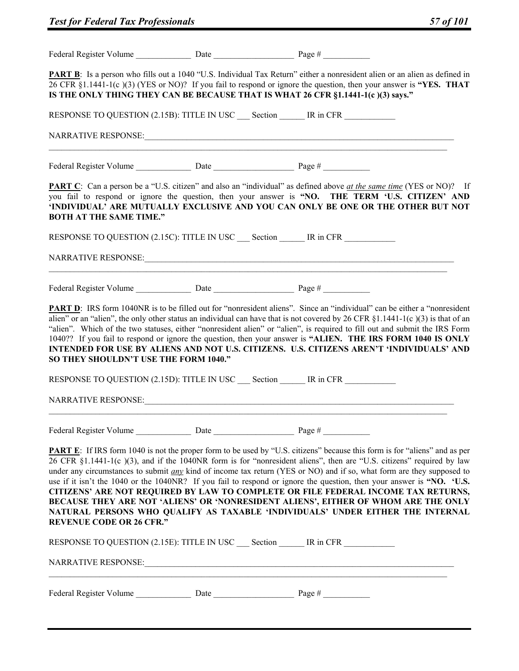|                                                              | <b>PART B</b> : Is a person who fills out a 1040 "U.S. Individual Tax Return" either a nonresident alien or an alien as defined in<br>26 CFR §1.1441-1(c)(3) (YES or NO)? If you fail to respond or ignore the question, then your answer is "YES. THAT<br>IS THE ONLY THING THEY CAN BE BECAUSE THAT IS WHAT 26 CFR §1.1441-1(c)(3) says."                                                                                                                                                                                                                                                                                                                                                                                                                                                                                                            |
|--------------------------------------------------------------|--------------------------------------------------------------------------------------------------------------------------------------------------------------------------------------------------------------------------------------------------------------------------------------------------------------------------------------------------------------------------------------------------------------------------------------------------------------------------------------------------------------------------------------------------------------------------------------------------------------------------------------------------------------------------------------------------------------------------------------------------------------------------------------------------------------------------------------------------------|
|                                                              | RESPONSE TO QUESTION (2.15B): TITLE IN USC Section IR in CFR                                                                                                                                                                                                                                                                                                                                                                                                                                                                                                                                                                                                                                                                                                                                                                                           |
|                                                              |                                                                                                                                                                                                                                                                                                                                                                                                                                                                                                                                                                                                                                                                                                                                                                                                                                                        |
|                                                              |                                                                                                                                                                                                                                                                                                                                                                                                                                                                                                                                                                                                                                                                                                                                                                                                                                                        |
| <b>BOTH AT THE SAME TIME."</b>                               | <b>PART C</b> : Can a person be a "U.S. citizen" and also an "individual" as defined above <u>at the same time</u> (YES or NO)? If<br>you fail to respond or ignore the question, then your answer is "NO. THE TERM 'U.S. CITIZEN' AND<br>'INDIVIDUAL' ARE MUTUALLY EXCLUSIVE AND YOU CAN ONLY BE ONE OR THE OTHER BUT NOT                                                                                                                                                                                                                                                                                                                                                                                                                                                                                                                             |
|                                                              | RESPONSE TO QUESTION (2.15C): TITLE IN USC Section IR in CFR                                                                                                                                                                                                                                                                                                                                                                                                                                                                                                                                                                                                                                                                                                                                                                                           |
|                                                              |                                                                                                                                                                                                                                                                                                                                                                                                                                                                                                                                                                                                                                                                                                                                                                                                                                                        |
|                                                              |                                                                                                                                                                                                                                                                                                                                                                                                                                                                                                                                                                                                                                                                                                                                                                                                                                                        |
| SO THEY SHOULDN'T USE THE FORM 1040."<br>NARRATIVE RESPONSE: | alien" or an "alien", the only other status an individual can have that is not covered by 26 CFR $\S1.1441-1(c)(3)$ is that of an<br>"alien". Which of the two statuses, either "nonresident alien" or "alien", is required to fill out and submit the IRS Form<br>1040?? If you fail to respond or ignore the question, then your answer is "ALIEN. THE IRS FORM 1040 IS ONLY<br>INTENDED FOR USE BY ALIENS AND NOT U.S. CITIZENS. U.S. CITIZENS AREN'T 'INDIVIDUALS' AND<br>RESPONSE TO QUESTION (2.15D): TITLE IN USC ___ Section ______ IR in CFR                                                                                                                                                                                                                                                                                                  |
|                                                              |                                                                                                                                                                                                                                                                                                                                                                                                                                                                                                                                                                                                                                                                                                                                                                                                                                                        |
| <b>REVENUE CODE OR 26 CFR."</b>                              | <b>PART E:</b> If IRS form 1040 is not the proper form to be used by "U.S. citizens" because this form is for "aliens" and as per<br>26 CFR §1.1441-1(c)(3), and if the 1040NR form is for "nonresident aliens", then are "U.S. citizens" required by law<br>under any circumstances to submit <u>any</u> kind of income tax return (YES or NO) and if so, what form are they supposed to<br>use if it isn't the 1040 or the 1040NR? If you fail to respond or ignore the question, then your answer is "NO. 'U.S.<br>CITIZENS' ARE NOT REQUIRED BY LAW TO COMPLETE OR FILE FEDERAL INCOME TAX RETURNS,<br>BECAUSE THEY ARE NOT 'ALIENS' OR 'NONRESIDENT ALIENS', EITHER OF WHOM ARE THE ONLY<br>NATURAL PERSONS WHO QUALIFY AS TAXABLE 'INDIVIDUALS' UNDER EITHER THE INTERNAL<br>RESPONSE TO QUESTION (2.15E): TITLE IN USC Section MESSIE IR in CFR |
|                                                              |                                                                                                                                                                                                                                                                                                                                                                                                                                                                                                                                                                                                                                                                                                                                                                                                                                                        |
|                                                              |                                                                                                                                                                                                                                                                                                                                                                                                                                                                                                                                                                                                                                                                                                                                                                                                                                                        |
|                                                              |                                                                                                                                                                                                                                                                                                                                                                                                                                                                                                                                                                                                                                                                                                                                                                                                                                                        |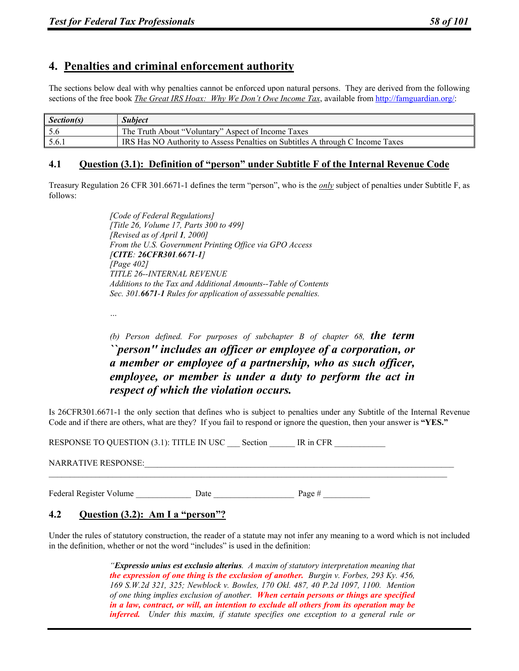# **4. Penalties and criminal enforcement authority**

The sections below deal with why penalties cannot be enforced upon natural persons. They are derived from the following sections of the free book *The Great IRS Hoax: Why We Don't Owe Income Tax*, available from http://famguardian.org/:

| Section(s) | <b>Subject</b>                                                                 |
|------------|--------------------------------------------------------------------------------|
|            | The Truth About "Voluntary" Aspect of Income Taxes                             |
| 5.6.1      | IRS Has NO Authority to Assess Penalties on Subtitles A through C Income Taxes |

## **4.1 Question (3.1): Definition of "person" under Subtitle F of the Internal Revenue Code**

Treasury Regulation 26 CFR 301.6671-1 defines the term "person", who is the *only* subject of penalties under Subtitle F, as follows:

> *[Code of Federal Regulations] [Title 26, Volume 17, Parts 300 to 499] [Revised as of April 1, 2000] From the U.S. Government Printing Office via GPO Access [CITE: 26CFR301.6671-1] [Page 402] TITLE 26--INTERNAL REVENUE Additions to the Tax and Additional Amounts--Table of Contents Sec. 301.6671-1 Rules for application of assessable penalties.*

*…* 

*(b) Person defined. For purposes of subchapter B of chapter 68, the term ``person'' includes an officer or employee of a corporation, or a member or employee of a partnership, who as such officer, employee, or member is under a duty to perform the act in respect of which the violation occurs.* 

Is 26CFR301.6671-1 the only section that defines who is subject to penalties under any Subtitle of the Internal Revenue Code and if there are others, what are they? If you fail to respond or ignore the question, then your answer is **"YES."**

 $\mathcal{L}_\mathcal{L} = \{ \mathcal{L}_\mathcal{L} = \{ \mathcal{L}_\mathcal{L} = \{ \mathcal{L}_\mathcal{L} = \{ \mathcal{L}_\mathcal{L} = \{ \mathcal{L}_\mathcal{L} = \{ \mathcal{L}_\mathcal{L} = \{ \mathcal{L}_\mathcal{L} = \{ \mathcal{L}_\mathcal{L} = \{ \mathcal{L}_\mathcal{L} = \{ \mathcal{L}_\mathcal{L} = \{ \mathcal{L}_\mathcal{L} = \{ \mathcal{L}_\mathcal{L} = \{ \mathcal{L}_\mathcal{L} = \{ \mathcal{L}_\mathcal{$ 

RESPONSE TO QUESTION (3.1): TITLE IN USC Section IR in CFR

| <b>NARRATIVE RESPONSE:</b> |  |
|----------------------------|--|
|                            |  |

Federal Register Volume Date Date Page #  $\frac{1}{2}$ 

## **4.2 Question (3.2): Am I a "person"?**

Under the rules of statutory construction, the reader of a statute may not infer any meaning to a word which is not included in the definition, whether or not the word "includes" is used in the definition:

> *"Expressio unius est exclusio alterius. A maxim of statutory interpretation meaning that the expression of one thing is the exclusion of another. Burgin v. Forbes, 293 Ky. 456, 169 S.W.2d 321, 325; Newblock v. Bowles, 170 Okl. 487, 40 P.2d 1097, 1100. Mention of one thing implies exclusion of another. When certain persons or things are specified in a law, contract, or will, an intention to exclude all others from its operation may be inferred. Under this maxim, if statute specifies one exception to a general rule or*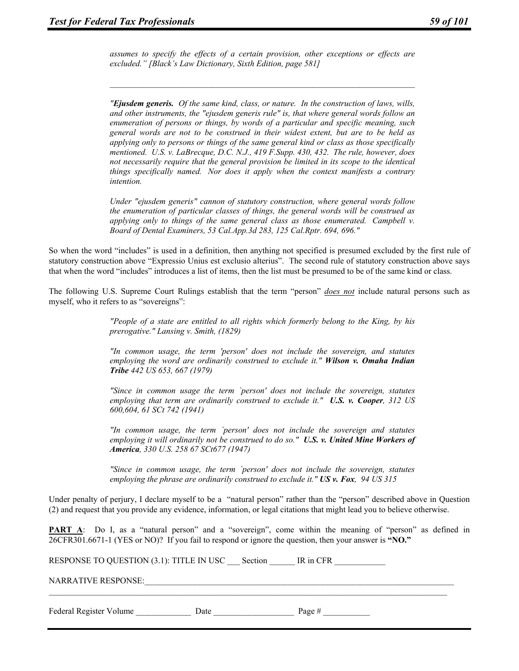*assumes to specify the effects of a certain provision, other exceptions or effects are excluded." [Black's Law Dictionary, Sixth Edition, page 581]* 

*"Ejusdem generis. Of the same kind, class, or nature. In the construction of laws, wills, and other instruments, the "ejusdem generis rule" is, that where general words follow an enumeration of persons or things, by words of a particular and specific meaning, such general words are not to be construed in their widest extent, but are to be held as applying only to persons or things of the same general kind or class as those specifically mentioned. U.S. v. LaBrecque, D.C. N.J., 419 F.Supp. 430, 432. The rule, however, does not necessarily require that the general provision be limited in its scope to the identical things specifically named. Nor does it apply when the context manifests a contrary intention.* 

*Under "ejusdem generis" cannon of statutory construction, where general words follow the enumeration of particular classes of things, the general words will be construed as applying only to things of the same general class as those enumerated. Campbell v. Board of Dental Examiners, 53 Cal.App.3d 283, 125 Cal.Rptr. 694, 696."* 

So when the word "includes" is used in a definition, then anything not specified is presumed excluded by the first rule of statutory construction above "Expressio Unius est exclusio alterius". The second rule of statutory construction above says that when the word "includes" introduces a list of items, then the list must be presumed to be of the same kind or class.

The following U.S. Supreme Court Rulings establish that the term "person" *does not* include natural persons such as myself, who it refers to as "sovereigns":

> *"People of a state are entitled to all rights which formerly belong to the King, by his prerogative." Lansing v. Smith, (1829)*

> *"In common usage, the term 'person' does not include the sovereign, and statutes employing the word are ordinarily construed to exclude it." Wilson v. Omaha Indian Tribe 442 US 653, 667 (1979)*

> *"Since in common usage the term `person' does not include the sovereign, statutes employing that term are ordinarily construed to exclude it." U.S. v. Cooper, 312 US 600,604, 61 SCt 742 (1941)*

> *"In common usage, the term `person' does not include the sovereign and statutes employing it will ordinarily not be construed to do so." U.S. v. United Mine Workers of America, 330 U.S. 258 67 SCt677 (1947)*

> *"Since in common usage, the term `person' does not include the sovereign, statutes employing the phrase are ordinarily construed to exclude it." US v. Fox, 94 US 315*

Under penalty of perjury, I declare myself to be a "natural person" rather than the "person" described above in Question (2) and request that you provide any evidence, information, or legal citations that might lead you to believe otherwise.

**PART** A: Do I, as a "natural person" and a "sovereign", come within the meaning of "person" as defined in 26CFR301.6671-1 (YES or NO)? If you fail to respond or ignore the question, then your answer is **"NO."**

 $\mathcal{L}_\mathcal{L} = \{ \mathcal{L}_\mathcal{L} = \{ \mathcal{L}_\mathcal{L} = \{ \mathcal{L}_\mathcal{L} = \{ \mathcal{L}_\mathcal{L} = \{ \mathcal{L}_\mathcal{L} = \{ \mathcal{L}_\mathcal{L} = \{ \mathcal{L}_\mathcal{L} = \{ \mathcal{L}_\mathcal{L} = \{ \mathcal{L}_\mathcal{L} = \{ \mathcal{L}_\mathcal{L} = \{ \mathcal{L}_\mathcal{L} = \{ \mathcal{L}_\mathcal{L} = \{ \mathcal{L}_\mathcal{L} = \{ \mathcal{L}_\mathcal{$ 

RESPONSE TO QUESTION (3.1): TITLE IN USC Section IR in CFR

NARRATIVE RESPONSE:

Federal Register Volume Date Date Date Page #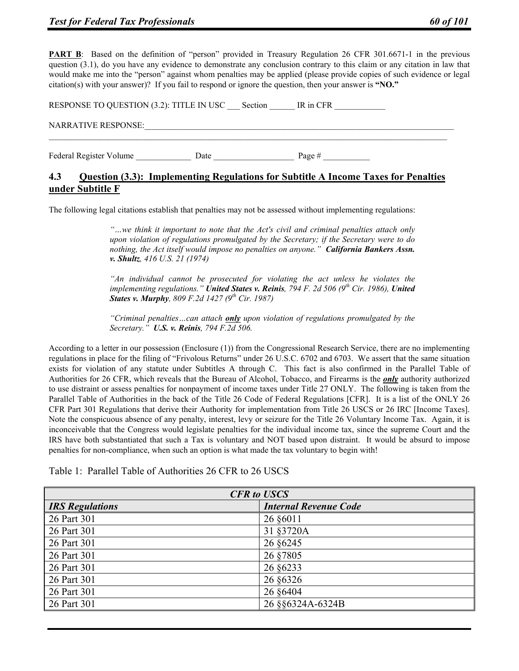**PART B:** Based on the definition of "person" provided in Treasury Regulation 26 CFR 301.6671-1 in the previous question (3.1), do you have any evidence to demonstrate any conclusion contrary to this claim or any citation in law that would make me into the "person" against whom penalties may be applied (please provide copies of such evidence or legal citation(s) with your answer)? If you fail to respond or ignore the question, then your answer is **"NO."**

| RESPONSE TO QUESTION (3.2): TITLE IN USC |      | Section | IR in CFR |  |
|------------------------------------------|------|---------|-----------|--|
| <b>NARRATIVE RESPONSE:</b>               |      |         |           |  |
| Federal Register Volume                  | Date |         | Page $#$  |  |

# **4.3 Question (3.3): Implementing Regulations for Subtitle A Income Taxes for Penalties under Subtitle F**

The following legal citations establish that penalties may not be assessed without implementing regulations:

*"…we think it important to note that the Act's civil and criminal penalties attach only upon violation of regulations promulgated by the Secretary; if the Secretary were to do nothing, the Act itself would impose no penalties on anyone." California Bankers Assn. v. Shultz, 416 U.S. 21 (1974)* 

*"An individual cannot be prosecuted for violating the act unless he violates the implementing regulations." United States v. Reinis, 794 F. 2d 506 (9th Cir. 1986), United States v. Murphy, 809 F.2d 1427 (9th Cir. 1987)* 

*"Criminal penalties…can attach only upon violation of regulations promulgated by the Secretary." U.S. v. Reinis, 794 F.2d 506.* 

According to a letter in our possession (Enclosure (1)) from the Congressional Research Service, there are no implementing regulations in place for the filing of "Frivolous Returns" under 26 U.S.C. 6702 and 6703. We assert that the same situation exists for violation of any statute under Subtitles A through C. This fact is also confirmed in the Parallel Table of Authorities for 26 CFR, which reveals that the Bureau of Alcohol, Tobacco, and Firearms is the *only* authority authorized to use distraint or assess penalties for nonpayment of income taxes under Title 27 ONLY. The following is taken from the Parallel Table of Authorities in the back of the Title 26 Code of Federal Regulations [CFR]. It is a list of the ONLY 26 CFR Part 301 Regulations that derive their Authority for implementation from Title 26 USCS or 26 IRC [Income Taxes]. Note the conspicuous absence of any penalty, interest, levy or seizure for the Title 26 Voluntary Income Tax. Again, it is inconceivable that the Congress would legislate penalties for the individual income tax, since the supreme Court and the IRS have both substantiated that such a Tax is voluntary and NOT based upon distraint. It would be absurd to impose penalties for non-compliance, when such an option is what made the tax voluntary to begin with!

Table 1: Parallel Table of Authorities 26 CFR to 26 USCS

| <b>CFR</b> to USCS     |                              |  |
|------------------------|------------------------------|--|
| <b>IRS</b> Regulations | <b>Internal Revenue Code</b> |  |
| 26 Part 301            | 26 §6011                     |  |
| 26 Part 301            | 31 §3720A                    |  |
| 26 Part 301            | 26 §6245                     |  |
| 26 Part 301            | 26 §7805                     |  |
| 26 Part 301            | 26 §6233                     |  |
| 26 Part 301            | 26 §6326                     |  |
| 26 Part 301            | 26 §6404                     |  |
| 26 Part 301            | 26 §§6324A-6324B             |  |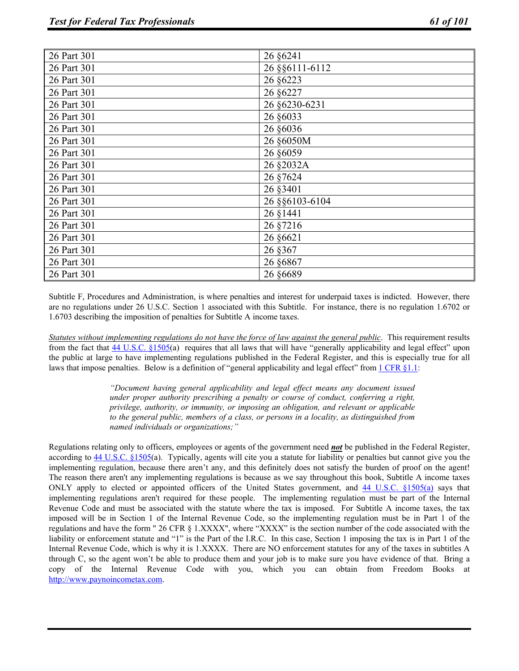| 26 Part 301 | 26 §6241         |
|-------------|------------------|
| 26 Part 301 | 26 § § 6111-6112 |
| 26 Part 301 | 26 §6223         |
| 26 Part 301 | 26 §6227         |
| 26 Part 301 | 26 §6230-6231    |
| 26 Part 301 | 26 §6033         |
| 26 Part 301 | 26 §6036         |
| 26 Part 301 | 26 §6050M        |
| 26 Part 301 | 26 §6059         |
| 26 Part 301 | 26 §2032A        |
| 26 Part 301 | 26 §7624         |
| 26 Part 301 | 26 §3401         |
| 26 Part 301 | 26 § § 6103-6104 |
| 26 Part 301 | 26 §1441         |
| 26 Part 301 | 26 §7216         |
| 26 Part 301 | 26 §6621         |
| 26 Part 301 | 26 § 367         |
| 26 Part 301 | 26 §6867         |
| 26 Part 301 | 26 §6689         |

Subtitle F, Procedures and Administration, is where penalties and interest for underpaid taxes is indicted. However, there are no regulations under 26 U.S.C. Section 1 associated with this Subtitle. For instance, there is no regulation 1.6702 or 1.6703 describing the imposition of penalties for Subtitle A income taxes.

*Statutes without implementing regulations do not have the force of law against the general public*. This requirement results from the fact that  $44 \text{ U.S.C. }$   $§1505(a)$  requires that all laws that will have "generally applicability and legal effect" upon the public at large to have implementing regulations published in the Federal Register, and this is especially true for all laws that impose penalties. Below is a definition of "general applicability and legal effect" from  $1 \text{ CFR } \& 1.1$ :

> *"Document having general applicability and legal effect means any document issued under proper authority prescribing a penalty or course of conduct, conferring a right, privilege, authority, or immunity, or imposing an obligation, and relevant or applicable to the general public, members of a class, or persons in a locality, as distinguished from named individuals or organizations;"*

Regulations relating only to officers, employees or agents of the government need *not* be published in the Federal Register, according to 44 U.S.C. §1505(a). Typically, agents will cite you a statute for liability or penalties but cannot give you the implementing regulation, because there aren't any, and this definitely does not satisfy the burden of proof on the agent! The reason there aren't any implementing regulations is because as we say throughout this book, Subtitle A income taxes ONLY apply to elected or appointed officers of the United States government, and 44 U.S.C. §1505(a) says that implementing regulations aren't required for these people. The implementing regulation must be part of the Internal Revenue Code and must be associated with the statute where the tax is imposed. For Subtitle A income taxes, the tax imposed will be in Section 1 of the Internal Revenue Code, so the implementing regulation must be in Part 1 of the regulations and have the form " 26 CFR § 1.XXXX", where "XXXX" is the section number of the code associated with the liability or enforcement statute and "1" is the Part of the I.R.C. In this case, Section 1 imposing the tax is in Part 1 of the Internal Revenue Code, which is why it is 1.XXXX. There are NO enforcement statutes for any of the taxes in subtitles A through C, so the agent won't be able to produce them and your job is to make sure you have evidence of that. Bring a copy of the Internal Revenue Code with you, which you can obtain from Freedom Books at http://www.paynoincometax.com.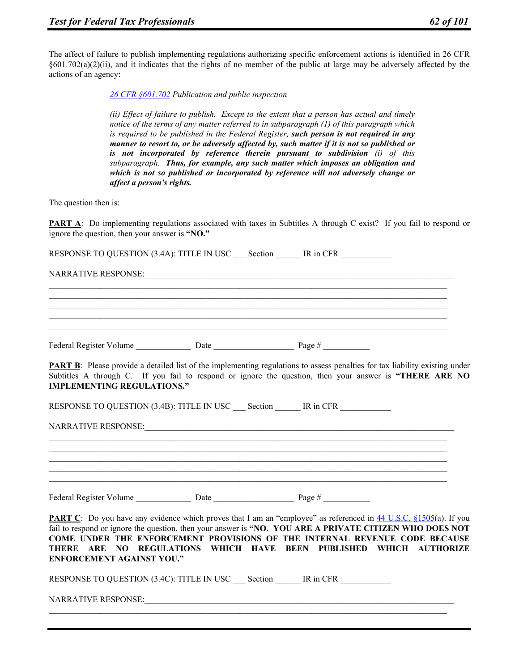The affect of failure to publish implementing regulations authorizing specific enforcement actions is identified in 26 CFR  $\S601.702(a)(2)(ii)$ , and it indicates that the rights of no member of the public at large may be adversely affected by the actions of an agency:

*26 CFR §601.702 Publication and public inspection* 

*(ii) Effect of failure to publish. Except to the extent that a person has actual and timely notice of the terms of any matter referred to in subparagraph (1) of this paragraph which is required to be published in the Federal Register, such person is not required in any manner to resort to, or be adversely affected by, such matter if it is not so published or is not incorporated by reference therein pursuant to subdivision (i) of this subparagraph. Thus, for example, any such matter which imposes an obligation and which is not so published or incorporated by reference will not adversely change or affect a person's rights.*

The question then is:

**PART A:** Do implementing regulations associated with taxes in Subtitles A through C exist? If you fail to respond or ignore the question, then your answer is **"NO."**

RESPONSE TO QUESTION (3.4A): TITLE IN USC Section \_\_\_\_\_ IR in CFR

NARRATIVE RESPONSE:

Federal Register Volume Date Date Page #

**PART B**: Please provide a detailed list of the implementing regulations to assess penalties for tax liability existing under Subtitles A through C. If you fail to respond or ignore the question, then your answer is **"THERE ARE NO IMPLEMENTING REGULATIONS."**

RESPONSE TO QUESTION (3.4B): TITLE IN USC Section \_\_\_\_\_ IR in CFR

NARRATIVE RESPONSE:

Federal Register Volume Date Date Page #

**PART C**: Do you have any evidence which proves that I am an "employee" as referenced in 44 U.S.C. §1505(a). If you fail to respond or ignore the question, then your answer is **"NO. YOU ARE A PRIVATE CITIZEN WHO DOES NOT COME UNDER THE ENFORCEMENT PROVISIONS OF THE INTERNAL REVENUE CODE BECAUSE THERE ARE NO REGULATIONS WHICH HAVE BEEN PUBLISHED WHICH AUTHORIZE ENFORCEMENT AGAINST YOU."** 

RESPONSE TO QUESTION (3.4C): TITLE IN USC Section IR in CFR

NARRATIVE RESPONSE: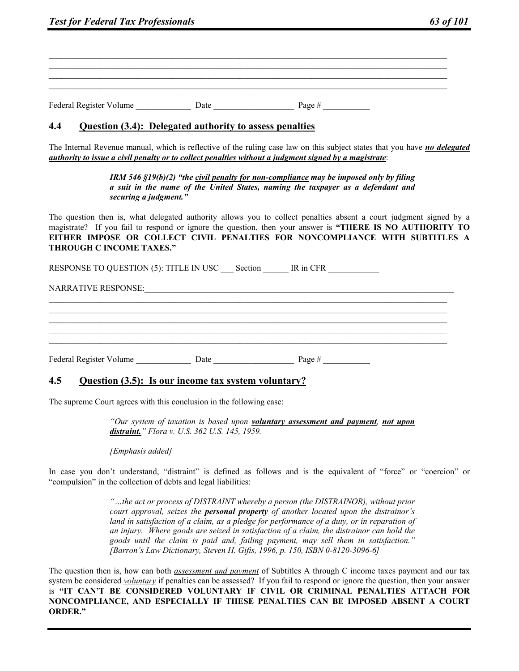Federal Register Volume  $\qquad \qquad$  Date  $\qquad \qquad$  Page #

#### **4.4 Question (3.4): Delegated authority to assess penalties**

The Internal Revenue manual, which is reflective of the ruling case law on this subject states that you have *no delegated authority to issue a civil penalty or to collect penalties without a judgment signed by a magistrate*:

> *IRM 546 §19(b)(2) "the civil penalty for non-compliance may be imposed only by filing a suit in the name of the United States, naming the taxpayer as a defendant and securing a judgment."*

The question then is, what delegated authority allows you to collect penalties absent a court judgment signed by a magistrate? If you fail to respond or ignore the question, then your answer is **"THERE IS NO AUTHORITY TO EITHER IMPOSE OR COLLECT CIVIL PENALTIES FOR NONCOMPLIANCE WITH SUBTITLES A THROUGH C INCOME TAXES."**

 $\mathcal{L}_\mathcal{L} = \{ \mathcal{L}_\mathcal{L} = \{ \mathcal{L}_\mathcal{L} = \{ \mathcal{L}_\mathcal{L} = \{ \mathcal{L}_\mathcal{L} = \{ \mathcal{L}_\mathcal{L} = \{ \mathcal{L}_\mathcal{L} = \{ \mathcal{L}_\mathcal{L} = \{ \mathcal{L}_\mathcal{L} = \{ \mathcal{L}_\mathcal{L} = \{ \mathcal{L}_\mathcal{L} = \{ \mathcal{L}_\mathcal{L} = \{ \mathcal{L}_\mathcal{L} = \{ \mathcal{L}_\mathcal{L} = \{ \mathcal{L}_\mathcal{$  $\mathcal{L}_\mathcal{L} = \{ \mathcal{L}_\mathcal{L} = \{ \mathcal{L}_\mathcal{L} = \{ \mathcal{L}_\mathcal{L} = \{ \mathcal{L}_\mathcal{L} = \{ \mathcal{L}_\mathcal{L} = \{ \mathcal{L}_\mathcal{L} = \{ \mathcal{L}_\mathcal{L} = \{ \mathcal{L}_\mathcal{L} = \{ \mathcal{L}_\mathcal{L} = \{ \mathcal{L}_\mathcal{L} = \{ \mathcal{L}_\mathcal{L} = \{ \mathcal{L}_\mathcal{L} = \{ \mathcal{L}_\mathcal{L} = \{ \mathcal{L}_\mathcal{$  $\mathcal{L}_\mathcal{L} = \{ \mathcal{L}_\mathcal{L} = \{ \mathcal{L}_\mathcal{L} = \{ \mathcal{L}_\mathcal{L} = \{ \mathcal{L}_\mathcal{L} = \{ \mathcal{L}_\mathcal{L} = \{ \mathcal{L}_\mathcal{L} = \{ \mathcal{L}_\mathcal{L} = \{ \mathcal{L}_\mathcal{L} = \{ \mathcal{L}_\mathcal{L} = \{ \mathcal{L}_\mathcal{L} = \{ \mathcal{L}_\mathcal{L} = \{ \mathcal{L}_\mathcal{L} = \{ \mathcal{L}_\mathcal{L} = \{ \mathcal{L}_\mathcal{$  $\mathcal{L}_\mathcal{L} = \{ \mathcal{L}_\mathcal{L} = \{ \mathcal{L}_\mathcal{L} = \{ \mathcal{L}_\mathcal{L} = \{ \mathcal{L}_\mathcal{L} = \{ \mathcal{L}_\mathcal{L} = \{ \mathcal{L}_\mathcal{L} = \{ \mathcal{L}_\mathcal{L} = \{ \mathcal{L}_\mathcal{L} = \{ \mathcal{L}_\mathcal{L} = \{ \mathcal{L}_\mathcal{L} = \{ \mathcal{L}_\mathcal{L} = \{ \mathcal{L}_\mathcal{L} = \{ \mathcal{L}_\mathcal{L} = \{ \mathcal{L}_\mathcal{$  $\mathcal{L}_\mathcal{L} = \{ \mathcal{L}_\mathcal{L} = \{ \mathcal{L}_\mathcal{L} = \{ \mathcal{L}_\mathcal{L} = \{ \mathcal{L}_\mathcal{L} = \{ \mathcal{L}_\mathcal{L} = \{ \mathcal{L}_\mathcal{L} = \{ \mathcal{L}_\mathcal{L} = \{ \mathcal{L}_\mathcal{L} = \{ \mathcal{L}_\mathcal{L} = \{ \mathcal{L}_\mathcal{L} = \{ \mathcal{L}_\mathcal{L} = \{ \mathcal{L}_\mathcal{L} = \{ \mathcal{L}_\mathcal{L} = \{ \mathcal{L}_\mathcal{$ 

RESPONSE TO QUESTION (5): TITLE IN USC Section IR in CFR

NARRATIVE RESPONSE:\_\_\_\_\_\_\_\_\_\_\_\_\_\_\_\_\_\_\_\_\_\_\_\_\_\_\_\_\_\_\_\_\_\_\_\_\_\_\_\_\_\_\_\_\_\_\_\_\_\_\_\_\_\_\_\_\_\_\_\_\_\_\_\_\_\_\_\_\_\_\_\_\_

Federal Register Volume \_\_\_\_\_\_\_\_\_\_\_\_\_ Date \_\_\_\_\_\_\_\_\_\_\_\_\_\_\_\_\_\_\_ Page # \_\_\_\_\_\_\_\_\_\_\_

## **4.5 Question (3.5): Is our income tax system voluntary?**

The supreme Court agrees with this conclusion in the following case:

*"Our system of taxation is based upon voluntary assessment and payment, not upon distraint." Flora v. U.S. 362 U.S. 145, 1959.* 

*[Emphasis added]* 

In case you don't understand, "distraint" is defined as follows and is the equivalent of "force" or "coercion" or "compulsion" in the collection of debts and legal liabilities:

> *"…the act or process of DISTRAINT whereby a person (the DISTRAINOR), without prior court approval, seizes the personal property of another located upon the distrainor's land in satisfaction of a claim, as a pledge for performance of a duty, or in reparation of an injury. Where goods are seized in satisfaction of a claim, the distrainor can hold the goods until the claim is paid and, failing payment, may sell them in satisfaction." [Barron's Law Dictionary, Steven H. Gifis, 1996, p. 150, ISBN 0-8120-3096-6]*

The question then is, how can both *assessment and payment* of Subtitles A through C income taxes payment and our tax system be considered *voluntary* if penalties can be assessed? If you fail to respond or ignore the question, then your answer is **"IT CAN'T BE CONSIDERED VOLUNTARY IF CIVIL OR CRIMINAL PENALTIES ATTACH FOR NONCOMPLIANCE, AND ESPECIALLY IF THESE PENALTIES CAN BE IMPOSED ABSENT A COURT ORDER."**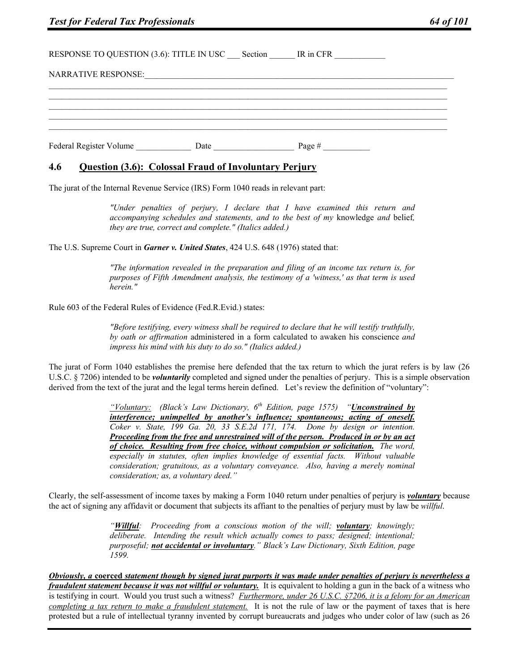RESPONSE TO QUESTION (3.6): TITLE IN USC Section IR in CFR NARRATIVE RESPONSE: Federal Register Volume Date Date Page #  $\frac{1}{2}$ 

# **4.6 Question (3.6): Colossal Fraud of Involuntary Perjury**

The jurat of the Internal Revenue Service (IRS) Form 1040 reads in relevant part:

*"Under penalties of perjury, I declare that I have examined this return and accompanying schedules and statements, and to the best of my* knowledge *and* belief*, they are true, correct and complete." (Italics added.)* 

The U.S. Supreme Court in *Garner v. United States*, 424 U.S. 648 (1976) stated that:

*"The information revealed in the preparation and filing of an income tax return is, for purposes of Fifth Amendment analysis, the testimony of a 'witness,' as that term is used herein."* 

Rule 603 of the Federal Rules of Evidence (Fed.R.Evid.) states:

*"Before testifying, every witness shall be required to declare that he will testify truthfully, by oath or affirmation* administered in a form calculated to awaken his conscience *and impress his mind with his duty to do so." (Italics added.)* 

The jurat of Form 1040 establishes the premise here defended that the tax return to which the jurat refers is by law (26 U.S.C. § 7206) intended to be *voluntarily* completed and signed under the penalties of perjury. This is a simple observation derived from the text of the jurat and the legal terms herein defined. Let's review the definition of "voluntary":

> *"Voluntary: (Black's Law Dictionary, 6th Edition, page 1575) "Unconstrained by interference; unimpelled by another's influence; spontaneous; acting of oneself. Coker v. State, 199 Ga. 20, 33 S.E.2d 171, 174. Done by design or intention. Proceeding from the free and unrestrained will of the person. Produced in or by an act of choice. Resulting from free choice, without compulsion or solicitation. The word, especially in statutes, often implies knowledge of essential facts. Without valuable consideration; gratuitous, as a voluntary conveyance. Also, having a merely nominal consideration; as, a voluntary deed."*

Clearly, the self-assessment of income taxes by making a Form 1040 return under penalties of perjury is *voluntary* because the act of signing any affidavit or document that subjects its affiant to the penalties of perjury must by law be *willful*.

> *"Willful: Proceeding from a conscious motion of the will; voluntary; knowingly; deliberate. Intending the result which actually comes to pass; designed; intentional; purposeful; not accidental or involuntary." Black's Law Dictionary, Sixth Edition, page 1599.*

*Obviously, a* **coerced** *statement though by signed jurat purports it was made under penalties of perjury is nevertheless a fraudulent statement because it was not willful or voluntary.* It is equivalent to holding a gun in the back of a witness who is testifying in court. Would you trust such a witness? *Furthermore, under 26 U.S.C. §7206, it is a felony for an American completing a tax return to make a fraudulent statement.* It is not the rule of law or the payment of taxes that is here protested but a rule of intellectual tyranny invented by corrupt bureaucrats and judges who under color of law (such as 26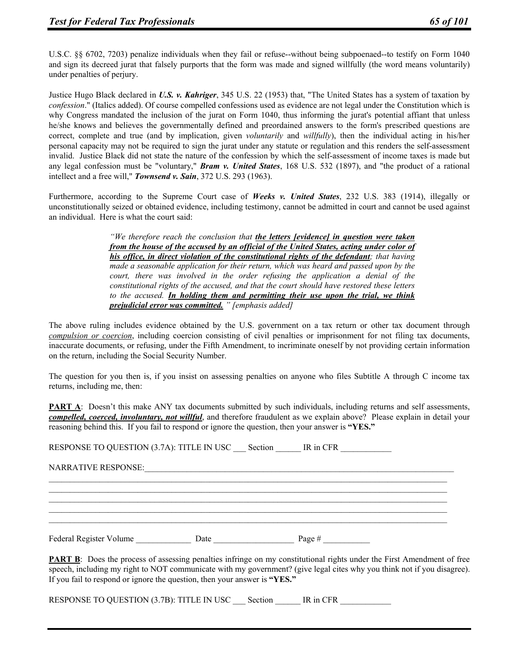U.S.C. §§ 6702, 7203) penalize individuals when they fail or refuse--without being subpoenaed--to testify on Form 1040 and sign its decreed jurat that falsely purports that the form was made and signed willfully (the word means voluntarily) under penalties of perjury.

Justice Hugo Black declared in *U.S. v. Kahriger*, 345 U.S. 22 (1953) that, "The United States has a system of taxation by *confession*." (Italics added). Of course compelled confessions used as evidence are not legal under the Constitution which is why Congress mandated the inclusion of the jurat on Form 1040, thus informing the jurat's potential affiant that unless he/she knows and believes the governmentally defined and preordained answers to the form's prescribed questions are correct, complete and true (and by implication, given *voluntarily* and *willfully*), then the individual acting in his/her personal capacity may not be required to sign the jurat under any statute or regulation and this renders the self-assessment invalid. Justice Black did not state the nature of the confession by which the self-assessment of income taxes is made but any legal confession must be "voluntary," *Bram v. United States*, 168 U.S. 532 (1897), and "the product of a rational intellect and a free will," *Townsend v. Sain*, 372 U.S. 293 (1963).

Furthermore, according to the Supreme Court case of *Weeks v. United States*, 232 U.S. 383 (1914), illegally or unconstitutionally seized or obtained evidence, including testimony, cannot be admitted in court and cannot be used against an individual. Here is what the court said:

> *"We therefore reach the conclusion that the letters [evidence] in question were taken from the house of the accused by an official of the United States, acting under color of his office, in direct violation of the constitutional rights of the defendant; that having made a seasonable application for their return, which was heard and passed upon by the court, there was involved in the order refusing the application a denial of the constitutional rights of the accused, and that the court should have restored these letters to the accused. In holding them and permitting their use upon the trial, we think prejudicial error was committed. " [emphasis added]*

The above ruling includes evidence obtained by the U.S. government on a tax return or other tax document through *compulsion or coercion*, including coercion consisting of civil penalties or imprisonment for not filing tax documents, inaccurate documents, or refusing, under the Fifth Amendment, to incriminate oneself by not providing certain information on the return, including the Social Security Number.

The question for you then is, if you insist on assessing penalties on anyone who files Subtitle A through C income tax returns, including me, then:

**PART A:** Doesn't this make ANY tax documents submitted by such individuals, including returns and self assessments, *compelled, coerced, involuntary, not willful*, and therefore fraudulent as we explain above? Please explain in detail your reasoning behind this. If you fail to respond or ignore the question, then your answer is **"YES."**

RESPONSE TO QUESTION (3.7A): TITLE IN USC Section IR in CFR

 $\mathcal{L}_\mathcal{L} = \{ \mathcal{L}_\mathcal{L} = \{ \mathcal{L}_\mathcal{L} = \{ \mathcal{L}_\mathcal{L} = \{ \mathcal{L}_\mathcal{L} = \{ \mathcal{L}_\mathcal{L} = \{ \mathcal{L}_\mathcal{L} = \{ \mathcal{L}_\mathcal{L} = \{ \mathcal{L}_\mathcal{L} = \{ \mathcal{L}_\mathcal{L} = \{ \mathcal{L}_\mathcal{L} = \{ \mathcal{L}_\mathcal{L} = \{ \mathcal{L}_\mathcal{L} = \{ \mathcal{L}_\mathcal{L} = \{ \mathcal{L}_\mathcal{$  $\mathcal{L}_\mathcal{L} = \{ \mathcal{L}_\mathcal{L} = \{ \mathcal{L}_\mathcal{L} = \{ \mathcal{L}_\mathcal{L} = \{ \mathcal{L}_\mathcal{L} = \{ \mathcal{L}_\mathcal{L} = \{ \mathcal{L}_\mathcal{L} = \{ \mathcal{L}_\mathcal{L} = \{ \mathcal{L}_\mathcal{L} = \{ \mathcal{L}_\mathcal{L} = \{ \mathcal{L}_\mathcal{L} = \{ \mathcal{L}_\mathcal{L} = \{ \mathcal{L}_\mathcal{L} = \{ \mathcal{L}_\mathcal{L} = \{ \mathcal{L}_\mathcal{$  $\mathcal{L}_\mathcal{L} = \{ \mathcal{L}_\mathcal{L} = \{ \mathcal{L}_\mathcal{L} = \{ \mathcal{L}_\mathcal{L} = \{ \mathcal{L}_\mathcal{L} = \{ \mathcal{L}_\mathcal{L} = \{ \mathcal{L}_\mathcal{L} = \{ \mathcal{L}_\mathcal{L} = \{ \mathcal{L}_\mathcal{L} = \{ \mathcal{L}_\mathcal{L} = \{ \mathcal{L}_\mathcal{L} = \{ \mathcal{L}_\mathcal{L} = \{ \mathcal{L}_\mathcal{L} = \{ \mathcal{L}_\mathcal{L} = \{ \mathcal{L}_\mathcal{$  $\mathcal{L}_\mathcal{L} = \{ \mathcal{L}_\mathcal{L} = \{ \mathcal{L}_\mathcal{L} = \{ \mathcal{L}_\mathcal{L} = \{ \mathcal{L}_\mathcal{L} = \{ \mathcal{L}_\mathcal{L} = \{ \mathcal{L}_\mathcal{L} = \{ \mathcal{L}_\mathcal{L} = \{ \mathcal{L}_\mathcal{L} = \{ \mathcal{L}_\mathcal{L} = \{ \mathcal{L}_\mathcal{L} = \{ \mathcal{L}_\mathcal{L} = \{ \mathcal{L}_\mathcal{L} = \{ \mathcal{L}_\mathcal{L} = \{ \mathcal{L}_\mathcal{$  $\mathcal{L}_\mathcal{L} = \{ \mathcal{L}_\mathcal{L} = \{ \mathcal{L}_\mathcal{L} = \{ \mathcal{L}_\mathcal{L} = \{ \mathcal{L}_\mathcal{L} = \{ \mathcal{L}_\mathcal{L} = \{ \mathcal{L}_\mathcal{L} = \{ \mathcal{L}_\mathcal{L} = \{ \mathcal{L}_\mathcal{L} = \{ \mathcal{L}_\mathcal{L} = \{ \mathcal{L}_\mathcal{L} = \{ \mathcal{L}_\mathcal{L} = \{ \mathcal{L}_\mathcal{L} = \{ \mathcal{L}_\mathcal{L} = \{ \mathcal{L}_\mathcal{$ 

NARRATIVE RESPONSE:

Federal Register Volume \_\_\_\_\_\_\_\_\_\_\_\_\_ Date \_\_\_\_\_\_\_\_\_\_\_\_\_\_\_\_\_\_\_ Page # \_\_\_\_\_\_\_\_\_\_\_

**PART B**: Does the process of assessing penalties infringe on my constitutional rights under the First Amendment of free speech, including my right to NOT communicate with my government? (give legal cites why you think not if you disagree). If you fail to respond or ignore the question, then your answer is **"YES."**

RESPONSE TO QUESTION (3.7B): TITLE IN USC \_\_\_ Section \_\_\_\_\_\_ IR in CFR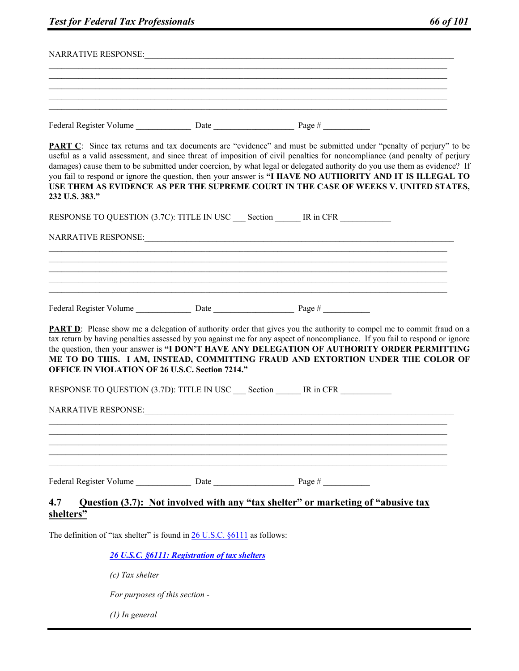| <b>Test for Federal Tax Professionals</b>                                                                                                                                                                                                                                                                                                                                                                                                                                                                                                                                                                 | 66 of 101 |
|-----------------------------------------------------------------------------------------------------------------------------------------------------------------------------------------------------------------------------------------------------------------------------------------------------------------------------------------------------------------------------------------------------------------------------------------------------------------------------------------------------------------------------------------------------------------------------------------------------------|-----------|
|                                                                                                                                                                                                                                                                                                                                                                                                                                                                                                                                                                                                           |           |
|                                                                                                                                                                                                                                                                                                                                                                                                                                                                                                                                                                                                           |           |
|                                                                                                                                                                                                                                                                                                                                                                                                                                                                                                                                                                                                           |           |
|                                                                                                                                                                                                                                                                                                                                                                                                                                                                                                                                                                                                           |           |
| <b>PART C</b> : Since tax returns and tax documents are "evidence" and must be submitted under "penalty of perjury" to be<br>useful as a valid assessment, and since threat of imposition of civil penalties for noncompliance (and penalty of perjury<br>damages) cause them to be submitted under coercion, by what legal or delegated authority do you use them as evidence? If<br>you fail to respond or ignore the question, then your answer is "I HAVE NO AUTHORITY AND IT IS ILLEGAL TO<br>USE THEM AS EVIDENCE AS PER THE SUPREME COURT IN THE CASE OF WEEKS V. UNITED STATES,<br>232 U.S. 383." |           |
| RESPONSE TO QUESTION (3.7C): TITLE IN USC __ Section ______ IR in CFR ___________                                                                                                                                                                                                                                                                                                                                                                                                                                                                                                                         |           |
|                                                                                                                                                                                                                                                                                                                                                                                                                                                                                                                                                                                                           |           |
|                                                                                                                                                                                                                                                                                                                                                                                                                                                                                                                                                                                                           |           |
|                                                                                                                                                                                                                                                                                                                                                                                                                                                                                                                                                                                                           |           |
|                                                                                                                                                                                                                                                                                                                                                                                                                                                                                                                                                                                                           |           |
|                                                                                                                                                                                                                                                                                                                                                                                                                                                                                                                                                                                                           |           |
| PART D: Please show me a delegation of authority order that gives you the authority to compel me to commit fraud on a<br>tax return by having penalties assessed by you against me for any aspect of noncompliance. If you fail to respond or ignore<br>the question, then your answer is "I DON'T HAVE ANY DELEGATION OF AUTHORITY ORDER PERMITTING<br>ME TO DO THIS. I AM, INSTEAD, COMMITTING FRAUD AND EXTORTION UNDER THE COLOR OF<br><b>OFFICE IN VIOLATION OF 26 U.S.C. Section 7214."</b>                                                                                                         |           |
| RESPONSE TO QUESTION (3.7D): TITLE IN USC<br>Section IR in CFR                                                                                                                                                                                                                                                                                                                                                                                                                                                                                                                                            |           |
|                                                                                                                                                                                                                                                                                                                                                                                                                                                                                                                                                                                                           |           |
|                                                                                                                                                                                                                                                                                                                                                                                                                                                                                                                                                                                                           |           |
|                                                                                                                                                                                                                                                                                                                                                                                                                                                                                                                                                                                                           |           |
|                                                                                                                                                                                                                                                                                                                                                                                                                                                                                                                                                                                                           |           |
|                                                                                                                                                                                                                                                                                                                                                                                                                                                                                                                                                                                                           |           |
| Question (3.7): Not involved with any "tax shelter" or marketing of "abusive tax<br>4.7<br>shelters"                                                                                                                                                                                                                                                                                                                                                                                                                                                                                                      |           |
| The definition of "tax shelter" is found in $26$ U.S.C. $§6111$ as follows:                                                                                                                                                                                                                                                                                                                                                                                                                                                                                                                               |           |
| 26 U.S.C. §6111: Registration of tax shelters                                                                                                                                                                                                                                                                                                                                                                                                                                                                                                                                                             |           |
| $(c)$ Tax shelter                                                                                                                                                                                                                                                                                                                                                                                                                                                                                                                                                                                         |           |
| For purposes of this section -                                                                                                                                                                                                                                                                                                                                                                                                                                                                                                                                                                            |           |

*(1) In general*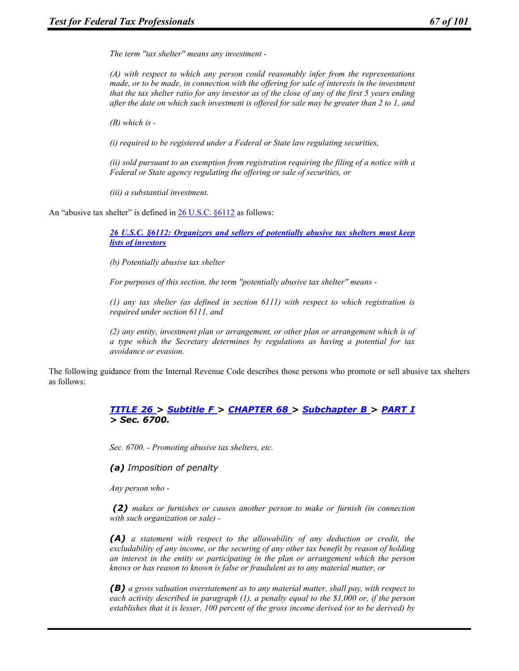*The term ''tax shelter'' means any investment -* 

*(A) with respect to which any person could reasonably infer from the representations made, or to be made, in connection with the offering for sale of interests in the investment that the tax shelter ratio for any investor as of the close of any of the first 5 years ending after the date on which such investment is offered for sale may be greater than 2 to 1, and* 

*(B) which is -* 

*(i) required to be registered under a Federal or State law regulating securities,* 

*(ii) sold pursuant to an exemption from registration requiring the filing of a notice with a Federal or State agency regulating the offering or sale of securities, or* 

*(iii) a substantial investment.* 

An "abusive tax shelter" is defined in 26 U.S.C. §6112 as follows:

*26 U.S.C. §6112: Organizers and sellers of potentially abusive tax shelters must keep lists of investors* 

*(b) Potentially abusive tax shelter* 

*For purposes of this section, the term ''potentially abusive tax shelter'' means -* 

*(1) any tax shelter (as defined in section 6111) with respect to which registration is required under section 6111, and* 

*(2) any entity, investment plan or arrangement, or other plan or arrangement which is of a type which the Secretary determines by regulations as having a potential for tax avoidance or evasion.* 

The following guidance from the Internal Revenue Code describes those persons who promote or sell abusive tax shelters as follows:

#### *TITLE 26 > Subtitle F > CHAPTER 68 > Subchapter B > PART I > Sec. 6700.*

*Sec. 6700. - Promoting abusive tax shelters, etc.* 

*(a) Imposition of penalty* 

*Any person who -* 

 *(2) makes or furnishes or causes another person to make or furnish (in connection with such organization or sale) -* 

*(A) a statement with respect to the allowability of any deduction or credit, the excludability of any income, or the securing of any other tax benefit by reason of holding an interest in the entity or participating in the plan or arrangement which the person knows or has reason to known is false or fraudulent as to any material matter, or* 

*(B) a gross valuation overstatement as to any material matter, shall pay, with respect to each activity described in paragraph (1), a penalty equal to the \$1,000 or, if the person establishes that it is lesser, 100 percent of the gross income derived (or to be derived) by*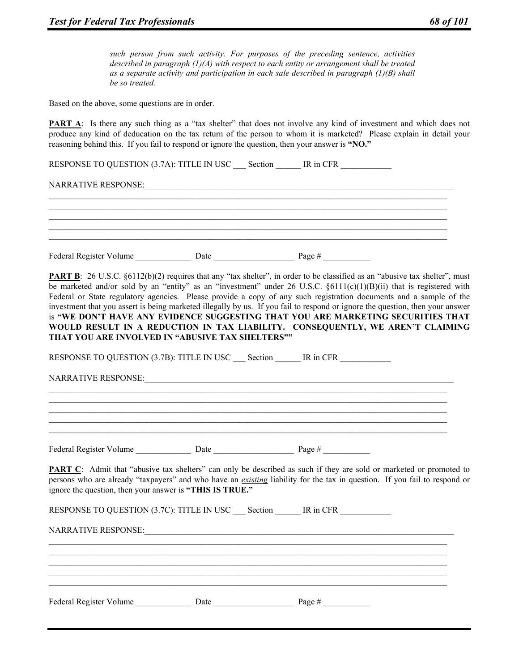*such person from such activity. For purposes of the preceding sentence, activities described in paragraph (1)(A) with respect to each entity or arrangement shall be treated as a separate activity and participation in each sale described in paragraph (1)(B) shall be so treated.* 

Based on the above, some questions are in order.

**PART A**: Is there any such thing as a "tax shelter" that does not involve any kind of investment and which does not produce any kind of deducation on the tax return of the person to whom it is marketed? Please explain in detail your reasoning behind this. If you fail to respond or ignore the question, then your answer is **"NO."**

RESPONSE TO QUESTION (3.7A): TITLE IN USC Section IR in CFR

NARRATIVE RESPONSE:

 $\mathcal{L}_\mathcal{L} = \{ \mathcal{L}_\mathcal{L} = \{ \mathcal{L}_\mathcal{L} = \{ \mathcal{L}_\mathcal{L} = \{ \mathcal{L}_\mathcal{L} = \{ \mathcal{L}_\mathcal{L} = \{ \mathcal{L}_\mathcal{L} = \{ \mathcal{L}_\mathcal{L} = \{ \mathcal{L}_\mathcal{L} = \{ \mathcal{L}_\mathcal{L} = \{ \mathcal{L}_\mathcal{L} = \{ \mathcal{L}_\mathcal{L} = \{ \mathcal{L}_\mathcal{L} = \{ \mathcal{L}_\mathcal{L} = \{ \mathcal{L}_\mathcal{$ Federal Register Volume  $\qquad \qquad$  Date  $\qquad \qquad$  Page #

 $\mathcal{L}_\mathcal{L} = \{ \mathcal{L}_\mathcal{L} = \{ \mathcal{L}_\mathcal{L} = \{ \mathcal{L}_\mathcal{L} = \{ \mathcal{L}_\mathcal{L} = \{ \mathcal{L}_\mathcal{L} = \{ \mathcal{L}_\mathcal{L} = \{ \mathcal{L}_\mathcal{L} = \{ \mathcal{L}_\mathcal{L} = \{ \mathcal{L}_\mathcal{L} = \{ \mathcal{L}_\mathcal{L} = \{ \mathcal{L}_\mathcal{L} = \{ \mathcal{L}_\mathcal{L} = \{ \mathcal{L}_\mathcal{L} = \{ \mathcal{L}_\mathcal{$  $\mathcal{L}_\mathcal{L} = \{ \mathcal{L}_\mathcal{L} = \{ \mathcal{L}_\mathcal{L} = \{ \mathcal{L}_\mathcal{L} = \{ \mathcal{L}_\mathcal{L} = \{ \mathcal{L}_\mathcal{L} = \{ \mathcal{L}_\mathcal{L} = \{ \mathcal{L}_\mathcal{L} = \{ \mathcal{L}_\mathcal{L} = \{ \mathcal{L}_\mathcal{L} = \{ \mathcal{L}_\mathcal{L} = \{ \mathcal{L}_\mathcal{L} = \{ \mathcal{L}_\mathcal{L} = \{ \mathcal{L}_\mathcal{L} = \{ \mathcal{L}_\mathcal{$  $\mathcal{L}_\mathcal{L} = \{ \mathcal{L}_\mathcal{L} = \{ \mathcal{L}_\mathcal{L} = \{ \mathcal{L}_\mathcal{L} = \{ \mathcal{L}_\mathcal{L} = \{ \mathcal{L}_\mathcal{L} = \{ \mathcal{L}_\mathcal{L} = \{ \mathcal{L}_\mathcal{L} = \{ \mathcal{L}_\mathcal{L} = \{ \mathcal{L}_\mathcal{L} = \{ \mathcal{L}_\mathcal{L} = \{ \mathcal{L}_\mathcal{L} = \{ \mathcal{L}_\mathcal{L} = \{ \mathcal{L}_\mathcal{L} = \{ \mathcal{L}_\mathcal{$  $\mathcal{L}_\mathcal{L} = \{ \mathcal{L}_\mathcal{L} = \{ \mathcal{L}_\mathcal{L} = \{ \mathcal{L}_\mathcal{L} = \{ \mathcal{L}_\mathcal{L} = \{ \mathcal{L}_\mathcal{L} = \{ \mathcal{L}_\mathcal{L} = \{ \mathcal{L}_\mathcal{L} = \{ \mathcal{L}_\mathcal{L} = \{ \mathcal{L}_\mathcal{L} = \{ \mathcal{L}_\mathcal{L} = \{ \mathcal{L}_\mathcal{L} = \{ \mathcal{L}_\mathcal{L} = \{ \mathcal{L}_\mathcal{L} = \{ \mathcal{L}_\mathcal{$ 

**PART B**: 26 U.S.C. §6112(b)(2) requires that any "tax shelter", in order to be classified as an "abusive tax shelter", must be marketed and/or sold by an "entity" as an "investment" under 26 U.S.C.  $\S6111(c)(1)(B)(ii)$  that is registered with Federal or State regulatory agencies. Please provide a copy of any such registration documents and a sample of the investment that you assert is being marketed illegally by us. If you fail to respond or ignore the question, then your answer is **"WE DON'T HAVE ANY EVIDENCE SUGGESTING THAT YOU ARE MARKETING SECURITIES THAT WOULD RESULT IN A REDUCTION IN TAX LIABILITY. CONSEQUENTLY, WE AREN'T CLAIMING THAT YOU ARE INVOLVED IN "ABUSIVE TAX SHELTERS""**

 $\mathcal{L}_\mathcal{L} = \{ \mathcal{L}_\mathcal{L} = \{ \mathcal{L}_\mathcal{L} = \{ \mathcal{L}_\mathcal{L} = \{ \mathcal{L}_\mathcal{L} = \{ \mathcal{L}_\mathcal{L} = \{ \mathcal{L}_\mathcal{L} = \{ \mathcal{L}_\mathcal{L} = \{ \mathcal{L}_\mathcal{L} = \{ \mathcal{L}_\mathcal{L} = \{ \mathcal{L}_\mathcal{L} = \{ \mathcal{L}_\mathcal{L} = \{ \mathcal{L}_\mathcal{L} = \{ \mathcal{L}_\mathcal{L} = \{ \mathcal{L}_\mathcal{$  $\mathcal{L}_\mathcal{L} = \{ \mathcal{L}_\mathcal{L} = \{ \mathcal{L}_\mathcal{L} = \{ \mathcal{L}_\mathcal{L} = \{ \mathcal{L}_\mathcal{L} = \{ \mathcal{L}_\mathcal{L} = \{ \mathcal{L}_\mathcal{L} = \{ \mathcal{L}_\mathcal{L} = \{ \mathcal{L}_\mathcal{L} = \{ \mathcal{L}_\mathcal{L} = \{ \mathcal{L}_\mathcal{L} = \{ \mathcal{L}_\mathcal{L} = \{ \mathcal{L}_\mathcal{L} = \{ \mathcal{L}_\mathcal{L} = \{ \mathcal{L}_\mathcal{$  $\mathcal{L}_\mathcal{L} = \{ \mathcal{L}_\mathcal{L} = \{ \mathcal{L}_\mathcal{L} = \{ \mathcal{L}_\mathcal{L} = \{ \mathcal{L}_\mathcal{L} = \{ \mathcal{L}_\mathcal{L} = \{ \mathcal{L}_\mathcal{L} = \{ \mathcal{L}_\mathcal{L} = \{ \mathcal{L}_\mathcal{L} = \{ \mathcal{L}_\mathcal{L} = \{ \mathcal{L}_\mathcal{L} = \{ \mathcal{L}_\mathcal{L} = \{ \mathcal{L}_\mathcal{L} = \{ \mathcal{L}_\mathcal{L} = \{ \mathcal{L}_\mathcal{$  $\mathcal{L}_\mathcal{L} = \{ \mathcal{L}_\mathcal{L} = \{ \mathcal{L}_\mathcal{L} = \{ \mathcal{L}_\mathcal{L} = \{ \mathcal{L}_\mathcal{L} = \{ \mathcal{L}_\mathcal{L} = \{ \mathcal{L}_\mathcal{L} = \{ \mathcal{L}_\mathcal{L} = \{ \mathcal{L}_\mathcal{L} = \{ \mathcal{L}_\mathcal{L} = \{ \mathcal{L}_\mathcal{L} = \{ \mathcal{L}_\mathcal{L} = \{ \mathcal{L}_\mathcal{L} = \{ \mathcal{L}_\mathcal{L} = \{ \mathcal{L}_\mathcal{$  $\mathcal{L}_\mathcal{L} = \{ \mathcal{L}_\mathcal{L} = \{ \mathcal{L}_\mathcal{L} = \{ \mathcal{L}_\mathcal{L} = \{ \mathcal{L}_\mathcal{L} = \{ \mathcal{L}_\mathcal{L} = \{ \mathcal{L}_\mathcal{L} = \{ \mathcal{L}_\mathcal{L} = \{ \mathcal{L}_\mathcal{L} = \{ \mathcal{L}_\mathcal{L} = \{ \mathcal{L}_\mathcal{L} = \{ \mathcal{L}_\mathcal{L} = \{ \mathcal{L}_\mathcal{L} = \{ \mathcal{L}_\mathcal{L} = \{ \mathcal{L}_\mathcal{$ 

RESPONSE TO QUESTION (3.7B): TITLE IN USC Section \_\_\_\_\_ IR in CFR

NARRATIVE RESPONSE:

Federal Register Volume \_\_\_\_\_\_\_\_\_\_\_\_\_ Date \_\_\_\_\_\_\_\_\_\_\_\_\_\_\_\_\_\_\_ Page # \_\_\_\_\_\_\_\_\_\_\_

**PART C**: Admit that "abusive tax shelters" can only be described as such if they are sold or marketed or promoted to persons who are already "taxpayers" and who have an *existing* liability for the tax in question. If you fail to respond or ignore the question, then your answer is **"THIS IS TRUE."**

 $\mathcal{L}_\mathcal{L} = \{ \mathcal{L}_\mathcal{L} = \{ \mathcal{L}_\mathcal{L} = \{ \mathcal{L}_\mathcal{L} = \{ \mathcal{L}_\mathcal{L} = \{ \mathcal{L}_\mathcal{L} = \{ \mathcal{L}_\mathcal{L} = \{ \mathcal{L}_\mathcal{L} = \{ \mathcal{L}_\mathcal{L} = \{ \mathcal{L}_\mathcal{L} = \{ \mathcal{L}_\mathcal{L} = \{ \mathcal{L}_\mathcal{L} = \{ \mathcal{L}_\mathcal{L} = \{ \mathcal{L}_\mathcal{L} = \{ \mathcal{L}_\mathcal{$  $\mathcal{L}_\mathcal{L} = \{ \mathcal{L}_\mathcal{L} = \{ \mathcal{L}_\mathcal{L} = \{ \mathcal{L}_\mathcal{L} = \{ \mathcal{L}_\mathcal{L} = \{ \mathcal{L}_\mathcal{L} = \{ \mathcal{L}_\mathcal{L} = \{ \mathcal{L}_\mathcal{L} = \{ \mathcal{L}_\mathcal{L} = \{ \mathcal{L}_\mathcal{L} = \{ \mathcal{L}_\mathcal{L} = \{ \mathcal{L}_\mathcal{L} = \{ \mathcal{L}_\mathcal{L} = \{ \mathcal{L}_\mathcal{L} = \{ \mathcal{L}_\mathcal{$  $\mathcal{L}_\mathcal{L} = \{ \mathcal{L}_\mathcal{L} = \{ \mathcal{L}_\mathcal{L} = \{ \mathcal{L}_\mathcal{L} = \{ \mathcal{L}_\mathcal{L} = \{ \mathcal{L}_\mathcal{L} = \{ \mathcal{L}_\mathcal{L} = \{ \mathcal{L}_\mathcal{L} = \{ \mathcal{L}_\mathcal{L} = \{ \mathcal{L}_\mathcal{L} = \{ \mathcal{L}_\mathcal{L} = \{ \mathcal{L}_\mathcal{L} = \{ \mathcal{L}_\mathcal{L} = \{ \mathcal{L}_\mathcal{L} = \{ \mathcal{L}_\mathcal{$  $\mathcal{L}_\mathcal{L} = \{ \mathcal{L}_\mathcal{L} = \{ \mathcal{L}_\mathcal{L} = \{ \mathcal{L}_\mathcal{L} = \{ \mathcal{L}_\mathcal{L} = \{ \mathcal{L}_\mathcal{L} = \{ \mathcal{L}_\mathcal{L} = \{ \mathcal{L}_\mathcal{L} = \{ \mathcal{L}_\mathcal{L} = \{ \mathcal{L}_\mathcal{L} = \{ \mathcal{L}_\mathcal{L} = \{ \mathcal{L}_\mathcal{L} = \{ \mathcal{L}_\mathcal{L} = \{ \mathcal{L}_\mathcal{L} = \{ \mathcal{L}_\mathcal{$  $\mathcal{L}_\mathcal{L} = \{ \mathcal{L}_\mathcal{L} = \{ \mathcal{L}_\mathcal{L} = \{ \mathcal{L}_\mathcal{L} = \{ \mathcal{L}_\mathcal{L} = \{ \mathcal{L}_\mathcal{L} = \{ \mathcal{L}_\mathcal{L} = \{ \mathcal{L}_\mathcal{L} = \{ \mathcal{L}_\mathcal{L} = \{ \mathcal{L}_\mathcal{L} = \{ \mathcal{L}_\mathcal{L} = \{ \mathcal{L}_\mathcal{L} = \{ \mathcal{L}_\mathcal{L} = \{ \mathcal{L}_\mathcal{L} = \{ \mathcal{L}_\mathcal{$ 

RESPONSE TO QUESTION (3.7C): TITLE IN USC Section IR in CFR

NARRATIVE RESPONSE:

| Federal Register Volume |  | $a$ ge $\#$ |  |
|-------------------------|--|-------------|--|
|-------------------------|--|-------------|--|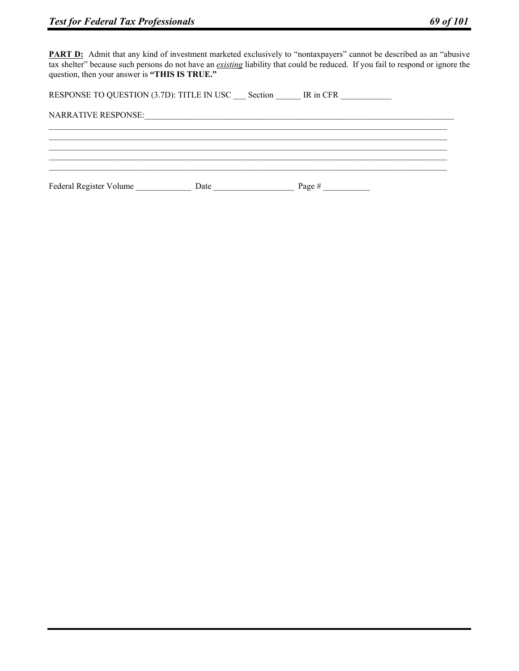**PART D:** Admit that any kind of investment marketed exclusively to "nontaxpayers" cannot be described as an "abusive tax shelter" because such persons do not have an *existing* liability that could be reduced. If you fail to respond or ignore the question, then your answer is **"THIS IS TRUE."**

RESPONSE TO QUESTION (3.7D): TITLE IN USC \_\_\_ Section \_\_\_\_\_\_ IR in CFR \_\_\_\_\_\_\_\_\_\_

NARRATIVE RESPONSE:\_\_\_\_\_\_\_\_\_\_\_\_\_\_\_\_\_\_\_\_\_\_\_\_\_\_\_\_\_\_\_\_\_\_\_\_\_\_\_\_\_\_\_\_\_\_\_\_\_\_\_\_\_\_\_\_\_\_\_\_\_\_\_\_\_\_\_\_\_\_\_\_\_

Federal Register Volume Date Date Page #  $\frac{1}{2}$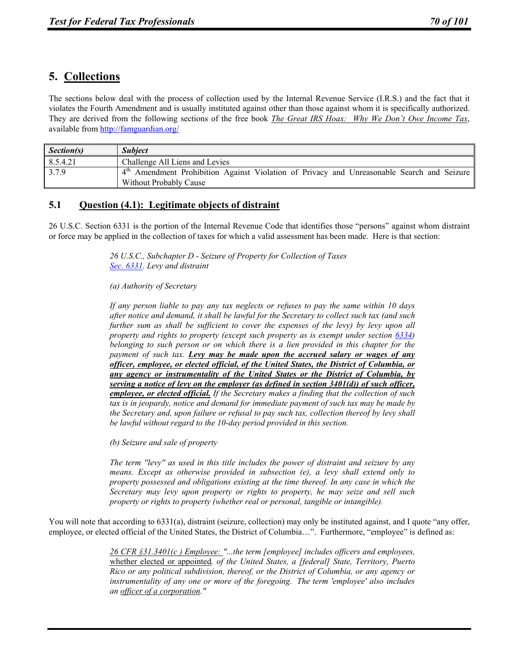# **5. Collections**

The sections below deal with the process of collection used by the Internal Revenue Service (I.R.S.) and the fact that it violates the Fourth Amendment and is usually instituted against other than those against whom it is specifically authorized. They are derived from the following sections of the free book *The Great IRS Hoax: Why We Don't Owe Income Tax*, available from http://famguardian.org/

| Section(s) | <i><b>Subject</b></i>                                                                  |
|------------|----------------------------------------------------------------------------------------|
| 8.5.4.21   | Challenge All Liens and Levies                                                         |
| 3.7.9      | Amendment Prohibition Against Violation of Privacy and Unreasonable Search and Seizure |
|            | Without Probably Cause                                                                 |

# **5.1 Question (4.1): Legitimate objects of distraint**

26 U.S.C. Section 6331 is the portion of the Internal Revenue Code that identifies those "persons" against whom distraint or force may be applied in the collection of taxes for which a valid assessment has been made. Here is that section:

> *26 U.S.C., Subchapter D - Seizure of Property for Collection of Taxes Sec. 6331. Levy and distraint*

*(a) Authority of Secretary* 

*If any person liable to pay any tax neglects or refuses to pay the same within 10 days after notice and demand, it shall be lawful for the Secretary to collect such tax (and such further sum as shall be sufficient to cover the expenses of the levy) by levy upon all property and rights to property (except such property as is exempt under section 6334) belonging to such person or on which there is a lien provided in this chapter for the payment of such tax. Levy may be made upon the accrued salary or wages of any officer, employee, or elected official, of the United States, the District of Columbia, or any agency or instrumentality of the United States or the District of Columbia, by serving a notice of levy on the employer (as defined in section 3401(d)) of such officer, employee, or elected official. If the Secretary makes a finding that the collection of such tax is in jeopardy, notice and demand for immediate payment of such tax may be made by the Secretary and, upon failure or refusal to pay such tax, collection thereof by levy shall be lawful without regard to the 10-day period provided in this section.* 

*(b) Seizure and sale of property* 

*The term ''levy'' as used in this title includes the power of distraint and seizure by any means. Except as otherwise provided in subsection (e), a levy shall extend only to property possessed and obligations existing at the time thereof. In any case in which the Secretary may levy upon property or rights to property, he may seize and sell such property or rights to property (whether real or personal, tangible or intangible).* 

You will note that according to 6331(a), distraint (seizure, collection) may only be instituted against, and I quote "any offer, employee, or elected official of the United States, the District of Columbia…". Furthermore, "employee" is defined as:

> *26 CFR §31.3401(c ) Employee: "...the term [employee] includes officers and employees,*  whether elected or appointed*, of the United States, a [federal] State, Territory, Puerto Rico or any political subdivision, thereof, or the District of Columbia, or any agency or instrumentality of any one or more of the foregoing. The term 'employee' also includes an officer of a corporation."*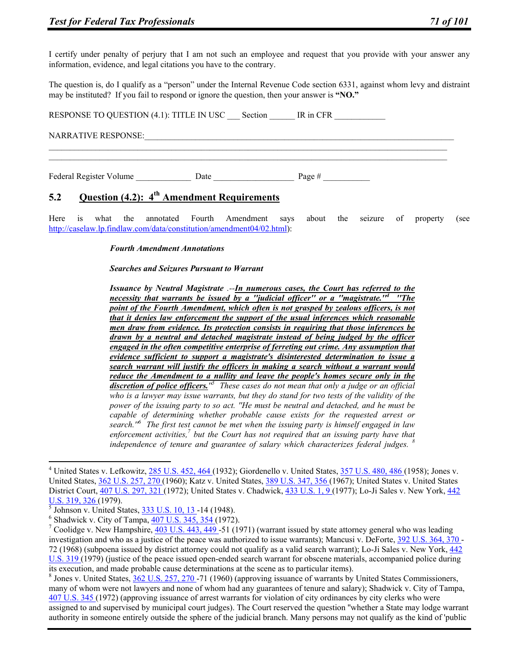I certify under penalty of perjury that I am not such an employee and request that you provide with your answer any information, evidence, and legal citations you have to the contrary.

The question is, do I qualify as a "person" under the Internal Revenue Code section 6331, against whom levy and distraint may be instituted? If you fail to respond or ignore the question, then your answer is **"NO."**

RESPONSE TO QUESTION (4.1): TITLE IN USC Section IR in CFR NARRATIVE RESPONSE: Federal Register Volume  $\qquad \qquad$  Date  $\qquad \qquad$  Page #

# **5.2 Question (4.2): 4th Amendment Requirements**

Here is what the annotated Fourth Amendment says about the seizure of property (see http://caselaw.lp.findlaw.com/data/constitution/amendment04/02.html):

#### *Fourth Amendment Annotations*

#### *Searches and Seizures Pursuant to Warrant*

*Issuance by Neutral Magistrate .--In numerous cases, the Court has referred to the necessity that warrants be issued by a ''judicial officer'' or a ''magistrate.''4 ''The point of the Fourth Amendment, which often is not grasped by zealous officers, is not that it denies law enforcement the support of the usual inferences which reasonable men draw from evidence. Its protection consists in requiring that those inferences be drawn by a neutral and detached magistrate instead of being judged by the officer engaged in the often competitive enterprise of ferreting out crime. Any assumption that evidence sufficient to support a magistrate's disinterested determination to issue a search warrant will justify the officers in making a search without a warrant would reduce the Amendment to a nullity and leave the people's homes secure only in the discretion of police officers.''5 These cases do not mean that only a judge or an official who is a lawyer may issue warrants, but they do stand for two tests of the validity of the power of the issuing party to so act. ''He must be neutral and detached, and he must be capable of determining whether probable cause exists for the requested arrest or search.''6 The first test cannot be met when the issuing party is himself engaged in law*  enforcement activities,<sup>7</sup> but the Court has not required that an issuing party have that *independence of tenure and guarantee of salary which characterizes federal judges. <sup>8</sup>*

 $\overline{a}$ 

 Jones v. United States, 362 U.S. 257, 270 -71 (1960) (approving issuance of warrants by United States Commissioners, many of whom were not lawyers and none of whom had any guarantees of tenure and salary); Shadwick v. City of Tampa, 407 U.S. 345 (1972) (approving issuance of arrest warrants for violation of city ordinances by city clerks who were assigned to and supervised by municipal court judges). The Court reserved the question ''whether a State may lodge warrant authority in someone entirely outside the sphere of the judicial branch. Many persons may not qualify as the kind of 'public

<sup>&</sup>lt;sup>4</sup> United States v. Lefkowitz,  $\frac{285 \text{ U.S. } 452, 464 (1932)}{2000 \text{ G.}}$  Giordenello v. United States,  $\frac{357 \text{ U.S. } 480, 486 (1958)}{2000 \text{ G.}}$  Jones v. United States, 362 U.S. 257, 270 (1960); Katz v. United States, 389 U.S. 347, 356 (1967); United States v. United States District Court, 407 U.S. 297, 321 (1972); United States v. Chadwick, 433 U.S. 1, 9 (1977); Lo-Ji Sales v. New York, 442 U.S. 319, 326<sub>(1979)</sub>.

 $\overline{5}$  Johnson v. United States, 333 U.S. 10, 13 - 14 (1948).

 $6$  Shadwick v. City of Tampa,  $407$  U.S. 345, 354 (1972).

<sup>&</sup>lt;sup>7</sup> Coolidge v. New Hampshire, 403 U.S. 443, 449 -51 (1971) (warrant issued by state attorney general who was leading investigation and who as a justice of the peace was authorized to issue warrants); Mancusi v. DeForte, 392 U.S. 364, 370 - 72 (1968) (subpoena issued by district attorney could not qualify as a valid search warrant); Lo-Ji Sales v. New York, 442 U.S. 319 (1979) (justice of the peace issued open-ended search warrant for obscene materials, accompanied police during its execution, and made probable cause determinations at the scene as to particular items).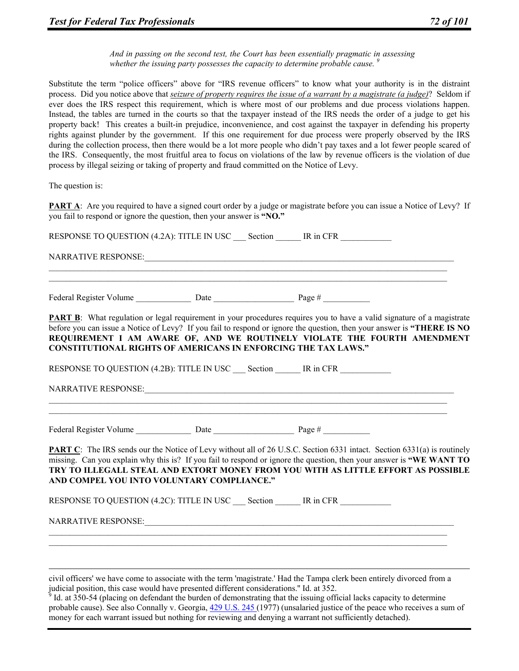*And in passing on the second test, the Court has been essentially pragmatic in assessing whether the issuing party possesses the capacity to determine probable cause.* 

Substitute the term "police officers" above for "IRS revenue officers" to know what your authority is in the distraint process. Did you notice above that *seizure of property requires the issue of a warrant by a magistrate (a judge)*? Seldom if ever does the IRS respect this requirement, which is where most of our problems and due process violations happen. Instead, the tables are turned in the courts so that the taxpayer instead of the IRS needs the order of a judge to get his property back! This creates a built-in prejudice, inconvenience, and cost against the taxpayer in defending his property rights against plunder by the government. If this one requirement for due process were properly observed by the IRS during the collection process, then there would be a lot more people who didn't pay taxes and a lot fewer people scared of the IRS. Consequently, the most fruitful area to focus on violations of the law by revenue officers is the violation of due process by illegal seizing or taking of property and fraud committed on the Notice of Levy.

The question is:

**PART A**: Are you required to have a signed court order by a judge or magistrate before you can issue a Notice of Levy? If you fail to respond or ignore the question, then your answer is **"NO."**

RESPONSE TO QUESTION (4.2A): TITLE IN USC Section IR in CFR

 $\mathcal{L}_\mathcal{L} = \{ \mathcal{L}_\mathcal{L} = \{ \mathcal{L}_\mathcal{L} = \{ \mathcal{L}_\mathcal{L} = \{ \mathcal{L}_\mathcal{L} = \{ \mathcal{L}_\mathcal{L} = \{ \mathcal{L}_\mathcal{L} = \{ \mathcal{L}_\mathcal{L} = \{ \mathcal{L}_\mathcal{L} = \{ \mathcal{L}_\mathcal{L} = \{ \mathcal{L}_\mathcal{L} = \{ \mathcal{L}_\mathcal{L} = \{ \mathcal{L}_\mathcal{L} = \{ \mathcal{L}_\mathcal{L} = \{ \mathcal{L}_\mathcal{$  $\mathcal{L}_\mathcal{L} = \{ \mathcal{L}_\mathcal{L} = \{ \mathcal{L}_\mathcal{L} = \{ \mathcal{L}_\mathcal{L} = \{ \mathcal{L}_\mathcal{L} = \{ \mathcal{L}_\mathcal{L} = \{ \mathcal{L}_\mathcal{L} = \{ \mathcal{L}_\mathcal{L} = \{ \mathcal{L}_\mathcal{L} = \{ \mathcal{L}_\mathcal{L} = \{ \mathcal{L}_\mathcal{L} = \{ \mathcal{L}_\mathcal{L} = \{ \mathcal{L}_\mathcal{L} = \{ \mathcal{L}_\mathcal{L} = \{ \mathcal{L}_\mathcal{$ 

NARRATIVE RESPONSE:

Federal Register Volume \_\_\_\_\_\_\_\_\_\_\_\_\_\_\_\_\_\_\_\_ Date \_\_\_\_\_\_\_\_\_\_\_\_\_\_\_\_\_\_\_\_\_\_\_\_\_\_\_\_\_\_\_ Page # \_\_\_\_\_\_\_\_\_\_\_\_\_\_\_\_

**PART B:** What regulation or legal requirement in your procedures requires you to have a valid signature of a magistrate before you can issue a Notice of Levy? If you fail to respond or ignore the question, then your answer is **"THERE IS NO REQUIREMENT I AM AWARE OF, AND WE ROUTINELY VIOLATE THE FOURTH AMENDMENT CONSTITUTIONAL RIGHTS OF AMERICANS IN ENFORCING THE TAX LAWS."**

RESPONSE TO QUESTION (4.2B): TITLE IN USC Section IR in CFR

 $\mathcal{L}_\mathcal{L} = \{ \mathcal{L}_\mathcal{L} = \{ \mathcal{L}_\mathcal{L} = \{ \mathcal{L}_\mathcal{L} = \{ \mathcal{L}_\mathcal{L} = \{ \mathcal{L}_\mathcal{L} = \{ \mathcal{L}_\mathcal{L} = \{ \mathcal{L}_\mathcal{L} = \{ \mathcal{L}_\mathcal{L} = \{ \mathcal{L}_\mathcal{L} = \{ \mathcal{L}_\mathcal{L} = \{ \mathcal{L}_\mathcal{L} = \{ \mathcal{L}_\mathcal{L} = \{ \mathcal{L}_\mathcal{L} = \{ \mathcal{L}_\mathcal{$  $\mathcal{L}_\mathcal{L} = \{ \mathcal{L}_\mathcal{L} = \{ \mathcal{L}_\mathcal{L} = \{ \mathcal{L}_\mathcal{L} = \{ \mathcal{L}_\mathcal{L} = \{ \mathcal{L}_\mathcal{L} = \{ \mathcal{L}_\mathcal{L} = \{ \mathcal{L}_\mathcal{L} = \{ \mathcal{L}_\mathcal{L} = \{ \mathcal{L}_\mathcal{L} = \{ \mathcal{L}_\mathcal{L} = \{ \mathcal{L}_\mathcal{L} = \{ \mathcal{L}_\mathcal{L} = \{ \mathcal{L}_\mathcal{L} = \{ \mathcal{L}_\mathcal{$ 

NARRATIVE RESPONSE:

Federal Register Volume  $\frac{1}{\sqrt{2\pi}}$  Date  $\frac{1}{\sqrt{2\pi}}$  Page  $\frac{1}{\sqrt{2\pi}}$ 

**PART C**: The IRS sends our the Notice of Levy without all of 26 U.S.C. Section 6331 intact. Section 6331(a) is routinely missing. Can you explain why this is? If you fail to respond or ignore the question, then your answer is **"WE WANT TO TRY TO ILLEGALL STEAL AND EXTORT MONEY FROM YOU WITH AS LITTLE EFFORT AS POSSIBLE AND COMPEL YOU INTO VOLUNTARY COMPLIANCE."**

RESPONSE TO QUESTION (4.2C): TITLE IN USC Section IR in CFR

NARRATIVE RESPONSE:

 civil officers' we have come to associate with the term 'magistrate.' Had the Tampa clerk been entirely divorced from a judicial position, this case would have presented different considerations.'' Id. at 352. 9

 $\mathcal{L}_\mathcal{L} = \{ \mathcal{L}_\mathcal{L} = \{ \mathcal{L}_\mathcal{L} = \{ \mathcal{L}_\mathcal{L} = \{ \mathcal{L}_\mathcal{L} = \{ \mathcal{L}_\mathcal{L} = \{ \mathcal{L}_\mathcal{L} = \{ \mathcal{L}_\mathcal{L} = \{ \mathcal{L}_\mathcal{L} = \{ \mathcal{L}_\mathcal{L} = \{ \mathcal{L}_\mathcal{L} = \{ \mathcal{L}_\mathcal{L} = \{ \mathcal{L}_\mathcal{L} = \{ \mathcal{L}_\mathcal{L} = \{ \mathcal{L}_\mathcal{$  $\mathcal{L}_\mathcal{L} = \{ \mathcal{L}_\mathcal{L} = \{ \mathcal{L}_\mathcal{L} = \{ \mathcal{L}_\mathcal{L} = \{ \mathcal{L}_\mathcal{L} = \{ \mathcal{L}_\mathcal{L} = \{ \mathcal{L}_\mathcal{L} = \{ \mathcal{L}_\mathcal{L} = \{ \mathcal{L}_\mathcal{L} = \{ \mathcal{L}_\mathcal{L} = \{ \mathcal{L}_\mathcal{L} = \{ \mathcal{L}_\mathcal{L} = \{ \mathcal{L}_\mathcal{L} = \{ \mathcal{L}_\mathcal{L} = \{ \mathcal{L}_\mathcal{$ 

<sup>9</sup> Id. at 350-54 (placing on defendant the burden of demonstrating that the issuing official lacks capacity to determine probable cause). See also Connally v. Georgia, 429 U.S. 245 (1977) (unsalaried justice of the peace who receives a sum of money for each warrant issued but nothing for reviewing and denying a warrant not sufficiently detached).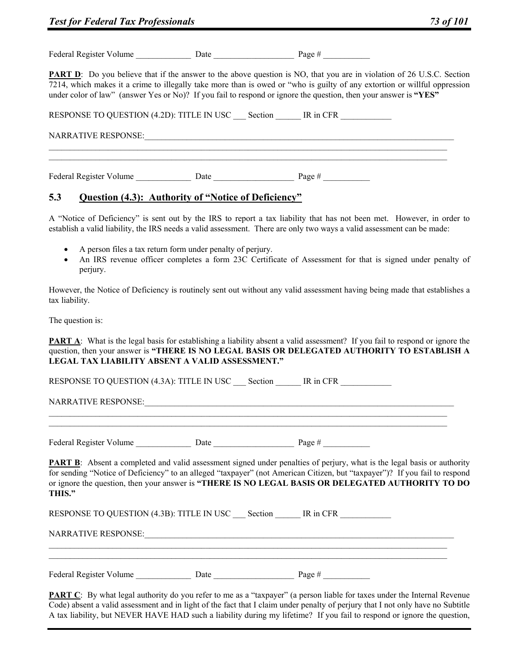| Federal Register Volume |      |        |
|-------------------------|------|--------|
|                         | Jate | Page # |
|                         |      |        |

**PART D**: Do you believe that if the answer to the above question is NO, that you are in violation of 26 U.S.C. Section 7214, which makes it a crime to illegally take more than is owed or "who is guilty of any extortion or willful oppression under color of law" (answer Yes or No)? If you fail to respond or ignore the question, then your answer is **"YES"**

| RESPONSE TO QUESTION (4.2D): TITLE IN USC Section |      | IR in CFR |  |
|---------------------------------------------------|------|-----------|--|
| <b>NARRATIVE RESPONSE:</b>                        |      |           |  |
| Federal Register Volume                           | Date | Page $#$  |  |

# **5.3 Question (4.3): Authority of "Notice of Deficiency"**

A "Notice of Deficiency" is sent out by the IRS to report a tax liability that has not been met. However, in order to establish a valid liability, the IRS needs a valid assessment. There are only two ways a valid assessment can be made:

- A person files a tax return form under penalty of perjury.
- An IRS revenue officer completes a form 23C Certificate of Assessment for that is signed under penalty of perjury.

However, the Notice of Deficiency is routinely sent out without any valid assessment having being made that establishes a tax liability.

The question is:

**PART A:** What is the legal basis for establishing a liability absent a valid assessment? If you fail to respond or ignore the question, then your answer is **"THERE IS NO LEGAL BASIS OR DELEGATED AUTHORITY TO ESTABLISH A LEGAL TAX LIABILITY ABSENT A VALID ASSESSMENT."**

RESPONSE TO QUESTION (4.3A): TITLE IN USC Section TR in CFR

NARRATIVE RESPONSE:

Federal Register Volume Date Date Date Page #

**PART B**: Absent a completed and valid assessment signed under penalties of perjury, what is the legal basis or authority for sending "Notice of Deficiency" to an alleged "taxpayer" (not American Citizen, but "taxpayer")? If you fail to respond or ignore the question, then your answer is **"THERE IS NO LEGAL BASIS OR DELEGATED AUTHORITY TO DO THIS."**

RESPONSE TO QUESTION (4.3B): TITLE IN USC Section \_\_\_\_\_ IR in CFR

NARRATIVE RESPONSE:

Federal Register Volume \_\_\_\_\_\_\_\_\_\_\_\_\_\_\_\_\_\_\_\_\_ Date \_\_\_\_\_\_\_\_\_\_\_\_\_\_\_\_\_\_\_\_\_\_\_\_\_\_\_\_\_\_ Page # \_\_\_\_\_\_\_\_\_\_\_\_\_\_\_\_\_\_\_\_

**PART C**: By what legal authority do you refer to me as a "taxpayer" (a person liable for taxes under the Internal Revenue Code) absent a valid assessment and in light of the fact that I claim under penalty of perjury that I not only have no Subtitle A tax liability, but NEVER HAVE HAD such a liability during my lifetime? If you fail to respond or ignore the question,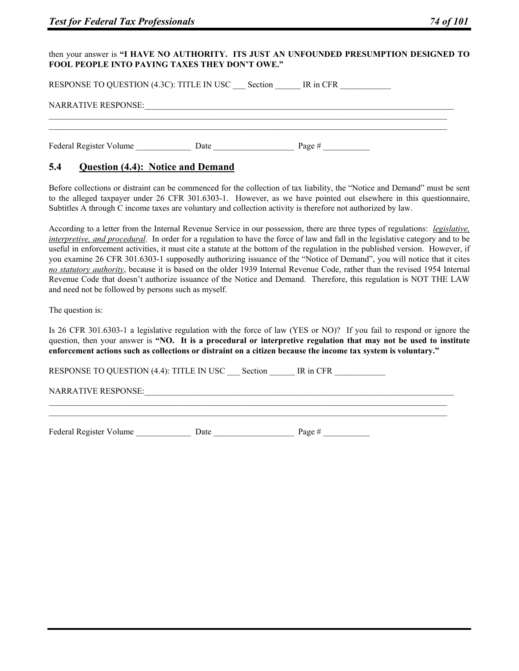#### then your answer is **"I HAVE NO AUTHORITY. ITS JUST AN UNFOUNDED PRESUMPTION DESIGNED TO FOOL PEOPLE INTO PAYING TAXES THEY DON'T OWE."**

| RESPONSE TO QUESTION (4.3C): TITLE IN USC | Section | IR in CFR |  |
|-------------------------------------------|---------|-----------|--|
| <b>NARRATIVE RESPONSE:</b>                |         |           |  |
|                                           |         |           |  |
| Federal Register Volume                   | Date    | Page $#$  |  |

# **5.4 Question (4.4): Notice and Demand**

Before collections or distraint can be commenced for the collection of tax liability, the "Notice and Demand" must be sent to the alleged taxpayer under 26 CFR 301.6303-1. However, as we have pointed out elsewhere in this questionnaire, Subtitles A through C income taxes are voluntary and collection activity is therefore not authorized by law.

According to a letter from the Internal Revenue Service in our possession, there are three types of regulations: *legislative, interpretive, and procedural*. In order for a regulation to have the force of law and fall in the legislative category and to be useful in enforcement activities, it must cite a statute at the bottom of the regulation in the published version. However, if you examine 26 CFR 301.6303-1 supposedly authorizing issuance of the "Notice of Demand", you will notice that it cites *no statutory authority*, because it is based on the older 1939 Internal Revenue Code, rather than the revised 1954 Internal Revenue Code that doesn't authorize issuance of the Notice and Demand. Therefore, this regulation is NOT THE LAW and need not be followed by persons such as myself.

The question is:

Is 26 CFR 301.6303-1 a legislative regulation with the force of law (YES or NO)? If you fail to respond or ignore the question, then your answer is **"NO. It is a procedural or interpretive regulation that may not be used to institute enforcement actions such as collections or distraint on a citizen because the income tax system is voluntary."**

 $\mathcal{L}_\mathcal{L} = \{ \mathcal{L}_\mathcal{L} = \{ \mathcal{L}_\mathcal{L} = \{ \mathcal{L}_\mathcal{L} = \{ \mathcal{L}_\mathcal{L} = \{ \mathcal{L}_\mathcal{L} = \{ \mathcal{L}_\mathcal{L} = \{ \mathcal{L}_\mathcal{L} = \{ \mathcal{L}_\mathcal{L} = \{ \mathcal{L}_\mathcal{L} = \{ \mathcal{L}_\mathcal{L} = \{ \mathcal{L}_\mathcal{L} = \{ \mathcal{L}_\mathcal{L} = \{ \mathcal{L}_\mathcal{L} = \{ \mathcal{L}_\mathcal{$  $\mathcal{L}_\mathcal{L} = \{ \mathcal{L}_\mathcal{L} = \{ \mathcal{L}_\mathcal{L} = \{ \mathcal{L}_\mathcal{L} = \{ \mathcal{L}_\mathcal{L} = \{ \mathcal{L}_\mathcal{L} = \{ \mathcal{L}_\mathcal{L} = \{ \mathcal{L}_\mathcal{L} = \{ \mathcal{L}_\mathcal{L} = \{ \mathcal{L}_\mathcal{L} = \{ \mathcal{L}_\mathcal{L} = \{ \mathcal{L}_\mathcal{L} = \{ \mathcal{L}_\mathcal{L} = \{ \mathcal{L}_\mathcal{L} = \{ \mathcal{L}_\mathcal{$ 

RESPONSE TO QUESTION (4.4): TITLE IN USC Section IR in CFR

NARRATIVE RESPONSE:

| Federal Register Volume |      |        |
|-------------------------|------|--------|
|                         | ⊅ate | Page # |
|                         |      |        |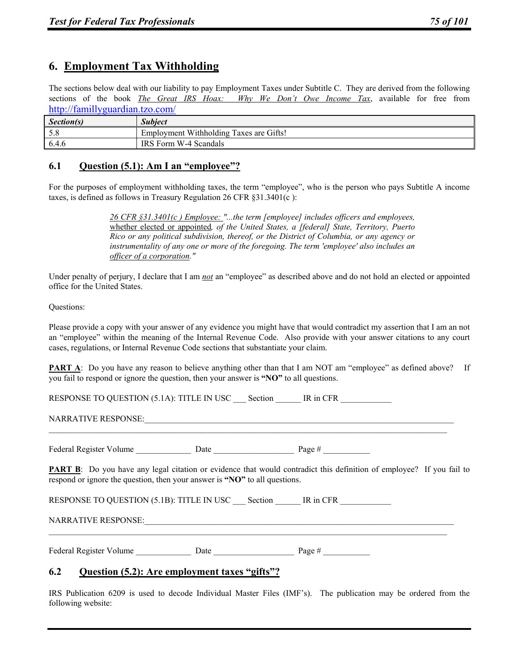# **6. Employment Tax Withholding**

The sections below deal with our liability to pay Employment Taxes under Subtitle C. They are derived from the following sections of the book *The Great IRS Hoax: Why We Don't Owe Income Tax*, available for free from http://famillyguardian.tzo.com/

| Section(s) | <b>Subject</b>                          |
|------------|-----------------------------------------|
| 5.8        | Employment Withholding Taxes are Gifts! |
| 6.4.6      | IRS Form W-4 Scandals                   |

# **6.1 Question (5.1): Am I an "employee"?**

For the purposes of employment withholding taxes, the term "employee", who is the person who pays Subtitle A income taxes, is defined as follows in Treasury Regulation 26 CFR §31.3401(c ):

> *26 CFR §31.3401(c ) Employee: "...the term [employee] includes officers and employees,*  whether elected or appointed*, of the United States, a [federal] State, Territory, Puerto Rico or any political subdivision, thereof, or the District of Columbia, or any agency or instrumentality of any one or more of the foregoing. The term 'employee' also includes an officer of a corporation."*

Under penalty of perjury, I declare that I am *not* an "employee" as described above and do not hold an elected or appointed office for the United States.

#### Questions:

Please provide a copy with your answer of any evidence you might have that would contradict my assertion that I am an not an "employee" within the meaning of the Internal Revenue Code. Also provide with your answer citations to any court cases, regulations, or Internal Revenue Code sections that substantiate your claim.

**PART A**: Do you have any reason to believe anything other than that I am NOT am "employee" as defined above? If you fail to respond or ignore the question, then your answer is **"NO"** to all questions.

RESPONSE TO QUESTION (5.1A): TITLE IN USC Section IR in CFR

NARRATIVE RESPONSE:

Federal Register Volume \_\_\_\_\_\_\_\_\_\_\_\_\_ Date \_\_\_\_\_\_\_\_\_\_\_\_\_\_\_\_\_\_\_ Page # \_\_\_\_\_\_\_\_\_\_\_

**PART B:** Do you have any legal citation or evidence that would contradict this definition of employee? If you fail to respond or ignore the question, then your answer is **"NO"** to all questions.

 $\mathcal{L}_\mathcal{L} = \mathcal{L}_\mathcal{L}$ 

 $\mathcal{L}_\mathcal{L} = \mathcal{L}_\mathcal{L}$ 

RESPONSE TO QUESTION (5.1B): TITLE IN USC Section \_\_\_\_\_ IR in CFR

NARRATIVE RESPONSE:

Federal Register Volume Date Date Date Page #

# **6.2 Question (5.2): Are employment taxes "gifts"?**

IRS Publication 6209 is used to decode Individual Master Files (IMF's). The publication may be ordered from the following website: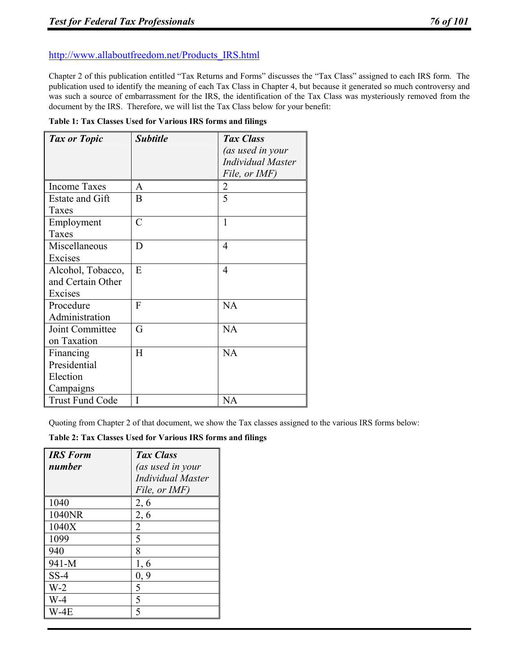# http://www.allaboutfreedom.net/Products\_IRS.html

Chapter 2 of this publication entitled "Tax Returns and Forms" discusses the "Tax Class" assigned to each IRS form. The publication used to identify the meaning of each Tax Class in Chapter 4, but because it generated so much controversy and was such a source of embarrassment for the IRS, the identification of the Tax Class was mysteriously removed from the document by the IRS. Therefore, we will list the Tax Class below for your benefit:

|  | Table 1: Tax Classes Used for Various IRS forms and filings |
|--|-------------------------------------------------------------|
|--|-------------------------------------------------------------|

| Tax or Topic           | <i><b>Subtitle</b></i> | Tax Class                |
|------------------------|------------------------|--------------------------|
|                        |                        | (as used in your         |
|                        |                        | <b>Individual Master</b> |
|                        |                        | File, or IMF)            |
| <b>Income Taxes</b>    | A                      | 2                        |
| <b>Estate and Gift</b> | B                      | 5                        |
| Taxes                  |                        |                          |
| Employment             | $\overline{C}$         | 1                        |
| Taxes                  |                        |                          |
| Miscellaneous          | D                      | $\overline{4}$           |
| Excises                |                        |                          |
| Alcohol, Tobacco,      | E                      | 4                        |
| and Certain Other      |                        |                          |
| Excises                |                        |                          |
| Procedure              | $\overline{F}$         | NA                       |
| Administration         |                        |                          |
| Joint Committee        | G                      | NA                       |
| on Taxation            |                        |                          |
| Financing              | H                      | NA                       |
| Presidential           |                        |                          |
| Election               |                        |                          |
| Campaigns              |                        |                          |
| <b>Trust Fund Code</b> | I                      | NA                       |

Quoting from Chapter 2 of that document, we show the Tax classes assigned to the various IRS forms below:

**Table 2: Tax Classes Used for Various IRS forms and filings** 

| <b>IRS</b> Form<br>number | Tax Class<br>(as used in your<br><b>Individual Master</b><br>File, or IMF) |
|---------------------------|----------------------------------------------------------------------------|
| 1040                      | 2, 6                                                                       |
| 1040NR                    | 2, 6                                                                       |
| 1040X                     | $\overline{2}$                                                             |
| 1099                      | 5                                                                          |
| 940                       | 8                                                                          |
| 941-M                     | 1, 6                                                                       |
| $SS-4$                    | 0, 9                                                                       |
| $W-2$                     | 5                                                                          |
| $W-4$                     | 5                                                                          |
| $W-4E$                    | 5                                                                          |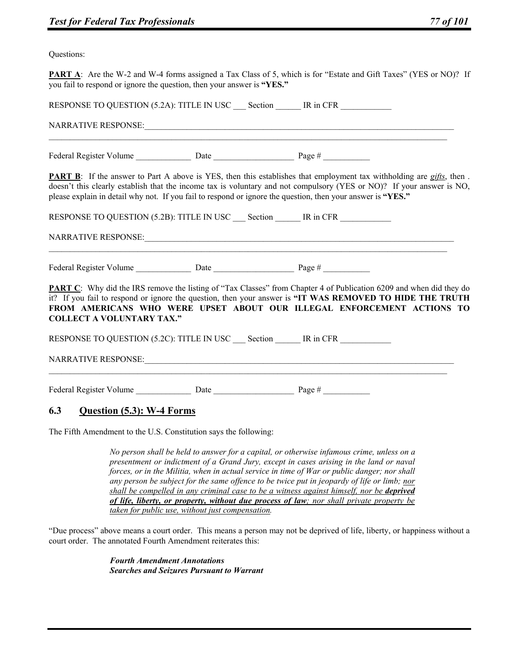Questions:

**PART A**: Are the W-2 and W-4 forms assigned a Tax Class of 5, which is for "Estate and Gift Taxes" (YES or NO)? If you fail to respond or ignore the question, then your answer is **"YES."**

| RESPONSE TO QUESTION (5.2A): TITLE IN USC Section TR in CFR<br>the control of the control of the control of the control of the control of the |  |                                                                                                                                                                                                                                                                                                                                                                         |  |  |
|-----------------------------------------------------------------------------------------------------------------------------------------------|--|-------------------------------------------------------------------------------------------------------------------------------------------------------------------------------------------------------------------------------------------------------------------------------------------------------------------------------------------------------------------------|--|--|
|                                                                                                                                               |  |                                                                                                                                                                                                                                                                                                                                                                         |  |  |
|                                                                                                                                               |  | <b>PART B</b> : If the answer to Part A above is YES, then this establishes that employment tax withholding are $gifis$ , then.<br>doesn't this clearly establish that the income tax is voluntary and not compulsory (YES or NO)? If your answer is NO,<br>please explain in detail why not. If you fail to respond or ignore the question, then your answer is "YES." |  |  |
|                                                                                                                                               |  | RESPONSE TO QUESTION (5.2B): TITLE IN USC __ Section _______ IR in CFR                                                                                                                                                                                                                                                                                                  |  |  |
|                                                                                                                                               |  |                                                                                                                                                                                                                                                                                                                                                                         |  |  |
|                                                                                                                                               |  |                                                                                                                                                                                                                                                                                                                                                                         |  |  |
| <b>COLLECT A VOLUNTARY TAX."</b>                                                                                                              |  | <b>PART C</b> : Why did the IRS remove the listing of "Tax Classes" from Chapter 4 of Publication 6209 and when did they do<br>it? If you fail to respond or ignore the question, then your answer is "IT WAS REMOVED TO HIDE THE TRUTH<br>FROM AMERICANS WHO WERE UPSET ABOUT OUR ILLEGAL ENFORCEMENT ACTIONS TO                                                       |  |  |
|                                                                                                                                               |  | RESPONSE TO QUESTION (5.2C): TITLE IN USC Section MR in CFR                                                                                                                                                                                                                                                                                                             |  |  |
|                                                                                                                                               |  |                                                                                                                                                                                                                                                                                                                                                                         |  |  |
|                                                                                                                                               |  |                                                                                                                                                                                                                                                                                                                                                                         |  |  |
| 6.3 <b>Question (5.3): W-4 Forms</b>                                                                                                          |  |                                                                                                                                                                                                                                                                                                                                                                         |  |  |

The Fifth Amendment to the U.S. Constitution says the following:

*No person shall be held to answer for a capital, or otherwise infamous crime, unless on a presentment or indictment of a Grand Jury, except in cases arising in the land or naval forces, or in the Militia, when in actual service in time of War or public danger; nor shall any person be subject for the same offence to be twice put in jeopardy of life or limb; nor shall be compelled in any criminal case to be a witness against himself, nor be deprived of life, liberty, or property, without due process of law; nor shall private property be taken for public use, without just compensation.* 

"Due process" above means a court order. This means a person may not be deprived of life, liberty, or happiness without a court order. The annotated Fourth Amendment reiterates this:

> *Fourth Amendment Annotations Searches and Seizures Pursuant to Warrant*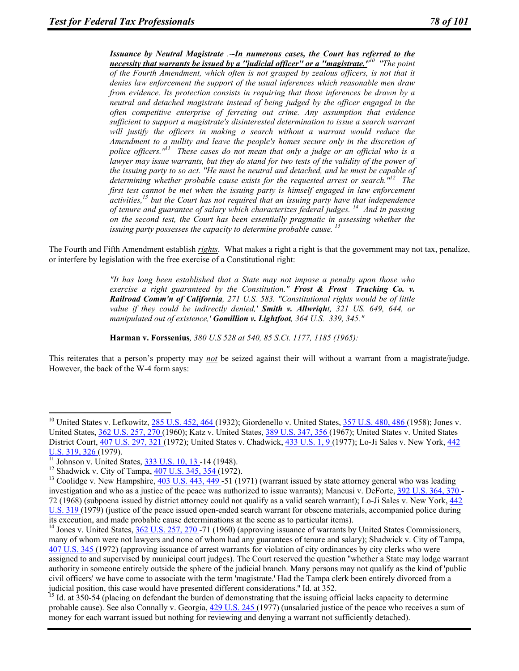*Issuance by Neutral Magistrate .--In numerous cases, the Court has referred to the necessity that warrants be issued by a ''judicial officer'' or a ''magistrate.'' 10 ''The point of the Fourth Amendment, which often is not grasped by zealous officers, is not that it denies law enforcement the support of the usual inferences which reasonable men draw from evidence. Its protection consists in requiring that those inferences be drawn by a neutral and detached magistrate instead of being judged by the officer engaged in the often competitive enterprise of ferreting out crime. Any assumption that evidence sufficient to support a magistrate's disinterested determination to issue a search warrant*  will justify the officers in making a search without a warrant would reduce the *Amendment to a nullity and leave the people's homes secure only in the discretion of police officers.''11 These cases do not mean that only a judge or an official who is a lawyer may issue warrants, but they do stand for two tests of the validity of the power of the issuing party to so act. ''He must be neutral and detached, and he must be capable of determining whether probable cause exists for the requested arrest or search.''12 The first test cannot be met when the issuing party is himself engaged in law enforcement activities,13 but the Court has not required that an issuing party have that independence of tenure and guarantee of salary which characterizes federal judges. 14 And in passing on the second test, the Court has been essentially pragmatic in assessing whether the issuing party possesses the capacity to determine probable cause. <sup>15</sup>*

The Fourth and Fifth Amendment establish *rights*. What makes a right a right is that the government may not tax, penalize, or interfere by legislation with the free exercise of a Constitutional right:

> *"It has long been established that a State may not impose a penalty upon those who exercise a right guaranteed by the Constitution." Frost & Frost Trucking Co. v. Railroad Comm'n of California, 271 U.S. 583. "Constitutional rights would be of little value if they could be indirectly denied,' Smith v. Allwriqht, 321 US. 649, 644, or manipulated out of existence,' Gomillion v. Lightfoot, 364 U.S. 339, 345."*

**Harman v. Forssenius***, 380 U.S 528 at 540, 85 S.Ct. 1177, 1185 (1965):* 

This reiterates that a person's property may *not* be seized against their will without a warrant from a magistrate/judge. However, the back of the W-4 form says:

 $\overline{a}$ 

<sup>&</sup>lt;sup>10</sup> United States v. Lefkowitz, 285 U.S. 452, 464 (1932); Giordenello v. United States, 357 U.S. 480, 486 (1958); Jones v. United States, 362 U.S. 257, 270 (1960); Katz v. United States, 389 U.S. 347, 356 (1967); United States v. United States District Court, 407 U.S. 297, 321 (1972); United States v. Chadwick, 433 U.S. 1, 9 (1977); Lo-Ji Sales v. New York, 442 U.S. 319, 326 (1979).<br><sup>11</sup> Johnson v. United States, <u>333 U.S. 10, 13</u>-14 (1948).<br><sup>12</sup> Shadwick v. City of Tampa, <u>407 U.S. 345, 354 (</u>1972).<br><sup>13</sup> Coolidge v. New Hampshire, 403 U.S. 443, 449 -51 (1971) (warrant issued by

investigation and who as a justice of the peace was authorized to issue warrants); Mancusi v. DeForte, 392 U.S. 364, 370 - 72 (1968) (subpoena issued by district attorney could not qualify as a valid search warrant); Lo-Ji Sales v. New York, 442 U.S. 319 (1979) (justice of the peace issued open-ended search warrant for obscene materials, accompanied police during its execution, and made probable cause determinations at the scene as to particular items). 14 Jones v. United States, 362 U.S. 257, 270 -71 (1960) (approving issuance of warrants by United States Commissioners,

many of whom were not lawyers and none of whom had any guarantees of tenure and salary); Shadwick v. City of Tampa, 407 U.S. 345 (1972) (approving issuance of arrest warrants for violation of city ordinances by city clerks who were assigned to and supervised by municipal court judges). The Court reserved the question ''whether a State may lodge warrant authority in someone entirely outside the sphere of the judicial branch. Many persons may not qualify as the kind of 'public civil officers' we have come to associate with the term 'magistrate.' Had the Tampa clerk been entirely divorced from a

judicial position, this case would have presented different considerations." Id. at  $352$ .<br><sup>15</sup> Id. at  $350-54$  (placing on defendant the burden of demonstrating that the issuing official lacks capacity to determine probable cause). See also Connally v. Georgia, 429 U.S. 245 (1977) (unsalaried justice of the peace who receives a sum of money for each warrant issued but nothing for reviewing and denying a warrant not sufficiently detached).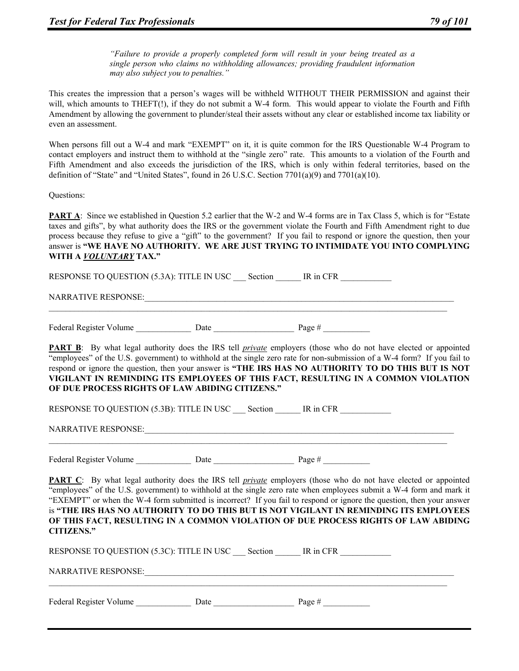*"Failure to provide a properly completed form will result in your being treated as a single person who claims no withholding allowances; providing fraudulent information may also subject you to penalties."* 

This creates the impression that a person's wages will be withheld WITHOUT THEIR PERMISSION and against their will, which amounts to THEFT(!), if they do not submit a W-4 form. This would appear to violate the Fourth and Fifth Amendment by allowing the government to plunder/steal their assets without any clear or established income tax liability or even an assessment.

When persons fill out a W-4 and mark "EXEMPT" on it, it is quite common for the IRS Questionable W-4 Program to contact employers and instruct them to withhold at the "single zero" rate. This amounts to a violation of the Fourth and Fifth Amendment and also exceeds the jurisdiction of the IRS, which is only within federal territories, based on the definition of "State" and "United States", found in 26 U.S.C. Section 7701(a)(9) and 7701(a)(10).

Questions:

**PART A:** Since we established in Question 5.2 earlier that the W-2 and W-4 forms are in Tax Class 5, which is for "Estate" taxes and gifts", by what authority does the IRS or the government violate the Fourth and Fifth Amendment right to due process because they refuse to give a "gift" to the government? If you fail to respond or ignore the question, then your answer is **"WE HAVE NO AUTHORITY. WE ARE JUST TRYING TO INTIMIDATE YOU INTO COMPLYING WITH A** *VOLUNTARY* **TAX."**

RESPONSE TO QUESTION (5.3A): TITLE IN USC Section IR in CFR NARRATIVE RESPONSE: Federal Register Volume Date Date Date Page #

**PART B**: By what legal authority does the IRS tell *private* employers (those who do not have elected or appointed "employees" of the U.S. government) to withhold at the single zero rate for non-submission of a W-4 form? If you fail to respond or ignore the question, then your answer is **"THE IRS HAS NO AUTHORITY TO DO THIS BUT IS NOT VIGILANT IN REMINDING ITS EMPLOYEES OF THIS FACT, RESULTING IN A COMMON VIOLATION OF DUE PROCESS RIGHTS OF LAW ABIDING CITIZENS."**

RESPONSE TO QUESTION (5.3B): TITLE IN USC \_\_\_ Section \_\_\_\_\_ IR in CFR NARRATIVE RESPONSE:\_\_\_\_\_\_\_\_\_\_\_\_\_\_\_\_\_\_\_\_\_\_\_\_\_\_\_\_\_\_\_\_\_\_\_\_\_\_\_\_\_\_\_\_\_\_\_\_\_\_\_\_\_\_\_\_\_\_\_\_\_\_\_\_\_\_\_\_\_\_\_\_\_

Federal Register Volume Date Date Date Page #

**PART C**: By what legal authority does the IRS tell *private* employers (those who do not have elected or appointed "employees" of the U.S. government) to withhold at the single zero rate when employees submit a W-4 form and mark it "EXEMPT" or when the W-4 form submitted is incorrect? If you fail to respond or ignore the question, then your answer is **"THE IRS HAS NO AUTHORITY TO DO THIS BUT IS NOT VIGILANT IN REMINDING ITS EMPLOYEES OF THIS FACT, RESULTING IN A COMMON VIOLATION OF DUE PROCESS RIGHTS OF LAW ABIDING CITIZENS."**

RESPONSE TO QUESTION (5.3C): TITLE IN USC \_\_\_\_\_ Section \_\_\_\_\_\_\_\_ IR in CFR NARRATIVE RESPONSE: Federal Register Volume Date Date Page #  $\frac{1}{2}$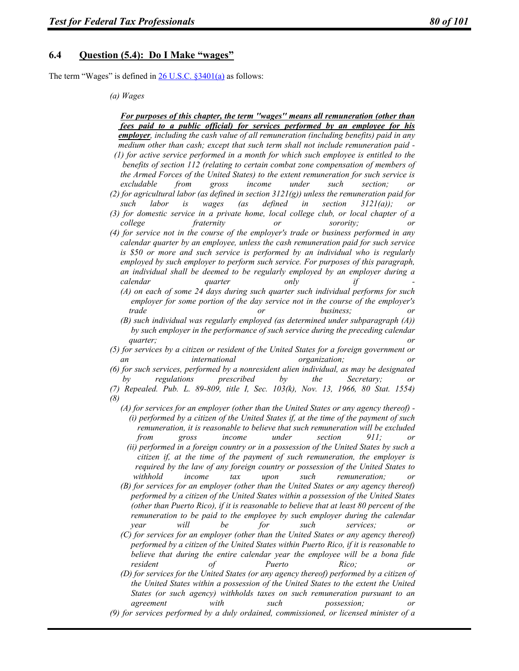## **6.4 Question (5.4): Do I Make "wages"**

The term "Wages" is defined in 26 U.S.C. §3401(a) as follows:

#### *(a) Wages*

 *For purposes of this chapter, the term ''wages'' means all remuneration (other than fees paid to a public official) for services performed by an employee for his employer, including the cash value of all remuneration (including benefits) paid in any medium other than cash; except that such term shall not include remuneration paid - (1) for active service performed in a month for which such employee is entitled to the benefits of section 112 (relating to certain combat zone compensation of members of the Armed Forces of the United States) to the extent remuneration for such service is excludable from gross income under such section; or (2) for agricultural labor (as defined in section 3121(g)) unless the remuneration paid for such labor is wages (as defined in section 3121(a)); or (3) for domestic service in a private home, local college club, or local chapter of a college fraternity or sorority; or (4) for service not in the course of the employer's trade or business performed in any calendar quarter by an employee, unless the cash remuneration paid for such service is \$50 or more and such service is performed by an individual who is regularly employed by such employer to perform such service. For purposes of this paragraph, an individual shall be deemed to be regularly employed by an employer during a calendar quarter only if - (A) on each of some 24 days during such quarter such individual performs for such employer for some portion of the day service not in the course of the employer's trade or business; or (B) such individual was regularly employed (as determined under subparagraph (A)) by such employer in the performance of such service during the preceding calendar quarter; or (5) for services by a citizen or resident of the United States for a foreign government or an international organization; or (6) for such services, performed by a nonresident alien individual, as may be designated by regulations prescribed by the Secretary; or (7) Repealed. Pub. L. 89-809, title I, Sec. 103(k), Nov. 13, 1966, 80 Stat. 1554) (8) (A) for services for an employer (other than the United States or any agency thereof) - (i) performed by a citizen of the United States if, at the time of the payment of such remuneration, it is reasonable to believe that such remuneration will be excluded from gross income under section 911; or (ii) performed in a foreign country or in a possession of the United States by such a citizen if, at the time of the payment of such remuneration, the employer is required by the law of any foreign country or possession of the United States to withhold income tax upon such remuneration; or (B) for services for an employer (other than the United States or any agency thereof) performed by a citizen of the United States within a possession of the United States (other than Puerto Rico), if it is reasonable to believe that at least 80 percent of the remuneration to be paid to the employee by such employer during the calendar year will be for such services; or (C) for services for an employer (other than the United States or any agency thereof) performed by a citizen of the United States within Puerto Rico, if it is reasonable to* 

 *believe that during the entire calendar year the employee will be a bona fide resident of Puerto Rico; or (D) for services for the United States (or any agency thereof) performed by a citizen of* 

 *the United States within a possession of the United States to the extent the United States (or such agency) withholds taxes on such remuneration pursuant to an agreement with such possession; or* 

*<sup>(9)</sup> for services performed by a duly ordained, commissioned, or licensed minister of a*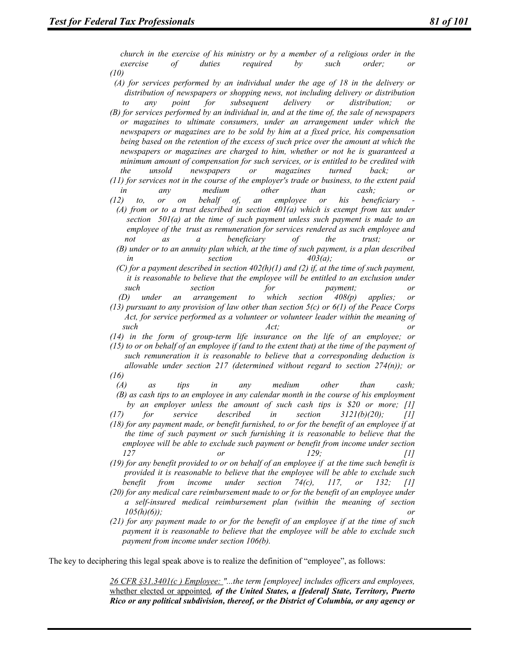*church in the exercise of his ministry or by a member of a religious order in the exercise of duties required by such order; or (10)* 

- *(A) for services performed by an individual under the age of 18 in the delivery or distribution of newspapers or shopping news, not including delivery or distribution to any point for subsequent delivery or distribution; or (B) for services performed by an individual in, and at the time of, the sale of newspapers or magazines to ultimate consumers, under an arrangement under which the newspapers or magazines are to be sold by him at a fixed price, his compensation being based on the retention of the excess of such price over the amount at which the newspapers or magazines are charged to him, whether or not he is guaranteed a minimum amount of compensation for such services, or is entitled to be credited with the unsold newspapers or magazines turned back; or (11) for services not in the course of the employer's trade or business, to the extent paid in any medium other than cash; or (12)* to, or on behalf of, an employee or his beneficiary
- $(A)$  from or to a trust described in section  $401(a)$  which is exempt from tax under  *section 501(a) at the time of such payment unless such payment is made to an employee of the trust as remuneration for services rendered as such employee and not as a beneficiary of the trust; or (B) under or to an annuity plan which, at the time of such payment, is a plan described in* section  $\text{section}$  and  $\text{403}(a)$ ; or
- *(C) for a payment described in section 402(h)(1) and (2) if, at the time of such payment, it is reasonable to believe that the employee will be entitled to an exclusion under such section for payment; or (D) under an arrangement to which section 408(p) applies; or*
- *(13) pursuant to any provision of law other than section 5(c) or 6(1) of the Peace Corps Act, for service performed as a volunteer or volunteer leader within the meaning of such Act; or*

*(14) in the form of group-term life insurance on the life of an employee; or (15) to or on behalf of an employee if (and to the extent that) at the time of the payment of such remuneration it is reasonable to believe that a corresponding deduction is allowable under section 217 (determined without regard to section 274(n)); or (16)* 

 *(A) as tips in any medium other than cash; (B) as cash tips to an employee in any calendar month in the course of his employment by an employer unless the amount of such cash tips is \$20 or more; [1] (17) for service described in section 3121(b)(20); [1]* 

- *(18) for any payment made, or benefit furnished, to or for the benefit of an employee if at the time of such payment or such furnishing it is reasonable to believe that the employee will be able to exclude such payment or benefit from income under section 127 or 129; [1]*
- *(19) for any benefit provided to or on behalf of an employee if at the time such benefit is provided it is reasonable to believe that the employee will be able to exclude such benefit from income under section 74(c), 117, or 132; [1]*
- *(20) for any medical care reimbursement made to or for the benefit of an employee under a self-insured medical reimbursement plan (within the meaning of section*   $105(h)(6)$ ;
- *(21) for any payment made to or for the benefit of an employee if at the time of such payment it is reasonable to believe that the employee will be able to exclude such payment from income under section 106(b).*

The key to deciphering this legal speak above is to realize the definition of "employee", as follows:

*26 CFR §31.3401(c ) Employee: "...the term [employee] includes officers and employees,*  whether elected or appointed*, of the United States, a [federal] State, Territory, Puerto Rico or any political subdivision, thereof, or the District of Columbia, or any agency or*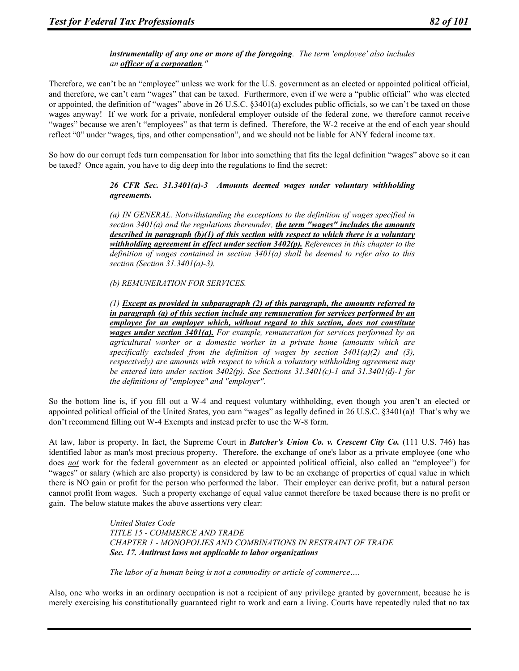### *instrumentality of any one or more of the foregoing. The term 'employee' also includes an officer of a corporation."*

Therefore, we can't be an "employee" unless we work for the U.S. government as an elected or appointed political official, and therefore, we can't earn "wages" that can be taxed. Furthermore, even if we were a "public official" who was elected or appointed, the definition of "wages" above in 26 U.S.C. §3401(a) excludes public officials, so we can't be taxed on those wages anyway! If we work for a private, nonfederal employer outside of the federal zone, we therefore cannot receive "wages" because we aren't "employees" as that term is defined. Therefore, the W-2 receive at the end of each year should reflect "0" under "wages, tips, and other compensation", and we should not be liable for ANY federal income tax.

So how do our corrupt feds turn compensation for labor into something that fits the legal definition "wages" above so it can be taxed? Once again, you have to dig deep into the regulations to find the secret:

#### *26 CFR Sec. 31.3401(a)-3 Amounts deemed wages under voluntary withholding agreements.*

*(a) IN GENERAL. Notwithstanding the exceptions to the definition of wages specified in section 3401(a) and the regulations thereunder, the term "wages" includes the amounts described in paragraph (b)(1) of this section with respect to which there is a voluntary withholding agreement in effect under section 3402(p). References in this chapter to the definition of wages contained in section 3401(a) shall be deemed to refer also to this section (Section 31.3401(a)-3).* 

#### *(b) REMUNERATION FOR SERVICES.*

*(1) Except as provided in subparagraph (2) of this paragraph, the amounts referred to in paragraph (a) of this section include any remuneration for services performed by an employee for an employer which, without regard to this section, does not constitute wages under section 3401(a). For example, remuneration for services performed by an agricultural worker or a domestic worker in a private home (amounts which are*  specifically excluded from the definition of wages by section  $3401(a)(2)$  and  $(3)$ , *respectively) are amounts with respect to which a voluntary withholding agreement may be entered into under section 3402(p). See Sections 31.3401(c)-1 and 31.3401(d)-1 for the definitions of "employee" and "employer".* 

So the bottom line is, if you fill out a W-4 and request voluntary withholding, even though you aren't an elected or appointed political official of the United States, you earn "wages" as legally defined in 26 U.S.C. §3401(a)! That's why we don't recommend filling out W-4 Exempts and instead prefer to use the W-8 form.

At law, labor is property. In fact, the Supreme Court in *Butcher's Union Co. v. Crescent City Co.* (111 U.S. 746) has identified labor as man's most precious property. Therefore, the exchange of one's labor as a private employee (one who does *not* work for the federal government as an elected or appointed political official, also called an "employee") for "wages" or salary (which are also property) is considered by law to be an exchange of properties of equal value in which there is NO gain or profit for the person who performed the labor. Their employer can derive profit, but a natural person cannot profit from wages. Such a property exchange of equal value cannot therefore be taxed because there is no profit or gain. The below statute makes the above assertions very clear:

> *United States Code TITLE 15 - COMMERCE AND TRADE CHAPTER 1 - MONOPOLIES AND COMBINATIONS IN RESTRAINT OF TRADE Sec. 17. Antitrust laws not applicable to labor organizations*

*The labor of a human being is not a commodity or article of commerce….* 

Also, one who works in an ordinary occupation is not a recipient of any privilege granted by government, because he is merely exercising his constitutionally guaranteed right to work and earn a living. Courts have repeatedly ruled that no tax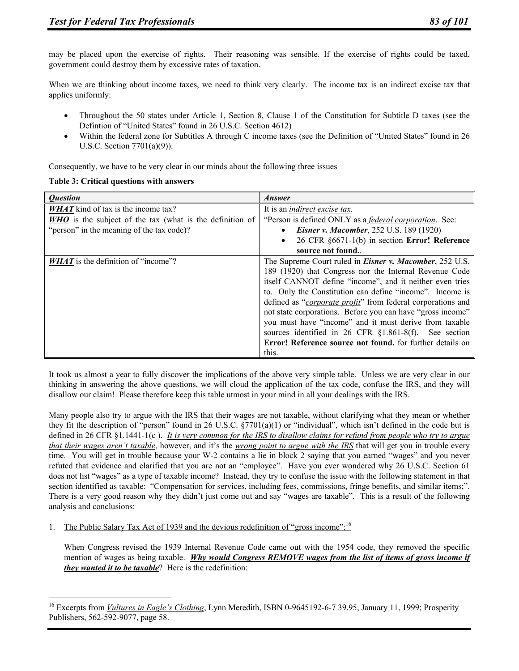may be placed upon the exercise of rights. Their reasoning was sensible. If the exercise of rights could be taxed, government could destroy them by excessive rates of taxation.

When we are thinking about income taxes, we need to think very clearly. The income tax is an indirect excise tax that applies uniformly:

- Throughout the 50 states under Article 1, Section 8, Clause 1 of the Constitution for Subtitle D taxes (see the Defintion of "United States" found in 26 U.S.C. Section 4612)
- Within the federal zone for Subtitles A through C income taxes (see the Definition of "United States" found in 26 U.S.C. Section 7701(a)(9)).

Consequently, we have to be very clear in our minds about the following three issues

|  |  | Table 3: Critical questions with answers |  |  |
|--|--|------------------------------------------|--|--|
|--|--|------------------------------------------|--|--|

 $\overline{a}$ 

| <i><b>Ouestion</b></i>                                          | <b>Answer</b>                                                        |
|-----------------------------------------------------------------|----------------------------------------------------------------------|
| <b><i>WHAT</i></b> kind of tax is the income tax?               | It is an <i>indirect</i> excise tax.                                 |
| <b>WHO</b> is the subject of the tax (what is the definition of | "Person is defined ONLY as a <i>federal corporation</i> . See:       |
| "person" in the meaning of the tax code)?                       | <b>Eisner v. Macomber, 252 U.S. 189 (1920)</b><br>$\bullet$          |
|                                                                 | 26 CFR §6671-1(b) in section Error! Reference<br>$\bullet$           |
|                                                                 | source not found.                                                    |
| <b>WHAT</b> is the definition of "income"?                      | The Supreme Court ruled in <i>Eisner v. Macomber</i> , 252 U.S.      |
|                                                                 | 189 (1920) that Congress nor the Internal Revenue Code               |
|                                                                 | itself CANNOT define "income", and it neither even tries             |
|                                                                 | to. Only the Constitution can define "income". Income is             |
|                                                                 | defined as " <i>corporate profit</i> " from federal corporations and |
|                                                                 | not state corporations. Before you can have "gross income"           |
|                                                                 | you must have "income" and it must derive from taxable               |
|                                                                 | sources identified in 26 CFR §1.861-8(f). See section                |
|                                                                 | Error! Reference source not found, for further details on            |
|                                                                 | this.                                                                |

It took us almost a year to fully discover the implications of the above very simple table. Unless we are very clear in our thinking in answering the above questions, we will cloud the application of the tax code, confuse the IRS, and they will disallow our claim! Please therefore keep this table utmost in your mind in all your dealings with the IRS.

Many people also try to argue with the IRS that their wages are not taxable, without clarifying what they mean or whether they fit the description of "person" found in 26 U.S.C.  $\S7701(a)(1)$  or "individual", which isn't defined in the code but is defined in 26 CFR §1.1441-1(c ). *It is very common for the IRS to disallow claims for refund from people who try to argue that their wages aren't taxable*, however, and it's the *wrong point to argue with the IRS* that will get you in trouble every time. You will get in trouble because your W-2 contains a lie in block 2 saying that you earned "wages" and you never refuted that evidence and clarified that you are not an "employee". Have you ever wondered why 26 U.S.C. Section 61 does not list "wages" as a type of taxable income? Instead, they try to confuse the issue with the following statement in that section identified as taxable: "Compensation for services, including fees, commissions, fringe benefits, and similar items;". There is a very good reason why they didn't just come out and say "wages are taxable". This is a result of the following analysis and conclusions:

1. The Public Salary Tax Act of 1939 and the devious redefinition of "gross income":<sup>16</sup>

When Congress revised the 1939 Internal Revenue Code came out with the 1954 code, they removed the specific mention of wages as being taxable. *Why would Congress REMOVE wages from the list of items of gross income if they wanted it to be taxable*? Here is the redefinition:

<sup>&</sup>lt;sup>16</sup> Excerpts from *Vultures in Eagle's Clothing*, Lynn Meredith, ISBN 0-9645192-6-7 39.95, January 11, 1999; Prosperity Publishers, 562-592-9077, page 58.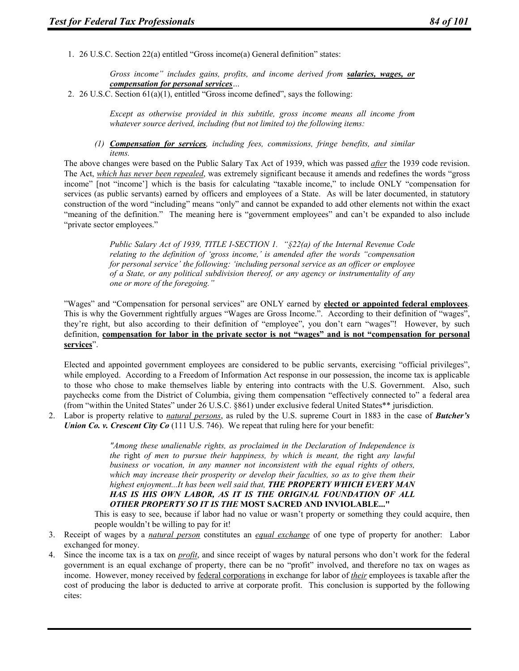1. 26 U.S.C. Section 22(a) entitled "Gross income(a) General definition" states:

*Gross income" includes gains, profits, and income derived from salaries, wages, or compensation for personal services…* 

2. 26 U.S.C. Section 61(a)(1), entitled "Gross income defined", says the following:

*Except as otherwise provided in this subtitle, gross income means all income from whatever source derived, including (but not limited to) the following items:* 

*(1) Compensation for services, including fees, commissions, fringe benefits, and similar items.* 

The above changes were based on the Public Salary Tax Act of 1939, which was passed *after* the 1939 code revision. The Act, *which has never been repealed*, was extremely significant because it amends and redefines the words "gross income" [not "income'] which is the basis for calculating "taxable income," to include ONLY "compensation for services (as public servants) earned by officers and employees of a State. As will be later documented, in statutory construction of the word "including" means "only" and cannot be expanded to add other elements not within the exact "meaning of the definition." The meaning here is "government employees" and can't be expanded to also include "private sector employees."

> *Public Salary Act of 1939, TITLE I-SECTION 1. "§22(a) of the Internal Revenue Code relating to the definition of 'gross income,' is amended after the words "compensation for personal service' the following: 'including personal service as an officer or employee of a State, or any political subdivision thereof, or any agency or instrumentality of any one or more of the foregoing."*

"Wages" and "Compensation for personal services" are ONLY earned by **elected or appointed federal employees**. This is why the Government rightfully argues "Wages are Gross Income.". According to their definition of "wages", they're right, but also according to their definition of "employee", you don't earn "wages"! However, by such definition, **compensation for labor in the private sector is not "wages" and is not "compensation for personal services**".

Elected and appointed government employees are considered to be public servants, exercising "official privileges", while employed. According to a Freedom of Information Act response in our possession, the income tax is applicable to those who chose to make themselves liable by entering into contracts with the U.S. Government. Also, such paychecks come from the District of Columbia, giving them compensation "effectively connected to" a federal area (from "within the United States" under 26 U.S.C. §861) under exclusive federal United States\*\* jurisdiction.

2. Labor is property relative to *natural persons*, as ruled by the U.S. supreme Court in 1883 in the case of *Butcher's Union Co. v. Crescent City Co* (111 U.S. 746). We repeat that ruling here for your benefit:

> *"Among these unalienable rights, as proclaimed in the Declaration of Independence is the right of men to pursue their happiness, by which is meant, the right any lawful business or vocation, in any manner not inconsistent with the equal rights of others, which may increase their prosperity or develop their faculties, so as to give them their highest enjoyment...It has been well said that, THE PROPERTY WHICH EVERY MAN HAS IS HIS OWN LABOR, AS IT IS THE ORIGINAL FOUNDATION OF ALL OTHER PROPERTY SO IT IS THE* **MOST SACRED AND INVIOLABLE..."**

This is easy to see, because if labor had no value or wasn't property or something they could acquire, then people wouldn't be willing to pay for it!

- 3. Receipt of wages by a *natural person* constitutes an *equal exchange* of one type of property for another: Labor exchanged for money.
- 4. Since the income tax is a tax on *profit*, and since receipt of wages by natural persons who don't work for the federal government is an equal exchange of property, there can be no "profit" involved, and therefore no tax on wages as income. However, money received by federal corporations in exchange for labor of *their* employees is taxable after the cost of producing the labor is deducted to arrive at corporate profit. This conclusion is supported by the following cites: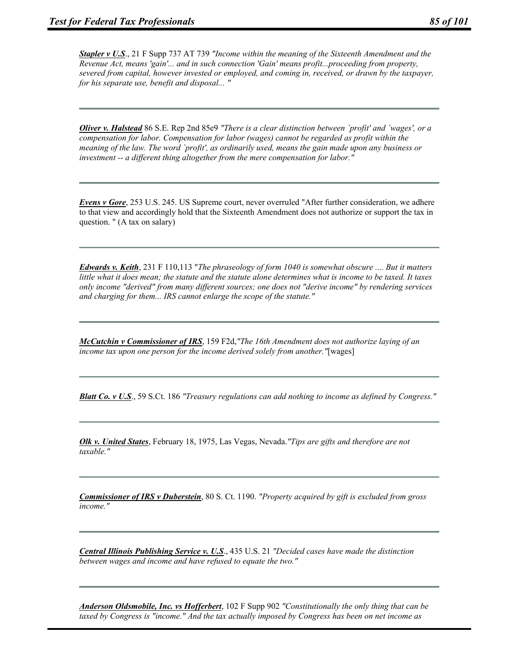*Stapler v U.S*., 21 F Supp 737 AT 739 *"Income within the meaning of the Sixteenth Amendment and the Revenue Act, means 'gain'... and in such connection 'Gain' means profit...proceeding from property, severed from capital, however invested or employed, and coming in, received, or drawn by the taxpayer, for his separate use, benefit and disposal... "*

*Oliver v. Halstead* 86 S.E. Rep 2nd 85e9 *"There is a clear distinction between `profit' and `wages', or a compensation for labor. Compensation for labor (wages) cannot be regarded as profit within the meaning of the law. The word `profit', as ordinarily used, means the gain made upon any business or investment -- a different thing altogether from the mere compensation for labor."*

*Evens v Gore*, 253 U.S. 245. US Supreme court, never overruled "After further consideration, we adhere to that view and accordingly hold that the Sixteenth Amendment does not authorize or support the tax in question. " (A tax on salary)

*Edwards v. Keith*, 231 F 110,113 "*The phraseology of form 1040 is somewhat obscure .... But it matters little what it does mean; the statute and the statute alone determines what is income to be taxed. It taxes only income "derived" from many different sources; one does not "derive income" by rendering services and charging for them... IRS cannot enlarge the scope of the statute."*

*McCutchin v Commissioner of IRS*, 159 F2d,*"The 16th Amendment does not authorize laying of an income tax upon one person for the income derived solely from another."*[wages]

*Blatt Co. v U.S*., 59 S.Ct. 186 *"Treasury regulations can add nothing to income as defined by Congress."*

*Olk v. United States*, February 18, 1975, Las Vegas, Nevada.*"Tips are gifts and therefore are not taxable."*

*Commissioner of IRS v Duberstein*, 80 S. Ct. 1190. *"Property acquired by gift is excluded from gross income."*

*Central Illinois Publishing Service v. U.S*., 435 U.S. 21 *"Decided cases have made the distinction between wages and income and have refused to equate the two."*

*Anderson Oldsmobile, Inc. vs Hofferbert*, 102 F Supp 902 *"Constitutionally the only thing that can be taxed by Congress is "income." And the tax actually imposed by Congress has been on net income as*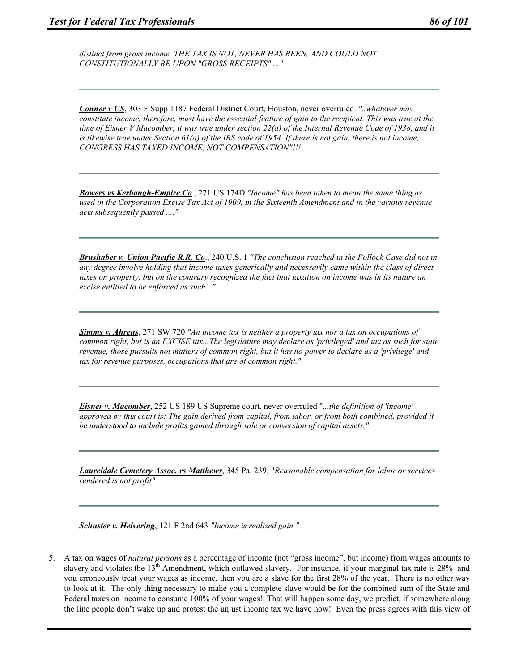*distinct from gross income. THE TAX IS NOT, NEVER HAS BEEN, AND COULD NOT CONSTITUTIONALLY BE UPON "GROSS RECEIPTS" ..."*

*Conner v US*, 303 F Supp 1187 Federal District Court, Houston, never overruled. *"..whatever may constitute income, therefore, must have the essential feature of gain to the recipient. This was true at the time of Eisner V Macomber, it was true under section 22(a) of the Internal Revenue Code of 1938, and it is likewise true under Section 61(a) of the IRS code of 1954. If there is not gain, there is not income, CONGRESS HAS TAXED INCOME, NOT COMPENSATION"!!!*

*Bowers vs Kerbaugh-Empire Co*., 271 US 174D *"Income" has been taken to mean the same thing as used in the Corporation Excise Tax Act of 1909, in the Sixteenth Amendment and in the various revenue acts subsequently passed ...."*

*Brushaber v. Union Pacific R.R. Co*., 240 U.S. 1 *"The conclusion reached in the Pollock Case did not in any degree involve holding that income taxes generically and necessarily came within the class of direct taxes on property, but on the contrary recognized the fact that taxation on income was in its nature an excise entitled to be enforced as such..."*

*Simms v. Ahrens*, 271 SW 720 *"An income tax is neither a property tax nor a tax on occupations of common right, but is an EXCISE tax...The legislature may declare as 'privileged' and tax as such for state revenue, those pursuits not matters of common right, but it has no power to declare as a 'privilege' and tax for revenue purposes, occupations that are of common right."*

*Eisner v. Macomber*, 252 US 189 US Supreme court, never overruled "*...the definition of 'income' approved by this court is: The gain derived from capital, from labor, or from both combined, provided it be understood to include profits gained through sale or conversion of capital assets."*

*Laureldale Cemetery Assoc. vs Matthews*, 345 Pa. 239; "*Reasonable compensation for labor or services rendered is not profit"*

*Schuster v. Helvering*, 121 F 2nd 643 *"Income is realized gain."*

5. A tax on wages of *natural persons* as a percentage of income (not "gross income", but income) from wages amounts to slavery and violates the 13<sup>th</sup> Amendment, which outlawed slavery. For instance, if your marginal tax rate is 28% and you erroneously treat your wages as income, then you are a slave for the first 28% of the year. There is no other way to look at it. The only thing necessary to make you a complete slave would be for the combined sum of the State and Federal taxes on income to consume 100% of your wages! That will happen some day, we predict, if somewhere along the line people don't wake up and protest the unjust income tax we have now! Even the press agrees with this view of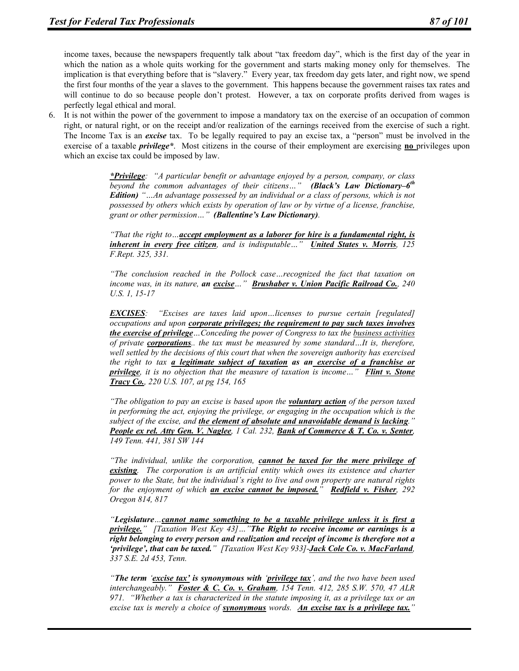income taxes, because the newspapers frequently talk about "tax freedom day", which is the first day of the year in which the nation as a whole quits working for the government and starts making money only for themselves. The implication is that everything before that is "slavery." Every year, tax freedom day gets later, and right now, we spend the first four months of the year a slaves to the government. This happens because the government raises tax rates and will continue to do so because people don't protest. However, a tax on corporate profits derived from wages is perfectly legal ethical and moral.

6. It is not within the power of the government to impose a mandatory tax on the exercise of an occupation of common right, or natural right, or on the receipt and/or realization of the earnings received from the exercise of such a right. The Income Tax is an *excise* tax. To be legally required to pay an excise tax, a "person" must be involved in the exercise of a taxable *privilege\**. Most citizens in the course of their employment are exercising **no** privileges upon which an excise tax could be imposed by law.

> *\*Privilege: "A particular benefit or advantage enjoyed by a person, company, or class beyond the common advantages of their citizens…" (Black's Law Dictionary–6th Edition) "…An advantage possessed by an individual or a class of persons, which is not possessed by others which exists by operation of law or by virtue of a license, franchise, grant or other permission…" (Ballentine's Law Dictionary).*

> *"That the right to…accept employment as a laborer for hire is a fundamental right, is inherent in every free citizen, and is indisputable…" United States v. Morris, 125 F.Rept. 325, 331.*

> *"The conclusion reached in the Pollock case…recognized the fact that taxation on income was, in its nature, an excise…" Brushaber v. Union Pacific Railroad Co., 240 U.S. 1, 15-17*

> *EXCISES: "Excises are taxes laid upon…licenses to pursue certain [regulated] occupations and upon corporate privileges; the requirement to pay such taxes involves the exercise of privilege…Conceding the power of Congress to tax the business activities of private corporations.. the tax must be measured by some standard…It is, therefore, well settled by the decisions of this court that when the sovereign authority has exercised the right to tax a legitimate subject of taxation as an exercise of a franchise or privilege, it is no objection that the measure of taxation is income…" Flint v. Stone Tracy Co., 220 U.S. 107, at pg 154, 165*

> *"The obligation to pay an excise is based upon the voluntary action of the person taxed in performing the act, enjoying the privilege, or engaging in the occupation which is the subject of the excise, and the element of absolute and unavoidable demand is lacking." People ex rel. Atty Gen. V. Naglee, 1 Cal. 232, Bank of Commerce & T. Co. v. Senter, 149 Tenn. 441, 381 SW 144*

> *"The individual, unlike the corporation, cannot be taxed for the mere privilege of existing. The corporation is an artificial entity which owes its existence and charter power to the State, but the individual's right to live and own property are natural rights for the enjoyment of which an excise cannot be imposed." Redfield v. Fisher, 292 Oregon 814, 817*

> *"Legislature…cannot name something to be a taxable privilege unless it is first a privilege." [Taxation West Key 43]…"The Right to receive income or earnings is a right belonging to every person and realization and receipt of income is therefore not a 'privilege', that can be taxed." [Taxation West Key 933]-Jack Cole Co. v. MacFarland, 337 S.E. 2d 453, Tenn.*

> *"The term 'excise tax' is synonymous with 'privilege tax', and the two have been used interchangeably." Foster & C. Co. v. Graham, 154 Tenn. 412, 285 S.W. 570, 47 ALR 971. "Whether a tax is characterized in the statute imposing it, as a privilege tax or an excise tax is merely a choice of synonymous words. An excise tax is a privilege tax."*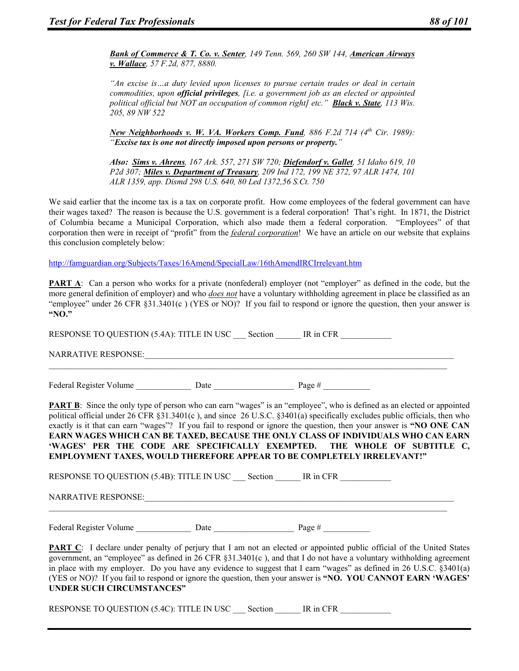*Bank of Commerce & T. Co. v. Senter, 149 Tenn. 569, 260 SW 144, American Airways v. Wallace, 57 F.2d, 877, 8880.* 

*"An excise is…a duty levied upon licenses to pursue certain trades or deal in certain commodities, upon official privileges, [i.e. a government job as an elected or appointed political official but NOT an occupation of common right] etc." Black v. State, 113 Wis. 205, 89 NW 522* 

*New Neighborhoods v. W. VA. Workers Comp. Fund, 886 F.2d 714 (4th Cir. 1989): "Excise tax is one not directly imposed upon persons or property."* 

*Also: Sims v. Ahrens, 167 Ark. 557, 271 SW 720; Diefendorf v. Gallet, 51 Idaho 619, 10 P2d 307; Miles v. Department of Treasury, 209 Ind 172, 199 NE 372, 97 ALR 1474, 101 ALR 1359, app. Dismd 298 U.S. 640, 80 Led 1372,56 S.Ct. 750* 

We said earlier that the income tax is a tax on corporate profit. How come employees of the federal government can have their wages taxed? The reason is because the U.S. government is a federal corporation! That's right. In 1871, the District of Columbia became a Municipal Corporation, which also made them a federal corporation. "Employees" of that corporation then were in receipt of "profit" from the *federal corporation*! We have an article on our website that explains this conclusion completely below:

http://famguardian.org/Subjects/Taxes/16Amend/SpecialLaw/16thAmendIRCIrrelevant.htm

**PART A:** Can a person who works for a private (nonfederal) employer (not "employer" as defined in the code, but the more general definition of employer) and who *does not* have a voluntary withholding agreement in place be classified as an "employee" under 26 CFR §31.3401(c ) (YES or NO)? If you fail to respond or ignore the question, then your answer is **"NO."**

RESPONSE TO QUESTION (5.4A): TITLE IN USC Section IR in CFR NARRATIVE RESPONSE:  $\mathcal{L}_\mathcal{L} = \{ \mathcal{L}_\mathcal{L} = \{ \mathcal{L}_\mathcal{L} = \{ \mathcal{L}_\mathcal{L} = \{ \mathcal{L}_\mathcal{L} = \{ \mathcal{L}_\mathcal{L} = \{ \mathcal{L}_\mathcal{L} = \{ \mathcal{L}_\mathcal{L} = \{ \mathcal{L}_\mathcal{L} = \{ \mathcal{L}_\mathcal{L} = \{ \mathcal{L}_\mathcal{L} = \{ \mathcal{L}_\mathcal{L} = \{ \mathcal{L}_\mathcal{L} = \{ \mathcal{L}_\mathcal{L} = \{ \mathcal{L}_\mathcal{$ Federal Register Volume Date Date Page # **PART B**: Since the only type of person who can earn "wages" is an "employee", who is defined as an elected or appointed political official under 26 CFR §31.3401(c ), and since 26 U.S.C. §3401(a) specifically excludes public officials, then who exactly is it that can earn "wages"? If you fail to respond or ignore the question, then your answer is **"NO ONE CAN EARN WAGES WHICH CAN BE TAXED, BECAUSE THE ONLY CLASS OF INDIVIDUALS WHO CAN EARN 'WAGES' PER THE CODE ARE SPECIFICALLY EXEMPTED. THE WHOLE OF SUBTITLE C,** 

RESPONSE TO QUESTION (5.4B): TITLE IN USC Section \_\_\_\_\_ IR in CFR

**EMPLOYMENT TAXES, WOULD THEREFORE APPEAR TO BE COMPLETELY IRRELEVANT!"**

 $\mathcal{L}_\mathcal{L} = \{ \mathcal{L}_\mathcal{L} = \{ \mathcal{L}_\mathcal{L} = \{ \mathcal{L}_\mathcal{L} = \{ \mathcal{L}_\mathcal{L} = \{ \mathcal{L}_\mathcal{L} = \{ \mathcal{L}_\mathcal{L} = \{ \mathcal{L}_\mathcal{L} = \{ \mathcal{L}_\mathcal{L} = \{ \mathcal{L}_\mathcal{L} = \{ \mathcal{L}_\mathcal{L} = \{ \mathcal{L}_\mathcal{L} = \{ \mathcal{L}_\mathcal{L} = \{ \mathcal{L}_\mathcal{L} = \{ \mathcal{L}_\mathcal{$ 

NARRATIVE RESPONSE:

Federal Register Volume Date Date Page #  $\frac{1}{2}$ 

**PART C**: I declare under penalty of perjury that I am not an elected or appointed public official of the United States government, an "employee" as defined in 26 CFR §31.3401(c ), and that I do not have a voluntary withholding agreement in place with my employer. Do you have any evidence to suggest that I earn "wages" as defined in 26 U.S.C. §3401(a) (YES or NO)? If you fail to respond or ignore the question, then your answer is **"NO. YOU CANNOT EARN 'WAGES' UNDER SUCH CIRCUMSTANCES"**

RESPONSE TO QUESTION (5.4C): TITLE IN USC Section FR IN CFR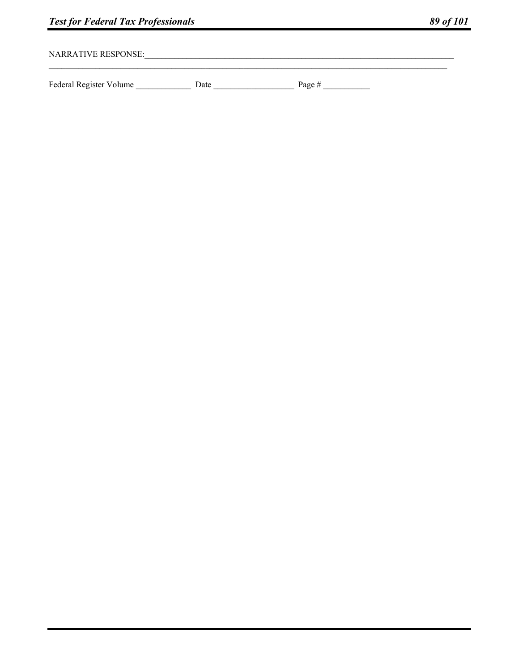<u> 1989 - Johann John Harry, mars ar yw i ganwys y cynnwys y cynnwys y cynnwys y cynnwys y cynnwys y cynnwys y c</u>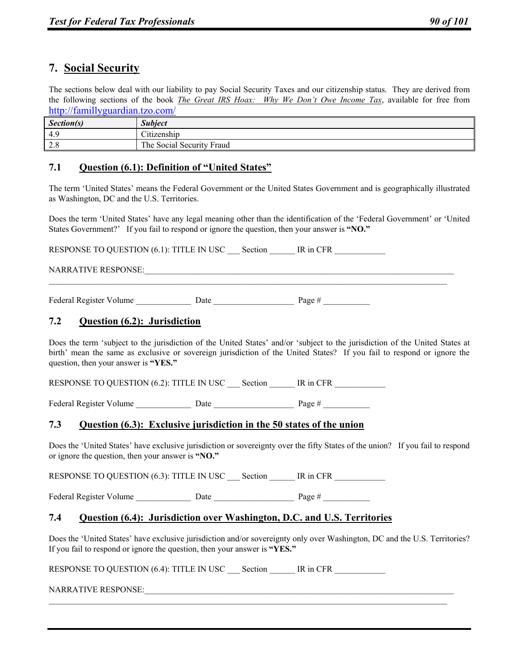# **7. Social Security**

The sections below deal with our liability to pay Social Security Taxes and our citizenship status. They are derived from the following sections of the book *The Great IRS Hoax: Why We Don't Owe Income Tax*, available for free from http://famillyguardian.tzo.com/

| Section(s)                | <b>Subject</b>                             |
|---------------------------|--------------------------------------------|
| 4.9                       | $\sim$ .<br>$\cdot$ $\cdot$<br>Citizenship |
| $\gamma$ o<br>$\angle$ .0 | The Social Security Fraud                  |

# **7.1 Question (6.1): Definition of "United States"**

The term 'United States' means the Federal Government or the United States Government and is geographically illustrated as Washington, DC and the U.S. Territories.

Does the term 'United States' have any legal meaning other than the identification of the 'Federal Government' or 'United States Government?' If you fail to respond or ignore the question, then your answer is **"NO."**

 $\mathcal{L}_\mathcal{L} = \{ \mathcal{L}_\mathcal{L} = \{ \mathcal{L}_\mathcal{L} = \{ \mathcal{L}_\mathcal{L} = \{ \mathcal{L}_\mathcal{L} = \{ \mathcal{L}_\mathcal{L} = \{ \mathcal{L}_\mathcal{L} = \{ \mathcal{L}_\mathcal{L} = \{ \mathcal{L}_\mathcal{L} = \{ \mathcal{L}_\mathcal{L} = \{ \mathcal{L}_\mathcal{L} = \{ \mathcal{L}_\mathcal{L} = \{ \mathcal{L}_\mathcal{L} = \{ \mathcal{L}_\mathcal{L} = \{ \mathcal{L}_\mathcal{$ 

RESPONSE TO QUESTION (6.1): TITLE IN USC Section IR in CFR

### NARRATIVE RESPONSE:

Federal Register Volume Date Date Page #  $\frac{1}{2}$ 

# **7.2 Question (6.2): Jurisdiction**

Does the term 'subject to the jurisdiction of the United States' and/or 'subject to the jurisdiction of the United States at birth' mean the same as exclusive or sovereign jurisdiction of the United States? If you fail to respond or ignore the question, then your answer is **"YES."**

RESPONSE TO QUESTION (6.2): TITLE IN USC Section FR IN CFR

Federal Register Volume Date Date Date Page #

### **7.3 Question (6.3): Exclusive jurisdiction in the 50 states of the union**

Does the 'United States' have exclusive jurisdiction or sovereignty over the fifty States of the union? If you fail to respond or ignore the question, then your answer is **"NO."**

RESPONSE TO QUESTION (6.3): TITLE IN USC Section IR in CFR

Federal Register Volume Date Date Page #

### **7.4 Question (6.4): Jurisdiction over Washington, D.C. and U.S. Territories**

Does the 'United States' have exclusive jurisdiction and/or sovereignty only over Washington, DC and the U.S. Territories? If you fail to respond or ignore the question, then your answer is **"YES."**

 $\mathcal{L}_\mathcal{L} = \mathcal{L}_\mathcal{L}$ 

RESPONSE TO QUESTION (6.4): TITLE IN USC Section IR in CFR

NARRATIVE RESPONSE: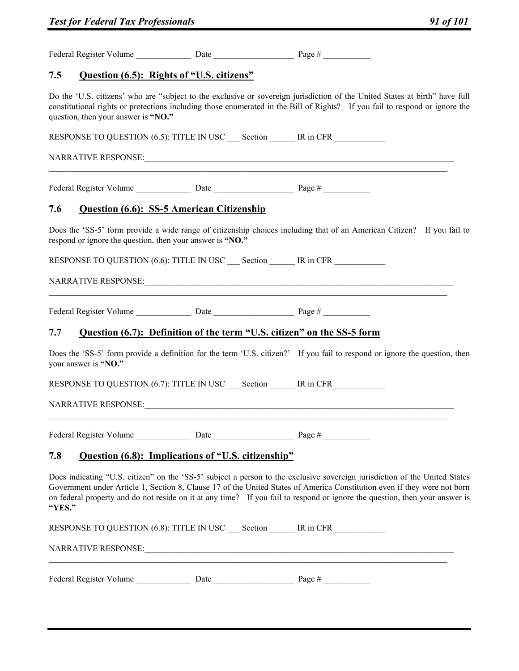| <b>Test for Federal Tax Professionals</b>                                                                                                                                           |                                     |                                                    |                                                                                                                                                                                                                                                                                                                                                                                       | 91 of 101 |  |
|-------------------------------------------------------------------------------------------------------------------------------------------------------------------------------------|-------------------------------------|----------------------------------------------------|---------------------------------------------------------------------------------------------------------------------------------------------------------------------------------------------------------------------------------------------------------------------------------------------------------------------------------------------------------------------------------------|-----------|--|
|                                                                                                                                                                                     |                                     |                                                    |                                                                                                                                                                                                                                                                                                                                                                                       |           |  |
| 7.5                                                                                                                                                                                 |                                     | Question (6.5): Rights of "U.S. citizens"          |                                                                                                                                                                                                                                                                                                                                                                                       |           |  |
|                                                                                                                                                                                     | question, then your answer is "NO." |                                                    | Do the 'U.S. citizens' who are "subject to the exclusive or sovereign jurisdiction of the United States at birth" have full<br>constitutional rights or protections including those enumerated in the Bill of Rights? If you fail to respond or ignore the                                                                                                                            |           |  |
|                                                                                                                                                                                     |                                     |                                                    | RESPONSE TO QUESTION (6.5): TITLE IN USC Section IR in CFR                                                                                                                                                                                                                                                                                                                            |           |  |
|                                                                                                                                                                                     |                                     |                                                    |                                                                                                                                                                                                                                                                                                                                                                                       |           |  |
|                                                                                                                                                                                     |                                     |                                                    |                                                                                                                                                                                                                                                                                                                                                                                       |           |  |
| 7.6                                                                                                                                                                                 |                                     | <b>Question (6.6): SS-5 American Citizenship</b>   |                                                                                                                                                                                                                                                                                                                                                                                       |           |  |
| Does the 'SS-5' form provide a wide range of citizenship choices including that of an American Citizen? If you fail to<br>respond or ignore the question, then your answer is "NO." |                                     |                                                    |                                                                                                                                                                                                                                                                                                                                                                                       |           |  |
|                                                                                                                                                                                     |                                     |                                                    | RESPONSE TO QUESTION (6.6): TITLE IN USC Section FR MESS RESPONSE TO QUESTION (6.6): TITLE IN USC Section FR MESS                                                                                                                                                                                                                                                                     |           |  |
|                                                                                                                                                                                     |                                     |                                                    |                                                                                                                                                                                                                                                                                                                                                                                       |           |  |
|                                                                                                                                                                                     |                                     |                                                    |                                                                                                                                                                                                                                                                                                                                                                                       |           |  |
| 7.7                                                                                                                                                                                 |                                     |                                                    | Question (6.7): Definition of the term "U.S. citizen" on the SS-5 form                                                                                                                                                                                                                                                                                                                |           |  |
|                                                                                                                                                                                     | your answer is "NO."                |                                                    | Does the 'SS-5' form provide a definition for the term 'U.S. citizen?' If you fail to respond or ignore the question, then                                                                                                                                                                                                                                                            |           |  |
|                                                                                                                                                                                     |                                     |                                                    | RESPONSE TO QUESTION (6.7): TITLE IN USC Section MESSIE IR in CFR                                                                                                                                                                                                                                                                                                                     |           |  |
|                                                                                                                                                                                     |                                     |                                                    |                                                                                                                                                                                                                                                                                                                                                                                       |           |  |
|                                                                                                                                                                                     |                                     |                                                    |                                                                                                                                                                                                                                                                                                                                                                                       |           |  |
| 7.8                                                                                                                                                                                 |                                     | Question (6.8): Implications of "U.S. citizenship" |                                                                                                                                                                                                                                                                                                                                                                                       |           |  |
| "YES."                                                                                                                                                                              |                                     |                                                    | Does indicating "U.S. citizen" on the 'SS-5' subject a person to the exclusive sovereign jurisdiction of the United States<br>Government under Article 1, Section 8, Clause 17 of the United States of America Constitution even if they were not born<br>on federal property and do not reside on it at any time? If you fail to respond or ignore the question, then your answer is |           |  |
|                                                                                                                                                                                     |                                     |                                                    | RESPONSE TO QUESTION (6.8): TITLE IN USC Section IR in CFR                                                                                                                                                                                                                                                                                                                            |           |  |
|                                                                                                                                                                                     |                                     |                                                    |                                                                                                                                                                                                                                                                                                                                                                                       |           |  |
|                                                                                                                                                                                     |                                     |                                                    |                                                                                                                                                                                                                                                                                                                                                                                       |           |  |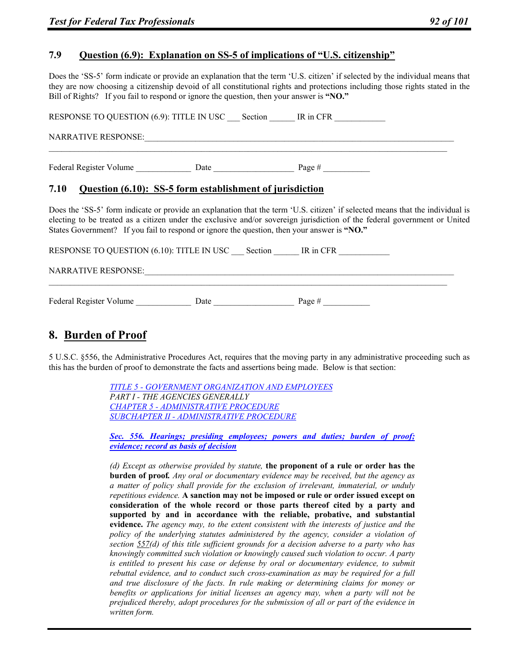# **7.9 Question (6.9): Explanation on SS-5 of implications of "U.S. citizenship"**

Does the 'SS-5' form indicate or provide an explanation that the term 'U.S. citizen' if selected by the individual means that they are now choosing a citizenship devoid of all constitutional rights and protections including those rights stated in the Bill of Rights? If you fail to respond or ignore the question, then your answer is **"NO."**

RESPONSE TO QUESTION (6.9): TITLE IN USC Section IR in CFR NARRATIVE RESPONSE:  $\mathcal{L}_\mathcal{L} = \{ \mathcal{L}_\mathcal{L} = \{ \mathcal{L}_\mathcal{L} = \{ \mathcal{L}_\mathcal{L} = \{ \mathcal{L}_\mathcal{L} = \{ \mathcal{L}_\mathcal{L} = \{ \mathcal{L}_\mathcal{L} = \{ \mathcal{L}_\mathcal{L} = \{ \mathcal{L}_\mathcal{L} = \{ \mathcal{L}_\mathcal{L} = \{ \mathcal{L}_\mathcal{L} = \{ \mathcal{L}_\mathcal{L} = \{ \mathcal{L}_\mathcal{L} = \{ \mathcal{L}_\mathcal{L} = \{ \mathcal{L}_\mathcal{$ Federal Register Volume \_\_\_\_\_\_\_\_\_\_\_\_\_\_\_\_\_\_\_\_ Date \_\_\_\_\_\_\_\_\_\_\_\_\_\_\_\_\_\_\_\_\_\_\_ Page #

### **7.10 Question (6.10): SS-5 form establishment of jurisdiction**

Does the 'SS-5' form indicate or provide an explanation that the term 'U.S. citizen' if selected means that the individual is electing to be treated as a citizen under the exclusive and/or sovereign jurisdiction of the federal government or United States Government? If you fail to respond or ignore the question, then your answer is **"NO."**

RESPONSE TO QUESTION (6.10): TITLE IN USC \_\_\_ Section \_\_\_\_\_\_ IR in CFR \_\_\_\_\_\_\_\_\_

#### NARRATIVE RESPONSE:

Federal Register Volume \_\_\_\_\_\_\_\_\_\_\_\_\_ Date \_\_\_\_\_\_\_\_\_\_\_\_\_\_\_\_\_\_\_ Page # \_\_\_\_\_\_\_\_\_\_\_

# **8. Burden of Proof**

5 U.S.C. §556, the Administrative Procedures Act, requires that the moving party in any administrative proceeding such as this has the burden of proof to demonstrate the facts and assertions being made. Below is that section:

> *TITLE 5 - GOVERNMENT ORGANIZATION AND EMPLOYEES PART I - THE AGENCIES GENERALLY CHAPTER 5 - ADMINISTRATIVE PROCEDURE SUBCHAPTER II - ADMINISTRATIVE PROCEDURE*

*Sec. 556. Hearings; presiding employees; powers and duties; burden of proof; evidence; record as basis of decision*

*(d) Except as otherwise provided by statute,* **the proponent of a rule or order has the burden of proof***. Any oral or documentary evidence may be received, but the agency as a matter of policy shall provide for the exclusion of irrelevant, immaterial, or unduly repetitious evidence.* **A sanction may not be imposed or rule or order issued except on consideration of the whole record or those parts thereof cited by a party and supported by and in accordance with the reliable, probative, and substantial evidence.** *The agency may, to the extent consistent with the interests of justice and the policy of the underlying statutes administered by the agency, consider a violation of section 557(d) of this title sufficient grounds for a decision adverse to a party who has knowingly committed such violation or knowingly caused such violation to occur. A party is entitled to present his case or defense by oral or documentary evidence, to submit rebuttal evidence, and to conduct such cross-examination as may be required for a full and true disclosure of the facts. In rule making or determining claims for money or benefits or applications for initial licenses an agency may, when a party will not be prejudiced thereby, adopt procedures for the submission of all or part of the evidence in written form.*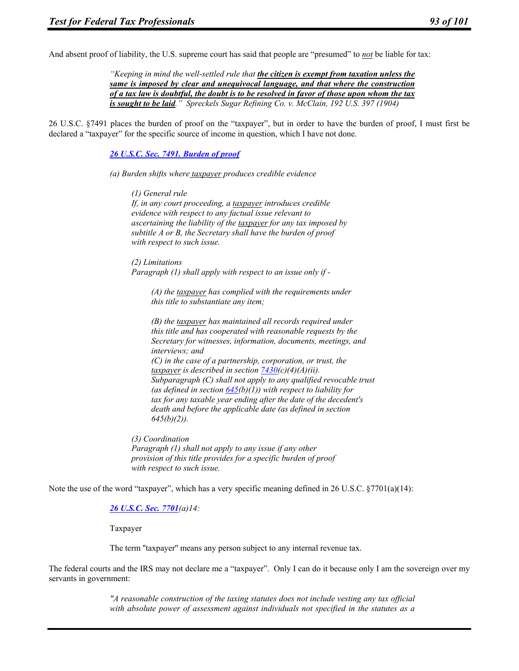And absent proof of liability, the U.S. supreme court has said that people are "presumed" to *not* be liable for tax:

*"Keeping in mind the well-settled rule that the citizen is exempt from taxation unless the same is imposed by clear and unequivocal language, and that where the construction of a tax law is doubtful, the doubt is to be resolved in favor of those upon whom the tax is sought to be laid." Spreckels Sugar Refining Co. v. McClain, 192 U.S. 397 (1904)* 

26 U.S.C. §7491 places the burden of proof on the "taxpayer", but in order to have the burden of proof, I must first be declared a "taxpayer" for the specific source of income in question, which I have not done.

*26 U.S.C. Sec. 7491. Burden of proof* 

*(a) Burden shifts where taxpayer produces credible evidence* 

*(1) General rule If, in any court proceeding, a taxpayer introduces credible evidence with respect to any factual issue relevant to ascertaining the liability of the taxpayer for any tax imposed by subtitle A or B, the Secretary shall have the burden of proof with respect to such issue.* 

*(2) Limitations Paragraph (1) shall apply with respect to an issue only if -* 

*(A) the taxpayer has complied with the requirements under this title to substantiate any item;* 

*(B) the taxpayer has maintained all records required under this title and has cooperated with reasonable requests by the Secretary for witnesses, information, documents, meetings, and interviews; and (C) in the case of a partnership, corporation, or trust, the taxpayer is described in section 7430(c)(4)(A)(ii). Subparagraph (C) shall not apply to any qualified revocable trust*  (as defined in section  $645(b)(1)$ ) with respect to liability for *tax for any taxable year ending after the date of the decedent's death and before the applicable date (as defined in section 645(b)(2)).* 

*(3) Coordination Paragraph (1) shall not apply to any issue if any other provision of this title provides for a specific burden of proof with respect to such issue.* 

Note the use of the word "taxpayer", which has a very specific meaning defined in 26 U.S.C. §7701(a)(14):

#### *26 U.S.C. Sec. 7701(a)14:*

Taxpayer

The term "taxpayer" means any person subject to any internal revenue tax.

The federal courts and the IRS may not declare me a "taxpayer". Only I can do it because only I am the sovereign over my servants in government:

> *"A reasonable construction of the taxing statutes does not include vesting any tax official with absolute power of assessment against individuals not specified in the statutes as a*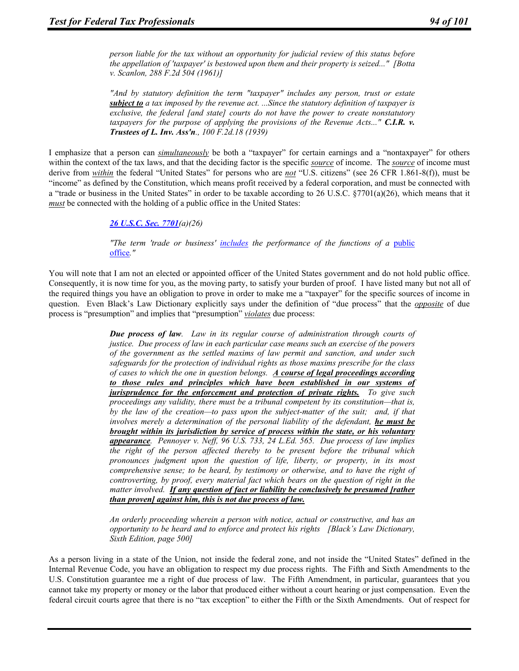*person liable for the tax without an opportunity for judicial review of this status before the appellation of 'taxpayer' is bestowed upon them and their property is seized..." [Botta v. Scanlon, 288 F.2d 504 (1961)]* 

*"And by statutory definition the term "taxpayer" includes any person, trust or estate subject to a tax imposed by the revenue act. ...Since the statutory definition of taxpayer is exclusive, the federal [and state] courts do not have the power to create nonstatutory taxpayers for the purpose of applying the provisions of the Revenue Acts..." C.I.R. v. Trustees of L. Inv. Ass'n., 100 F.2d.18 (1939)* 

I emphasize that a person can *simultaneously* be both a "taxpayer" for certain earnings and a "nontaxpayer" for others within the context of the tax laws, and that the deciding factor is the specific *source* of income. The *source* of income must derive from *within* the federal "United States" for persons who are *not* "U.S. citizens" (see 26 CFR 1.861-8(f)), must be "income" as defined by the Constitution, which means profit received by a federal corporation, and must be connected with a "trade or business in the United States" in order to be taxable according to 26 U.S.C. §7701(a)(26), which means that it *must* be connected with the holding of a public office in the United States:

#### *26 U.S.C. Sec. 7701(a)(26)*

*"The term 'trade or business' includes the performance of the functions of a* public office*."* 

You will note that I am not an elected or appointed officer of the United States government and do not hold public office. Consequently, it is now time for you, as the moving party, to satisfy your burden of proof. I have listed many but not all of the required things you have an obligation to prove in order to make me a "taxpayer" for the specific sources of income in question. Even Black's Law Dictionary explicitly says under the definition of "due process" that the *opposite* of due process is "presumption" and implies that "presumption" *violates* due process:

> *Due process of law. Law in its regular course of administration through courts of justice. Due process of law in each particular case means such an exercise of the powers of the government as the settled maxims of law permit and sanction, and under such safeguards for the protection of individual rights as those maxims prescribe for the class of cases to which the one in question belongs. A course of legal proceedings according to those rules and principles which have been established in our systems of jurisprudence for the enforcement and protection of private rights. To give such proceedings any validity, there must be a tribunal competent by its constitution—that is, by the law of the creation—to pass upon the subject-matter of the suit; and, if that involves merely a determination of the personal liability of the defendant, he must be brought within its jurisdiction by service of process within the state, or his voluntary appearance. Pennoyer v. Neff, 96 U.S. 733, 24 L.Ed. 565. Due process of law implies the right of the person affected thereby to be present before the tribunal which pronounces judgment upon the question of life, liberty, or property, in its most comprehensive sense; to be heard, by testimony or otherwise, and to have the right of controverting, by proof, every material fact which bears on the question of right in the matter involved. If any question of fact or liability be conclusively be presumed [rather than proven] against him, this is not due process of law.*

> *An orderly proceeding wherein a person with notice, actual or constructive, and has an opportunity to be heard and to enforce and protect his rights [Black's Law Dictionary, Sixth Edition, page 500]*

As a person living in a state of the Union, not inside the federal zone, and not inside the "United States" defined in the Internal Revenue Code, you have an obligation to respect my due process rights. The Fifth and Sixth Amendments to the U.S. Constitution guarantee me a right of due process of law. The Fifth Amendment, in particular, guarantees that you cannot take my property or money or the labor that produced either without a court hearing or just compensation. Even the federal circuit courts agree that there is no "tax exception" to either the Fifth or the Sixth Amendments. Out of respect for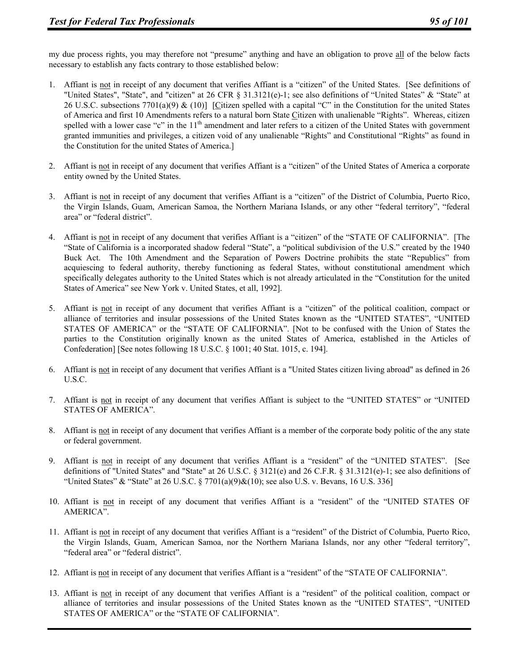my due process rights, you may therefore not "presume" anything and have an obligation to prove all of the below facts necessary to establish any facts contrary to those established below:

- 1. Affiant is not in receipt of any document that verifies Affiant is a "citizen" of the United States. [See definitions of "United States", "State", and "citizen" at 26 CFR § 31.3121(e)-1; see also definitions of "United States" & "State" at 26 U.S.C. subsections 7701(a)(9) & (10)] [Citizen spelled with a capital "C" in the Constitution for the united States of America and first 10 Amendments refers to a natural born State Citizen with unalienable "Rights". Whereas, citizen spelled with a lower case "c" in the  $11<sup>th</sup>$  amendment and later refers to a citizen of the United States with government granted immunities and privileges, a citizen void of any unalienable "Rights" and Constitutional "Rights" as found in the Constitution for the united States of America.]
- 2. Affiant is not in receipt of any document that verifies Affiant is a "citizen" of the United States of America a corporate entity owned by the United States.
- 3. Affiant is not in receipt of any document that verifies Affiant is a "citizen" of the District of Columbia, Puerto Rico, the Virgin Islands, Guam, American Samoa, the Northern Mariana Islands, or any other "federal territory", "federal area" or "federal district".
- 4. Affiant is not in receipt of any document that verifies Affiant is a "citizen" of the "STATE OF CALIFORNIA". [The "State of California is a incorporated shadow federal "State", a "political subdivision of the U.S." created by the 1940 Buck Act. The 10th Amendment and the Separation of Powers Doctrine prohibits the state "Republics" from acquiescing to federal authority, thereby functioning as federal States, without constitutional amendment which specifically delegates authority to the United States which is not already articulated in the "Constitution for the united States of America" see New York v. United States, et all, 1992].
- 5. Affiant is not in receipt of any document that verifies Affiant is a "citizen" of the political coalition, compact or alliance of territories and insular possessions of the United States known as the "UNITED STATES", "UNITED STATES OF AMERICA" or the "STATE OF CALIFORNIA". [Not to be confused with the Union of States the parties to the Constitution originally known as the united States of America, established in the Articles of Confederation] [See notes following 18 U.S.C. § 1001; 40 Stat. 1015, c. 194].
- 6. Affiant is not in receipt of any document that verifies Affiant is a "United States citizen living abroad" as defined in 26 U.S.C.
- 7. Affiant is not in receipt of any document that verifies Affiant is subject to the "UNITED STATES" or "UNITED STATES OF AMERICA".
- 8. Affiant is not in receipt of any document that verifies Affiant is a member of the corporate body politic of the any state or federal government.
- 9. Affiant is not in receipt of any document that verifies Affiant is a "resident" of the "UNITED STATES". [See definitions of "United States" and "State" at 26 U.S.C. § 3121(e) and 26 C.F.R. § 31.3121(e)-1; see also definitions of "United States" & "State" at 26 U.S.C. § 7701(a)(9)&(10); see also U.S. v. Bevans, 16 U.S. 336]
- 10. Affiant is not in receipt of any document that verifies Affiant is a "resident" of the "UNITED STATES OF AMERICA".
- 11. Affiant is not in receipt of any document that verifies Affiant is a "resident" of the District of Columbia, Puerto Rico, the Virgin Islands, Guam, American Samoa, nor the Northern Mariana Islands, nor any other "federal territory", "federal area" or "federal district".
- 12. Affiant is not in receipt of any document that verifies Affiant is a "resident" of the "STATE OF CALIFORNIA".
- 13. Affiant is not in receipt of any document that verifies Affiant is a "resident" of the political coalition, compact or alliance of territories and insular possessions of the United States known as the "UNITED STATES", "UNITED STATES OF AMERICA" or the "STATE OF CALIFORNIA".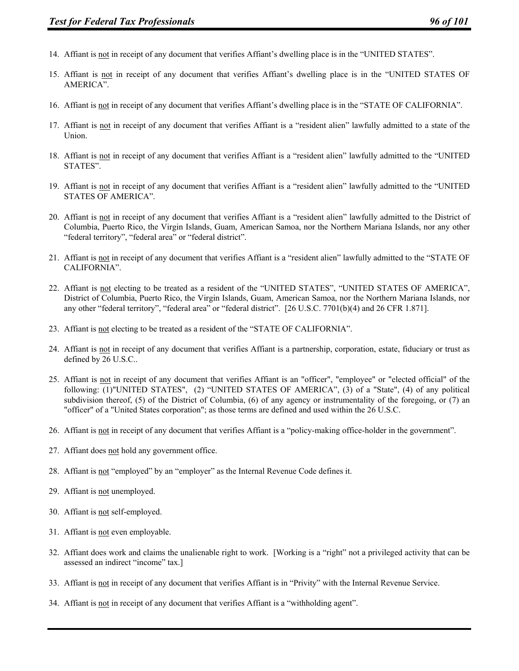- 14. Affiant is not in receipt of any document that verifies Affiant's dwelling place is in the "UNITED STATES".
- 15. Affiant is not in receipt of any document that verifies Affiant's dwelling place is in the "UNITED STATES OF AMERICA".
- 16. Affiant is not in receipt of any document that verifies Affiant's dwelling place is in the "STATE OF CALIFORNIA".
- 17. Affiant is not in receipt of any document that verifies Affiant is a "resident alien" lawfully admitted to a state of the Union.
- 18. Affiant is not in receipt of any document that verifies Affiant is a "resident alien" lawfully admitted to the "UNITED STATES".
- 19. Affiant is not in receipt of any document that verifies Affiant is a "resident alien" lawfully admitted to the "UNITED STATES OF AMERICA".
- 20. Affiant is not in receipt of any document that verifies Affiant is a "resident alien" lawfully admitted to the District of Columbia, Puerto Rico, the Virgin Islands, Guam, American Samoa, nor the Northern Mariana Islands, nor any other "federal territory", "federal area" or "federal district".
- 21. Affiant is not in receipt of any document that verifies Affiant is a "resident alien" lawfully admitted to the "STATE OF CALIFORNIA".
- 22. Affiant is not electing to be treated as a resident of the "UNITED STATES", "UNITED STATES OF AMERICA", District of Columbia, Puerto Rico, the Virgin Islands, Guam, American Samoa, nor the Northern Mariana Islands, nor any other "federal territory", "federal area" or "federal district". [26 U.S.C. 7701(b)(4) and 26 CFR 1.871].
- 23. Affiant is not electing to be treated as a resident of the "STATE OF CALIFORNIA".
- 24. Affiant is not in receipt of any document that verifies Affiant is a partnership, corporation, estate, fiduciary or trust as defined by 26 U.S.C..
- 25. Affiant is not in receipt of any document that verifies Affiant is an "officer", "employee" or "elected official" of the following: (1)"UNITED STATES", (2) "UNITED STATES OF AMERICA", (3) of a "State", (4) of any political subdivision thereof, (5) of the District of Columbia, (6) of any agency or instrumentality of the foregoing, or (7) an "officer" of a "United States corporation"; as those terms are defined and used within the 26 U.S.C.
- 26. Affiant is not in receipt of any document that verifies Affiant is a "policy-making office-holder in the government".
- 27. Affiant does not hold any government office.
- 28. Affiant is not "employed" by an "employer" as the Internal Revenue Code defines it.
- 29. Affiant is not unemployed.
- 30. Affiant is not self-employed.
- 31. Affiant is not even employable.
- 32. Affiant does work and claims the unalienable right to work. [Working is a "right" not a privileged activity that can be assessed an indirect "income" tax.]
- 33. Affiant is not in receipt of any document that verifies Affiant is in "Privity" with the Internal Revenue Service.
- 34. Affiant is not in receipt of any document that verifies Affiant is a "withholding agent".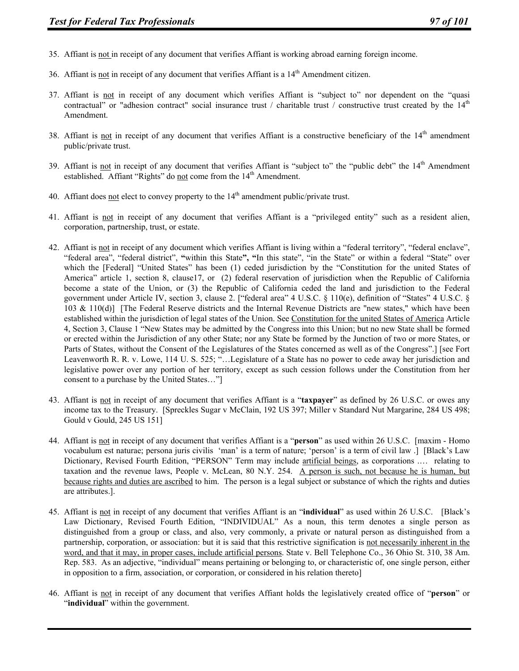- 35. Affiant is not in receipt of any document that verifies Affiant is working abroad earning foreign income.
- 36. Affiant is not in receipt of any document that verifies Affiant is a  $14<sup>th</sup>$  Amendment citizen.
- 37. Affiant is not in receipt of any document which verifies Affiant is "subject to" nor dependent on the "quasi contractual" or "adhesion contract" social insurance trust / charitable trust / constructive trust created by the  $14<sup>th</sup>$ Amendment.
- 38. Affiant is not in receipt of any document that verifies Affiant is a constructive beneficiary of the  $14<sup>th</sup>$  amendment public/private trust.
- 39. Affiant is not in receipt of any document that verifies Affiant is "subject to" the "public debt" the 14<sup>th</sup> Amendment established. Affiant "Rights" do not come from the 14<sup>th</sup> Amendment.
- 40. Affiant does not elect to convey property to the  $14<sup>th</sup>$  amendment public/private trust.
- 41. Affiant is not in receipt of any document that verifies Affiant is a "privileged entity" such as a resident alien, corporation, partnership, trust, or estate.
- 42. Affiant is not in receipt of any document which verifies Affiant is living within a "federal territory", "federal enclave", "federal area", "federal district", **"**within this State**", "**In this state", "in the State" or within a federal "State" over which the [Federal] "United States" has been (1) ceded jurisdiction by the "Constitution for the united States of America" article 1, section 8, clause17, or (2) federal reservation of jurisdiction when the Republic of California become a state of the Union, or (3) the Republic of California ceded the land and jurisdiction to the Federal government under Article IV, section 3, clause 2. ["federal area" 4 U.S.C. § 110(e), definition of "States" 4 U.S.C. § 103 & 110(d)] [The Federal Reserve districts and the Internal Revenue Districts are "new states," which have been established within the jurisdiction of legal states of the Union. See Constitution for the united States of America Article 4, Section 3, Clause 1 "New States may be admitted by the Congress into this Union; but no new State shall be formed or erected within the Jurisdiction of any other State; nor any State be formed by the Junction of two or more States, or Parts of States, without the Consent of the Legislatures of the States concerned as well as of the Congress".] [see Fort Leavenworth R. R. v. Lowe, 114 U. S. 525; "…Legislature of a State has no power to cede away her jurisdiction and legislative power over any portion of her territory, except as such cession follows under the Constitution from her consent to a purchase by the United States…"]
- 43. Affiant is not in receipt of any document that verifies Affiant is a "**taxpayer**" as defined by 26 U.S.C. or owes any income tax to the Treasury. [Spreckles Sugar v McClain, 192 US 397; Miller v Standard Nut Margarine, 284 US 498; Gould v Gould, 245 US 151]
- 44. Affiant is not in receipt of any document that verifies Affiant is a "**person**" as used within 26 U.S.C. [maxim Homo vocabulum est naturae; persona juris civilis 'man' is a term of nature; 'person' is a term of civil law .] [Black's Law Dictionary, Revised Fourth Edition, "PERSON" Term may include artificial beings, as corporations .... relating to taxation and the revenue laws, People v. McLean, 80 N.Y. 254. A person is such, not because he is human, but because rights and duties are ascribed to him. The person is a legal subject or substance of which the rights and duties are attributes.].
- 45. Affiant is not in receipt of any document that verifies Affiant is an "**individual**" as used within 26 U.S.C. [Black's Law Dictionary, Revised Fourth Edition, "INDIVIDUAL" As a noun, this term denotes a single person as distinguished from a group or class, and also, very commonly, a private or natural person as distinguished from a partnership, corporation, or association: but it is said that this restrictive signification is not necessarily inherent in the word, and that it may, in proper cases, include artificial persons. State v. Bell Telephone Co., 36 Ohio St. 310, 38 Am. Rep. 583. As an adjective, "individual" means pertaining or belonging to, or characteristic of, one single person, either in opposition to a firm, association, or corporation, or considered in his relation thereto]
- 46. Affiant is not in receipt of any document that verifies Affiant holds the legislatively created office of "**person**" or "**individual**" within the government.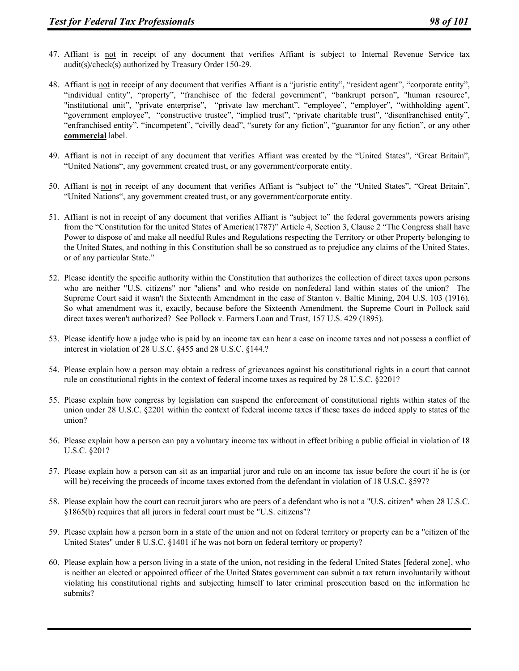- 47. Affiant is not in receipt of any document that verifies Affiant is subject to Internal Revenue Service tax audit(s)/check(s) authorized by Treasury Order 150-29.
- 48. Affiant is not in receipt of any document that verifies Affiant is a "juristic entity", "resident agent", "corporate entity", "individual entity", "property", "franchisee of the federal government", "bankrupt person", "human resource", "institutional unit", "private enterprise", "private law merchant", "employee", "employer", "withholding agent", "government employee", "constructive trustee", "implied trust", "private charitable trust", "disenfranchised entity", "enfranchised entity", "incompetent", "civilly dead", "surety for any fiction", "guarantor for any fiction", or any other **commercial** label.
- 49. Affiant is not in receipt of any document that verifies Affiant was created by the "United States", "Great Britain", "United Nations", any government created trust, or any government/corporate entity.
- 50. Affiant is not in receipt of any document that verifies Affiant is "subject to" the "United States", "Great Britain", "United Nations", any government created trust, or any government/corporate entity.
- 51. Affiant is not in receipt of any document that verifies Affiant is "subject to" the federal governments powers arising from the "Constitution for the united States of America(1787)" Article 4, Section 3, Clause 2 "The Congress shall have Power to dispose of and make all needful Rules and Regulations respecting the Territory or other Property belonging to the United States, and nothing in this Constitution shall be so construed as to prejudice any claims of the United States, or of any particular State."
- 52. Please identify the specific authority within the Constitution that authorizes the collection of direct taxes upon persons who are neither "U.S. citizens" nor "aliens" and who reside on nonfederal land within states of the union? The Supreme Court said it wasn't the Sixteenth Amendment in the case of Stanton v. Baltic Mining, 204 U.S. 103 (1916). So what amendment was it, exactly, because before the Sixteenth Amendment, the Supreme Court in Pollock said direct taxes weren't authorized? See Pollock v. Farmers Loan and Trust, 157 U.S. 429 (1895).
- 53. Please identify how a judge who is paid by an income tax can hear a case on income taxes and not possess a conflict of interest in violation of 28 U.S.C. §455 and 28 U.S.C. §144.?
- 54. Please explain how a person may obtain a redress of grievances against his constitutional rights in a court that cannot rule on constitutional rights in the context of federal income taxes as required by 28 U.S.C. §2201?
- 55. Please explain how congress by legislation can suspend the enforcement of constitutional rights within states of the union under 28 U.S.C. §2201 within the context of federal income taxes if these taxes do indeed apply to states of the union?
- 56. Please explain how a person can pay a voluntary income tax without in effect bribing a public official in violation of 18 U.S.C. §201?
- 57. Please explain how a person can sit as an impartial juror and rule on an income tax issue before the court if he is (or will be) receiving the proceeds of income taxes extorted from the defendant in violation of 18 U.S.C. §597?
- 58. Please explain how the court can recruit jurors who are peers of a defendant who is not a "U.S. citizen" when 28 U.S.C. §1865(b) requires that all jurors in federal court must be "U.S. citizens"?
- 59. Please explain how a person born in a state of the union and not on federal territory or property can be a "citizen of the United States" under 8 U.S.C. §1401 if he was not born on federal territory or property?
- 60. Please explain how a person living in a state of the union, not residing in the federal United States [federal zone], who is neither an elected or appointed officer of the United States government can submit a tax return involuntarily without violating his constitutional rights and subjecting himself to later criminal prosecution based on the information he submits?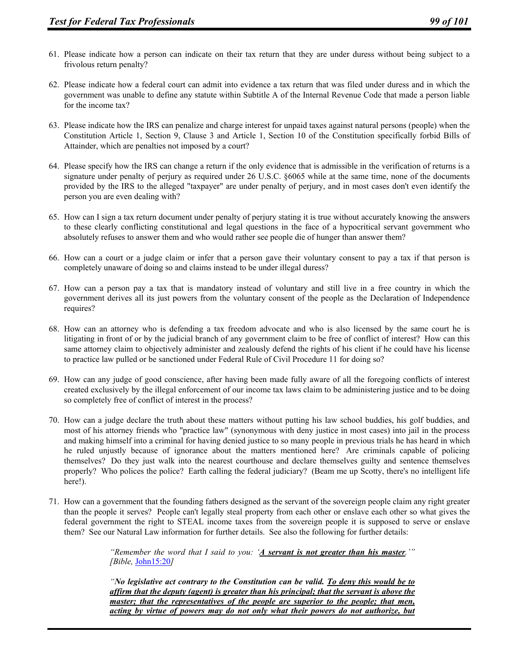- 61. Please indicate how a person can indicate on their tax return that they are under duress without being subject to a frivolous return penalty?
- 62. Please indicate how a federal court can admit into evidence a tax return that was filed under duress and in which the government was unable to define any statute within Subtitle A of the Internal Revenue Code that made a person liable for the income tax?
- 63. Please indicate how the IRS can penalize and charge interest for unpaid taxes against natural persons (people) when the Constitution Article 1, Section 9, Clause 3 and Article 1, Section 10 of the Constitution specifically forbid Bills of Attainder, which are penalties not imposed by a court?
- 64. Please specify how the IRS can change a return if the only evidence that is admissible in the verification of returns is a signature under penalty of perjury as required under 26 U.S.C. §6065 while at the same time, none of the documents provided by the IRS to the alleged "taxpayer" are under penalty of perjury, and in most cases don't even identify the person you are even dealing with?
- 65. How can I sign a tax return document under penalty of perjury stating it is true without accurately knowing the answers to these clearly conflicting constitutional and legal questions in the face of a hypocritical servant government who absolutely refuses to answer them and who would rather see people die of hunger than answer them?
- 66. How can a court or a judge claim or infer that a person gave their voluntary consent to pay a tax if that person is completely unaware of doing so and claims instead to be under illegal duress?
- 67. How can a person pay a tax that is mandatory instead of voluntary and still live in a free country in which the government derives all its just powers from the voluntary consent of the people as the Declaration of Independence requires?
- 68. How can an attorney who is defending a tax freedom advocate and who is also licensed by the same court he is litigating in front of or by the judicial branch of any government claim to be free of conflict of interest? How can this same attorney claim to objectively administer and zealously defend the rights of his client if he could have his license to practice law pulled or be sanctioned under Federal Rule of Civil Procedure 11 for doing so?
- 69. How can any judge of good conscience, after having been made fully aware of all the foregoing conflicts of interest created exclusively by the illegal enforcement of our income tax laws claim to be administering justice and to be doing so completely free of conflict of interest in the process?
- 70. How can a judge declare the truth about these matters without putting his law school buddies, his golf buddies, and most of his attorney friends who "practice law" (synonymous with deny justice in most cases) into jail in the process and making himself into a criminal for having denied justice to so many people in previous trials he has heard in which he ruled unjustly because of ignorance about the matters mentioned here? Are criminals capable of policing themselves? Do they just walk into the nearest courthouse and declare themselves guilty and sentence themselves properly? Who polices the police? Earth calling the federal judiciary? (Beam me up Scotty, there's no intelligent life here!).
- 71. How can a government that the founding fathers designed as the servant of the sovereign people claim any right greater than the people it serves? People can't legally steal property from each other or enslave each other so what gives the federal government the right to STEAL income taxes from the sovereign people it is supposed to serve or enslave them? See our Natural Law information for further details. See also the following for further details:

*"Remember the word that I said to you: 'A servant is not greater than his master.'" [Bible,* John15:20*]* 

*"No legislative act contrary to the Constitution can be valid. To deny this would be to affirm that the deputy (agent) is greater than his principal; that the servant is above the master; that the representatives of the people are superior to the people; that men, acting by virtue of powers may do not only what their powers do not authorize, but*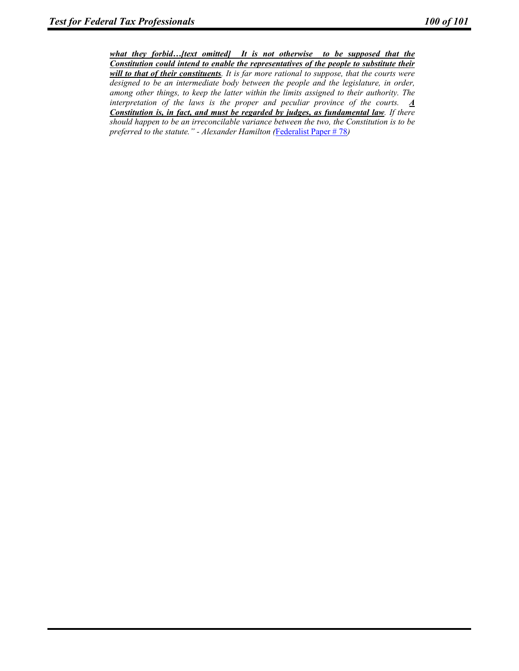*what they forbid…[text omitted] It is not otherwise to be supposed that the Constitution could intend to enable the representatives of the people to substitute their will to that of their constituents. It is far more rational to suppose, that the courts were designed to be an intermediate body between the people and the legislature, in order, among other things, to keep the latter within the limits assigned to their authority. The interpretation of the laws is the proper and peculiar province of the courts.*  $\underline{A}$ *Constitution is, in fact, and must be regarded by judges, as fundamental law. If there should happen to be an irreconcilable variance between the two, the Constitution is to be preferred to the statute." - Alexander Hamilton (*Federalist Paper # 78*)*